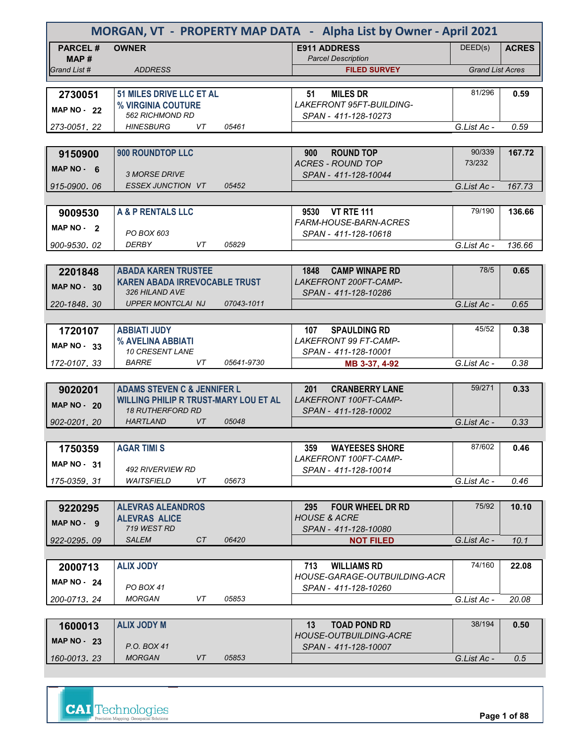| MORGAN, VT - PROPERTY MAP DATA - Alpha List by Owner - April 2021 |                                                  |            |                                                           |                         |              |  |
|-------------------------------------------------------------------|--------------------------------------------------|------------|-----------------------------------------------------------|-------------------------|--------------|--|
| <b>PARCEL#</b><br>MAP#                                            | <b>OWNER</b>                                     |            | <b>E911 ADDRESS</b><br><b>Parcel Description</b>          | DEED(s)                 | <b>ACRES</b> |  |
| Grand List #                                                      | <b>ADDRESS</b>                                   |            | <b>FILED SURVEY</b>                                       | <b>Grand List Acres</b> |              |  |
|                                                                   |                                                  |            |                                                           |                         |              |  |
| 2730051                                                           | 51 MILES DRIVE LLC ET AL                         |            | <b>MILES DR</b><br>51                                     | 81/296                  | 0.59         |  |
| <b>MAP NO - 22</b>                                                | % VIRGINIA COUTURE<br>562 RICHMOND RD            |            | <b>LAKEFRONT 95FT-BUILDING-</b><br>SPAN - 411-128-10273   |                         |              |  |
| 273-0051.22                                                       | VT<br><b>HINESBURG</b>                           | 05461      |                                                           | G.List Ac -             | 0.59         |  |
|                                                                   |                                                  |            |                                                           |                         |              |  |
| 9150900                                                           | 900 ROUNDTOP LLC                                 |            | <b>ROUND TOP</b><br>900                                   | 90/339                  | 167.72       |  |
|                                                                   |                                                  |            | <b>ACRES - ROUND TOP</b>                                  | 73/232                  |              |  |
| $MAP NO - 6$                                                      | <b>3 MORSE DRIVE</b>                             |            | SPAN - 411-128-10044                                      |                         |              |  |
| 915-0900, 06                                                      | <b>ESSEX JUNCTION VT</b>                         | 05452      |                                                           | G.List Ac -             | 167.73       |  |
|                                                                   |                                                  |            |                                                           |                         |              |  |
| 9009530                                                           | A & P RENTALS LLC                                |            | 9530 VT RTE 111                                           | 79/190                  | 136.66       |  |
| MAP NO - 2                                                        |                                                  |            | <b>FARM-HOUSE-BARN-ACRES</b>                              |                         |              |  |
| 900-9530.02                                                       | PO BOX 603<br>DERBY<br>VT                        | 05829      | SPAN - 411-128-10618                                      | G.List Ac -             | 136.66       |  |
|                                                                   |                                                  |            |                                                           |                         |              |  |
| 2201848                                                           | <b>ABADA KAREN TRUSTEE</b>                       |            | <b>CAMP WINAPE RD</b><br>1848                             | 78/5                    | 0.65         |  |
|                                                                   | <b>KAREN ABADA IRREVOCABLE TRUST</b>             |            | LAKEFRONT 200FT-CAMP-                                     |                         |              |  |
| <b>MAP NO - 30</b>                                                | 326 HILAND AVE                                   |            | SPAN - 411-128-10286                                      |                         |              |  |
| 220-1848.30                                                       | <b>UPPER MONTCLAI NJ</b>                         | 07043-1011 |                                                           | G.List Ac -             | 0.65         |  |
|                                                                   |                                                  |            |                                                           |                         |              |  |
| 1720107                                                           | <b>ABBIATI JUDY</b>                              |            | 107<br><b>SPAULDING RD</b>                                | 45/52                   | 0.38         |  |
| MAP NO - 33                                                       | % AVELINA ABBIATI                                |            | <b>LAKEFRONT 99 FT-CAMP-</b>                              |                         |              |  |
|                                                                   | 10 CRESENT LANE<br><b>BARRE</b><br>VT            | 05641-9730 | SPAN - 411-128-10001                                      |                         | 0.38         |  |
| 172-0107.33                                                       |                                                  |            | MB 3-37, 4-92                                             | G.List Ac -             |              |  |
| 9020201                                                           | <b>ADAMS STEVEN C &amp; JENNIFER L</b>           |            | 201<br><b>CRANBERRY LANE</b>                              | 59/271                  | 0.33         |  |
|                                                                   | <b>WILLING PHILIP R TRUST-MARY LOU ET AL</b>     |            | LAKEFRONT 100FT-CAMP-                                     |                         |              |  |
| <b>MAP NO - 20</b>                                                | <b>18 RUTHERFORD RD</b>                          |            | SPAN - 411-128-10002                                      |                         |              |  |
| 902-0201, 20                                                      | <b>HARTLAND</b><br>VT.                           | 05048      |                                                           | G.List Ac -             | 0.33         |  |
|                                                                   |                                                  |            |                                                           |                         |              |  |
| 1750359                                                           | <b>AGAR TIMI S</b>                               |            | 359<br><b>WAYEESES SHORE</b>                              | 87/602                  | 0.46         |  |
| <b>MAP NO - 31</b>                                                |                                                  |            | LAKEFRONT 100FT-CAMP-                                     |                         |              |  |
|                                                                   | 492 RIVERVIEW RD<br>VT<br><b>WAITSFIELD</b>      |            | SPAN - 411-128-10014                                      |                         |              |  |
| 175-0359.31                                                       |                                                  | 05673      |                                                           | G.List Ac -             | 0.46         |  |
|                                                                   |                                                  |            |                                                           | 75/92                   | 10.10        |  |
| 9220295                                                           | <b>ALEVRAS ALEANDROS</b><br><b>ALEVRAS ALICE</b> |            | FOUR WHEEL DR RD<br>295<br><b>HOUSE &amp; ACRE</b>        |                         |              |  |
| MAP NO - 9                                                        | 719 WEST RD                                      |            | SPAN - 411-128-10080                                      |                         |              |  |
| 922-0295.09                                                       | <b>SALEM</b><br>CT                               | 06420      | <b>NOT FILED</b>                                          | G.List Ac -             | 10.1         |  |
|                                                                   |                                                  |            |                                                           |                         |              |  |
| 2000713                                                           | <b>ALIX JODY</b>                                 |            | 713<br><b>WILLIAMS RD</b><br>HOUSE-GARAGE-OUTBUILDING-ACR | 74/160                  | 22.08        |  |
| MAP $NO - 24$                                                     | <b>PO BOX 41</b>                                 |            | SPAN - 411-128-10260                                      |                         |              |  |
| 200-0713, 24                                                      | <b>MORGAN</b><br>VT                              | 05853      |                                                           | G.List Ac -             | 20.08        |  |
|                                                                   |                                                  |            |                                                           |                         |              |  |
| 1600013                                                           | <b>ALIX JODY M</b>                               |            | <b>TOAD POND RD</b><br>13                                 | 38/194                  | 0.50         |  |
| MAP $NO - 23$                                                     |                                                  |            | HOUSE-OUTBUILDING-ACRE                                    |                         |              |  |
|                                                                   | P.O. BOX 41<br><b>MORGAN</b><br>VT               | 05853      | SPAN - 411-128-10007                                      |                         |              |  |
| 160-0013, 23                                                      |                                                  |            |                                                           | G.List Ac -             | 0.5          |  |



**Page 1 of 88**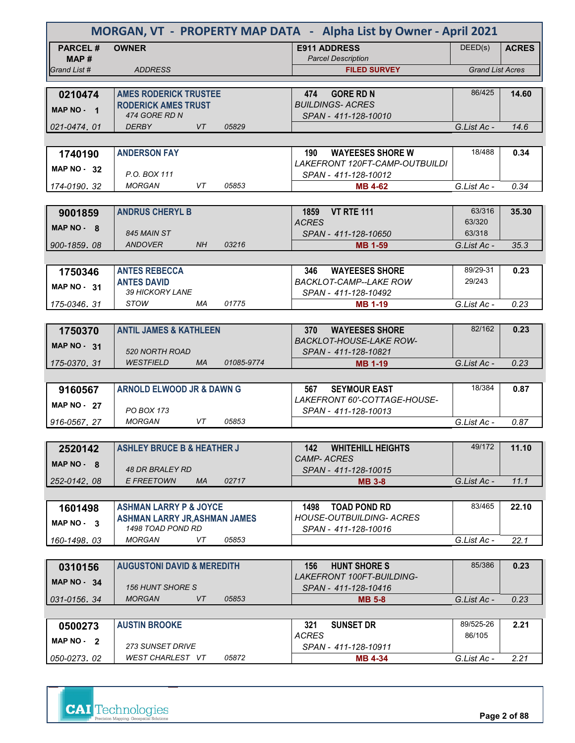| MORGAN, VT - PROPERTY MAP DATA - Alpha List by Owner - April 2021 |                                                            |            |                                                            |                         |              |  |  |
|-------------------------------------------------------------------|------------------------------------------------------------|------------|------------------------------------------------------------|-------------------------|--------------|--|--|
| <b>PARCEL#</b><br>MAP#                                            | <b>OWNER</b>                                               |            | <b>E911 ADDRESS</b><br><b>Parcel Description</b>           | DEED(s)                 | <b>ACRES</b> |  |  |
| Grand List #                                                      | <b>ADDRESS</b>                                             |            | <b>FILED SURVEY</b>                                        | <b>Grand List Acres</b> |              |  |  |
|                                                                   |                                                            |            |                                                            | 86/425                  |              |  |  |
| 0210474                                                           | <b>AMES RODERICK TRUSTEE</b><br><b>RODERICK AMES TRUST</b> |            | 474<br><b>GORE RD N</b><br><b>BUILDINGS-ACRES</b>          |                         | 14.60        |  |  |
| MAP NO - 1                                                        | 474 GORE RD N                                              |            | SPAN - 411-128-10010                                       |                         |              |  |  |
| 021-0474.01                                                       | <b>DERBY</b><br>VT                                         | 05829      |                                                            | G.List Ac -             | 14.6         |  |  |
|                                                                   |                                                            |            |                                                            |                         |              |  |  |
| 1740190                                                           | <b>ANDERSON FAY</b>                                        |            | <b>WAYEESES SHORE W</b><br>190                             | 18/488                  | 0.34         |  |  |
| <b>MAP NO - 32</b>                                                |                                                            |            | LAKEFRONT 120FT-CAMP-OUTBUILDI                             |                         |              |  |  |
|                                                                   | P.O. BOX 111                                               |            | SPAN - 411-128-10012                                       |                         |              |  |  |
| 174-0190.32                                                       | <b>MORGAN</b><br>VT                                        | 05853      | <b>MB 4-62</b>                                             | G.List Ac -             | 0.34         |  |  |
|                                                                   |                                                            |            |                                                            |                         |              |  |  |
| 9001859                                                           | <b>ANDRUS CHERYL B</b>                                     |            | <b>VT RTE 111</b><br>1859                                  | 63/316<br>63/320        | 35.30        |  |  |
| MAP $NO - 8$                                                      | 845 MAIN ST                                                |            | <b>ACRES</b><br>SPAN - 411-128-10650                       | 63/318                  |              |  |  |
| 900-1859.08                                                       | ANDOVER<br>NH .                                            | 03216      | <b>MB 1-59</b>                                             | G.List Ac -             | 35.3         |  |  |
|                                                                   |                                                            |            |                                                            |                         |              |  |  |
| 1750346                                                           | <b>ANTES REBECCA</b>                                       |            | <b>WAYEESES SHORE</b><br>346                               | 89/29-31                | 0.23         |  |  |
|                                                                   | <b>ANTES DAVID</b>                                         |            | <b>BACKLOT-CAMP--LAKE ROW</b>                              | 29/243                  |              |  |  |
| MAP NO - 31                                                       | 39 HICKORY LANE                                            |            | SPAN - 411-128-10492                                       |                         |              |  |  |
| 175-0346.31                                                       | STOW<br>МA                                                 | 01775      | <b>MB 1-19</b>                                             | G.List Ac -             | 0.23         |  |  |
|                                                                   |                                                            |            |                                                            |                         |              |  |  |
| 1750370                                                           | <b>ANTIL JAMES &amp; KATHLEEN</b>                          |            | 370<br><b>WAYEESES SHORE</b>                               | 82/162                  | 0.23         |  |  |
| MAP $NO - 31$                                                     |                                                            |            | <b>BACKLOT-HOUSE-LAKE ROW-</b>                             |                         |              |  |  |
|                                                                   | <b>520 NORTH ROAD</b>                                      |            | SPAN - 411-128-10821                                       |                         |              |  |  |
| 175-0370.31                                                       | <b>WESTFIELD</b><br><b>MA</b>                              | 01085-9774 | <b>MB 1-19</b>                                             | G.List Ac -             | 0.23         |  |  |
|                                                                   |                                                            |            |                                                            |                         |              |  |  |
| 9160567                                                           | <b>ARNOLD ELWOOD JR &amp; DAWN G</b>                       |            | <b>SEYMOUR EAST</b><br>567<br>LAKEFRONT 60'-COTTAGE-HOUSE- | 18/384                  | 0.87         |  |  |
| MAP $NO - 27$                                                     | PO BOX 173                                                 |            | SPAN - 411-128-10013                                       |                         |              |  |  |
| 916-0567, 27                                                      | VT<br><b>MORGAN</b>                                        | 05853      |                                                            | G.List Ac -             | 0.87         |  |  |
|                                                                   |                                                            |            |                                                            |                         |              |  |  |
| 2520142                                                           | <b>ASHLEY BRUCE B &amp; HEATHER J</b>                      |            | <b>WHITEHILL HEIGHTS</b><br>142                            | 49/172                  | 11.10        |  |  |
| $MAP NO - 8$                                                      |                                                            |            | <b>CAMP-ACRES</b>                                          |                         |              |  |  |
|                                                                   | <b>48 DR BRALEY RD</b>                                     |            | SPAN - 411-128-10015                                       |                         |              |  |  |
| 252-0142.08                                                       | <b>E FREETOWN</b><br><b>MA</b>                             | 02717      | <b>MB 3-8</b>                                              | G.List Ac -             | 11.1         |  |  |
|                                                                   |                                                            |            |                                                            |                         |              |  |  |
| 1601498                                                           | <b>ASHMAN LARRY P &amp; JOYCE</b>                          |            | <b>TOAD POND RD</b><br>1498                                | 83/465                  | 22.10        |  |  |
| $MAP NO - 3$                                                      | <b>ASHMAN LARRY JR, ASHMAN JAMES</b>                       |            | <b>HOUSE-OUTBUILDING- ACRES</b>                            |                         |              |  |  |
|                                                                   | 1498 TOAD POND RD<br><b>MORGAN</b><br>VT                   | 05853      | SPAN - 411-128-10016                                       | G.List Ac -             | 22.1         |  |  |
| 160-1498.03                                                       |                                                            |            |                                                            |                         |              |  |  |
|                                                                   | <b>AUGUSTONI DAVID &amp; MEREDITH</b>                      |            | <b>HUNT SHORE S</b><br>156                                 | 85/386                  | 0.23         |  |  |
| 0310156                                                           |                                                            |            | <b>LAKEFRONT 100FT-BUILDING-</b>                           |                         |              |  |  |
| MAP $NO - 34$                                                     | <b>156 HUNT SHORE S</b>                                    |            | SPAN - 411-128-10416                                       |                         |              |  |  |
| 031-0156.34                                                       | <b>MORGAN</b><br>VT                                        | 05853      | <b>MB 5-8</b>                                              | G.List Ac -             | 0.23         |  |  |
|                                                                   |                                                            |            |                                                            |                         |              |  |  |
| 0500273                                                           | <b>AUSTIN BROOKE</b>                                       |            | <b>SUNSET DR</b><br>321                                    | 89/525-26               | 2.21         |  |  |
| MAP NO - 2                                                        |                                                            |            | <b>ACRES</b>                                               | 86/105                  |              |  |  |
|                                                                   | <b>273 SUNSET DRIVE</b>                                    |            | SPAN - 411-128-10911                                       |                         |              |  |  |
| 050-0273.02                                                       | WEST CHARLEST VT                                           | 05872      | <b>MB 4-34</b>                                             | G.List Ac -             | 2.21         |  |  |

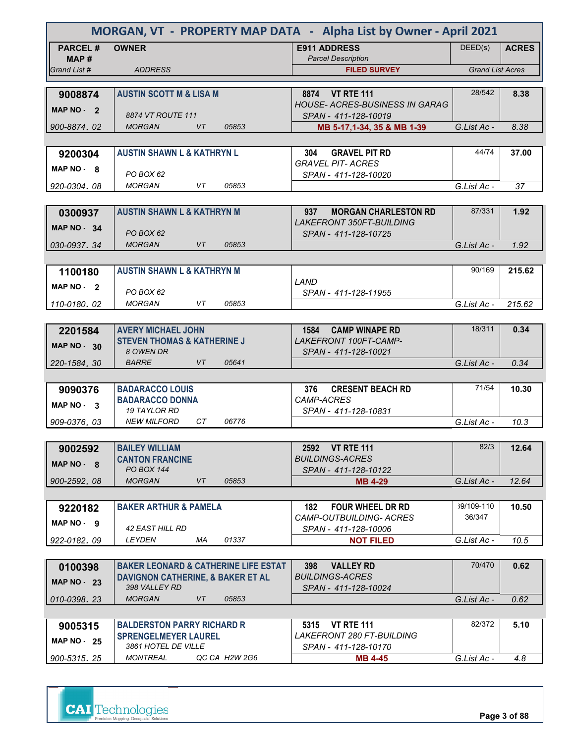| MORGAN, VT - PROPERTY MAP DATA - Alpha List by Owner - April 2021 |                                                                     |                                                                  |                         |              |  |  |  |
|-------------------------------------------------------------------|---------------------------------------------------------------------|------------------------------------------------------------------|-------------------------|--------------|--|--|--|
| <b>PARCEL#</b>                                                    | <b>OWNER</b>                                                        | <b>E911 ADDRESS</b>                                              | DEED(s)                 | <b>ACRES</b> |  |  |  |
| MAP#<br>Grand List #                                              | <b>ADDRESS</b>                                                      | <b>Parcel Description</b><br><b>FILED SURVEY</b>                 | <b>Grand List Acres</b> |              |  |  |  |
|                                                                   |                                                                     |                                                                  |                         |              |  |  |  |
| 9008874                                                           | <b>AUSTIN SCOTT M &amp; LISA M</b>                                  | 8874 VT RTE 111                                                  | 28/542                  | 8.38         |  |  |  |
| MAP NO - 2                                                        |                                                                     | <b>HOUSE- ACRES-BUSINESS IN GARAG</b>                            |                         |              |  |  |  |
|                                                                   | 8874 VT ROUTE 111<br><b>MORGAN</b><br><b>VT</b><br>05853            | SPAN - 411-128-10019                                             |                         |              |  |  |  |
| 900-8874.02                                                       |                                                                     | MB 5-17,1-34, 35 & MB 1-39                                       | G.List Ac -             | 8.38         |  |  |  |
| 9200304                                                           | <b>AUSTIN SHAWN L &amp; KATHRYN L</b>                               | 304<br><b>GRAVEL PIT RD</b>                                      | 44/74                   | 37.00        |  |  |  |
|                                                                   |                                                                     | <b>GRAVEL PIT- ACRES</b>                                         |                         |              |  |  |  |
| MAP NO - 8                                                        | PO BOX 62                                                           | SPAN - 411-128-10020                                             |                         |              |  |  |  |
| 920-0304, 08                                                      | <b>MORGAN</b><br>VT<br>05853                                        |                                                                  | G.List Ac -             | 37           |  |  |  |
|                                                                   |                                                                     |                                                                  |                         |              |  |  |  |
| 0300937                                                           | <b>AUSTIN SHAWN L &amp; KATHRYN M</b>                               | 937<br><b>MORGAN CHARLESTON RD</b>                               | 87/331                  | 1.92         |  |  |  |
| MAP NO 34                                                         | PO BOX 62                                                           | <b>LAKEFRONT 350FT-BUILDING</b><br>SPAN - 411-128-10725          |                         |              |  |  |  |
| 030-0937.34                                                       | <b>MORGAN</b><br>05853<br>VT                                        |                                                                  | G.List Ac -             | 1.92         |  |  |  |
|                                                                   |                                                                     |                                                                  |                         |              |  |  |  |
| 1100180                                                           | <b>AUSTIN SHAWN L &amp; KATHRYN M</b>                               |                                                                  | 90/169                  | 215.62       |  |  |  |
| MAP NO - 2                                                        |                                                                     | LAND                                                             |                         |              |  |  |  |
|                                                                   | PO BOX 62                                                           | SPAN - 411-128-11955                                             |                         |              |  |  |  |
| 110-0180.02                                                       | <b>MORGAN</b><br>VT<br>05853                                        |                                                                  | G.List Ac -             | 215.62       |  |  |  |
|                                                                   |                                                                     |                                                                  |                         |              |  |  |  |
| 2201584                                                           | <b>AVERY MICHAEL JOHN</b><br><b>STEVEN THOMAS &amp; KATHERINE J</b> | <b>CAMP WINAPE RD</b><br>1584<br>LAKEFRONT 100FT-CAMP-           | 18/311                  | 0.34         |  |  |  |
| <b>MAP NO - 30</b>                                                | 8 OWEN DR                                                           | SPAN - 411-128-10021                                             |                         |              |  |  |  |
| 220-1584.30                                                       | <b>BARRE</b><br><b>VT</b><br>05641                                  |                                                                  | G.List Ac -             | 0.34         |  |  |  |
|                                                                   |                                                                     |                                                                  |                         |              |  |  |  |
| 9090376                                                           | <b>BADARACCO LOUIS</b>                                              | <b>CRESENT BEACH RD</b><br>376                                   | 71/54                   | 10.30        |  |  |  |
| MAP NO - 3                                                        | <b>BADARACCO DONNA</b>                                              | CAMP-ACRES                                                       |                         |              |  |  |  |
| 909-0376.03                                                       | <b>19 TAYLOR RD</b><br><b>NEW MILFORD</b><br>CT<br>06776            | SPAN - 411-128-10831                                             | G.List Ac -             | 10.3         |  |  |  |
|                                                                   |                                                                     |                                                                  |                         |              |  |  |  |
| 9002592                                                           | <b>BAILEY WILLIAM</b>                                               | 2592 VT RTE 111                                                  | 82/3                    | 12.64        |  |  |  |
| MAP NO - 8                                                        | <b>CANTON FRANCINE</b>                                              | <b>BUILDINGS-ACRES</b>                                           |                         |              |  |  |  |
|                                                                   | <b>PO BOX 144</b>                                                   | SPAN - 411-128-10122                                             |                         |              |  |  |  |
| 900-2592.08                                                       | <b>MORGAN</b><br>VT<br>05853                                        | <b>MB 4-29</b>                                                   | G.List Ac -             | 12.64        |  |  |  |
|                                                                   |                                                                     |                                                                  |                         |              |  |  |  |
| 9220182                                                           | <b>BAKER ARTHUR &amp; PAMELA</b>                                    | <b>FOUR WHEEL DR RD</b><br>182<br><b>CAMP-OUTBUILDING- ACRES</b> | 39/109-110<br>36/347    | 10.50        |  |  |  |
| MAP NO - 9                                                        | 42 EAST HILL RD                                                     | SPAN - 411-128-10006                                             |                         |              |  |  |  |
| 922-0182.09                                                       | LEYDEN<br>ΜA<br>01337                                               | <b>NOT FILED</b>                                                 | G.List Ac -             | 10.5         |  |  |  |
|                                                                   |                                                                     |                                                                  |                         |              |  |  |  |
| 0100398                                                           | <b>BAKER LEONARD &amp; CATHERINE LIFE ESTAT</b>                     | <b>VALLEY RD</b><br>398                                          | 70/470                  | 0.62         |  |  |  |
| <b>MAP NO - 23</b>                                                | DAVIGNON CATHERINE, & BAKER ET AL                                   | <b>BUILDINGS-ACRES</b>                                           |                         |              |  |  |  |
|                                                                   | 398 VALLEY RD<br><b>MORGAN</b><br>VT<br>05853                       | SPAN - 411-128-10024                                             | G.List Ac -             | 0.62         |  |  |  |
| 010-0398.23                                                       |                                                                     |                                                                  |                         |              |  |  |  |
| 9005315                                                           | <b>BALDERSTON PARRY RICHARD R</b>                                   | 5315<br><b>VT RTE 111</b>                                        | 82/372                  | 5.10         |  |  |  |
|                                                                   | <b>SPRENGELMEYER LAUREL</b>                                         | LAKEFRONT 280 FT-BUILDING                                        |                         |              |  |  |  |
| <b>MAP NO - 25</b>                                                | 3861 HOTEL DE VILLE                                                 | SPAN - 411-128-10170                                             |                         |              |  |  |  |
| 900-5315, 25                                                      | <b>MONTREAL</b><br>QC CA H2W 2G6                                    | MB 4-45                                                          | G.List Ac -             | 4.8          |  |  |  |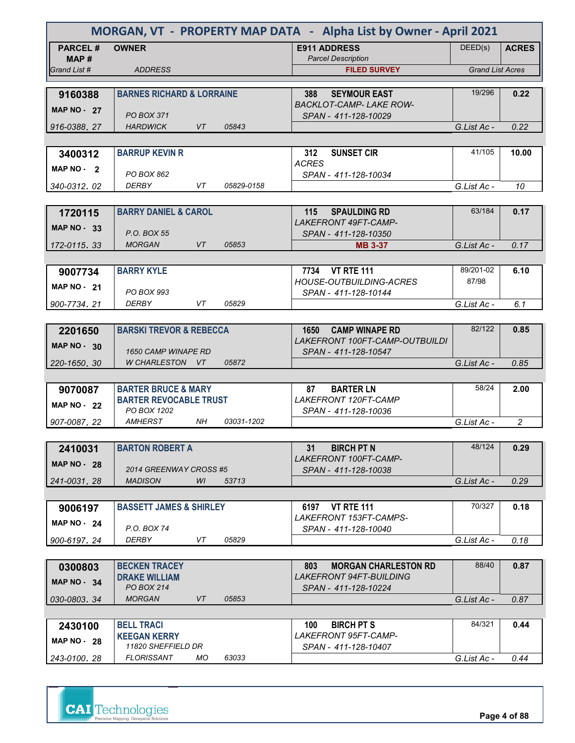| MORGAN, VT - PROPERTY MAP DATA - Alpha List by Owner - April 2021 |                                      |                  |                                                    |                         |                |  |
|-------------------------------------------------------------------|--------------------------------------|------------------|----------------------------------------------------|-------------------------|----------------|--|
| <b>PARCEL#</b>                                                    | <b>OWNER</b>                         |                  | <b>E911 ADDRESS</b>                                | DEED(s)                 | <b>ACRES</b>   |  |
| MAP #                                                             |                                      |                  | <b>Parcel Description</b>                          |                         |                |  |
| Grand List #                                                      | <b>ADDRESS</b>                       |                  | <b>FILED SURVEY</b>                                | <b>Grand List Acres</b> |                |  |
| 9160388                                                           | <b>BARNES RICHARD &amp; LORRAINE</b> |                  | <b>SEYMOUR EAST</b><br>388                         | 19/296                  | 0.22           |  |
| MAP $NO - 27$                                                     |                                      |                  | <b>BACKLOT-CAMP-LAKE ROW-</b>                      |                         |                |  |
|                                                                   | PO BOX 371                           |                  | SPAN - 411-128-10029                               |                         |                |  |
| 916-0388, 27                                                      | <b>HARDWICK</b>                      | VT<br>05843      |                                                    | G.List Ac -             | 0.22           |  |
|                                                                   | <b>BARRUP KEVIN R</b>                |                  | <b>SUNSET CIR</b><br>312                           | 41/105                  | 10.00          |  |
| 3400312                                                           |                                      |                  | <b>ACRES</b>                                       |                         |                |  |
| MAP $NO - 2$                                                      | PO BOX 862                           |                  | SPAN - 411-128-10034                               |                         |                |  |
| 340-0312.02                                                       | <b>DERBY</b>                         | VT<br>05829-0158 |                                                    | G.List Ac -             | 10             |  |
|                                                                   |                                      |                  |                                                    |                         |                |  |
| 1720115                                                           | <b>BARRY DANIEL &amp; CAROL</b>      |                  | <b>SPAULDING RD</b><br>115<br>LAKEFRONT 49FT-CAMP- | 63/184                  | 0.17           |  |
| MAP $NO - 33$                                                     | P.O. BOX 55                          |                  | SPAN - 411-128-10350                               |                         |                |  |
| 172-0115.33                                                       | <b>MORGAN</b>                        | VT.<br>05853     | <b>MB 3-37</b>                                     | G.List Ac -             | 0.17           |  |
|                                                                   |                                      |                  |                                                    |                         |                |  |
| 9007734                                                           | <b>BARRY KYLE</b>                    |                  | 7734 VT RTE 111                                    | 89/201-02               | 6.10           |  |
| <b>MAP NO - 21</b>                                                |                                      |                  | <b>HOUSE-OUTBUILDING-ACRES</b>                     | 87/98                   |                |  |
| 900-7734.21                                                       | PO BOX 993<br><b>DERBY</b>           | VT<br>05829      | SPAN - 411-128-10144                               | G.List Ac -             | 6.1            |  |
|                                                                   |                                      |                  |                                                    |                         |                |  |
| 2201650                                                           | <b>BARSKI TREVOR &amp; REBECCA</b>   |                  | <b>CAMP WINAPE RD</b><br>1650                      | 82/122                  | 0.85           |  |
| <b>MAP NO - 30</b>                                                |                                      |                  | LAKEFRONT 100FT-CAMP-OUTBUILDI                     |                         |                |  |
|                                                                   | <b>1650 CAMP WINAPE RD</b>           |                  | SPAN - 411-128-10547                               |                         |                |  |
| 220-1650, 30                                                      | W CHARLESTON VT                      | 05872            |                                                    | G.List Ac -             | 0.85           |  |
|                                                                   | <b>BARTER BRUCE &amp; MARY</b>       |                  | <b>BARTER LN</b><br>87                             | 58/24                   | 2.00           |  |
| 9070087                                                           | <b>BARTER REVOCABLE TRUST</b>        |                  | LAKEFRONT 120FT-CAMP                               |                         |                |  |
| <b>MAP NO - 22</b>                                                | PO BOX 1202                          |                  | SPAN - 411-128-10036                               |                         |                |  |
| 907-0087, 22                                                      | <b>AMHERST</b>                       | NH<br>03031-1202 |                                                    | G.List Ac -             | $\overline{c}$ |  |
|                                                                   |                                      |                  |                                                    |                         |                |  |
| 2410031                                                           | <b>BARTON ROBERT A</b>               |                  | <b>BIRCH PT N</b><br>31<br>LAKEFRONT 100FT-CAMP-   | 48/124                  | 0.29           |  |
| <b>MAP NO - 28</b>                                                | 2014 GREENWAY CROSS #5               |                  | SPAN - 411-128-10038                               |                         |                |  |
| 241-0031.28                                                       | <b>MADISON</b>                       | WI<br>53713      |                                                    | G.List Ac -             | 0.29           |  |
|                                                                   |                                      |                  |                                                    |                         |                |  |
| 9006197                                                           | <b>BASSETT JAMES &amp; SHIRLEY</b>   |                  | 6197 VT RTE 111                                    | 70/327                  | 0.18           |  |
| <b>MAP NO - 24</b>                                                | P.O. BOX 74                          |                  | LAKEFRONT 153FT-CAMPS-<br>SPAN - 411-128-10040     |                         |                |  |
| 900-6197.24                                                       | <b>DERBY</b>                         | VT<br>05829      |                                                    | G.List Ac -             | 0.18           |  |
|                                                                   |                                      |                  |                                                    |                         |                |  |
| 0300803                                                           | <b>BECKEN TRACEY</b>                 |                  | <b>MORGAN CHARLESTON RD</b><br>803                 | 88/40                   | 0.87           |  |
| <b>MAP NO - 34</b>                                                | <b>DRAKE WILLIAM</b>                 |                  | <i>LAKEFRONT 94FT-BUILDING</i>                     |                         |                |  |
| 030-0803, 34                                                      | PO BOX 214<br><b>MORGAN</b>          | 05853<br>VT      | SPAN - 411-128-10224                               | G.List Ac -             | 0.87           |  |
|                                                                   |                                      |                  |                                                    |                         |                |  |
| 2430100                                                           | <b>BELL TRACI</b>                    |                  | <b>BIRCH PT S</b><br>100                           | 84/321                  | 0.44           |  |
| <b>MAP NO - 28</b>                                                | <b>KEEGAN KERRY</b>                  |                  | <i>LAKEFRONT 95FT-CAMP-</i>                        |                         |                |  |
|                                                                   | 11820 SHEFFIELD DR                   |                  | SPAN - 411-128-10407                               |                         |                |  |
| 243-0100, 28                                                      | <b>FLORISSANT</b>                    | МO<br>63033      |                                                    | G.List Ac -             | 0.44           |  |



**Page 4 of 88**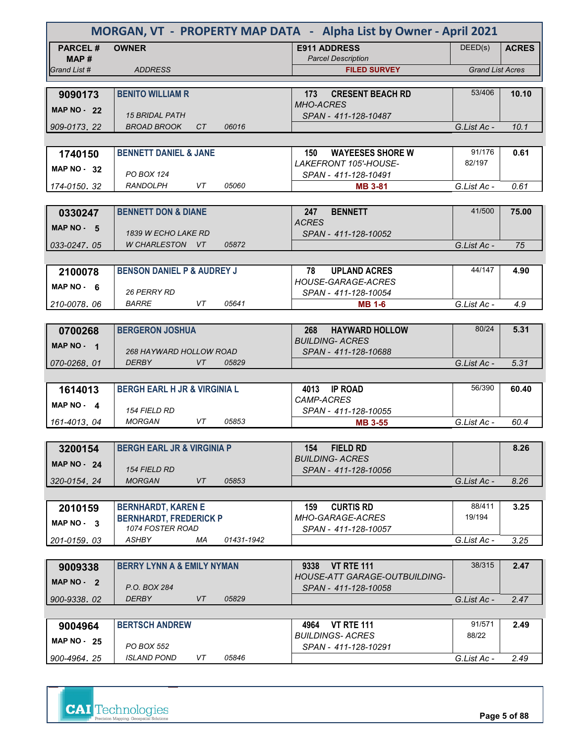| MORGAN, VT - PROPERTY MAP DATA - Alpha List by Owner - April 2021 |                                                   |            |                                                        |                         |              |  |
|-------------------------------------------------------------------|---------------------------------------------------|------------|--------------------------------------------------------|-------------------------|--------------|--|
| <b>PARCEL#</b>                                                    | <b>OWNER</b>                                      |            | <b>E911 ADDRESS</b>                                    | DEED(s)                 | <b>ACRES</b> |  |
| MAP#<br>Grand List #                                              | <b>ADDRESS</b>                                    |            | <b>Parcel Description</b><br><b>FILED SURVEY</b>       | <b>Grand List Acres</b> |              |  |
|                                                                   |                                                   |            |                                                        |                         |              |  |
| 9090173                                                           | <b>BENITO WILLIAM R</b>                           |            | <b>CRESENT BEACH RD</b><br>173                         | 53/406                  | 10.10        |  |
| <b>MAP NO - 22</b>                                                |                                                   |            | <b>MHO-ACRES</b>                                       |                         |              |  |
| 909-0173.22                                                       | <b>15 BRIDAL PATH</b><br><b>BROAD BROOK</b><br>CT | 06016      | SPAN - 411-128-10487                                   | G.List Ac -             | 10.1         |  |
|                                                                   |                                                   |            |                                                        |                         |              |  |
| 1740150                                                           | <b>BENNETT DANIEL &amp; JANE</b>                  |            | <b>WAYEESES SHORE W</b><br>150                         | 91/176                  | 0.61         |  |
| <b>MAP NO - 32</b>                                                |                                                   |            | LAKEFRONT 105'-HOUSE-                                  | 82/197                  |              |  |
|                                                                   | <b>PO BOX 124</b><br><b>RANDOLPH</b><br>VT        | 05060      | SPAN - 411-128-10491                                   |                         |              |  |
| 174-0150, 32                                                      |                                                   |            | <b>MB 3-81</b>                                         | G.List Ac -             | 0.61         |  |
| 0330247                                                           | <b>BENNETT DON &amp; DIANE</b>                    |            | 247<br><b>BENNETT</b>                                  | 41/500                  | 75.00        |  |
| MAP $NO - 5$                                                      |                                                   |            | <b>ACRES</b>                                           |                         |              |  |
|                                                                   | <b>1839 W ECHO LAKE RD</b>                        |            | SPAN - 411-128-10052                                   |                         |              |  |
| 033-0247.05                                                       | W CHARLESTON VT                                   | 05872      |                                                        | G.List Ac -             | 75           |  |
|                                                                   |                                                   |            |                                                        | 44/147                  |              |  |
| 2100078                                                           | <b>BENSON DANIEL P &amp; AUDREY J</b>             |            | 78<br><b>UPLAND ACRES</b><br><b>HOUSE-GARAGE-ACRES</b> |                         | 4.90         |  |
| MAP NO. 6                                                         | 26 PERRY RD                                       |            | SPAN - 411-128-10054                                   |                         |              |  |
| 210-0078.06                                                       | <b>BARRE</b><br>VT                                | 05641      | <b>MB 1-6</b>                                          | G.List Ac -             | 4.9          |  |
|                                                                   |                                                   |            |                                                        |                         |              |  |
| 0700268                                                           | <b>BERGERON JOSHUA</b>                            |            | <b>HAYWARD HOLLOW</b><br>268<br><b>BUILDING- ACRES</b> | 80/24                   | 5.31         |  |
| MAP NO - 1                                                        | 268 HAYWARD HOLLOW ROAD                           |            | SPAN - 411-128-10688                                   |                         |              |  |
| 070-0268, 01                                                      | <b>DERBY</b><br>VT                                | 05829      |                                                        | G.List Ac -             | 5.31         |  |
|                                                                   |                                                   |            |                                                        |                         |              |  |
| 1614013                                                           | <b>BERGH EARL H JR &amp; VIRGINIA L</b>           |            | 4013 IP ROAD                                           | 56/390                  | 60.40        |  |
| MAP $NO - 4$                                                      | <i>154 FIELD RD</i>                               |            | <b>CAMP-ACRES</b><br>SPAN - 411-128-10055              |                         |              |  |
| 161-4013, 04                                                      | <b>MORGAN</b><br>VT                               | 05853      | <b>MB 3-55</b>                                         | G.List Ac -             | 60.4         |  |
|                                                                   |                                                   |            |                                                        |                         |              |  |
| 3200154                                                           | <b>BERGH EARL JR &amp; VIRGINIA P</b>             |            | <b>FIELD RD</b><br>154                                 |                         | 8.26         |  |
| <b>MAP NO - 24</b>                                                |                                                   |            | <b>BUILDING- ACRES</b>                                 |                         |              |  |
| 320-0154.24                                                       | <b>154 FIELD RD</b><br><b>MORGAN</b><br>VT        | 05853      | SPAN - 411-128-10056                                   | G.List Ac -             | 8.26         |  |
|                                                                   |                                                   |            |                                                        |                         |              |  |
| 2010159                                                           | <b>BERNHARDT, KAREN E</b>                         |            | <b>CURTIS RD</b><br>159                                | 88/411                  | 3.25         |  |
| MAP NO - 3                                                        | <b>BERNHARDT, FREDERICK P</b>                     |            | MHO-GARAGE-ACRES                                       | 19/194                  |              |  |
|                                                                   | 1074 FOSTER ROAD                                  |            | SPAN - 411-128-10057                                   |                         |              |  |
| 201-0159.03                                                       | ASHBY<br>МA                                       | 01431-1942 |                                                        | G.List Ac -             | 3.25         |  |
| 9009338                                                           | <b>BERRY LYNN A &amp; EMILY NYMAN</b>             |            | <b>VT RTE 111</b><br>9338                              | 38/315                  | 2.47         |  |
|                                                                   |                                                   |            | HOUSE-ATT GARAGE-OUTBUILDING-                          |                         |              |  |
| MAP $NO - 2$                                                      | P.O. BOX 284                                      |            | SPAN - 411-128-10058                                   |                         |              |  |
| 900-9338.02                                                       | <b>DERBY</b><br>VT                                | 05829      |                                                        | G.List Ac -             | 2.47         |  |
|                                                                   |                                                   |            |                                                        |                         |              |  |
| 9004964                                                           | <b>BERTSCH ANDREW</b>                             |            | <b>VT RTE 111</b><br>4964<br><b>BUILDINGS- ACRES</b>   | 91/571<br>88/22         | 2.49         |  |
| <b>MAP NO - 25</b>                                                | PO BOX 552                                        |            | SPAN - 411-128-10291                                   |                         |              |  |
| 900-4964.25                                                       | <b>ISLAND POND</b><br>VT                          | 05846      |                                                        | G.List Ac -             | 2.49         |  |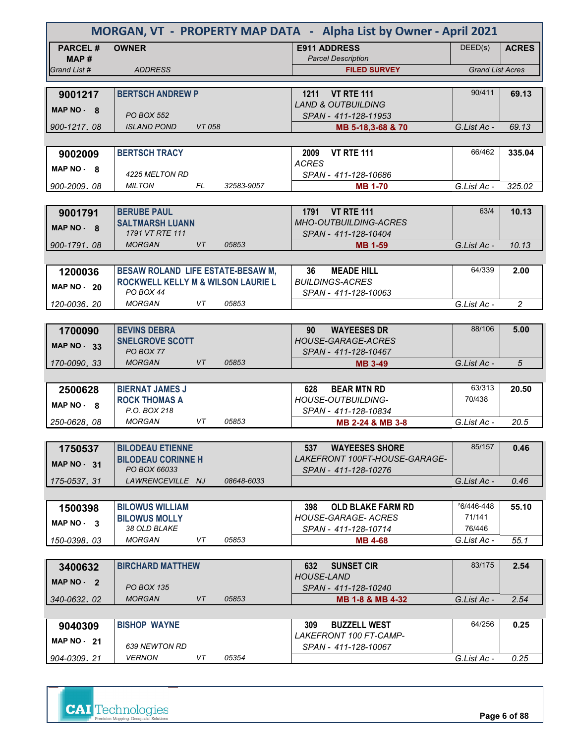| MORGAN, VT - PROPERTY MAP DATA - Alpha List by Owner - April 2021 |                                                      |        |            |                                                       |                         |                |
|-------------------------------------------------------------------|------------------------------------------------------|--------|------------|-------------------------------------------------------|-------------------------|----------------|
| <b>PARCEL#</b><br>MAP #                                           | <b>OWNER</b>                                         |        |            | <b>E911 ADDRESS</b><br><b>Parcel Description</b>      | DEED(s)                 | <b>ACRES</b>   |
| Grand List #                                                      | <b>ADDRESS</b>                                       |        |            | <b>FILED SURVEY</b>                                   | <b>Grand List Acres</b> |                |
|                                                                   |                                                      |        |            |                                                       |                         |                |
| 9001217                                                           | <b>BERTSCH ANDREW P</b>                              |        |            | 1211 VT RTE 111                                       | 90/411                  | 69.13          |
| MAP NO - 8                                                        |                                                      |        |            | <b>LAND &amp; OUTBUILDING</b>                         |                         |                |
| 900-1217, 08                                                      | <b>PO BOX 552</b><br><b>ISLAND POND</b>              | VT 058 |            | SPAN - 411-128-11953                                  | G.List Ac -             | 69.13          |
|                                                                   |                                                      |        |            | MB 5-18,3-68 & 70                                     |                         |                |
| 9002009                                                           | <b>BERTSCH TRACY</b>                                 |        |            | <b>VT RTE 111</b><br>2009                             | 66/462                  | 335.04         |
|                                                                   |                                                      |        |            | <b>ACRES</b>                                          |                         |                |
| MAP NO 8                                                          | 4225 MELTON RD                                       |        |            | SPAN - 411-128-10686                                  |                         |                |
| 900-2009, 08                                                      | <b>MILTON</b>                                        | FL     | 32583-9057 | <b>MB 1-70</b>                                        | G.List Ac -             | 325.02         |
|                                                                   |                                                      |        |            |                                                       |                         |                |
| 9001791                                                           | <b>BERUBE PAUL</b>                                   |        |            | 1791 VT RTE 111                                       | 63/4                    | 10.13          |
| MAP NO - 8                                                        | <b>SALTMARSH LUANN</b><br>1791 VT RTE 111            |        |            | <b>MHO-OUTBUILDING-ACRES</b><br>SPAN - 411-128-10404  |                         |                |
| 900-1791, 08                                                      | <b>MORGAN</b>                                        | VT     | 05853      | <b>MB 1-59</b>                                        | G.List Ac -             | 10.13          |
|                                                                   |                                                      |        |            |                                                       |                         |                |
| 1200036                                                           | <b>BESAW ROLAND LIFE ESTATE-BESAW M,</b>             |        |            | 36<br><b>MEADE HILL</b>                               | 64/339                  | 2.00           |
| <b>MAP NO - 20</b>                                                | <b>ROCKWELL KELLY M &amp; WILSON LAURIE L</b>        |        |            | <b>BUILDINGS-ACRES</b>                                |                         |                |
|                                                                   | PO BOX 44                                            |        |            | SPAN - 411-128-10063                                  |                         |                |
| 120-0036.20                                                       | <b>MORGAN</b>                                        | VT     | 05853      |                                                       | G.List Ac -             | $\overline{c}$ |
|                                                                   |                                                      |        |            |                                                       |                         |                |
| 1700090                                                           | <b>BEVINS DEBRA</b>                                  |        |            | <b>WAYEESES DR</b><br>90<br><b>HOUSE-GARAGE-ACRES</b> | 88/106                  | 5.00           |
| <b>MAP NO - 33</b>                                                | <b>SNELGROVE SCOTT</b><br>PO BOX 77                  |        |            | SPAN - 411-128-10467                                  |                         |                |
| 170-0090.33                                                       | <b>MORGAN</b>                                        | VT     | 05853      | <b>MB 3-49</b>                                        | G.List Ac -             | 5              |
|                                                                   |                                                      |        |            |                                                       |                         |                |
| 2500628                                                           | <b>BIERNAT JAMES J</b>                               |        |            | <b>BEAR MTN RD</b><br>628                             | 63/313                  | 20.50          |
| MAP NO - 8                                                        | <b>ROCK THOMAS A</b>                                 |        |            | <b>HOUSE-OUTBUILDING-</b>                             | 70/438                  |                |
|                                                                   | P.O. BOX 218<br><b>MORGAN</b>                        |        | 05853      | SPAN - 411-128-10834                                  |                         |                |
| 250-0628, 08                                                      |                                                      | VT     |            | MB 2-24 & MB 3-8                                      | G.List Ac -             | 20.5           |
|                                                                   |                                                      |        |            | <b>WAYEESES SHORE</b>                                 | 85/157                  | 0.46           |
| 1750537                                                           | <b>BILODEAU ETIENNE</b><br><b>BILODEAU CORINNE H</b> |        |            | 537<br>LAKEFRONT 100FT-HOUSE-GARAGE-                  |                         |                |
| <b>MAP NO - 31</b>                                                | PO BOX 66033                                         |        |            | SPAN - 411-128-10276                                  |                         |                |
| 175-0537.31                                                       | LAWRENCEVILLE NJ                                     |        | 08648-6033 |                                                       | G.List Ac -             | 0.46           |
|                                                                   |                                                      |        |            |                                                       |                         |                |
| 1500398                                                           | <b>BILOWUS WILLIAM</b>                               |        |            | 398<br><b>OLD BLAKE FARM RD</b>                       | 76/446-448              | 55.10          |
| MAP NO - 3                                                        | <b>BILOWUS MOLLY</b><br>38 OLD BLAKE                 |        |            | <b>HOUSE-GARAGE- ACRES</b>                            | 71/141<br>76/446        |                |
| 150-0398.03                                                       | <b>MORGAN</b>                                        | VT     | 05853      | SPAN - 411-128-10714<br><b>MB 4-68</b>                | G.List Ac -             | 55.1           |
|                                                                   |                                                      |        |            |                                                       |                         |                |
| 3400632                                                           | <b>BIRCHARD MATTHEW</b>                              |        |            | 632<br><b>SUNSET CIR</b>                              | 83/175                  | 2.54           |
| MAP NO - 2                                                        |                                                      |        |            | <b>HOUSE-LAND</b>                                     |                         |                |
|                                                                   | <b>PO BOX 135</b>                                    |        |            | SPAN - 411-128-10240                                  |                         |                |
| 340-0632, 02                                                      | <b>MORGAN</b>                                        | VT     | 05853      | MB 1-8 & MB 4-32                                      | G.List Ac -             | 2.54           |
|                                                                   |                                                      |        |            |                                                       |                         |                |
| 9040309                                                           | <b>BISHOP WAYNE</b>                                  |        |            | 309<br><b>BUZZELL WEST</b><br>LAKEFRONT 100 FT-CAMP-  | 64/256                  | 0.25           |
| MAP $NO - 21$                                                     | 639 NEWTON RD                                        |        |            | SPAN - 411-128-10067                                  |                         |                |
| 904-0309, 21                                                      | <b>VERNON</b>                                        | VT     | 05354      |                                                       | G.List Ac -             | 0.25           |

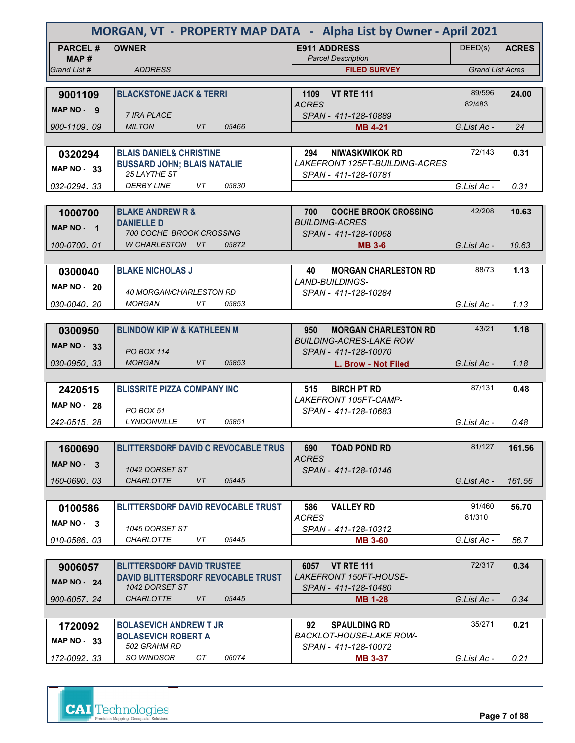| MORGAN, VT - PROPERTY MAP DATA - Alpha List by Owner - April 2021 |                                                      |                                                        |                         |              |  |  |  |
|-------------------------------------------------------------------|------------------------------------------------------|--------------------------------------------------------|-------------------------|--------------|--|--|--|
| <b>PARCEL#</b>                                                    | <b>OWNER</b>                                         | <b>E911 ADDRESS</b>                                    | DEED(s)                 | <b>ACRES</b> |  |  |  |
| MAP #<br>Grand List #                                             | <b>ADDRESS</b>                                       | <b>Parcel Description</b><br><b>FILED SURVEY</b>       | <b>Grand List Acres</b> |              |  |  |  |
|                                                                   |                                                      |                                                        |                         |              |  |  |  |
| 9001109                                                           | <b>BLACKSTONE JACK &amp; TERRI</b>                   | <b>VT RTE 111</b><br>1109                              | 89/596                  | 24.00        |  |  |  |
| MAP NO - 9                                                        | <b>7 IRA PLACE</b>                                   | <b>ACRES</b><br>SPAN - 411-128-10889                   | 82/483                  |              |  |  |  |
| 900-1109, 09                                                      | <b>VT</b><br><b>MILTON</b><br>05466                  | <b>MB 4-21</b>                                         | G.List Ac -             | 24           |  |  |  |
|                                                                   |                                                      |                                                        |                         |              |  |  |  |
| 0320294                                                           | <b>BLAIS DANIEL&amp; CHRISTINE</b>                   | <b>NIWASKWIKOK RD</b><br>294                           | 72/143                  | 0.31         |  |  |  |
| <b>MAP NO - 33</b>                                                | <b>BUSSARD JOHN; BLAIS NATALIE</b><br>25 LAYTHE ST   | LAKEFRONT 125FT-BUILDING-ACRES<br>SPAN - 411-128-10781 |                         |              |  |  |  |
| 032-0294, 33                                                      | <b>DERBY LINE</b><br>VT.<br>05830                    |                                                        | G.List Ac -             | 0.31         |  |  |  |
|                                                                   |                                                      |                                                        |                         |              |  |  |  |
| 1000700                                                           | <b>BLAKE ANDREW R &amp;</b>                          | 700<br><b>COCHE BROOK CROSSING</b>                     | 42/208                  | 10.63        |  |  |  |
| MAP NO - 1                                                        | <b>DANIELLE D</b><br><b>700 COCHE BROOK CROSSING</b> | <b>BUILDING-ACRES</b><br>SPAN - 411-128-10068          |                         |              |  |  |  |
| 100-0700.01                                                       | W CHARLESTON VT<br>05872                             | <b>MB 3-6</b>                                          | G.List Ac -             | 10.63        |  |  |  |
|                                                                   |                                                      |                                                        |                         |              |  |  |  |
| 0300040                                                           | <b>BLAKE NICHOLAS J</b>                              | <b>MORGAN CHARLESTON RD</b><br>40                      | 88/73                   | 1.13         |  |  |  |
| <b>MAP NO - 20</b>                                                | 40 MORGAN/CHARLESTON RD                              | LAND-BUILDINGS-<br>SPAN - 411-128-10284                |                         |              |  |  |  |
| 030-0040.20                                                       | <b>MORGAN</b><br>VT.<br>05853                        |                                                        | G.List Ac -             | 1.13         |  |  |  |
|                                                                   |                                                      |                                                        |                         |              |  |  |  |
| 0300950                                                           | <b>BLINDOW KIP W &amp; KATHLEEN M</b>                | 950<br><b>MORGAN CHARLESTON RD</b>                     | 43/21                   | 1.18         |  |  |  |
| <b>MAP NO - 33</b>                                                | <b>PO BOX 114</b>                                    | <b>BUILDING-ACRES-LAKE ROW</b><br>SPAN - 411-128-10070 |                         |              |  |  |  |
| 030-0950.33                                                       | <b>VT</b><br><b>MORGAN</b><br>05853                  | L. Brow - Not Filed                                    | G.List Ac -             | 1.18         |  |  |  |
|                                                                   |                                                      |                                                        |                         |              |  |  |  |
| 2420515                                                           | <b>BLISSRITE PIZZA COMPANY INC</b>                   | <b>BIRCH PT RD</b><br>515                              | 87/131                  | 0.48         |  |  |  |
| <b>MAP NO - 28</b>                                                | PO BOX 51                                            | LAKEFRONT 105FT-CAMP-<br>SPAN - 411-128-10683          |                         |              |  |  |  |
| 242-0515.28                                                       | VT<br>05851<br>LYNDONVILLE                           |                                                        | G.List Ac -             | 0.48         |  |  |  |
|                                                                   |                                                      |                                                        |                         |              |  |  |  |
| 1600690                                                           | <b>BLITTERSDORF DAVID C REVOCABLE TRUS</b>           | 690<br><b>TOAD POND RD</b>                             | 81/127                  | 161.56       |  |  |  |
| MAP NO - 3                                                        | 1042 DORSET ST                                       | <b>ACRES</b><br>SPAN - 411-128-10146                   |                         |              |  |  |  |
| 160-0690.03                                                       | <b>CHARLOTTE</b><br>VT<br>05445                      |                                                        | G.List Ac -             | 161.56       |  |  |  |
|                                                                   |                                                      |                                                        |                         |              |  |  |  |
| 0100586                                                           | <b>BLITTERSDORF DAVID REVOCABLE TRUST</b>            | 586<br><b>VALLEY RD</b>                                | 91/460                  | 56.70        |  |  |  |
| MAP NO - 3                                                        | 1045 DORSET ST                                       | <b>ACRES</b><br>SPAN - 411-128-10312                   | 81/310                  |              |  |  |  |
| 010-0586.03                                                       | <b>CHARLOTTE</b><br>05445<br>VT                      | <b>MB 3-60</b>                                         | G.List Ac -             | 56.7         |  |  |  |
|                                                                   |                                                      |                                                        |                         |              |  |  |  |
| 9006057                                                           | <b>BLITTERSDORF DAVID TRUSTEE</b>                    | 6057 VT RTE 111                                        | 72/317                  | 0.34         |  |  |  |
| <b>MAP NO - 24</b>                                                | DAVID BLITTERSDORF REVOCABLE TRUST<br>1042 DORSET ST | LAKEFRONT 150FT-HOUSE-<br>SPAN - 411-128-10480         |                         |              |  |  |  |
| 900-6057.24                                                       | <b>CHARLOTTE</b><br>VT<br>05445                      | <b>MB 1-28</b>                                         | G.List Ac -             | 0.34         |  |  |  |
|                                                                   |                                                      |                                                        |                         |              |  |  |  |
| 1720092                                                           | <b>BOLASEVICH ANDREW T JR</b>                        | 92<br><b>SPAULDING RD</b>                              | 35/271                  | 0.21         |  |  |  |
| <b>MAP NO - 33</b>                                                | <b>BOLASEVICH ROBERT A</b><br>502 GRAHM RD           | BACKLOT-HOUSE-LAKE ROW-<br>SPAN - 411-128-10072        |                         |              |  |  |  |
| 172-0092.33                                                       | SO WINDSOR<br>CТ<br>06074                            | <b>MB 3-37</b>                                         | G.List Ac -             | 0.21         |  |  |  |

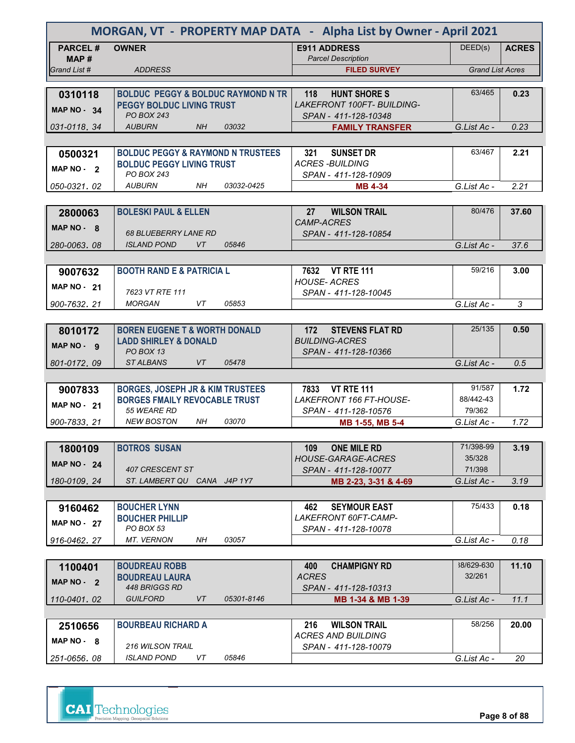| MORGAN, VT - PROPERTY MAP DATA - Alpha List by Owner - April 2021 |                                                 |                                                    |                         |              |  |  |  |
|-------------------------------------------------------------------|-------------------------------------------------|----------------------------------------------------|-------------------------|--------------|--|--|--|
| <b>PARCEL#</b><br>MAP #                                           | <b>OWNER</b>                                    | <b>E911 ADDRESS</b><br><b>Parcel Description</b>   | DEED(s)                 | <b>ACRES</b> |  |  |  |
| Grand List #                                                      | <b>ADDRESS</b>                                  | <b>FILED SURVEY</b>                                | <b>Grand List Acres</b> |              |  |  |  |
|                                                                   |                                                 |                                                    |                         |              |  |  |  |
| 0310118                                                           | <b>BOLDUC PEGGY &amp; BOLDUC RAYMOND N TR</b>   | 118<br><b>HUNT SHORE S</b>                         | 63/465                  | 0.23         |  |  |  |
| <b>MAP NO - 34</b>                                                | <b>PEGGY BOLDUC LIVING TRUST</b><br>PO BOX 243  | LAKEFRONT 100FT- BUILDING-<br>SPAN - 411-128-10348 |                         |              |  |  |  |
| 031-0118.34                                                       | <b>AUBURN</b><br><b>NH</b><br>03032             | <b>FAMILY TRANSFER</b>                             | G.List Ac -             | 0.23         |  |  |  |
|                                                                   |                                                 |                                                    |                         |              |  |  |  |
| 0500321                                                           | <b>BOLDUC PEGGY &amp; RAYMOND N TRUSTEES</b>    | <b>SUNSET DR</b><br>321                            | 63/467                  | 2.21         |  |  |  |
|                                                                   | <b>BOLDUC PEGGY LIVING TRUST</b>                | <b>ACRES-BUILDING</b>                              |                         |              |  |  |  |
| MAP NO - 2                                                        | PO BOX 243                                      | SPAN - 411-128-10909                               |                         |              |  |  |  |
| 050-0321.02                                                       | 03032-0425<br><b>AUBURN</b><br>NH               | <b>MB 4-34</b>                                     | G.List Ac -             | 2.21         |  |  |  |
|                                                                   |                                                 |                                                    |                         |              |  |  |  |
| 2800063                                                           | <b>BOLESKI PAUL &amp; ELLEN</b>                 | 27<br><b>WILSON TRAIL</b>                          | 80/476                  | 37.60        |  |  |  |
| MAP $NO - 8$                                                      |                                                 | <b>CAMP-ACRES</b>                                  |                         |              |  |  |  |
|                                                                   | <b>68 BLUEBERRY LANE RD</b>                     | SPAN - 411-128-10854                               |                         |              |  |  |  |
| 280-0063, 08                                                      | <i><b>ISLAND POND</b></i><br><b>VT</b><br>05846 |                                                    | G.List Ac -             | 37.6         |  |  |  |
|                                                                   |                                                 |                                                    |                         |              |  |  |  |
| 9007632                                                           | <b>BOOTH RAND E &amp; PATRICIA L</b>            | 7632 VT RTE 111                                    | 59/216                  | 3.00         |  |  |  |
| <b>MAP NO - 21</b>                                                |                                                 | <b>HOUSE-ACRES</b>                                 |                         |              |  |  |  |
|                                                                   | 7623 VT RTE 111<br><b>MORGAN</b><br>VT<br>05853 | SPAN - 411-128-10045                               | G.List Ac -             | 3            |  |  |  |
| 900-7632.21                                                       |                                                 |                                                    |                         |              |  |  |  |
|                                                                   | <b>BOREN EUGENE T &amp; WORTH DONALD</b>        | 172<br><b>STEVENS FLAT RD</b>                      | 25/135                  | 0.50         |  |  |  |
| 8010172                                                           | <b>LADD SHIRLEY &amp; DONALD</b>                | <b>BUILDING-ACRES</b>                              |                         |              |  |  |  |
| MAP NO - 9                                                        | PO BOX 13                                       | SPAN - 411-128-10366                               |                         |              |  |  |  |
| 801-0172, 09                                                      | <b>STALBANS</b><br>VT<br>05478                  |                                                    | G.List Ac -             | 0.5          |  |  |  |
|                                                                   |                                                 |                                                    |                         |              |  |  |  |
| 9007833                                                           | <b>BORGES, JOSEPH JR &amp; KIM TRUSTEES</b>     | <b>VT RTE 111</b><br>7833                          | 91/587                  | 1.72         |  |  |  |
| <b>MAP NO - 21</b>                                                | <b>BORGES FMAILY REVOCABLE TRUST</b>            | LAKEFRONT 166 FT-HOUSE-                            | 88/442-43               |              |  |  |  |
|                                                                   | 55 WEARE RD                                     | SPAN - 411-128-10576                               | 79/362                  |              |  |  |  |
| 900-7833, 21                                                      | 03070<br><b>NEW BOSTON</b><br>NH                | MB 1-55, MB 5-4                                    | G.List Ac -             | 1.72         |  |  |  |
|                                                                   |                                                 |                                                    |                         |              |  |  |  |
| 1800109                                                           | <b>BOTROS SUSAN</b>                             | <b>ONE MILE RD</b><br>109                          | 71/398-99               | 3.19         |  |  |  |
| <b>MAP NO - 24</b>                                                | 407 CRESCENT ST                                 | <b>HOUSE-GARAGE-ACRES</b>                          | 35/328<br>71/398        |              |  |  |  |
|                                                                   | ST. LAMBERT QU CANA J4P 1Y7                     | SPAN - 411-128-10077                               |                         |              |  |  |  |
| 180-0109.24                                                       |                                                 | MB 2-23, 3-31 & 4-69                               | G.List Ac -             | 3.19         |  |  |  |
|                                                                   | <b>BOUCHER LYNN</b>                             | <b>SEYMOUR EAST</b><br>462                         | 75/433                  | 0.18         |  |  |  |
| 9160462                                                           | <b>BOUCHER PHILLIP</b>                          | LAKEFRONT 60FT-CAMP-                               |                         |              |  |  |  |
| <b>MAP NO - 27</b>                                                | PO BOX 53                                       | SPAN - 411-128-10078                               |                         |              |  |  |  |
| 916-0462.27                                                       | <b>MT. VERNON</b><br>NΗ<br>03057                |                                                    | G.List Ac -             | 0.18         |  |  |  |
|                                                                   |                                                 |                                                    |                         |              |  |  |  |
| 1100401                                                           | <b>BOUDREAU ROBB</b>                            | 400<br><b>CHAMPIGNY RD</b>                         | 38/629-630              | 11.10        |  |  |  |
| MAP NO - 2                                                        | <b>BOUDREAU LAURA</b>                           | <b>ACRES</b>                                       | 32/261                  |              |  |  |  |
|                                                                   | 448 BRIGGS RD                                   | SPAN - 411-128-10313                               |                         |              |  |  |  |
| 110-0401.02                                                       | <b>GUILFORD</b><br>VT<br>05301-8146             | MB 1-34 & MB 1-39                                  | G.List Ac -             | 11.1         |  |  |  |
|                                                                   |                                                 |                                                    |                         |              |  |  |  |
| 2510656                                                           | <b>BOURBEAU RICHARD A</b>                       | <b>WILSON TRAIL</b><br>216                         | 58/256                  | 20.00        |  |  |  |
| MAP NO - 8                                                        | <b>216 WILSON TRAIL</b>                         | <b>ACRES AND BUILDING</b><br>SPAN - 411-128-10079  |                         |              |  |  |  |
| 251-0656.08                                                       | <b>ISLAND POND</b><br>VT<br>05846               |                                                    | G.List Ac -             | 20           |  |  |  |
|                                                                   |                                                 |                                                    |                         |              |  |  |  |

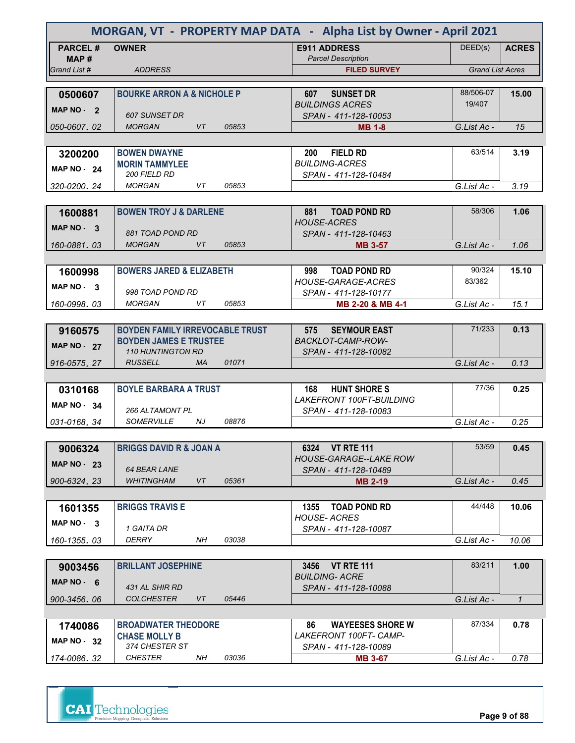| MORGAN, VT - PROPERTY MAP DATA - Alpha List by Owner - April 2021 |                                                                         |           |       |                                                  |                         |               |
|-------------------------------------------------------------------|-------------------------------------------------------------------------|-----------|-------|--------------------------------------------------|-------------------------|---------------|
| <b>PARCEL#</b>                                                    | <b>OWNER</b>                                                            |           |       | <b>E911 ADDRESS</b>                              | DEED(s)                 | <b>ACRES</b>  |
| MAP#<br>Grand List #                                              | <b>ADDRESS</b>                                                          |           |       | <b>Parcel Description</b>                        | <b>Grand List Acres</b> |               |
|                                                                   |                                                                         |           |       | <b>FILED SURVEY</b>                              |                         |               |
| 0500607                                                           | <b>BOURKE ARRON A &amp; NICHOLE P</b>                                   |           |       | <b>SUNSET DR</b><br>607                          | 88/506-07               | 15.00         |
|                                                                   |                                                                         |           |       | <b>BUILDINGS ACRES</b>                           | 19/407                  |               |
| MAP NO - 2                                                        | <b>607 SUNSET DR</b>                                                    |           |       | SPAN - 411-128-10053                             |                         |               |
| 050-0607, 02                                                      | <b>MORGAN</b>                                                           | VT        | 05853 | <b>MB 1-8</b>                                    | G.List Ac -             | 15            |
|                                                                   |                                                                         |           |       |                                                  |                         |               |
| 3200200                                                           | <b>BOWEN DWAYNE</b>                                                     |           |       | 200<br><b>FIELD RD</b>                           | 63/514                  | 3.19          |
| <b>MAP NO - 24</b>                                                | <b>MORIN TAMMYLEE</b><br>200 FIELD RD                                   |           |       | <b>BUILDING-ACRES</b>                            |                         |               |
| 320-0200, 24                                                      | <b>MORGAN</b>                                                           | VT        | 05853 | SPAN - 411-128-10484                             | G.List Ac -             | 3.19          |
|                                                                   |                                                                         |           |       |                                                  |                         |               |
| 1600881                                                           | <b>BOWEN TROY J &amp; DARLENE</b>                                       |           |       | 881<br><b>TOAD POND RD</b>                       | 58/306                  | 1.06          |
|                                                                   |                                                                         |           |       | <b>HOUSE-ACRES</b>                               |                         |               |
| MAP $NO - 3$                                                      | 881 TOAD POND RD                                                        |           |       | SPAN - 411-128-10463                             |                         |               |
| 160-0881.03                                                       | <b>MORGAN</b>                                                           | VT        | 05853 | <b>MB 3-57</b>                                   | G.List Ac -             | 1.06          |
|                                                                   |                                                                         |           |       |                                                  |                         |               |
| 1600998                                                           | <b>BOWERS JARED &amp; ELIZABETH</b>                                     |           |       | 998<br><b>TOAD POND RD</b>                       | 90/324                  | 15.10         |
| MAP NO - 3                                                        |                                                                         |           |       | <b>HOUSE-GARAGE-ACRES</b>                        | 83/362                  |               |
|                                                                   | 998 TOAD POND RD<br><b>MORGAN</b>                                       | VT        |       | SPAN - 411-128-10177                             |                         |               |
| 160-0998.03                                                       |                                                                         |           | 05853 | MB 2-20 & MB 4-1                                 | G.List Ac -             | 15.1          |
|                                                                   |                                                                         |           |       |                                                  | 71/233                  | 0.13          |
| 9160575                                                           | <b>BOYDEN FAMILY IRREVOCABLE TRUST</b><br><b>BOYDEN JAMES E TRUSTEE</b> |           |       | <b>SEYMOUR EAST</b><br>575<br>BACKLOT-CAMP-ROW-  |                         |               |
| <b>MAP NO - 27</b>                                                | <b>110 HUNTINGTON RD</b>                                                |           |       | SPAN - 411-128-10082                             |                         |               |
| 916-0575.27                                                       | <b>RUSSELL</b>                                                          | <b>MA</b> | 01071 |                                                  | G.List Ac -             | 0.13          |
|                                                                   |                                                                         |           |       |                                                  |                         |               |
| 0310168                                                           | <b>BOYLE BARBARA A TRUST</b>                                            |           |       | 168<br><b>HUNT SHORE S</b>                       | 77/36                   | 0.25          |
| <b>MAP NO - 34</b>                                                |                                                                         |           |       | <b>LAKEFRONT 100FT-BUILDING</b>                  |                         |               |
|                                                                   | 266 ALTAMONT PL                                                         |           |       | SPAN - 411-128-10083                             |                         |               |
| 031-0168.34                                                       | <b>SOMERVILLE</b>                                                       | NJ        | 08876 |                                                  | G.List Ac -             | 0.25          |
|                                                                   |                                                                         |           |       |                                                  |                         |               |
| 9006324                                                           | <b>BRIGGS DAVID R &amp; JOAN A</b>                                      |           |       | 6324 VT RTE 111<br><b>HOUSE-GARAGE--LAKE ROW</b> | 53/59                   | 0.45          |
| <b>MAP NO - 23</b>                                                | <b>64 BEAR LANE</b>                                                     |           |       | SPAN - 411-128-10489                             |                         |               |
| 900-6324.23                                                       | <b>WHITINGHAM</b>                                                       | VT        | 05361 | <b>MB 2-19</b>                                   | G.List Ac -             | 0.45          |
|                                                                   |                                                                         |           |       |                                                  |                         |               |
| 1601355                                                           | <b>BRIGGS TRAVIS E</b>                                                  |           |       | TOAD POND RD<br>1355                             | 44/448                  | 10.06         |
| MAP NO - 3                                                        |                                                                         |           |       | <b>HOUSE-ACRES</b>                               |                         |               |
|                                                                   | 1 GAITA DR                                                              |           |       | SPAN - 411-128-10087                             |                         |               |
| 160-1355.03                                                       | DERRY                                                                   | NH        | 03038 |                                                  | G.List Ac -             | 10.06         |
|                                                                   |                                                                         |           |       |                                                  | 83/211                  |               |
| 9003456                                                           | <b>BRILLANT JOSEPHINE</b>                                               |           |       | 3456 VT RTE 111<br><b>BUILDING- ACRE</b>         |                         | 1.00          |
| MAP $NO - 6$                                                      | 431 AL SHIR RD                                                          |           |       | SPAN - 411-128-10088                             |                         |               |
| 900-3456,06                                                       | <b>COLCHESTER</b>                                                       | VT        | 05446 |                                                  | G.List Ac -             | $\mathcal{I}$ |
|                                                                   |                                                                         |           |       |                                                  |                         |               |
| 1740086                                                           | <b>BROADWATER THEODORE</b>                                              |           |       | <b>WAYEESES SHORE W</b><br>86                    | 87/334                  | 0.78          |
| MAP $NO - 32$                                                     | <b>CHASE MOLLY B</b>                                                    |           |       | LAKEFRONT 100FT- CAMP-                           |                         |               |
|                                                                   | 374 CHESTER ST                                                          |           |       | SPAN - 411-128-10089                             |                         |               |
| 174-0086.32                                                       | <b>CHESTER</b>                                                          | NH        | 03036 | <b>MB 3-67</b>                                   | G.List Ac -             | 0.78          |

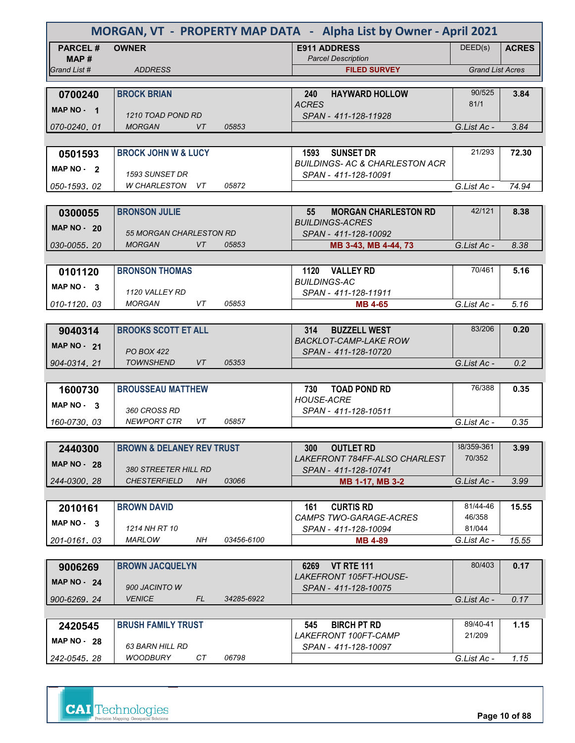| MORGAN, VT - PROPERTY MAP DATA - Alpha List by Owner - April 2021 |                                             |            |                                                                       |                         |              |  |  |
|-------------------------------------------------------------------|---------------------------------------------|------------|-----------------------------------------------------------------------|-------------------------|--------------|--|--|
| <b>PARCEL#</b>                                                    | <b>OWNER</b>                                |            | <b>E911 ADDRESS</b>                                                   | DEED(s)                 | <b>ACRES</b> |  |  |
| MAP#<br>Grand List #                                              | <b>ADDRESS</b>                              |            | <b>Parcel Description</b><br><b>FILED SURVEY</b>                      | <b>Grand List Acres</b> |              |  |  |
|                                                                   |                                             |            |                                                                       |                         |              |  |  |
| 0700240                                                           | <b>BROCK BRIAN</b>                          |            | <b>HAYWARD HOLLOW</b><br>240<br><b>ACRES</b>                          | 90/525<br>81/1          | 3.84         |  |  |
| MAP NO - 1                                                        | 1210 TOAD POND RD                           |            | SPAN - 411-128-11928                                                  |                         |              |  |  |
| 070-0240.01                                                       | <b>MORGAN</b><br>VT                         | 05853      |                                                                       | G.List Ac -             | 3.84         |  |  |
|                                                                   |                                             |            |                                                                       |                         |              |  |  |
| 0501593                                                           | <b>BROCK JOHN W &amp; LUCY</b>              |            | 1593<br><b>SUNSET DR</b><br><b>BUILDINGS- AC &amp; CHARLESTON ACR</b> | 21/293                  | 72.30        |  |  |
| MAP NO - 2                                                        | <b>1593 SUNSET DR</b>                       |            | SPAN - 411-128-10091                                                  |                         |              |  |  |
| 050-1593.02                                                       | W CHARLESTON VT                             | 05872      |                                                                       | G.List Ac -             | 74.94        |  |  |
|                                                                   | <b>BRONSON JULIE</b>                        |            | 55<br><b>MORGAN CHARLESTON RD</b>                                     | 42/121                  |              |  |  |
| 0300055                                                           |                                             |            | <b>BUILDINGS-ACRES</b>                                                |                         | 8.38         |  |  |
| <b>MAP NO - 20</b>                                                | 55 MORGAN CHARLESTON RD                     |            | SPAN - 411-128-10092                                                  |                         |              |  |  |
| 030-0055.20                                                       | <b>MORGAN</b><br><b>VT</b>                  | 05853      | MB 3-43, MB 4-44, 73                                                  | G.List Ac -             | 8.38         |  |  |
| 0101120                                                           | <b>BRONSON THOMAS</b>                       |            | 1120 VALLEY RD                                                        | 70/461                  | 5.16         |  |  |
| MAP NO - 3                                                        |                                             |            | <b>BUILDINGS-AC</b>                                                   |                         |              |  |  |
|                                                                   | 1120 VALLEY RD<br><b>MORGAN</b><br>VT       | 05853      | SPAN - 411-128-11911                                                  |                         |              |  |  |
| 010-1120.03                                                       |                                             |            | <b>MB 4-65</b>                                                        | G.List Ac -             | 5.16         |  |  |
| 9040314                                                           | <b>BROOKS SCOTT ET ALL</b>                  |            | <b>BUZZELL WEST</b><br>314                                            | 83/206                  | 0.20         |  |  |
| <b>MAP NO - 21</b>                                                |                                             |            | <b>BACKLOT-CAMP-LAKE ROW</b>                                          |                         |              |  |  |
| 904-0314.21                                                       | <b>PO BOX 422</b><br><b>TOWNSHEND</b><br>VT | 05353      | SPAN - 411-128-10720                                                  | G.List Ac -             | 0.2          |  |  |
|                                                                   |                                             |            |                                                                       |                         |              |  |  |
| 1600730                                                           | <b>BROUSSEAU MATTHEW</b>                    |            | 730<br><b>TOAD POND RD</b>                                            | 76/388                  | 0.35         |  |  |
| <b>MAP NO</b><br>- 3                                              | 360 CROSS RD                                |            | <b>HOUSE-ACRE</b><br>SPAN - 411-128-10511                             |                         |              |  |  |
| 160-0730, 03                                                      | <b>NEWPORT CTR</b><br>VT                    | 05857      |                                                                       | G.List Ac -             | 0.35         |  |  |
|                                                                   |                                             |            |                                                                       |                         |              |  |  |
| 2440300                                                           | <b>BROWN &amp; DELANEY REV TRUST</b>        |            | 300<br><b>OUTLET RD</b>                                               | 38/359-361              | 3.99         |  |  |
| <b>MAP NO - 28</b>                                                | <b>380 STREETER HILL RD</b>                 |            | LAKEFRONT 784FF-ALSO CHARLEST<br>SPAN - 411-128-10741                 | 70/352                  |              |  |  |
| 244-0300.28                                                       | <b>CHESTERFIELD</b><br>NH.                  | 03066      | MB 1-17, MB 3-2                                                       | G.List Ac -             | 3.99         |  |  |
|                                                                   |                                             |            |                                                                       |                         |              |  |  |
| 2010161                                                           | <b>BROWN DAVID</b>                          |            | <b>CURTIS RD</b><br>161<br>CAMPS TWO-GARAGE-ACRES                     | 81/44-46<br>46/358      | 15.55        |  |  |
| MAP NO - 3                                                        | 1214 NH RT 10                               |            | SPAN - 411-128-10094                                                  | 81/044                  |              |  |  |
| 201-0161.03                                                       | MARLOW<br>NΗ                                | 03456-6100 | <b>MB 4-89</b>                                                        | G.List Ac -             | 15.55        |  |  |
|                                                                   |                                             |            | <b>VT RTE 111</b>                                                     | 80/403                  | 0.17         |  |  |
| 9006269                                                           | <b>BROWN JACQUELYN</b>                      |            | 6269<br><i>LAKEFRONT 105FT-HOUSE-</i>                                 |                         |              |  |  |
| <b>MAP NO - 24</b>                                                | 900 JACINTO W                               |            | SPAN - 411-128-10075                                                  |                         |              |  |  |
| 900-6269, 24                                                      | <b>VENICE</b><br>FL                         | 34285-6922 |                                                                       | G.List Ac -             | 0.17         |  |  |
| 2420545                                                           | <b>BRUSH FAMILY TRUST</b>                   |            | 545<br><b>BIRCH PT RD</b>                                             | 89/40-41                | 1.15         |  |  |
| MAP $NO - 28$                                                     |                                             |            | LAKEFRONT 100FT-CAMP                                                  | 21/209                  |              |  |  |
|                                                                   | 63 BARN HILL RD<br><b>WOODBURY</b><br>CТ    | 06798      | SPAN - 411-128-10097                                                  |                         |              |  |  |
| 242-0545.28                                                       |                                             |            |                                                                       | G.List Ac -             | 1.15         |  |  |



**Page 10 of 88**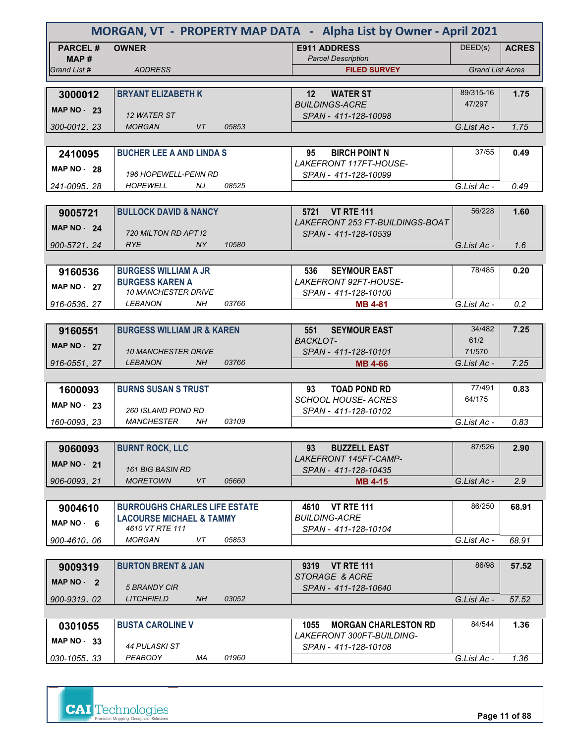| <b>PARCEL#</b><br>DEED(s)<br><b>OWNER</b><br><b>E911 ADDRESS</b><br><b>ACRES</b><br><b>Parcel Description</b><br>MAP#<br><b>Grand List Acres</b><br><b>ADDRESS</b><br>Grand List #<br><b>FILED SURVEY</b><br>89/315-16<br><b>BRYANT ELIZABETH K</b><br>1.75<br>3000012<br>12<br><b>WATER ST</b><br><b>BUILDINGS-ACRE</b><br>47/297<br><b>MAP NO - 23</b><br>12 WATER ST<br>SPAN - 411-128-10098<br>300-0012.23<br><b>MORGAN</b><br>VT<br>05853<br>G.List Ac -<br>1.75<br><b>BUCHER LEE A AND LINDA S</b><br><b>BIRCH POINT N</b><br>37/55<br>95<br>0.49<br>2410095<br>LAKEFRONT 117FT-HOUSE-<br><b>MAP NO - 28</b><br><b>196 HOPEWELL-PENN RD</b><br>SPAN - 411-128-10099<br><i><b>HOPEWELL</b></i><br>NJ<br>08525<br>G.List Ac -<br>0.49<br>241-0095, 28<br>56/228<br><b>BULLOCK DAVID &amp; NANCY</b><br>5721 VT RTE 111<br>1.60<br>9005721<br><b>LAKEFRONT 253 FT-BUILDINGS-BOAT</b><br><b>MAP NO - 24</b><br>720 MILTON RD APT 12<br>SPAN - 411-128-10539<br><b>RYE</b><br>10580<br><b>Example 1988</b><br>G.List Ac -<br>900-5721.24<br>1.6<br>78/485<br><b>BURGESS WILLIAM A JR</b><br>0.20<br><b>SEYMOUR EAST</b><br>9160536<br>536<br><b>BURGESS KAREN A</b><br>LAKEFRONT 92FT-HOUSE-<br><b>MAP NO - 27</b><br><b>10 MANCHESTER DRIVE</b><br>SPAN - 411-128-10100<br>LEBANON<br>NΗ<br>03766<br>G.List Ac -<br>0.2<br>916-0536.27<br><b>MB 4-81</b><br>34/482<br><b>BURGESS WILLIAM JR &amp; KAREN</b><br><b>SEYMOUR EAST</b><br>7.25<br>551<br>9160551<br><b>BACKLOT-</b><br>61/2<br><b>MAP NO - 27</b><br><b>10 MANCHESTER DRIVE</b><br>SPAN - 411-128-10101<br>71/570<br><b>LEBANON</b><br><b>NH</b><br>03766<br>7.25<br>916-0551.27<br>G.List Ac -<br><b>MB 4-66</b><br>77/491<br><b>BURNS SUSAN S TRUST</b><br>0.83<br><b>TOAD POND RD</b><br>1600093<br>93<br><b>SCHOOL HOUSE- ACRES</b><br>64/175<br>MAP $NO - 23$<br><i><b>260 ISLAND POND RD</b></i><br>SPAN - 411-128-10102<br>03109<br><b>MANCHESTER</b><br>NH<br>G.List Ac -<br>160-0093.23<br>0.83<br>87/526<br><b>BURNT ROCK, LLC</b><br><b>BUZZELL EAST</b><br>2.90<br>93<br>9060093<br>LAKEFRONT 145FT-CAMP-<br><b>MAP NO - 21</b><br><b>161 BIG BASIN RD</b><br>SPAN - 411-128-10435<br><b>MORETOWN</b><br>VT<br>05660<br>906-0093.21<br>2.9<br><b>MB 4-15</b><br>G.List Ac -<br>86/250<br><b>BURROUGHS CHARLES LIFE ESTATE</b><br><b>VT RTE 111</b><br>68.91<br>4610<br>9004610<br><b>BUILDING-ACRE</b><br><b>LACOURSE MICHAEL &amp; TAMMY</b><br>MAP $NO - 6$<br>4610 VT RTE 111<br>SPAN - 411-128-10104<br>05853<br><b>MORGAN</b><br>VT<br>G.List Ac -<br>900-4610.06<br>68.91<br>86/98<br><b>VT RTE 111</b><br>57.52<br><b>BURTON BRENT &amp; JAN</b><br>9319<br>9009319<br>STORAGE & ACRE<br>MAP NO - 2<br>5 BRANDY CIR<br>SPAN - 411-128-10640<br>NH<br>03052<br><b>LITCHFIELD</b><br>57.52<br>900-9319.02<br>G.List Ac -<br>84/544<br><b>BUSTA CAROLINE V</b><br>1.36<br>0301055<br>1055<br><b>MORGAN CHARLESTON RD</b><br><i>LAKEFRONT 300FT-BUILDING-</i><br>MAP $NO - 33$<br>44 PULASKI ST<br>SPAN - 411-128-10108<br>PEABODY<br>01960<br>МA<br>1.36<br>030-1055.33<br>G.List Ac - | MORGAN, VT - PROPERTY MAP DATA - Alpha List by Owner - April 2021 |  |  |  |  |  |  |  |
|----------------------------------------------------------------------------------------------------------------------------------------------------------------------------------------------------------------------------------------------------------------------------------------------------------------------------------------------------------------------------------------------------------------------------------------------------------------------------------------------------------------------------------------------------------------------------------------------------------------------------------------------------------------------------------------------------------------------------------------------------------------------------------------------------------------------------------------------------------------------------------------------------------------------------------------------------------------------------------------------------------------------------------------------------------------------------------------------------------------------------------------------------------------------------------------------------------------------------------------------------------------------------------------------------------------------------------------------------------------------------------------------------------------------------------------------------------------------------------------------------------------------------------------------------------------------------------------------------------------------------------------------------------------------------------------------------------------------------------------------------------------------------------------------------------------------------------------------------------------------------------------------------------------------------------------------------------------------------------------------------------------------------------------------------------------------------------------------------------------------------------------------------------------------------------------------------------------------------------------------------------------------------------------------------------------------------------------------------------------------------------------------------------------------------------------------------------------------------------------------------------------------------------------------------------------------------------------------------------------------------------------------------------------------------------------------------------------------------------------------------------------------------------------------------------------------------------------------------------------------------------------------------------------------------------------------------------------------------------------------------------------------------------------------------------------------|-------------------------------------------------------------------|--|--|--|--|--|--|--|
|                                                                                                                                                                                                                                                                                                                                                                                                                                                                                                                                                                                                                                                                                                                                                                                                                                                                                                                                                                                                                                                                                                                                                                                                                                                                                                                                                                                                                                                                                                                                                                                                                                                                                                                                                                                                                                                                                                                                                                                                                                                                                                                                                                                                                                                                                                                                                                                                                                                                                                                                                                                                                                                                                                                                                                                                                                                                                                                                                                                                                                                                      |                                                                   |  |  |  |  |  |  |  |
|                                                                                                                                                                                                                                                                                                                                                                                                                                                                                                                                                                                                                                                                                                                                                                                                                                                                                                                                                                                                                                                                                                                                                                                                                                                                                                                                                                                                                                                                                                                                                                                                                                                                                                                                                                                                                                                                                                                                                                                                                                                                                                                                                                                                                                                                                                                                                                                                                                                                                                                                                                                                                                                                                                                                                                                                                                                                                                                                                                                                                                                                      |                                                                   |  |  |  |  |  |  |  |
|                                                                                                                                                                                                                                                                                                                                                                                                                                                                                                                                                                                                                                                                                                                                                                                                                                                                                                                                                                                                                                                                                                                                                                                                                                                                                                                                                                                                                                                                                                                                                                                                                                                                                                                                                                                                                                                                                                                                                                                                                                                                                                                                                                                                                                                                                                                                                                                                                                                                                                                                                                                                                                                                                                                                                                                                                                                                                                                                                                                                                                                                      |                                                                   |  |  |  |  |  |  |  |
|                                                                                                                                                                                                                                                                                                                                                                                                                                                                                                                                                                                                                                                                                                                                                                                                                                                                                                                                                                                                                                                                                                                                                                                                                                                                                                                                                                                                                                                                                                                                                                                                                                                                                                                                                                                                                                                                                                                                                                                                                                                                                                                                                                                                                                                                                                                                                                                                                                                                                                                                                                                                                                                                                                                                                                                                                                                                                                                                                                                                                                                                      |                                                                   |  |  |  |  |  |  |  |
|                                                                                                                                                                                                                                                                                                                                                                                                                                                                                                                                                                                                                                                                                                                                                                                                                                                                                                                                                                                                                                                                                                                                                                                                                                                                                                                                                                                                                                                                                                                                                                                                                                                                                                                                                                                                                                                                                                                                                                                                                                                                                                                                                                                                                                                                                                                                                                                                                                                                                                                                                                                                                                                                                                                                                                                                                                                                                                                                                                                                                                                                      |                                                                   |  |  |  |  |  |  |  |
|                                                                                                                                                                                                                                                                                                                                                                                                                                                                                                                                                                                                                                                                                                                                                                                                                                                                                                                                                                                                                                                                                                                                                                                                                                                                                                                                                                                                                                                                                                                                                                                                                                                                                                                                                                                                                                                                                                                                                                                                                                                                                                                                                                                                                                                                                                                                                                                                                                                                                                                                                                                                                                                                                                                                                                                                                                                                                                                                                                                                                                                                      |                                                                   |  |  |  |  |  |  |  |
|                                                                                                                                                                                                                                                                                                                                                                                                                                                                                                                                                                                                                                                                                                                                                                                                                                                                                                                                                                                                                                                                                                                                                                                                                                                                                                                                                                                                                                                                                                                                                                                                                                                                                                                                                                                                                                                                                                                                                                                                                                                                                                                                                                                                                                                                                                                                                                                                                                                                                                                                                                                                                                                                                                                                                                                                                                                                                                                                                                                                                                                                      |                                                                   |  |  |  |  |  |  |  |
|                                                                                                                                                                                                                                                                                                                                                                                                                                                                                                                                                                                                                                                                                                                                                                                                                                                                                                                                                                                                                                                                                                                                                                                                                                                                                                                                                                                                                                                                                                                                                                                                                                                                                                                                                                                                                                                                                                                                                                                                                                                                                                                                                                                                                                                                                                                                                                                                                                                                                                                                                                                                                                                                                                                                                                                                                                                                                                                                                                                                                                                                      |                                                                   |  |  |  |  |  |  |  |
|                                                                                                                                                                                                                                                                                                                                                                                                                                                                                                                                                                                                                                                                                                                                                                                                                                                                                                                                                                                                                                                                                                                                                                                                                                                                                                                                                                                                                                                                                                                                                                                                                                                                                                                                                                                                                                                                                                                                                                                                                                                                                                                                                                                                                                                                                                                                                                                                                                                                                                                                                                                                                                                                                                                                                                                                                                                                                                                                                                                                                                                                      |                                                                   |  |  |  |  |  |  |  |
|                                                                                                                                                                                                                                                                                                                                                                                                                                                                                                                                                                                                                                                                                                                                                                                                                                                                                                                                                                                                                                                                                                                                                                                                                                                                                                                                                                                                                                                                                                                                                                                                                                                                                                                                                                                                                                                                                                                                                                                                                                                                                                                                                                                                                                                                                                                                                                                                                                                                                                                                                                                                                                                                                                                                                                                                                                                                                                                                                                                                                                                                      |                                                                   |  |  |  |  |  |  |  |
|                                                                                                                                                                                                                                                                                                                                                                                                                                                                                                                                                                                                                                                                                                                                                                                                                                                                                                                                                                                                                                                                                                                                                                                                                                                                                                                                                                                                                                                                                                                                                                                                                                                                                                                                                                                                                                                                                                                                                                                                                                                                                                                                                                                                                                                                                                                                                                                                                                                                                                                                                                                                                                                                                                                                                                                                                                                                                                                                                                                                                                                                      |                                                                   |  |  |  |  |  |  |  |
|                                                                                                                                                                                                                                                                                                                                                                                                                                                                                                                                                                                                                                                                                                                                                                                                                                                                                                                                                                                                                                                                                                                                                                                                                                                                                                                                                                                                                                                                                                                                                                                                                                                                                                                                                                                                                                                                                                                                                                                                                                                                                                                                                                                                                                                                                                                                                                                                                                                                                                                                                                                                                                                                                                                                                                                                                                                                                                                                                                                                                                                                      |                                                                   |  |  |  |  |  |  |  |
|                                                                                                                                                                                                                                                                                                                                                                                                                                                                                                                                                                                                                                                                                                                                                                                                                                                                                                                                                                                                                                                                                                                                                                                                                                                                                                                                                                                                                                                                                                                                                                                                                                                                                                                                                                                                                                                                                                                                                                                                                                                                                                                                                                                                                                                                                                                                                                                                                                                                                                                                                                                                                                                                                                                                                                                                                                                                                                                                                                                                                                                                      |                                                                   |  |  |  |  |  |  |  |
|                                                                                                                                                                                                                                                                                                                                                                                                                                                                                                                                                                                                                                                                                                                                                                                                                                                                                                                                                                                                                                                                                                                                                                                                                                                                                                                                                                                                                                                                                                                                                                                                                                                                                                                                                                                                                                                                                                                                                                                                                                                                                                                                                                                                                                                                                                                                                                                                                                                                                                                                                                                                                                                                                                                                                                                                                                                                                                                                                                                                                                                                      |                                                                   |  |  |  |  |  |  |  |
|                                                                                                                                                                                                                                                                                                                                                                                                                                                                                                                                                                                                                                                                                                                                                                                                                                                                                                                                                                                                                                                                                                                                                                                                                                                                                                                                                                                                                                                                                                                                                                                                                                                                                                                                                                                                                                                                                                                                                                                                                                                                                                                                                                                                                                                                                                                                                                                                                                                                                                                                                                                                                                                                                                                                                                                                                                                                                                                                                                                                                                                                      |                                                                   |  |  |  |  |  |  |  |
|                                                                                                                                                                                                                                                                                                                                                                                                                                                                                                                                                                                                                                                                                                                                                                                                                                                                                                                                                                                                                                                                                                                                                                                                                                                                                                                                                                                                                                                                                                                                                                                                                                                                                                                                                                                                                                                                                                                                                                                                                                                                                                                                                                                                                                                                                                                                                                                                                                                                                                                                                                                                                                                                                                                                                                                                                                                                                                                                                                                                                                                                      |                                                                   |  |  |  |  |  |  |  |
|                                                                                                                                                                                                                                                                                                                                                                                                                                                                                                                                                                                                                                                                                                                                                                                                                                                                                                                                                                                                                                                                                                                                                                                                                                                                                                                                                                                                                                                                                                                                                                                                                                                                                                                                                                                                                                                                                                                                                                                                                                                                                                                                                                                                                                                                                                                                                                                                                                                                                                                                                                                                                                                                                                                                                                                                                                                                                                                                                                                                                                                                      |                                                                   |  |  |  |  |  |  |  |
|                                                                                                                                                                                                                                                                                                                                                                                                                                                                                                                                                                                                                                                                                                                                                                                                                                                                                                                                                                                                                                                                                                                                                                                                                                                                                                                                                                                                                                                                                                                                                                                                                                                                                                                                                                                                                                                                                                                                                                                                                                                                                                                                                                                                                                                                                                                                                                                                                                                                                                                                                                                                                                                                                                                                                                                                                                                                                                                                                                                                                                                                      |                                                                   |  |  |  |  |  |  |  |
|                                                                                                                                                                                                                                                                                                                                                                                                                                                                                                                                                                                                                                                                                                                                                                                                                                                                                                                                                                                                                                                                                                                                                                                                                                                                                                                                                                                                                                                                                                                                                                                                                                                                                                                                                                                                                                                                                                                                                                                                                                                                                                                                                                                                                                                                                                                                                                                                                                                                                                                                                                                                                                                                                                                                                                                                                                                                                                                                                                                                                                                                      |                                                                   |  |  |  |  |  |  |  |
|                                                                                                                                                                                                                                                                                                                                                                                                                                                                                                                                                                                                                                                                                                                                                                                                                                                                                                                                                                                                                                                                                                                                                                                                                                                                                                                                                                                                                                                                                                                                                                                                                                                                                                                                                                                                                                                                                                                                                                                                                                                                                                                                                                                                                                                                                                                                                                                                                                                                                                                                                                                                                                                                                                                                                                                                                                                                                                                                                                                                                                                                      |                                                                   |  |  |  |  |  |  |  |
|                                                                                                                                                                                                                                                                                                                                                                                                                                                                                                                                                                                                                                                                                                                                                                                                                                                                                                                                                                                                                                                                                                                                                                                                                                                                                                                                                                                                                                                                                                                                                                                                                                                                                                                                                                                                                                                                                                                                                                                                                                                                                                                                                                                                                                                                                                                                                                                                                                                                                                                                                                                                                                                                                                                                                                                                                                                                                                                                                                                                                                                                      |                                                                   |  |  |  |  |  |  |  |
|                                                                                                                                                                                                                                                                                                                                                                                                                                                                                                                                                                                                                                                                                                                                                                                                                                                                                                                                                                                                                                                                                                                                                                                                                                                                                                                                                                                                                                                                                                                                                                                                                                                                                                                                                                                                                                                                                                                                                                                                                                                                                                                                                                                                                                                                                                                                                                                                                                                                                                                                                                                                                                                                                                                                                                                                                                                                                                                                                                                                                                                                      |                                                                   |  |  |  |  |  |  |  |
|                                                                                                                                                                                                                                                                                                                                                                                                                                                                                                                                                                                                                                                                                                                                                                                                                                                                                                                                                                                                                                                                                                                                                                                                                                                                                                                                                                                                                                                                                                                                                                                                                                                                                                                                                                                                                                                                                                                                                                                                                                                                                                                                                                                                                                                                                                                                                                                                                                                                                                                                                                                                                                                                                                                                                                                                                                                                                                                                                                                                                                                                      |                                                                   |  |  |  |  |  |  |  |
|                                                                                                                                                                                                                                                                                                                                                                                                                                                                                                                                                                                                                                                                                                                                                                                                                                                                                                                                                                                                                                                                                                                                                                                                                                                                                                                                                                                                                                                                                                                                                                                                                                                                                                                                                                                                                                                                                                                                                                                                                                                                                                                                                                                                                                                                                                                                                                                                                                                                                                                                                                                                                                                                                                                                                                                                                                                                                                                                                                                                                                                                      |                                                                   |  |  |  |  |  |  |  |
|                                                                                                                                                                                                                                                                                                                                                                                                                                                                                                                                                                                                                                                                                                                                                                                                                                                                                                                                                                                                                                                                                                                                                                                                                                                                                                                                                                                                                                                                                                                                                                                                                                                                                                                                                                                                                                                                                                                                                                                                                                                                                                                                                                                                                                                                                                                                                                                                                                                                                                                                                                                                                                                                                                                                                                                                                                                                                                                                                                                                                                                                      |                                                                   |  |  |  |  |  |  |  |
|                                                                                                                                                                                                                                                                                                                                                                                                                                                                                                                                                                                                                                                                                                                                                                                                                                                                                                                                                                                                                                                                                                                                                                                                                                                                                                                                                                                                                                                                                                                                                                                                                                                                                                                                                                                                                                                                                                                                                                                                                                                                                                                                                                                                                                                                                                                                                                                                                                                                                                                                                                                                                                                                                                                                                                                                                                                                                                                                                                                                                                                                      |                                                                   |  |  |  |  |  |  |  |
|                                                                                                                                                                                                                                                                                                                                                                                                                                                                                                                                                                                                                                                                                                                                                                                                                                                                                                                                                                                                                                                                                                                                                                                                                                                                                                                                                                                                                                                                                                                                                                                                                                                                                                                                                                                                                                                                                                                                                                                                                                                                                                                                                                                                                                                                                                                                                                                                                                                                                                                                                                                                                                                                                                                                                                                                                                                                                                                                                                                                                                                                      |                                                                   |  |  |  |  |  |  |  |
|                                                                                                                                                                                                                                                                                                                                                                                                                                                                                                                                                                                                                                                                                                                                                                                                                                                                                                                                                                                                                                                                                                                                                                                                                                                                                                                                                                                                                                                                                                                                                                                                                                                                                                                                                                                                                                                                                                                                                                                                                                                                                                                                                                                                                                                                                                                                                                                                                                                                                                                                                                                                                                                                                                                                                                                                                                                                                                                                                                                                                                                                      |                                                                   |  |  |  |  |  |  |  |
|                                                                                                                                                                                                                                                                                                                                                                                                                                                                                                                                                                                                                                                                                                                                                                                                                                                                                                                                                                                                                                                                                                                                                                                                                                                                                                                                                                                                                                                                                                                                                                                                                                                                                                                                                                                                                                                                                                                                                                                                                                                                                                                                                                                                                                                                                                                                                                                                                                                                                                                                                                                                                                                                                                                                                                                                                                                                                                                                                                                                                                                                      |                                                                   |  |  |  |  |  |  |  |
|                                                                                                                                                                                                                                                                                                                                                                                                                                                                                                                                                                                                                                                                                                                                                                                                                                                                                                                                                                                                                                                                                                                                                                                                                                                                                                                                                                                                                                                                                                                                                                                                                                                                                                                                                                                                                                                                                                                                                                                                                                                                                                                                                                                                                                                                                                                                                                                                                                                                                                                                                                                                                                                                                                                                                                                                                                                                                                                                                                                                                                                                      |                                                                   |  |  |  |  |  |  |  |
|                                                                                                                                                                                                                                                                                                                                                                                                                                                                                                                                                                                                                                                                                                                                                                                                                                                                                                                                                                                                                                                                                                                                                                                                                                                                                                                                                                                                                                                                                                                                                                                                                                                                                                                                                                                                                                                                                                                                                                                                                                                                                                                                                                                                                                                                                                                                                                                                                                                                                                                                                                                                                                                                                                                                                                                                                                                                                                                                                                                                                                                                      |                                                                   |  |  |  |  |  |  |  |
|                                                                                                                                                                                                                                                                                                                                                                                                                                                                                                                                                                                                                                                                                                                                                                                                                                                                                                                                                                                                                                                                                                                                                                                                                                                                                                                                                                                                                                                                                                                                                                                                                                                                                                                                                                                                                                                                                                                                                                                                                                                                                                                                                                                                                                                                                                                                                                                                                                                                                                                                                                                                                                                                                                                                                                                                                                                                                                                                                                                                                                                                      |                                                                   |  |  |  |  |  |  |  |
|                                                                                                                                                                                                                                                                                                                                                                                                                                                                                                                                                                                                                                                                                                                                                                                                                                                                                                                                                                                                                                                                                                                                                                                                                                                                                                                                                                                                                                                                                                                                                                                                                                                                                                                                                                                                                                                                                                                                                                                                                                                                                                                                                                                                                                                                                                                                                                                                                                                                                                                                                                                                                                                                                                                                                                                                                                                                                                                                                                                                                                                                      |                                                                   |  |  |  |  |  |  |  |
|                                                                                                                                                                                                                                                                                                                                                                                                                                                                                                                                                                                                                                                                                                                                                                                                                                                                                                                                                                                                                                                                                                                                                                                                                                                                                                                                                                                                                                                                                                                                                                                                                                                                                                                                                                                                                                                                                                                                                                                                                                                                                                                                                                                                                                                                                                                                                                                                                                                                                                                                                                                                                                                                                                                                                                                                                                                                                                                                                                                                                                                                      |                                                                   |  |  |  |  |  |  |  |
|                                                                                                                                                                                                                                                                                                                                                                                                                                                                                                                                                                                                                                                                                                                                                                                                                                                                                                                                                                                                                                                                                                                                                                                                                                                                                                                                                                                                                                                                                                                                                                                                                                                                                                                                                                                                                                                                                                                                                                                                                                                                                                                                                                                                                                                                                                                                                                                                                                                                                                                                                                                                                                                                                                                                                                                                                                                                                                                                                                                                                                                                      |                                                                   |  |  |  |  |  |  |  |
|                                                                                                                                                                                                                                                                                                                                                                                                                                                                                                                                                                                                                                                                                                                                                                                                                                                                                                                                                                                                                                                                                                                                                                                                                                                                                                                                                                                                                                                                                                                                                                                                                                                                                                                                                                                                                                                                                                                                                                                                                                                                                                                                                                                                                                                                                                                                                                                                                                                                                                                                                                                                                                                                                                                                                                                                                                                                                                                                                                                                                                                                      |                                                                   |  |  |  |  |  |  |  |
|                                                                                                                                                                                                                                                                                                                                                                                                                                                                                                                                                                                                                                                                                                                                                                                                                                                                                                                                                                                                                                                                                                                                                                                                                                                                                                                                                                                                                                                                                                                                                                                                                                                                                                                                                                                                                                                                                                                                                                                                                                                                                                                                                                                                                                                                                                                                                                                                                                                                                                                                                                                                                                                                                                                                                                                                                                                                                                                                                                                                                                                                      |                                                                   |  |  |  |  |  |  |  |
|                                                                                                                                                                                                                                                                                                                                                                                                                                                                                                                                                                                                                                                                                                                                                                                                                                                                                                                                                                                                                                                                                                                                                                                                                                                                                                                                                                                                                                                                                                                                                                                                                                                                                                                                                                                                                                                                                                                                                                                                                                                                                                                                                                                                                                                                                                                                                                                                                                                                                                                                                                                                                                                                                                                                                                                                                                                                                                                                                                                                                                                                      |                                                                   |  |  |  |  |  |  |  |
|                                                                                                                                                                                                                                                                                                                                                                                                                                                                                                                                                                                                                                                                                                                                                                                                                                                                                                                                                                                                                                                                                                                                                                                                                                                                                                                                                                                                                                                                                                                                                                                                                                                                                                                                                                                                                                                                                                                                                                                                                                                                                                                                                                                                                                                                                                                                                                                                                                                                                                                                                                                                                                                                                                                                                                                                                                                                                                                                                                                                                                                                      |                                                                   |  |  |  |  |  |  |  |
|                                                                                                                                                                                                                                                                                                                                                                                                                                                                                                                                                                                                                                                                                                                                                                                                                                                                                                                                                                                                                                                                                                                                                                                                                                                                                                                                                                                                                                                                                                                                                                                                                                                                                                                                                                                                                                                                                                                                                                                                                                                                                                                                                                                                                                                                                                                                                                                                                                                                                                                                                                                                                                                                                                                                                                                                                                                                                                                                                                                                                                                                      |                                                                   |  |  |  |  |  |  |  |
|                                                                                                                                                                                                                                                                                                                                                                                                                                                                                                                                                                                                                                                                                                                                                                                                                                                                                                                                                                                                                                                                                                                                                                                                                                                                                                                                                                                                                                                                                                                                                                                                                                                                                                                                                                                                                                                                                                                                                                                                                                                                                                                                                                                                                                                                                                                                                                                                                                                                                                                                                                                                                                                                                                                                                                                                                                                                                                                                                                                                                                                                      |                                                                   |  |  |  |  |  |  |  |
|                                                                                                                                                                                                                                                                                                                                                                                                                                                                                                                                                                                                                                                                                                                                                                                                                                                                                                                                                                                                                                                                                                                                                                                                                                                                                                                                                                                                                                                                                                                                                                                                                                                                                                                                                                                                                                                                                                                                                                                                                                                                                                                                                                                                                                                                                                                                                                                                                                                                                                                                                                                                                                                                                                                                                                                                                                                                                                                                                                                                                                                                      |                                                                   |  |  |  |  |  |  |  |
|                                                                                                                                                                                                                                                                                                                                                                                                                                                                                                                                                                                                                                                                                                                                                                                                                                                                                                                                                                                                                                                                                                                                                                                                                                                                                                                                                                                                                                                                                                                                                                                                                                                                                                                                                                                                                                                                                                                                                                                                                                                                                                                                                                                                                                                                                                                                                                                                                                                                                                                                                                                                                                                                                                                                                                                                                                                                                                                                                                                                                                                                      |                                                                   |  |  |  |  |  |  |  |
|                                                                                                                                                                                                                                                                                                                                                                                                                                                                                                                                                                                                                                                                                                                                                                                                                                                                                                                                                                                                                                                                                                                                                                                                                                                                                                                                                                                                                                                                                                                                                                                                                                                                                                                                                                                                                                                                                                                                                                                                                                                                                                                                                                                                                                                                                                                                                                                                                                                                                                                                                                                                                                                                                                                                                                                                                                                                                                                                                                                                                                                                      |                                                                   |  |  |  |  |  |  |  |
|                                                                                                                                                                                                                                                                                                                                                                                                                                                                                                                                                                                                                                                                                                                                                                                                                                                                                                                                                                                                                                                                                                                                                                                                                                                                                                                                                                                                                                                                                                                                                                                                                                                                                                                                                                                                                                                                                                                                                                                                                                                                                                                                                                                                                                                                                                                                                                                                                                                                                                                                                                                                                                                                                                                                                                                                                                                                                                                                                                                                                                                                      |                                                                   |  |  |  |  |  |  |  |
|                                                                                                                                                                                                                                                                                                                                                                                                                                                                                                                                                                                                                                                                                                                                                                                                                                                                                                                                                                                                                                                                                                                                                                                                                                                                                                                                                                                                                                                                                                                                                                                                                                                                                                                                                                                                                                                                                                                                                                                                                                                                                                                                                                                                                                                                                                                                                                                                                                                                                                                                                                                                                                                                                                                                                                                                                                                                                                                                                                                                                                                                      |                                                                   |  |  |  |  |  |  |  |
|                                                                                                                                                                                                                                                                                                                                                                                                                                                                                                                                                                                                                                                                                                                                                                                                                                                                                                                                                                                                                                                                                                                                                                                                                                                                                                                                                                                                                                                                                                                                                                                                                                                                                                                                                                                                                                                                                                                                                                                                                                                                                                                                                                                                                                                                                                                                                                                                                                                                                                                                                                                                                                                                                                                                                                                                                                                                                                                                                                                                                                                                      |                                                                   |  |  |  |  |  |  |  |
|                                                                                                                                                                                                                                                                                                                                                                                                                                                                                                                                                                                                                                                                                                                                                                                                                                                                                                                                                                                                                                                                                                                                                                                                                                                                                                                                                                                                                                                                                                                                                                                                                                                                                                                                                                                                                                                                                                                                                                                                                                                                                                                                                                                                                                                                                                                                                                                                                                                                                                                                                                                                                                                                                                                                                                                                                                                                                                                                                                                                                                                                      |                                                                   |  |  |  |  |  |  |  |

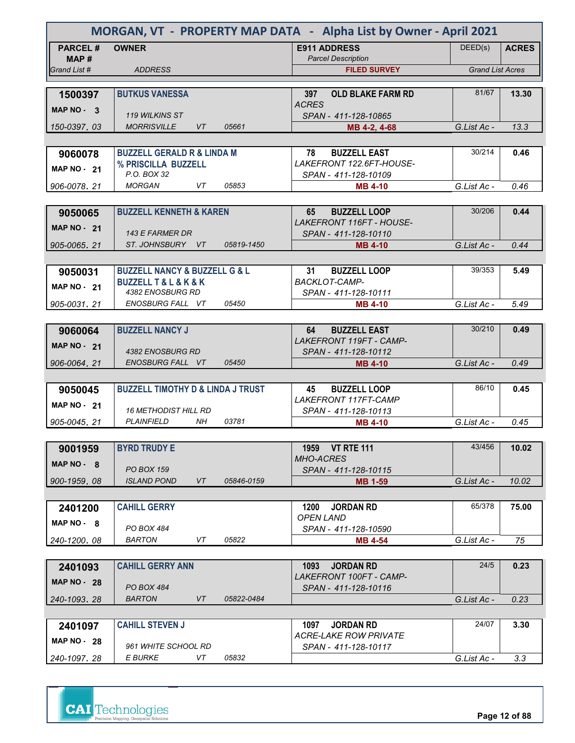| MORGAN, VT - PROPERTY MAP DATA - Alpha List by Owner - April 2021 |                                              |            |                                                  |                         |              |  |  |
|-------------------------------------------------------------------|----------------------------------------------|------------|--------------------------------------------------|-------------------------|--------------|--|--|
| <b>PARCEL#</b><br>MAP #                                           | <b>OWNER</b>                                 |            | <b>E911 ADDRESS</b><br><b>Parcel Description</b> | DEED(s)                 | <b>ACRES</b> |  |  |
| Grand List #                                                      | <b>ADDRESS</b>                               |            | <b>FILED SURVEY</b>                              | <b>Grand List Acres</b> |              |  |  |
|                                                                   |                                              |            |                                                  |                         |              |  |  |
| 1500397                                                           | <b>BUTKUS VANESSA</b>                        |            | 397<br><b>OLD BLAKE FARM RD</b><br><b>ACRES</b>  | 81/67                   | 13.30        |  |  |
| MAP NO - 3                                                        | 119 WILKINS ST                               |            | SPAN - 411-128-10865                             |                         |              |  |  |
| 150-0397.03                                                       | <b>MORRISVILLE</b><br>VT                     | 05661      | MB 4-2, 4-68                                     | G.List Ac -             | 13.3         |  |  |
|                                                                   |                                              |            |                                                  |                         |              |  |  |
| 9060078                                                           | <b>BUZZELL GERALD R &amp; LINDA M</b>        |            | 78<br><b>BUZZELL EAST</b>                        | 30/214                  | 0.46         |  |  |
| <b>MAP NO - 21</b>                                                | % PRISCILLA BUZZELL                          |            | LAKEFRONT 122.6FT-HOUSE-                         |                         |              |  |  |
|                                                                   | P.O. BOX 32<br><b>MORGAN</b><br>VT           | 05853      | SPAN - 411-128-10109                             |                         |              |  |  |
| 906-0078, 21                                                      |                                              |            | <b>MB 4-10</b>                                   | G.List Ac -             | 0.46         |  |  |
|                                                                   | <b>BUZZELL KENNETH &amp; KAREN</b>           |            | 65<br><b>BUZZELL LOOP</b>                        | 30/206                  |              |  |  |
| 9050065                                                           |                                              |            | <b>LAKEFRONT 116FT - HOUSE-</b>                  |                         | 0.44         |  |  |
| <b>MAP NO - 21</b>                                                | 143 E FARMER DR                              |            | SPAN - 411-128-10110                             |                         |              |  |  |
| 905-0065.21                                                       | ST. JOHNSBURY VT                             | 05819-1450 | <b>MB 4-10</b>                                   | G.List Ac -             | 0.44         |  |  |
|                                                                   |                                              |            |                                                  |                         |              |  |  |
| 9050031                                                           | <b>BUZZELL NANCY &amp; BUZZELL G &amp; L</b> |            | 31<br><b>BUZZELL LOOP</b>                        | 39/353                  | 5.49         |  |  |
| <b>MAP NO - 21</b>                                                | <b>BUZZELL T &amp; L &amp; K &amp; K</b>     |            | <b>BACKLOT-CAMP-</b>                             |                         |              |  |  |
|                                                                   | 4382 ENOSBURG RD                             |            | SPAN - 411-128-10111                             |                         |              |  |  |
| 905-0031.21                                                       | ENOSBURG FALL VT                             | 05450      | <b>MB 4-10</b>                                   | G.List Ac -             | 5.49         |  |  |
|                                                                   |                                              |            |                                                  |                         |              |  |  |
| 9060064                                                           | <b>BUZZELL NANCY J</b>                       |            | <b>BUZZELL EAST</b><br>64                        | 30/210                  | 0.49         |  |  |
| <b>MAP NO - 21</b>                                                |                                              |            | <b>LAKEFRONT 119FT - CAMP-</b>                   |                         |              |  |  |
| 906-0064, 21                                                      | 4382 ENOSBURG RD<br>ENOSBURG FALL VT         | 05450      | SPAN - 411-128-10112<br><b>MB 4-10</b>           | G.List Ac -             | 0.49         |  |  |
|                                                                   |                                              |            |                                                  |                         |              |  |  |
| 9050045                                                           | <b>BUZZELL TIMOTHY D &amp; LINDA J TRUST</b> |            | 45<br><b>BUZZELL LOOP</b>                        | 86/10                   | 0.45         |  |  |
|                                                                   |                                              |            | <b>LAKEFRONT 117FT-CAMP</b>                      |                         |              |  |  |
| MAP $NO - 21$                                                     | <b>16 METHODIST HILL RD</b>                  |            | SPAN - 411-128-10113                             |                         |              |  |  |
| 905-0045, 21                                                      | <b>PLAINFIELD</b><br>NH.                     | 03781      | <b>MB 4-10</b>                                   | G.List Ac -             | 0.45         |  |  |
|                                                                   |                                              |            |                                                  |                         |              |  |  |
| 9001959                                                           | <b>BYRD TRUDY E</b>                          |            | 1959 VT RTE 111                                  | 43/456                  | 10.02        |  |  |
| $MAP NO - 8$                                                      |                                              |            | <b>MHO-ACRES</b>                                 |                         |              |  |  |
|                                                                   | <b>PO BOX 159</b>                            |            | SPAN - 411-128-10115                             |                         |              |  |  |
| 900-1959.08                                                       | <b>ISLAND POND</b><br>VT                     | 05846-0159 | <b>MB 1-59</b>                                   | G.List Ac -             | 10.02        |  |  |
|                                                                   |                                              |            |                                                  | 65/378                  |              |  |  |
| 2401200                                                           | <b>CAHILL GERRY</b>                          |            | <b>JORDAN RD</b><br>1200<br><b>OPEN LAND</b>     |                         | 75.00        |  |  |
| $MAP NO - 8$                                                      | PO BOX 484                                   |            | SPAN - 411-128-10590                             |                         |              |  |  |
| 240-1200.08                                                       | <b>BARTON</b><br>VT                          | 05822      | <b>MB 4-54</b>                                   | G.List Ac -             | 75           |  |  |
|                                                                   |                                              |            |                                                  |                         |              |  |  |
| 2401093                                                           | <b>CAHILL GERRY ANN</b>                      |            | 1093<br><b>JORDAN RD</b>                         | 24/5                    | 0.23         |  |  |
| <b>MAP NO - 28</b>                                                |                                              |            | <b>LAKEFRONT 100FT - CAMP-</b>                   |                         |              |  |  |
|                                                                   | <b>PO BOX 484</b>                            |            | SPAN - 411-128-10116                             |                         |              |  |  |
| 240-1093, 28                                                      | <b>BARTON</b><br>VT                          | 05822-0484 |                                                  | G.List Ac -             | 0.23         |  |  |
|                                                                   |                                              |            |                                                  |                         |              |  |  |
| 2401097                                                           | <b>CAHILL STEVEN J</b>                       |            | <b>JORDAN RD</b><br>1097                         | 24/07                   | 3.30         |  |  |
| MAP $NO - 28$                                                     | 961 WHITE SCHOOL RD                          |            | ACRE-LAKE ROW PRIVATE                            |                         |              |  |  |
| 240-1097.28                                                       | E BURKE<br>VT                                | 05832      | SPAN - 411-128-10117                             | G.List Ac -             | 3.3          |  |  |
|                                                                   |                                              |            |                                                  |                         |              |  |  |

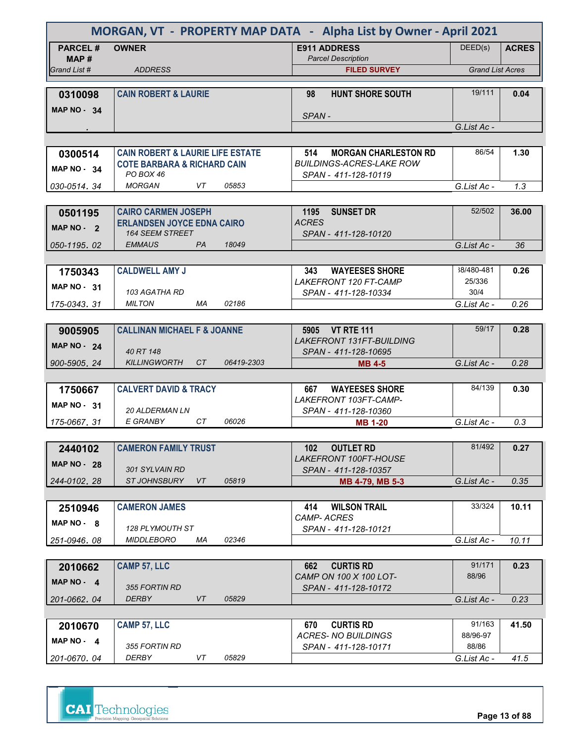| MORGAN, VT - PROPERTY MAP DATA - Alpha List by Owner - April 2021 |                                                             |            |                                                         |                         |              |
|-------------------------------------------------------------------|-------------------------------------------------------------|------------|---------------------------------------------------------|-------------------------|--------------|
| <b>PARCEL#</b>                                                    | <b>OWNER</b>                                                |            | <b>E911 ADDRESS</b>                                     | DEED(s)                 | <b>ACRES</b> |
| MAP #<br>Grand List #                                             | <b>ADDRESS</b>                                              |            | <b>Parcel Description</b><br><b>FILED SURVEY</b>        | <b>Grand List Acres</b> |              |
|                                                                   |                                                             |            |                                                         |                         |              |
| 0310098                                                           | <b>CAIN ROBERT &amp; LAURIE</b>                             |            | <b>HUNT SHORE SOUTH</b><br>98                           | 19/111                  | 0.04         |
| <b>MAP NO - 34</b>                                                |                                                             |            | SPAN-                                                   |                         |              |
|                                                                   |                                                             |            |                                                         | G.List Ac -             |              |
|                                                                   |                                                             |            |                                                         |                         |              |
| 0300514                                                           | <b>CAIN ROBERT &amp; LAURIE LIFE ESTATE</b>                 |            | 514<br><b>MORGAN CHARLESTON RD</b>                      | 86/54                   | 1.30         |
| <b>MAP NO - 34</b>                                                | <b>COTE BARBARA &amp; RICHARD CAIN</b><br>PO BOX 46         |            | <b>BUILDINGS-ACRES-LAKE ROW</b><br>SPAN - 411-128-10119 |                         |              |
| 030-0514, 34                                                      | <b>MORGAN</b><br>VT                                         | 05853      |                                                         | G.List Ac -             | 1.3          |
|                                                                   |                                                             |            |                                                         |                         |              |
| 0501195                                                           | <b>CAIRO CARMEN JOSEPH</b>                                  |            | <b>SUNSET DR</b><br>1195                                | 52/502                  | 36.00        |
| MAP $NO - 2$                                                      | <b>ERLANDSEN JOYCE EDNA CAIRO</b><br><b>164 SEEM STREET</b> |            | <b>ACRES</b><br>SPAN - 411-128-10120                    |                         |              |
| 050-1195.02                                                       | <b>EMMAUS</b><br><b>PA</b>                                  | 18049      |                                                         | G.List Ac -             | 36           |
|                                                                   |                                                             |            |                                                         |                         |              |
| 1750343                                                           | <b>CALDWELL AMY J</b>                                       |            | 343<br><b>WAYEESES SHORE</b>                            | 38/480-481              | 0.26         |
| <b>MAP NO - 31</b>                                                | 103 AGATHA RD                                               |            | LAKEFRONT 120 FT-CAMP<br>SPAN - 411-128-10334           | 25/336<br>30/4          |              |
| 175-0343.31                                                       | <b>MILTON</b><br>МA                                         | 02186      |                                                         | G.List Ac -             | 0.26         |
|                                                                   |                                                             |            |                                                         |                         |              |
| 9005905                                                           | <b>CALLINAN MICHAEL F &amp; JOANNE</b>                      |            | 5905 VT RTE 111                                         | 59/17                   | 0.28         |
| <b>MAP NO - 24</b>                                                | 40 RT 148                                                   |            | <b>LAKEFRONT 131FT-BUILDING</b><br>SPAN - 411-128-10695 |                         |              |
| 900-5905.24                                                       | <b>KILLINGWORTH</b><br>CT                                   | 06419-2303 | <b>MB</b> 4-5                                           | G.List Ac -             | 0.28         |
|                                                                   |                                                             |            |                                                         |                         |              |
| 1750667                                                           | <b>CALVERT DAVID &amp; TRACY</b>                            |            | <b>WAYEESES SHORE</b><br>667                            | 84/139                  | 0.30         |
| MAP $NO - 31$                                                     | <b>20 ALDERMAN LN</b>                                       |            | LAKEFRONT 103FT-CAMP-                                   |                         |              |
| 175-0667, 31                                                      | E GRANBY<br>CT.                                             | 06026      | SPAN - 411-128-10360<br><b>MB 1-20</b>                  | G.List Ac -             | 0.3          |
|                                                                   |                                                             |            |                                                         |                         |              |
| 2440102                                                           | <b>CAMERON FAMILY TRUST</b>                                 |            | <b>OUTLET RD</b><br>102                                 | 81/492                  | 0.27         |
| <b>MAP NO - 28</b>                                                |                                                             |            | LAKEFRONT 100FT-HOUSE                                   |                         |              |
| 244-0102.28                                                       | 301 SYLVAIN RD<br>ST JOHNSBURY<br>VT                        | 05819      | SPAN - 411-128-10357<br>MB 4-79, MB 5-3                 | G.List Ac -             | 0.35         |
|                                                                   |                                                             |            |                                                         |                         |              |
| 2510946                                                           | <b>CAMERON JAMES</b>                                        |            | <b>WILSON TRAIL</b><br>414                              | 33/324                  | 10.11        |
| MAP NO 8                                                          |                                                             |            | <b>CAMP-ACRES</b>                                       |                         |              |
| 251-0946.08                                                       | 128 PLYMOUTH ST<br><b>MIDDLEBORO</b><br>ΜA                  | 02346      | SPAN - 411-128-10121                                    | G.List Ac -             | 10.11        |
|                                                                   |                                                             |            |                                                         |                         |              |
| 2010662                                                           | <b>CAMP 57, LLC</b>                                         |            | <b>CURTIS RD</b><br>662                                 | 91/171                  | 0.23         |
| MAP NO - 4                                                        |                                                             |            | CAMP ON 100 X 100 LOT-                                  | 88/96                   |              |
| 201-0662.04                                                       | 355 FORTIN RD<br>DERBY<br>VT                                | 05829      | SPAN - 411-128-10172                                    | G.List Ac -             | 0.23         |
|                                                                   |                                                             |            |                                                         |                         |              |
| 2010670                                                           | <b>CAMP 57, LLC</b>                                         |            | <b>CURTIS RD</b><br>670                                 | 91/163                  | 41.50        |
| MAP NO - 4                                                        |                                                             |            | <b>ACRES- NO BUILDINGS</b>                              | 88/96-97                |              |
| 201-0670.04                                                       | 355 FORTIN RD<br>DERBY<br>VT                                | 05829      | SPAN - 411-128-10171                                    | 88/86<br>G.List Ac -    | 41.5         |
|                                                                   |                                                             |            |                                                         |                         |              |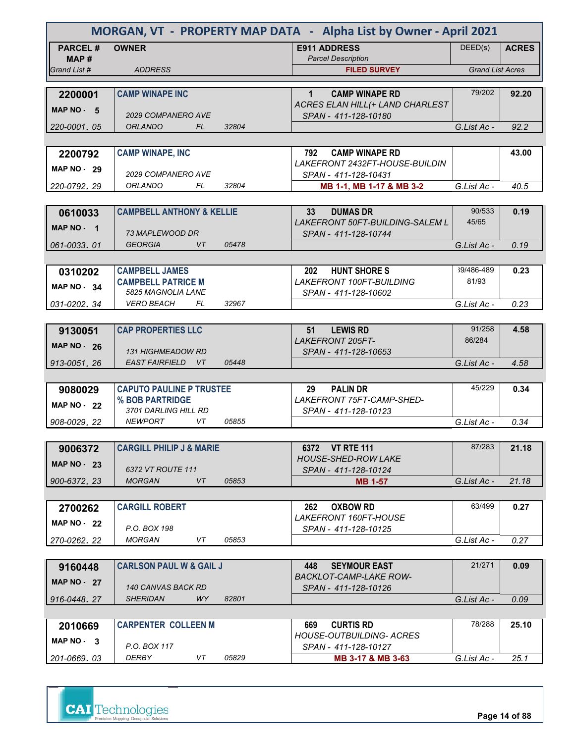| MORGAN, VT - PROPERTY MAP DATA - Alpha List by Owner - April 2021 |                                      |       |                                                             |                         |              |
|-------------------------------------------------------------------|--------------------------------------|-------|-------------------------------------------------------------|-------------------------|--------------|
| <b>PARCEL#</b><br>MAP#                                            | <b>OWNER</b>                         |       | <b>E911 ADDRESS</b><br><b>Parcel Description</b>            | DEED(s)                 | <b>ACRES</b> |
| Grand List #                                                      | <b>ADDRESS</b>                       |       | <b>FILED SURVEY</b>                                         | <b>Grand List Acres</b> |              |
| 2200001                                                           | <b>CAMP WINAPE INC</b>               |       | $\mathbf{1}$<br><b>CAMP WINAPE RD</b>                       | 79/202                  | 92.20        |
| MAP $NO - 5$                                                      |                                      |       | ACRES ELAN HILL (+ LAND CHARLEST                            |                         |              |
|                                                                   | <b>2029 COMPANERO AVE</b>            |       | SPAN - 411-128-10180                                        |                         |              |
| 220-0001.05                                                       | <b>ORLANDO</b><br>FL.                | 32804 |                                                             | G.List Ac -             | 92.2         |
| 2200792                                                           | <b>CAMP WINAPE, INC</b>              |       | <b>CAMP WINAPE RD</b><br>792                                |                         | 43.00        |
| <b>MAP NO - 29</b>                                                |                                      |       | LAKEFRONT 2432FT-HOUSE-BUILDIN                              |                         |              |
|                                                                   | 2029 COMPANERO AVE                   |       | SPAN - 411-128-10431                                        |                         |              |
| 220-0792.29                                                       | ORLANDO<br>FL                        | 32804 | MB 1-1, MB 1-17 & MB 3-2                                    | G.List Ac -             | 40.5         |
| 0610033                                                           | <b>CAMPBELL ANTHONY &amp; KELLIE</b> |       | <b>DUMAS DR</b><br>33 <sub>o</sub>                          | 90/533                  | 0.19         |
| MAP NO - 1                                                        |                                      |       | LAKEFRONT 50FT-BUILDING-SALEM L                             | 45/65                   |              |
|                                                                   | 73 MAPLEWOOD DR                      |       | SPAN - 411-128-10744                                        |                         |              |
| 061-0033.01                                                       | <b>GEORGIA</b><br>VT                 | 05478 |                                                             | G.List Ac -             | 0.19         |
| 0310202                                                           | <b>CAMPBELL JAMES</b>                |       | <b>HUNT SHORE S</b><br>202                                  | 39/486-489              | 0.23         |
| MAP NO - 34                                                       | <b>CAMPBELL PATRICE M</b>            |       | <b>LAKEFRONT 100FT-BUILDING</b>                             | 81/93                   |              |
|                                                                   | 5825 MAGNOLIA LANE                   |       | SPAN - 411-128-10602                                        |                         |              |
| 031-0202.34                                                       | <b>VERO BEACH</b><br>FL              | 32967 |                                                             | G.List Ac -             | 0.23         |
| 9130051                                                           | <b>CAP PROPERTIES LLC</b>            |       | 51<br><b>LEWIS RD</b>                                       | 91/258                  | 4.58         |
|                                                                   |                                      |       | <b>LAKEFRONT 205FT-</b>                                     | 86/284                  |              |
| <b>MAP NO - 26</b>                                                | <b>131 HIGHMEADOW RD</b>             |       | SPAN - 411-128-10653                                        |                         |              |
| 913-0051.26                                                       | EAST FAIRFIELD VT                    | 05448 |                                                             | G.List Ac -             | 4.58         |
| 9080029                                                           | <b>CAPUTO PAULINE P TRUSTEE</b>      |       | <b>PALIN DR</b><br>29                                       | 45/229                  | 0.34         |
|                                                                   | % BOB PARTRIDGE                      |       | LAKEFRONT 75FT-CAMP-SHED-                                   |                         |              |
| <b>MAP NO - 22</b>                                                | 3701 DARLING HILL RD                 |       | SPAN - 411-128-10123                                        |                         |              |
| 908-0029, 22                                                      | <b>NEWPORT</b><br>VT                 | 05855 |                                                             | G.List Ac -             | 0.34         |
|                                                                   | <b>CARGILL PHILIP J &amp; MARIE</b>  |       | 6372 VT RTE 111                                             | 87/283                  | 21.18        |
| 9006372                                                           |                                      |       | <b>HOUSE-SHED-ROW LAKE</b>                                  |                         |              |
| <b>MAP NO - 23</b>                                                | 6372 VT ROUTE 111                    |       | SPAN - 411-128-10124                                        |                         |              |
| 900-6372.23                                                       | <b>MORGAN</b><br>VT                  | 05853 | <b>MB 1-57</b>                                              | G.List Ac -             | 21.18        |
|                                                                   | <b>CARGILL ROBERT</b>                |       | <b>OXBOW RD</b><br>262                                      | 63/499                  | 0.27         |
| 2700262                                                           |                                      |       | LAKEFRONT 160FT-HOUSE                                       |                         |              |
| MAP $NO - 22$                                                     | P.O. BOX 198                         |       | SPAN - 411-128-10125                                        |                         |              |
| 270-0262.22                                                       | <b>MORGAN</b><br>VT                  | 05853 |                                                             | G.List Ac -             | 0.27         |
|                                                                   |                                      |       |                                                             | 21/271                  | 0.09         |
| 9160448                                                           | <b>CARLSON PAUL W &amp; GAIL J</b>   |       | <b>SEYMOUR EAST</b><br>448<br><b>BACKLOT-CAMP-LAKE ROW-</b> |                         |              |
| <b>MAP NO - 27</b>                                                | 140 CANVAS BACK RD                   |       | SPAN - 411-128-10126                                        |                         |              |
| 916-0448, 27                                                      | <b>SHERIDAN</b><br>WY.               | 82801 |                                                             | G.List Ac -             | 0.09         |
|                                                                   |                                      |       |                                                             | 78/288                  |              |
| 2010669                                                           | <b>CARPENTER COLLEEN M</b>           |       | <b>CURTIS RD</b><br>669<br>HOUSE-OUTBUILDING- ACRES         |                         | 25.10        |
| MAP NO - 3                                                        | P.O. BOX 117                         |       | SPAN - 411-128-10127                                        |                         |              |
| 201-0669, 03                                                      | DERBY<br>VT                          | 05829 | MB 3-17 & MB 3-63                                           | G.List Ac -             | 25.1         |



**Page 14 of 88**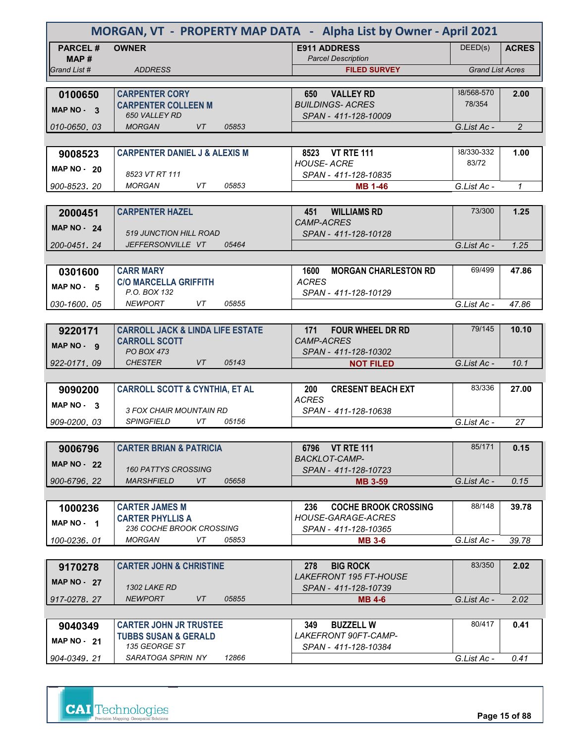| MORGAN, VT - PROPERTY MAP DATA - Alpha List by Owner - April 2021 |                                                      |                                                     |                         |                |  |
|-------------------------------------------------------------------|------------------------------------------------------|-----------------------------------------------------|-------------------------|----------------|--|
| <b>PARCEL#</b><br>MAP#                                            | <b>OWNER</b>                                         | <b>E911 ADDRESS</b><br><b>Parcel Description</b>    | DEED(s)                 | <b>ACRES</b>   |  |
| Grand List #                                                      | <b>ADDRESS</b>                                       | <b>FILED SURVEY</b>                                 | <b>Grand List Acres</b> |                |  |
|                                                                   |                                                      |                                                     |                         |                |  |
| 0100650                                                           | <b>CARPENTER CORY</b>                                | <b>VALLEY RD</b><br>650                             | 38/568-570              | 2.00           |  |
| MAP NO - 3                                                        | <b>CARPENTER COLLEEN M</b>                           | <b>BUILDINGS-ACRES</b>                              | 78/354                  |                |  |
| 010-0650, 03                                                      | <b>650 VALLEY RD</b><br><b>MORGAN</b><br>VT<br>05853 | SPAN - 411-128-10009                                | G.List Ac -             | $\overline{2}$ |  |
|                                                                   |                                                      |                                                     |                         |                |  |
| 9008523                                                           | <b>CARPENTER DANIEL J &amp; ALEXIS M</b>             | 8523 VT RTE 111                                     | 38/330-332              | 1.00           |  |
|                                                                   |                                                      | <b>HOUSE-ACRE</b>                                   | 83/72                   |                |  |
| MAP NO $-20$                                                      | 8523 VT RT 111                                       | SPAN - 411-128-10835                                |                         |                |  |
| 900-8523, 20                                                      | <b>MORGAN</b><br>VT<br>05853                         | <b>MB 1-46</b>                                      | G.List Ac -             | $\mathbf{1}$   |  |
|                                                                   |                                                      |                                                     |                         |                |  |
| 2000451                                                           | <b>CARPENTER HAZEL</b>                               | <b>WILLIAMS RD</b><br>451                           | 73/300                  | 1.25           |  |
| <b>MAP NO - 24</b>                                                |                                                      | <b>CAMP-ACRES</b>                                   |                         |                |  |
|                                                                   | 519 JUNCTION HILL ROAD                               | SPAN - 411-128-10128                                |                         |                |  |
| 200-0451.24                                                       | JEFFERSONVILLE VT<br>05464                           |                                                     | G.List Ac -             | 1.25           |  |
|                                                                   |                                                      |                                                     |                         |                |  |
| 0301600                                                           | <b>CARR MARY</b><br><b>C/O MARCELLA GRIFFITH</b>     | 1600<br><b>MORGAN CHARLESTON RD</b><br><b>ACRES</b> | 69/499                  | 47.86          |  |
| MAP $NO - 5$                                                      | P.O. BOX 132                                         | SPAN - 411-128-10129                                |                         |                |  |
| 030-1600.05                                                       | VT<br><b>NEWPORT</b><br>05855                        |                                                     | G.List Ac -             | 47.86          |  |
|                                                                   |                                                      |                                                     |                         |                |  |
| 9220171                                                           | <b>CARROLL JACK &amp; LINDA LIFE ESTATE</b>          | <b>FOUR WHEEL DR RD</b><br>171                      | 79/145                  | 10.10          |  |
| MAP NO - 9                                                        | <b>CARROLL SCOTT</b>                                 | <b>CAMP-ACRES</b>                                   |                         |                |  |
|                                                                   | PO BOX 473                                           | SPAN - 411-128-10302                                |                         |                |  |
| 922-0171, 09                                                      | <b>CHESTER</b><br>VT<br>05143                        | <b>NOT FILED</b>                                    | G.List Ac -             | 10.1           |  |
|                                                                   |                                                      |                                                     |                         |                |  |
| 9090200                                                           | <b>CARROLL SCOTT &amp; CYNTHIA, ET AL</b>            | <b>CRESENT BEACH EXT</b><br>200<br><b>ACRES</b>     | 83/336                  | 27.00          |  |
| MAP $NO - 3$                                                      | 3 FOX CHAIR MOUNTAIN RD                              | SPAN - 411-128-10638                                |                         |                |  |
| 909-0200, 03                                                      | <b>SPINGFIELD</b><br>VT<br>05156                     |                                                     | $GList Ac -$            | 27             |  |
|                                                                   |                                                      |                                                     |                         |                |  |
| 9006796                                                           | <b>CARTER BRIAN &amp; PATRICIA</b>                   | 6796 VT RTE 111                                     | 85/171                  | 0.15           |  |
| <b>MAP NO - 22</b>                                                |                                                      | <b>BACKLOT-CAMP-</b>                                |                         |                |  |
|                                                                   | <b>160 PATTYS CROSSING</b>                           | SPAN - 411-128-10723                                |                         |                |  |
| 900-6796.22                                                       | <b>MARSHFIELD</b><br>VT<br>05658                     | <b>MB 3-59</b>                                      | G.List Ac -             | 0.15           |  |
|                                                                   |                                                      |                                                     |                         |                |  |
| 1000236                                                           | <b>CARTER JAMES M</b>                                | 236<br><b>COCHE BROOK CROSSING</b>                  | 88/148                  | 39.78          |  |
| MAP NO - 1                                                        | <b>CARTER PHYLLIS A</b><br>236 COCHE BROOK CROSSING  | <b>HOUSE-GARAGE-ACRES</b><br>SPAN - 411-128-10365   |                         |                |  |
| 100-0236.01                                                       | VT<br>05853<br><b>MORGAN</b>                         | <b>MB 3-6</b>                                       | G.List Ac -             | 39.78          |  |
|                                                                   |                                                      |                                                     |                         |                |  |
| 9170278                                                           | <b>CARTER JOHN &amp; CHRISTINE</b>                   | <b>BIG ROCK</b><br>278                              | 83/350                  | 2.02           |  |
|                                                                   |                                                      | <i>LAKEFRONT 195 FT-HOUSE</i>                       |                         |                |  |
| <b>MAP NO - 27</b>                                                | <b>1302 LAKE RD</b>                                  | SPAN - 411-128-10739                                |                         |                |  |
| 917-0278.27                                                       | <b>NEWPORT</b><br>VT<br>05855                        | <b>MB 4-6</b>                                       | G.List Ac -             | 2.02           |  |
|                                                                   |                                                      |                                                     |                         |                |  |
| 9040349                                                           | <b>CARTER JOHN JR TRUSTEE</b>                        | 349<br><b>BUZZELL W</b>                             | 80/417                  | 0.41           |  |
| <b>MAP NO - 21</b>                                                | <b>TUBBS SUSAN &amp; GERALD</b><br>135 GEORGE ST     | <i>LAKEFRONT 90FT-CAMP-</i>                         |                         |                |  |
| 904-0349.21                                                       | SARATOGA SPRIN NY<br>12866                           | SPAN - 411-128-10384                                | G.List Ac -             | 0.41           |  |
|                                                                   |                                                      |                                                     |                         |                |  |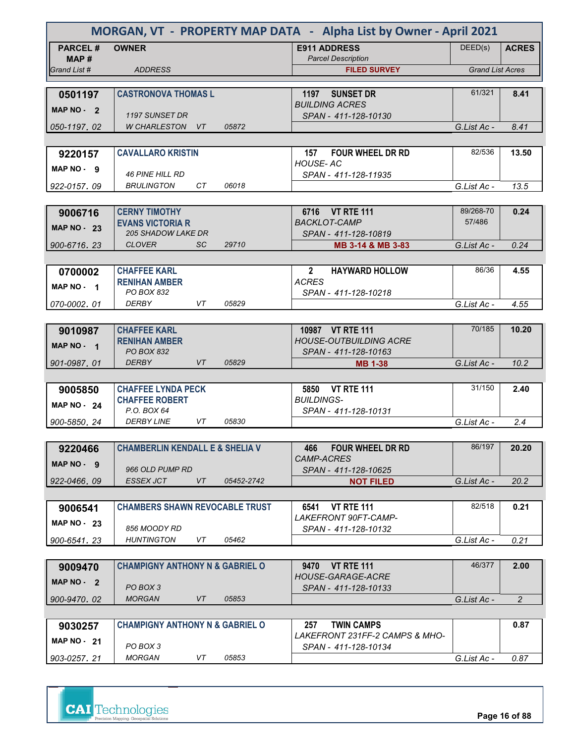| MORGAN, VT - PROPERTY MAP DATA - Alpha List by Owner - April 2021 |                                                      |                  |                                                        |                         |                |
|-------------------------------------------------------------------|------------------------------------------------------|------------------|--------------------------------------------------------|-------------------------|----------------|
| <b>PARCEL#</b>                                                    | <b>OWNER</b>                                         |                  | <b>E911 ADDRESS</b>                                    | DEED(s)                 | <b>ACRES</b>   |
| MAP#                                                              |                                                      |                  | <b>Parcel Description</b>                              |                         |                |
| Grand List #                                                      | <b>ADDRESS</b>                                       |                  | <b>FILED SURVEY</b>                                    | <b>Grand List Acres</b> |                |
| 0501197                                                           | <b>CASTRONOVA THOMAS L</b>                           |                  | <b>SUNSET DR</b><br>1197                               | 61/321                  | 8.41           |
| MAP NO - 2                                                        |                                                      |                  | <b>BUILDING ACRES</b>                                  |                         |                |
|                                                                   | 1197 SUNSET DR                                       |                  | SPAN - 411-128-10130                                   |                         |                |
| 050-1197, 02                                                      | <b>W CHARLESTON</b><br>VT                            | 05872            |                                                        | G.List Ac -             | 8.41           |
|                                                                   |                                                      |                  |                                                        |                         |                |
| 9220157                                                           | <b>CAVALLARO KRISTIN</b>                             |                  | <b>FOUR WHEEL DR RD</b><br>157<br><b>HOUSE-AC</b>      | 82/536                  | 13.50          |
| MAP NO - 9                                                        | <b>46 PINE HILL RD</b>                               |                  | SPAN - 411-128-11935                                   |                         |                |
| 922-0157, 09                                                      | CТ<br><b>BRULINGTON</b>                              | 06018            |                                                        | G.List Ac -             | 13.5           |
|                                                                   |                                                      |                  |                                                        |                         |                |
| 9006716                                                           | <b>CERNY TIMOTHY</b>                                 |                  | 6716 VT RTE 111                                        | 89/268-70               | 0.24           |
| <b>MAP NO - 23</b>                                                | <b>EVANS VICTORIA R</b><br><b>205 SHADOW LAKE DR</b> |                  | <b>BACKLOT-CAMP</b>                                    | 57/486                  |                |
| 900-6716.23                                                       | <b>CLOVER</b><br><b>SC</b>                           | 29710            | SPAN - 411-128-10819<br>MB 3-14 & MB 3-83              | G.List Ac -             | 0.24           |
|                                                                   |                                                      |                  |                                                        |                         |                |
| 0700002                                                           | <b>CHAFFEE KARL</b>                                  |                  | <b>HAYWARD HOLLOW</b><br>$\mathbf{2}$                  | 86/36                   | 4.55           |
| MAP NO 1                                                          | <b>RENIHAN AMBER</b>                                 |                  | <b>ACRES</b>                                           |                         |                |
|                                                                   | PO BOX 832                                           |                  | SPAN - 411-128-10218                                   |                         |                |
| 070-0002.01                                                       | DERBY<br>VT                                          | 05829            |                                                        | G.List Ac -             | 4.55           |
|                                                                   |                                                      |                  |                                                        | 70/185                  |                |
| 9010987                                                           | <b>CHAFFEE KARL</b><br><b>RENIHAN AMBER</b>          |                  | 10987 VT RTE 111<br><b>HOUSE-OUTBUILDING ACRE</b>      |                         | 10.20          |
| MAP NO - 1                                                        | <b>PO BOX 832</b>                                    |                  | SPAN - 411-128-10163                                   |                         |                |
| 901-0987, 01                                                      | <b>DERBY</b><br>VT                                   | 05829            | <b>MB 1-38</b>                                         | G.List Ac -             | 10.2           |
|                                                                   |                                                      |                  |                                                        |                         |                |
| 9005850                                                           | <b>CHAFFEE LYNDA PECK</b>                            |                  | 5850 VT RTE 111                                        | 31/150                  | 2.40           |
| MAP $NO - 24$                                                     | <b>CHAFFEE ROBERT</b><br>P.O. BOX 64                 |                  | <b>BUILDINGS-</b><br>SPAN - 411-128-10131              |                         |                |
| 900-5850, 24                                                      | <b>DERBY LINE</b><br>VT                              | 05830            |                                                        | G.List Ac -             | 2.4            |
|                                                                   |                                                      |                  |                                                        |                         |                |
| 9220466                                                           | <b>CHAMBERLIN KENDALL E &amp; SHELIA V</b>           |                  | <b>FOUR WHEEL DR RD</b><br>466                         | 86/197                  | 20.20          |
| $MAP NO - 9$                                                      |                                                      |                  | <b>CAMP-ACRES</b>                                      |                         |                |
| 922-0466.09                                                       | 966 OLD PUMP RD<br>ESSEX JCT                         | VT<br>05452-2742 | SPAN - 411-128-10625<br><b>NOT FILED</b>               | G.List Ac -             | 20.2           |
|                                                                   |                                                      |                  |                                                        |                         |                |
| 9006541                                                           | <b>CHAMBERS SHAWN REVOCABLE TRUST</b>                |                  | <b>VT RTE 111</b><br>6541                              | 82/518                  | 0.21           |
| MAP $NO - 23$                                                     |                                                      |                  | <b>LAKEFRONT 90FT-CAMP-</b>                            |                         |                |
|                                                                   | 856 MOODY RD                                         |                  | SPAN - 411-128-10132                                   |                         |                |
| 900-6541.23                                                       | <b>HUNTINGTON</b><br>VT                              | 05462            |                                                        | G.List Ac -             | 0.21           |
|                                                                   |                                                      |                  |                                                        | 46/377                  |                |
| 9009470                                                           | <b>CHAMPIGNY ANTHONY N &amp; GABRIEL O</b>           |                  | 9470 VT RTE 111<br><b>HOUSE-GARAGE-ACRE</b>            |                         | 2.00           |
| MAP $NO - 2$                                                      | PO BOX 3                                             |                  | SPAN - 411-128-10133                                   |                         |                |
| 900-9470, 02                                                      | <b>MORGAN</b>                                        | VT<br>05853      |                                                        | G.List Ac -             | $\overline{2}$ |
|                                                                   |                                                      |                  |                                                        |                         |                |
| 9030257                                                           | <b>CHAMPIGNY ANTHONY N &amp; GABRIEL O</b>           |                  | <b>TWIN CAMPS</b><br>257                               |                         | 0.87           |
| <b>MAP NO - 21</b>                                                | PO BOX 3                                             |                  | LAKEFRONT 231FF-2 CAMPS & MHO-<br>SPAN - 411-128-10134 |                         |                |
| 903-0257, 21                                                      | <b>MORGAN</b>                                        | VT<br>05853      |                                                        | G.List Ac -             | 0.87           |
|                                                                   |                                                      |                  |                                                        |                         |                |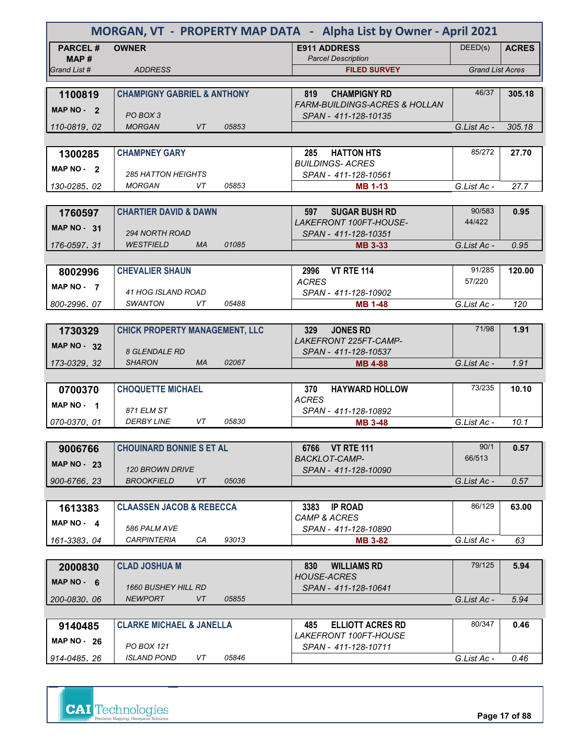| MORGAN, VT - PROPERTY MAP DATA - Alpha List by Owner - April 2021 |                                                             |                                                  |                         |              |  |
|-------------------------------------------------------------------|-------------------------------------------------------------|--------------------------------------------------|-------------------------|--------------|--|
| <b>PARCEL#</b>                                                    | <b>OWNER</b>                                                | <b>E911 ADDRESS</b>                              | DEED(s)                 | <b>ACRES</b> |  |
| MAP#<br>Grand List #                                              | <b>ADDRESS</b>                                              | <b>Parcel Description</b><br><b>FILED SURVEY</b> | <b>Grand List Acres</b> |              |  |
|                                                                   |                                                             |                                                  |                         |              |  |
| 1100819                                                           | <b>CHAMPIGNY GABRIEL &amp; ANTHONY</b>                      | 819<br><b>CHAMPIGNY RD</b>                       | 46/37                   | 305.18       |  |
| MAP $NO - 2$                                                      |                                                             | <b>FARM-BUILDINGS-ACRES &amp; HOLLAN</b>         |                         |              |  |
| 110-0819, 02                                                      | PO BOX 3<br><b>MORGAN</b><br>VT<br>05853                    | SPAN - 411-128-10135                             | G.List Ac -             | 305.18       |  |
|                                                                   |                                                             |                                                  |                         |              |  |
| 1300285                                                           | <b>CHAMPNEY GARY</b>                                        | <b>HATTON HTS</b><br>285                         | 85/272                  | 27.70        |  |
|                                                                   |                                                             | <b>BUILDINGS-ACRES</b>                           |                         |              |  |
| MAP $NO - 2$                                                      | <i>285 HATTON HEIGHTS</i>                                   | SPAN - 411-128-10561                             |                         |              |  |
| 130-0285, 02                                                      | <b>MORGAN</b><br>VT<br>05853                                | <b>MB 1-13</b>                                   | G.List Ac -             | 27.7         |  |
|                                                                   |                                                             |                                                  |                         |              |  |
| 1760597                                                           | <b>CHARTIER DAVID &amp; DAWN</b>                            | 597<br><b>SUGAR BUSH RD</b>                      | 90/583                  | 0.95         |  |
| <b>MAP NO - 31</b>                                                | <b>294 NORTH ROAD</b>                                       | LAKEFRONT 100FT-HOUSE-<br>SPAN - 411-128-10351   | 44/422                  |              |  |
| 176-0597.31                                                       | <b>WESTFIELD</b><br>01085<br><b>MA</b>                      | <b>MB 3-33</b>                                   | G.List Ac -             | 0.95         |  |
|                                                                   |                                                             |                                                  |                         |              |  |
| 8002996                                                           | <b>CHEVALIER SHAUN</b>                                      | <b>VT RTE 114</b><br>2996                        | 91/285                  | 120.00       |  |
|                                                                   |                                                             | <b>ACRES</b>                                     | 57/220                  |              |  |
| MAP NO - 7                                                        | 41 HOG ISLAND ROAD                                          | SPAN - 411-128-10902                             |                         |              |  |
| 800-2996.07                                                       | SWANTON<br>VT<br>05488                                      | <b>MB 1-48</b>                                   | G.List Ac -             | 120          |  |
|                                                                   |                                                             |                                                  |                         |              |  |
| 1730329                                                           | <b>CHICK PROPERTY MANAGEMENT, LLC</b>                       | <b>JONES RD</b><br>329                           | 71/98                   | 1.91         |  |
| <b>MAP NO - 32</b>                                                |                                                             | LAKEFRONT 225FT-CAMP-                            |                         |              |  |
|                                                                   | <b>8 GLENDALE RD</b><br><b>SHARON</b><br><b>MA</b><br>02067 | SPAN - 411-128-10537                             |                         |              |  |
| 173-0329, 32                                                      |                                                             | <b>MB 4-88</b>                                   | G.List Ac -             | 1.91         |  |
| 0700370                                                           | <b>CHOQUETTE MICHAEL</b>                                    | 370<br><b>HAYWARD HOLLOW</b>                     | 73/235                  | 10.10        |  |
| MAP NO - 1                                                        |                                                             | <b>ACRES</b>                                     |                         |              |  |
|                                                                   | 871 ELM ST                                                  | SPAN - 411-128-10892                             |                         |              |  |
| 070-0370.01                                                       | VT<br><b>DERBY LINE</b><br>05830                            | <b>MB 3-48</b>                                   | G.List Ac -             | 10.1         |  |
|                                                                   |                                                             |                                                  |                         |              |  |
| 9006766                                                           | <b>CHOUINARD BONNIE S ET AL</b>                             | 6766 VT RTE 111                                  | 90/1                    | 0.57         |  |
| <b>MAP NO - 23</b>                                                | <b>120 BROWN DRIVE</b>                                      | <b>BACKLOT-CAMP-</b><br>SPAN - 411-128-10090     | 66/513                  |              |  |
| 900-6766.23                                                       | <b>BROOKFIELD</b><br>VT<br>05036                            |                                                  | G.List Ac -             | 0.57         |  |
|                                                                   |                                                             |                                                  |                         |              |  |
| 1613383                                                           | <b>CLAASSEN JACOB &amp; REBECCA</b>                         | 3383<br><b>IP ROAD</b>                           | 86/129                  | 63.00        |  |
| MAP NO $-4$                                                       |                                                             | <b>CAMP &amp; ACRES</b>                          |                         |              |  |
|                                                                   | 586 PALM AVE                                                | SPAN - 411-128-10890                             |                         |              |  |
| 161-3383.04                                                       | СA<br>93013<br>CARPINTERIA                                  | <b>MB 3-82</b>                                   | G.List Ac -             | 63           |  |
|                                                                   |                                                             |                                                  |                         |              |  |
| 2000830                                                           | <b>CLAD JOSHUA M</b>                                        | <b>WILLIAMS RD</b><br>830<br><b>HOUSE-ACRES</b>  | 79/125                  | 5.94         |  |
| MAP $NO - 6$                                                      | <i>1660 BUSHEY HILL RD</i>                                  | SPAN - 411-128-10641                             |                         |              |  |
| 200-0830.06                                                       | <b>NEWPORT</b><br>VT<br>05855                               |                                                  | G.List Ac -             | 5.94         |  |
|                                                                   |                                                             |                                                  |                         |              |  |
| 9140485                                                           | <b>CLARKE MICHAEL &amp; JANELLA</b>                         | <b>ELLIOTT ACRES RD</b><br>485                   | 80/347                  | 0.46         |  |
| MAP $NO - 26$                                                     |                                                             | LAKEFRONT 100FT-HOUSE                            |                         |              |  |
|                                                                   | PO BOX 121                                                  | SPAN - 411-128-10711                             |                         |              |  |
| 914-0485.26                                                       | <i>ISLAND POND</i><br>05846<br>VT                           |                                                  | G.List Ac -             | 0.46         |  |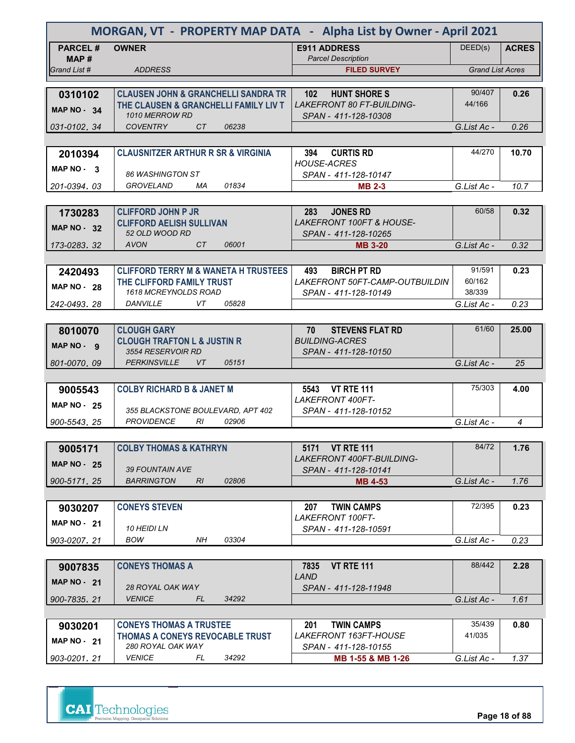| MORGAN, VT - PROPERTY MAP DATA - Alpha List by Owner - April 2021 |                                                                                         |                                                                             |                         |              |  |
|-------------------------------------------------------------------|-----------------------------------------------------------------------------------------|-----------------------------------------------------------------------------|-------------------------|--------------|--|
| <b>PARCEL#</b>                                                    | <b>OWNER</b>                                                                            | <b>E911 ADDRESS</b>                                                         | DEED(s)                 | <b>ACRES</b> |  |
| MAP#                                                              |                                                                                         | <b>Parcel Description</b>                                                   |                         |              |  |
| Grand List #                                                      | <b>ADDRESS</b>                                                                          | <b>FILED SURVEY</b>                                                         | <b>Grand List Acres</b> |              |  |
|                                                                   |                                                                                         |                                                                             | 90/407                  | 0.26         |  |
| 0310102                                                           | <b>CLAUSEN JOHN &amp; GRANCHELLI SANDRA TR</b><br>THE CLAUSEN & GRANCHELLI FAMILY LIV T | <b>HUNT SHORE S</b><br>102 <sub>2</sub><br><b>LAKEFRONT 80 FT-BUILDING-</b> | 44/166                  |              |  |
| MAP $NO - 34$                                                     | <b>1010 MERROW RD</b>                                                                   | SPAN - 411-128-10308                                                        |                         |              |  |
| 031-0102, 34                                                      | <b>COVENTRY</b><br>CT<br>06238                                                          |                                                                             | G.List Ac -             | 0.26         |  |
|                                                                   |                                                                                         |                                                                             |                         |              |  |
| 2010394                                                           | <b>CLAUSNITZER ARTHUR R SR &amp; VIRGINIA</b>                                           | 394<br><b>CURTIS RD</b>                                                     | 44/270                  | 10.70        |  |
| MAP $NO - 3$                                                      |                                                                                         | <b>HOUSE-ACRES</b>                                                          |                         |              |  |
|                                                                   | 86 WASHINGTON ST                                                                        | SPAN - 411-128-10147                                                        |                         |              |  |
| 201-0394, 03                                                      | 01834<br>GROVELAND<br>МA                                                                | <b>MB 2-3</b>                                                               | G.List Ac -             | 10.7         |  |
|                                                                   |                                                                                         |                                                                             |                         |              |  |
| 1730283                                                           | <b>CLIFFORD JOHN P JR</b>                                                               | <b>JONES RD</b><br>283<br><b>LAKEFRONT 100FT &amp; HOUSE-</b>               | 60/58                   | 0.32         |  |
| <b>MAP NO - 32</b>                                                | <b>CLIFFORD AELISH SULLIVAN</b><br>52 OLD WOOD RD                                       | SPAN - 411-128-10265                                                        |                         |              |  |
| 173-0283, 32                                                      | <b>AVON</b><br>06001<br>CT                                                              | <b>MB 3-20</b>                                                              | G.List Ac -             | 0.32         |  |
|                                                                   |                                                                                         |                                                                             |                         |              |  |
| 2420493                                                           | <b>CLIFFORD TERRY M &amp; WANETA H TRUSTEES</b>                                         | 493<br><b>BIRCH PT RD</b>                                                   | 91/591                  | 0.23         |  |
| <b>MAP NO - 28</b>                                                | THE CLIFFORD FAMILY TRUST                                                               | <i>LAKEFRONT 50FT-CAMP-OUTBUILDIN</i>                                       | 60/162                  |              |  |
|                                                                   | <b>1618 MCREYNOLDS ROAD</b>                                                             | SPAN - 411-128-10149                                                        | 38/339                  |              |  |
| 242-0493.28                                                       | VT<br>DANVILLE<br>05828                                                                 |                                                                             | G.List Ac -             | 0.23         |  |
|                                                                   |                                                                                         |                                                                             |                         |              |  |
| 8010070                                                           | <b>CLOUGH GARY</b>                                                                      | <b>STEVENS FLAT RD</b><br>70                                                | 61/60                   | 25.00        |  |
| MAP NO - 9                                                        | <b>CLOUGH TRAFTON L &amp; JUSTIN R</b>                                                  | <b>BUILDING-ACRES</b>                                                       |                         |              |  |
| 801-0070, 09                                                      | 3554 RESERVOIR RD<br><b>PERKINSVILLE</b><br>05151<br>VT.                                | SPAN - 411-128-10150                                                        | G.List Ac -             | 25           |  |
|                                                                   |                                                                                         |                                                                             |                         |              |  |
|                                                                   | <b>COLBY RICHARD B &amp; JANET M</b>                                                    | 5543 VT RTE 111                                                             | 75/303                  | 4.00         |  |
| 9005543                                                           |                                                                                         | <b>LAKEFRONT 400FT-</b>                                                     |                         |              |  |
| <b>MAP NO - 25</b>                                                | 355 BLACKSTONE BOULEVARD, APT 402                                                       | SPAN - 411-128-10152                                                        |                         |              |  |
| 900-5543.25                                                       | <b>PROVIDENCE</b><br>RI<br>02906                                                        |                                                                             | G.List Ac -             | 4            |  |
|                                                                   |                                                                                         |                                                                             |                         |              |  |
| 9005171                                                           | <b>COLBY THOMAS &amp; KATHRYN</b>                                                       | 5171 VT RTE 111                                                             | 84/72                   | 1.76         |  |
| <b>MAP NO - 25</b>                                                |                                                                                         | <b>LAKEFRONT 400FT-BUILDING-</b>                                            |                         |              |  |
|                                                                   | <b>39 FOUNTAIN AVE</b>                                                                  | SPAN - 411-128-10141                                                        |                         |              |  |
| 900-5171.25                                                       | <b>BARRINGTON</b><br>02806<br>RI                                                        | <b>MB 4-53</b>                                                              | G.List Ac -             | 1.76         |  |
|                                                                   |                                                                                         |                                                                             | 72/395                  |              |  |
| 9030207                                                           | <b>CONEYS STEVEN</b>                                                                    | <b>TWIN CAMPS</b><br>207<br>LAKEFRONT 100FT-                                |                         | 0.23         |  |
| <b>MAP NO - 21</b>                                                | <b>10 HEIDI LN</b>                                                                      | SPAN - 411-128-10591                                                        |                         |              |  |
| 903-0207.21                                                       | 03304<br>BOW<br>NH                                                                      |                                                                             | G.List Ac -             | 0.23         |  |
|                                                                   |                                                                                         |                                                                             |                         |              |  |
| 9007835                                                           | <b>CONEYS THOMAS A</b>                                                                  | <b>VT RTE 111</b><br>7835                                                   | 88/442                  | 2.28         |  |
| <b>MAP NO - 21</b>                                                |                                                                                         | LAND                                                                        |                         |              |  |
|                                                                   | 28 ROYAL OAK WAY                                                                        | SPAN - 411-128-11948                                                        |                         |              |  |
| 900-7835, 21                                                      | <b>VENICE</b><br>34292<br>FL.                                                           |                                                                             | G.List Ac -             | 1.61         |  |
|                                                                   |                                                                                         |                                                                             |                         |              |  |
| 9030201                                                           | <b>CONEYS THOMAS A TRUSTEE</b>                                                          | <b>TWIN CAMPS</b><br>201<br>LAKEFRONT 163FT-HOUSE                           | 35/439<br>41/035        | 0.80         |  |
| <b>MAP NO - 21</b>                                                | THOMAS A CONEYS REVOCABLE TRUST<br>280 ROYAL OAK WAY                                    | SPAN - 411-128-10155                                                        |                         |              |  |
| 903-0201, 21                                                      | <b>VENICE</b><br>FL<br>34292                                                            | MB 1-55 & MB 1-26                                                           | G.List Ac -             | 1.37         |  |



**Page 18 of 88**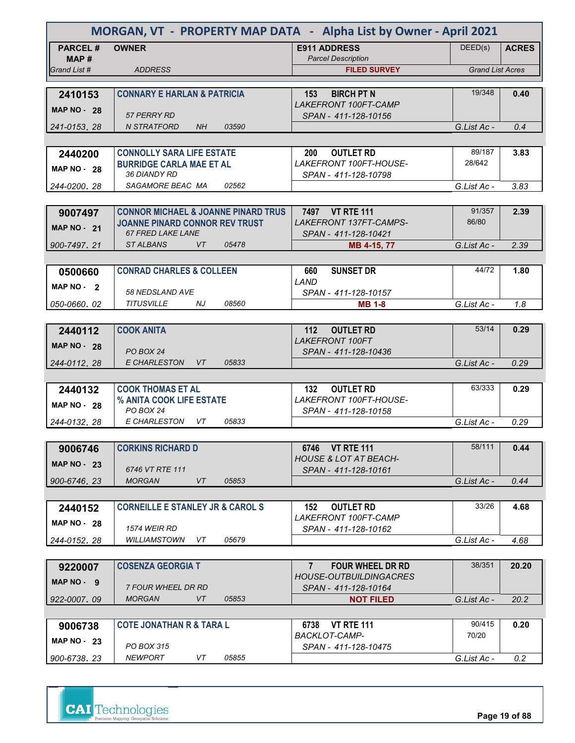| MORGAN, VT - PROPERTY MAP DATA - Alpha List by Owner - April 2021 |                                                      |                                                       |                         |              |  |
|-------------------------------------------------------------------|------------------------------------------------------|-------------------------------------------------------|-------------------------|--------------|--|
| <b>PARCEL#</b><br>MAP #                                           | <b>OWNER</b>                                         | <b>E911 ADDRESS</b><br><b>Parcel Description</b>      | DEED(s)                 | <b>ACRES</b> |  |
| Grand List #                                                      | <b>ADDRESS</b>                                       | <b>FILED SURVEY</b>                                   | <b>Grand List Acres</b> |              |  |
|                                                                   | <b>CONNARY E HARLAN &amp; PATRICIA</b>               | <b>BIRCH PT N</b><br>153                              | 19/348                  | 0.40         |  |
| 2410153<br><b>MAP NO - 28</b>                                     |                                                      | <b>LAKEFRONT 100FT-CAMP</b>                           |                         |              |  |
|                                                                   | 57 PERRY RD                                          | SPAN - 411-128-10156                                  |                         |              |  |
| 241-0153, 28                                                      | <b>N STRATFORD</b><br><b>NH</b><br>03590             |                                                       | G.List Ac -             | 0.4          |  |
| 2440200                                                           | <b>CONNOLLY SARA LIFE ESTATE</b>                     | <b>OUTLET RD</b><br><b>200</b>                        | 89/187                  | 3.83         |  |
| <b>MAP NO - 28</b>                                                | <b>BURRIDGE CARLA MAE ET AL</b>                      | LAKEFRONT 100FT-HOUSE-                                | 28/642                  |              |  |
|                                                                   | 36 DIANDY RD                                         | SPAN - 411-128-10798                                  |                         |              |  |
| 244-0200, 28                                                      | SAGAMORE BEAC MA<br>02562                            |                                                       | G.List Ac -             | 3.83         |  |
| 9007497                                                           | <b>CONNOR MICHAEL &amp; JOANNE PINARD TRUS</b>       | 7497 VT RTE 111                                       | 91/357                  | 2.39         |  |
|                                                                   | <b>JOANNE PINARD CONNOR REV TRUST</b>                | LAKEFRONT 137FT-CAMPS-                                | 86/80                   |              |  |
| <b>MAP NO - 21</b>                                                | <b>67 FRED LAKE LANE</b>                             | SPAN - 411-128-10421                                  |                         |              |  |
| 900-7497.21                                                       | <b>STALBANS</b><br>VT<br>05478                       | MB 4-15, 77                                           | G.List Ac -             | 2.39         |  |
|                                                                   |                                                      |                                                       | 44/72                   | 1.80         |  |
| 0500660                                                           | <b>CONRAD CHARLES &amp; COLLEEN</b>                  | <b>SUNSET DR</b><br>660<br>LAND                       |                         |              |  |
| MAP $NO - 2$                                                      | <b>58 NEDSLAND AVE</b>                               | SPAN - 411-128-10157                                  |                         |              |  |
| 050-0660.02                                                       | <b>TITUSVILLE</b><br>08560<br>NJ                     | <b>MB 1-8</b>                                         | G.List Ac -             | 1.8          |  |
|                                                                   |                                                      |                                                       |                         |              |  |
| 2440112                                                           | <b>COOK ANITA</b>                                    | 112<br><b>OUTLET RD</b><br><b>LAKEFRONT 100FT</b>     | 53/14                   | 0.29         |  |
| <b>MAP NO - 28</b>                                                | PO BOX 24                                            | SPAN - 411-128-10436                                  |                         |              |  |
| 244-0112, 28                                                      | E CHARLESTON<br>05833<br>VT                          |                                                       | G.List Ac -             | 0.29         |  |
|                                                                   |                                                      |                                                       |                         |              |  |
| 2440132                                                           | <b>COOK THOMAS ET AL</b><br>% ANITA COOK LIFE ESTATE | <b>OUTLET RD</b><br>132<br>LAKEFRONT 100FT-HOUSE-     | 63/333                  | 0.29         |  |
| <b>MAP NO - 28</b>                                                | PO BOX 24                                            | SPAN - 411-128-10158                                  |                         |              |  |
| 244-0132, 28                                                      | E CHARLESTON<br>05833<br>VT.                         |                                                       | G.List Ac -             | 0.29         |  |
|                                                                   |                                                      |                                                       |                         |              |  |
| 9006746                                                           | <b>CORKINS RICHARD D</b>                             | 6746 VT RTE 111<br><b>HOUSE &amp; LOT AT BEACH-</b>   | 58/111                  | 0.44         |  |
| <b>MAP NO - 23</b>                                                | 6746 VT RTE 111                                      | SPAN - 411-128-10161                                  |                         |              |  |
| 900-6746.23                                                       | <b>MORGAN</b><br>VT<br>05853                         |                                                       | G.List Ac -             | 0.44         |  |
|                                                                   |                                                      |                                                       |                         |              |  |
| 2440152                                                           | <b>CORNEILLE E STANLEY JR &amp; CAROL S</b>          | <b>OUTLET RD</b><br>152<br>LAKEFRONT 100FT-CAMP       | 33/26                   | 4.68         |  |
| <b>MAP NO - 28</b>                                                | <b>1574 WEIR RD</b>                                  | SPAN - 411-128-10162                                  |                         |              |  |
| 244-0152.28                                                       | WILLIAMSTOWN<br>VT<br>05679                          |                                                       | G.List Ac -             | 4.68         |  |
|                                                                   |                                                      |                                                       |                         |              |  |
| 9220007                                                           | <b>COSENZA GEORGIA T</b>                             | $7^{\circ}$<br><b>FOUR WHEEL DR RD</b>                | 38/351                  | 20.20        |  |
| MAP NO - 9                                                        | 7 FOUR WHEEL DR RD                                   | <b>HOUSE-OUTBUILDINGACRES</b><br>SPAN - 411-128-10164 |                         |              |  |
| 922-0007.09                                                       | <b>MORGAN</b><br>VT<br>05853                         | <b>NOT FILED</b>                                      | G.List Ac -             | 20.2         |  |
|                                                                   |                                                      |                                                       |                         |              |  |
| 9006738                                                           | <b>COTE JONATHAN R &amp; TARA L</b>                  | <b>VT RTE 111</b><br>6738                             | 90/415                  | 0.20         |  |
| MAP $NO - 23$                                                     | PO BOX 315                                           | <b>BACKLOT-CAMP-</b><br>SPAN - 411-128-10475          | 70/20                   |              |  |
| 900-6738.23                                                       | <b>NEWPORT</b><br>05855<br>VT                        |                                                       | G.List Ac -             | 0.2          |  |



**Page 19 of 88**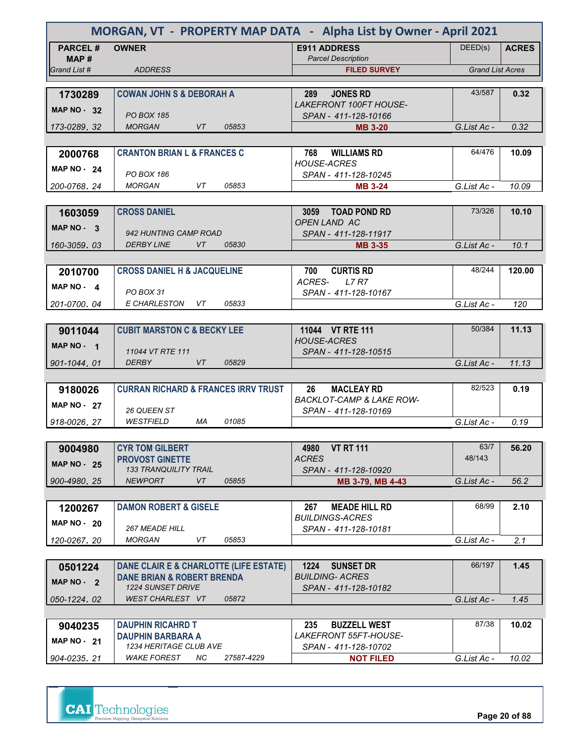| MORGAN, VT - PROPERTY MAP DATA - Alpha List by Owner - April 2021 |                                                                                 |                                                    |                         |              |  |
|-------------------------------------------------------------------|---------------------------------------------------------------------------------|----------------------------------------------------|-------------------------|--------------|--|
| <b>PARCEL#</b>                                                    | <b>OWNER</b>                                                                    | <b>E911 ADDRESS</b>                                | DEED(s)                 | <b>ACRES</b> |  |
| MAP#<br>Grand List #                                              | <b>ADDRESS</b>                                                                  | <b>Parcel Description</b><br><b>FILED SURVEY</b>   | <b>Grand List Acres</b> |              |  |
|                                                                   |                                                                                 |                                                    |                         |              |  |
| 1730289                                                           | <b>COWAN JOHN S &amp; DEBORAH A</b>                                             | <b>JONES RD</b><br>289                             | 43/587                  | 0.32         |  |
| MAP $NO - 32$                                                     |                                                                                 | <b>LAKEFRONT 100FT HOUSE-</b>                      |                         |              |  |
|                                                                   | <b>PO BOX 185</b>                                                               | SPAN - 411-128-10166                               |                         |              |  |
| 173-0289.32                                                       | <b>MORGAN</b><br>VT<br>05853                                                    | <b>MB 3-20</b>                                     | G.List Ac -             | 0.32         |  |
|                                                                   |                                                                                 |                                                    |                         |              |  |
| 2000768                                                           | <b>CRANTON BRIAN L &amp; FRANCES C</b>                                          | 768<br><b>WILLIAMS RD</b><br><b>HOUSE-ACRES</b>    | 64/476                  | 10.09        |  |
| <b>MAP NO - 24</b>                                                | <b>PO BOX 186</b>                                                               | SPAN - 411-128-10245                               |                         |              |  |
| 200-0768.24                                                       | <b>MORGAN</b><br>VT.<br>05853                                                   | <b>MB 3-24</b>                                     | G.List Ac -             | 10.09        |  |
|                                                                   |                                                                                 |                                                    |                         |              |  |
| 1603059                                                           | <b>CROSS DANIEL</b>                                                             | 3059 TOAD POND RD                                  | 73/326                  | 10.10        |  |
| MAP $NO - 3$                                                      |                                                                                 | <b>OPEN LAND AC</b>                                |                         |              |  |
|                                                                   | 942 HUNTING CAMP ROAD<br><b>DERBY LINE</b><br>VT<br>05830                       | SPAN - 411-128-11917                               |                         |              |  |
| 160-3059.03                                                       |                                                                                 | <b>MB 3-35</b>                                     | G.List Ac -             | 10.1         |  |
| 2010700                                                           | <b>CROSS DANIEL H &amp; JACQUELINE</b>                                          | 700<br><b>CURTIS RD</b>                            | 48/244                  | 120.00       |  |
|                                                                   |                                                                                 | ACRES-<br><b>L7 R7</b>                             |                         |              |  |
| MAP NO - 4                                                        | PO BOX 31                                                                       | SPAN - 411-128-10167                               |                         |              |  |
| 201-0700.04                                                       | E CHARLESTON<br>VT<br>05833                                                     |                                                    | G.List Ac -             | 120          |  |
|                                                                   |                                                                                 |                                                    |                         |              |  |
| 9011044                                                           | <b>CUBIT MARSTON C &amp; BECKY LEE</b>                                          | 11044 VT RTE 111                                   | 50/384                  | 11.13        |  |
| MAP NO - 1                                                        |                                                                                 | <b>HOUSE-ACRES</b>                                 |                         |              |  |
| 901-1044.01                                                       | 11044 VT RTE 111<br><b>VT</b><br><b>DERBY</b><br>05829                          | SPAN - 411-128-10515                               | G.List Ac -             | 11.13        |  |
|                                                                   |                                                                                 |                                                    |                         |              |  |
| 9180026                                                           | <b>CURRAN RICHARD &amp; FRANCES IRRV TRUST</b>                                  | 26<br><b>MACLEAY RD</b>                            | 82/523                  | 0.19         |  |
|                                                                   |                                                                                 | <b>BACKLOT-CAMP &amp; LAKE ROW-</b>                |                         |              |  |
| <b>MAP NO - 27</b>                                                | 26 QUEEN ST                                                                     | SPAN - 411-128-10169                               |                         |              |  |
| 918-0026, 27                                                      | <b>WESTFIELD</b><br>01085<br>MA                                                 |                                                    | G.List Ac -             | 0.19         |  |
|                                                                   |                                                                                 |                                                    |                         |              |  |
| 9004980                                                           | <b>CYR TOM GILBERT</b>                                                          | <b>VT RT 111</b><br>4980                           | 63/7                    | 56.20        |  |
| <b>MAP NO - 25</b>                                                | <b>PROVOST GINETTE</b><br><b>133 TRANQUILITY TRAIL</b>                          | <b>ACRES</b><br>SPAN - 411-128-10920               | 48/143                  |              |  |
| 900-4980.25                                                       | VT<br><b>NEWPORT</b><br>05855                                                   | MB 3-79, MB 4-43                                   | G.List Ac -             | 56.2         |  |
|                                                                   |                                                                                 |                                                    |                         |              |  |
| 1200267                                                           | <b>DAMON ROBERT &amp; GISELE</b>                                                | <b>MEADE HILL RD</b><br>267                        | 68/99                   | 2.10         |  |
| <b>MAP NO - 20</b>                                                |                                                                                 | <b>BUILDINGS-ACRES</b>                             |                         |              |  |
|                                                                   | <i><b>267 MEADE HILL</b></i>                                                    | SPAN - 411-128-10181                               |                         |              |  |
| 120-0267.20                                                       | MORGAN<br>VT<br>05853                                                           |                                                    | G.List Ac -             | 2.1          |  |
|                                                                   |                                                                                 |                                                    |                         |              |  |
| 0501224                                                           | DANE CLAIR E & CHARLOTTE (LIFE ESTATE)<br><b>DANE BRIAN &amp; ROBERT BRENDA</b> | 1224<br><b>SUNSET DR</b><br><b>BUILDING- ACRES</b> | 66/197                  | 1.45         |  |
| MAP NO - 2                                                        | <b>1224 SUNSET DRIVE</b>                                                        | SPAN - 411-128-10182                               |                         |              |  |
| 050-1224.02                                                       | WEST CHARLEST VT<br>05872                                                       |                                                    | G.List Ac -             | 1.45         |  |
|                                                                   |                                                                                 |                                                    |                         |              |  |
| 9040235                                                           | <b>DAUPHIN RICAHRD T</b>                                                        | <b>BUZZELL WEST</b><br>235                         | 87/38                   | 10.02        |  |
| MAP $NO - 21$                                                     | <b>DAUPHIN BARBARA A</b>                                                        | LAKEFRONT 55FT-HOUSE-                              |                         |              |  |
|                                                                   | 1234 HERITAGE CLUB AVE<br><b>WAKE FOREST</b>                                    | SPAN - 411-128-10702                               |                         |              |  |
| 904-0235, 21                                                      | NС<br>27587-4229                                                                | <b>NOT FILED</b>                                   | G.List Ac -             | 10.02        |  |

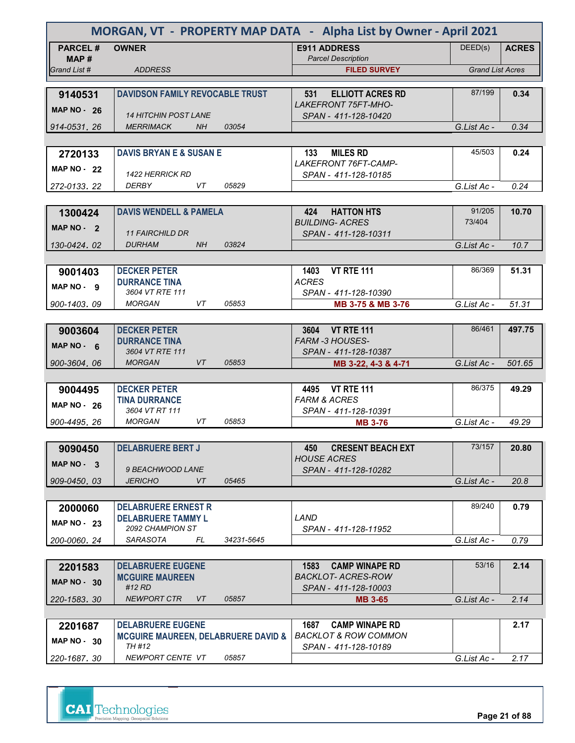|                         | MORGAN, VT - PROPERTY MAP DATA - Alpha List by Owner - April 2021          |            |                                                                  |                         |              |  |
|-------------------------|----------------------------------------------------------------------------|------------|------------------------------------------------------------------|-------------------------|--------------|--|
| <b>PARCEL#</b><br>MAP # | <b>OWNER</b>                                                               |            | <b>E911 ADDRESS</b><br><b>Parcel Description</b>                 | DEED(s)                 | <b>ACRES</b> |  |
| Grand List #            | <b>ADDRESS</b>                                                             |            | <b>FILED SURVEY</b>                                              | <b>Grand List Acres</b> |              |  |
|                         |                                                                            |            |                                                                  |                         |              |  |
| 9140531                 | <b>DAVIDSON FAMILY REVOCABLE TRUST</b>                                     |            | <b>ELLIOTT ACRES RD</b><br>531<br><b>LAKEFRONT 75FT-MHO-</b>     | 87/199                  | 0.34         |  |
| <b>MAP NO - 26</b>      | <b>14 HITCHIN POST LANE</b>                                                |            | SPAN - 411-128-10420                                             |                         |              |  |
| 914-0531.26             | <b>MERRIMACK</b><br><b>NH</b>                                              | 03054      |                                                                  | G.List Ac -             | 0.34         |  |
|                         |                                                                            |            |                                                                  |                         |              |  |
| 2720133                 | <b>DAVIS BRYAN E &amp; SUSAN E</b>                                         |            | 133<br><b>MILES RD</b>                                           | 45/503                  | 0.24         |  |
| <b>MAP NO - 22</b>      |                                                                            |            | LAKEFRONT 76FT-CAMP-                                             |                         |              |  |
| 272-0133, 22            | <i>1422 HERRICK RD</i><br><b>DERBY</b><br>VT                               | 05829      | SPAN - 411-128-10185                                             | G.List Ac -             | 0.24         |  |
|                         |                                                                            |            |                                                                  |                         |              |  |
| 1300424                 | <b>DAVIS WENDELL &amp; PAMELA</b>                                          |            | <b>HATTON HTS</b><br>424                                         | 91/205                  | 10.70        |  |
| MAP $NO - 2$            |                                                                            |            | <b>BUILDING- ACRES</b>                                           | 73/404                  |              |  |
|                         | <b>11 FAIRCHILD DR</b>                                                     |            | SPAN - 411-128-10311                                             |                         |              |  |
| 130-0424.02             | <b>DURHAM</b><br><b>NH</b>                                                 | 03824      |                                                                  | G.List Ac -             | 10.7         |  |
|                         |                                                                            |            |                                                                  |                         |              |  |
| 9001403                 | <b>DECKER PETER</b>                                                        |            | <b>VT RTE 111</b><br>1403                                        | 86/369                  | 51.31        |  |
| MAP NO - 9              | <b>DURRANCE TINA</b><br>3604 VT RTE 111                                    |            | <b>ACRES</b><br>SPAN - 411-128-10390                             |                         |              |  |
| 900-1403.09             | <b>MORGAN</b><br>VT                                                        | 05853      | MB 3-75 & MB 3-76                                                | G.List Ac -             | 51.31        |  |
|                         |                                                                            |            |                                                                  |                         |              |  |
| 9003604                 | <b>DECKER PETER</b>                                                        |            | 3604 VT RTE 111                                                  | 86/461                  | 497.75       |  |
| MAP $NO - 6$            | <b>DURRANCE TINA</b>                                                       |            | <b>FARM -3 HOUSES-</b>                                           |                         |              |  |
|                         | 3604 VT RTE 111                                                            |            | SPAN - 411-128-10387                                             |                         |              |  |
| 900-3604, 06            | <b>MORGAN</b><br>VT                                                        | 05853      | MB 3-22, 4-3 & 4-71                                              | G.List Ac -             | 501.65       |  |
|                         |                                                                            |            |                                                                  |                         |              |  |
| 9004495                 | <b>DECKER PETER</b>                                                        |            | <b>VT RTE 111</b><br>4495                                        | 86/375                  | 49.29        |  |
| <b>MAP NO - 26</b>      | <b>TINA DURRANCE</b><br>3604 VT RT 111                                     |            | <b>FARM &amp; ACRES</b><br>SPAN - 411-128-10391                  |                         |              |  |
| 900-4495.26             | <b>MORGAN</b><br>VT                                                        | 05853      | <b>MB 3-76</b>                                                   | G.List Ac -             | 49.29        |  |
|                         |                                                                            |            |                                                                  |                         |              |  |
| 9090450                 | <b>DELABRUERE BERT J</b>                                                   |            | <b>CRESENT BEACH EXT</b><br>450                                  | 73/157                  | 20.80        |  |
| MAP NO - 3              |                                                                            |            | <b>HOUSE ACRES</b>                                               |                         |              |  |
|                         | 9 BEACHWOOD LANE                                                           |            | SPAN - 411-128-10282                                             |                         |              |  |
| 909-0450.03             | <b>JERICHO</b><br>VT                                                       | 05465      |                                                                  | G.List Ac -             | 20.8         |  |
|                         |                                                                            |            |                                                                  |                         |              |  |
| 2000060                 | <b>DELABRUERE ERNEST R</b>                                                 |            |                                                                  | 89/240                  | 0.79         |  |
| MAP $NO - 23$           | <b>DELABRUERE TAMMY L</b><br>2092 CHAMPION ST                              |            | LAND<br>SPAN - 411-128-11952                                     |                         |              |  |
| 200-0060, 24            | SARASOTA<br>FL                                                             | 34231-5645 |                                                                  | G.List Ac -             | 0.79         |  |
|                         |                                                                            |            |                                                                  |                         |              |  |
| 2201583                 | <b>DELABRUERE EUGENE</b>                                                   |            | 1583<br><b>CAMP WINAPE RD</b>                                    | 53/16                   | 2.14         |  |
| <b>MAP NO - 30</b>      | <b>MCGUIRE MAUREEN</b>                                                     |            | <b>BACKLOT-ACRES-ROW</b>                                         |                         |              |  |
|                         | #12 RD                                                                     |            | SPAN - 411-128-10003                                             |                         |              |  |
| 220-1583, 30            | <b>NEWPORT CTR</b><br>VT                                                   | 05857      | <b>MB 3-65</b>                                                   | G.List Ac -             | 2.14         |  |
|                         |                                                                            |            |                                                                  |                         |              |  |
| 2201687                 | <b>DELABRUERE EUGENE</b><br><b>MCGUIRE MAUREEN, DELABRUERE DAVID &amp;</b> |            | 1687<br><b>CAMP WINAPE RD</b><br><b>BACKLOT &amp; ROW COMMON</b> |                         | 2.17         |  |
| <b>MAP NO - 30</b>      | TH #12                                                                     |            | SPAN - 411-128-10189                                             |                         |              |  |
| 220-1687, 30            | NEWPORT CENTE VT                                                           | 05857      |                                                                  | G.List Ac -             | 2.17         |  |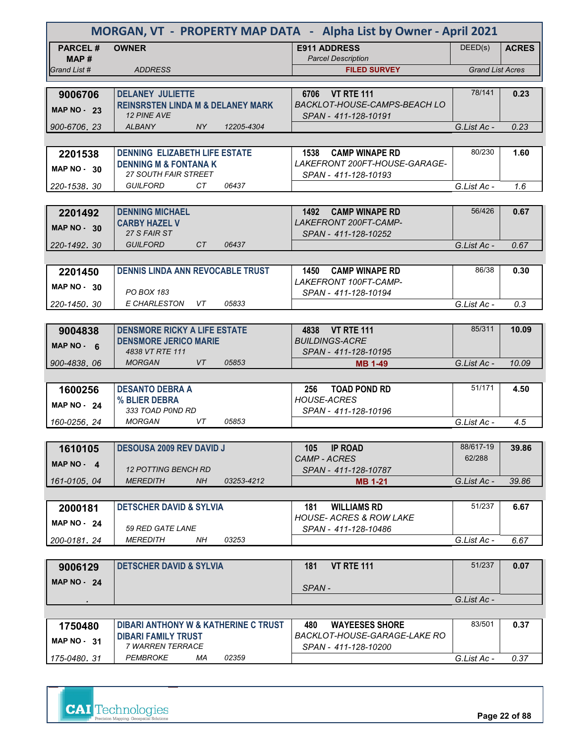| MORGAN, VT - PROPERTY MAP DATA - Alpha List by Owner - April 2021 |                                                               |                                                                 |                         |              |  |
|-------------------------------------------------------------------|---------------------------------------------------------------|-----------------------------------------------------------------|-------------------------|--------------|--|
| <b>PARCEL#</b><br>MAP #                                           | <b>OWNER</b>                                                  | <b>E911 ADDRESS</b><br><b>Parcel Description</b>                | DEED(s)                 | <b>ACRES</b> |  |
| Grand List #                                                      | <b>ADDRESS</b>                                                | <b>FILED SURVEY</b>                                             | <b>Grand List Acres</b> |              |  |
|                                                                   |                                                               |                                                                 |                         |              |  |
| 9006706                                                           | <b>DELANEY JULIETTE</b>                                       | 6706 VT RTE 111                                                 | 78/141                  | 0.23         |  |
| <b>MAP NO - 23</b>                                                | <b>REINSRSTEN LINDA M &amp; DELANEY MARK</b><br>12 PINE AVE   | BACKLOT-HOUSE-CAMPS-BEACH LO<br>SPAN - 411-128-10191            |                         |              |  |
| 900-6706, 23                                                      | <b>ALBANY</b><br>NY.<br>12205-4304                            |                                                                 | G.List Ac -             | 0.23         |  |
|                                                                   |                                                               |                                                                 |                         |              |  |
| 2201538                                                           | <b>DENNING ELIZABETH LIFE ESTATE</b>                          | 1538 CAMP WINAPE RD                                             | 80/230                  | 1.60         |  |
| MAP $NO - 30$                                                     | <b>DENNING M &amp; FONTANA K</b>                              | LAKEFRONT 200FT-HOUSE-GARAGE-                                   |                         |              |  |
|                                                                   | <b>27 SOUTH FAIR STREET</b><br><b>GUILFORD</b><br>CТ<br>06437 | SPAN - 411-128-10193                                            |                         |              |  |
| 220-1538, 30                                                      |                                                               |                                                                 | G.List Ac -             | 1.6          |  |
|                                                                   |                                                               | 1492 CAMP WINAPE RD                                             | 56/426                  | 0.67         |  |
| 2201492                                                           | <b>DENNING MICHAEL</b><br><b>CARBY HAZEL V</b>                | LAKEFRONT 200FT-CAMP-                                           |                         |              |  |
| <b>MAP NO - 30</b>                                                | 27 S FAIR ST                                                  | SPAN - 411-128-10252                                            |                         |              |  |
| 220-1492.30                                                       | <b>GUILFORD</b><br>CT.<br>06437                               |                                                                 | G.List Ac -             | 0.67         |  |
|                                                                   |                                                               |                                                                 |                         |              |  |
| 2201450                                                           | <b>DENNIS LINDA ANN REVOCABLE TRUST</b>                       | <b>CAMP WINAPE RD</b><br>1450                                   | 86/38                   | 0.30         |  |
| $MAP NO - 30$                                                     |                                                               | LAKEFRONT 100FT-CAMP-                                           |                         |              |  |
|                                                                   | <b>PO BOX 183</b>                                             | SPAN - 411-128-10194                                            |                         |              |  |
| 220-1450.30                                                       | E CHARLESTON<br>05833<br>VT                                   |                                                                 | G.List Ac -             | 0.3          |  |
|                                                                   |                                                               |                                                                 |                         |              |  |
| 9004838                                                           | <b>DENSMORE RICKY A LIFE ESTATE</b>                           | 4838 VT RTE 111                                                 | 85/311                  | 10.09        |  |
| $MAP NO - 6$                                                      | <b>DENSMORE JERICO MARIE</b>                                  | <b>BUILDINGS-ACRE</b>                                           |                         |              |  |
| 900-4838.06                                                       | 4838 VT RTE 111<br>05853<br><b>MORGAN</b><br>VT.              | SPAN - 411-128-10195<br><b>MB 1-49</b>                          | G.List Ac -             | 10.09        |  |
|                                                                   |                                                               |                                                                 |                         |              |  |
| 1600256                                                           | <b>DESANTO DEBRA A</b>                                        | 256<br><b>TOAD POND RD</b>                                      | 51/171                  | 4.50         |  |
|                                                                   | % BLIER DEBRA                                                 | <b>HOUSE-ACRES</b>                                              |                         |              |  |
| <b>MAP NO - 24</b>                                                | 333 TOAD P0ND RD                                              | SPAN - 411-128-10196                                            |                         |              |  |
| 160-0256, 24                                                      | <b>MORGAN</b><br>VT<br>05853                                  |                                                                 | G.List Ac -             | 4.5          |  |
|                                                                   |                                                               |                                                                 |                         |              |  |
| 1610105                                                           | <b>DESOUSA 2009 REV DAVID J</b>                               | <b>IP ROAD</b><br>105                                           | 88/617-19               | 39.86        |  |
| MAP $NO - 4$                                                      |                                                               | CAMP - ACRES                                                    | 62/288                  |              |  |
|                                                                   | <b>12 POTTING BENCH RD</b>                                    | SPAN - 411-128-10787                                            |                         |              |  |
| 161-0105.04                                                       | <b>MEREDITH</b><br>NH.<br>03253-4212                          | <b>MB 1-21</b>                                                  | G.List Ac -             | 39.86        |  |
|                                                                   |                                                               |                                                                 |                         |              |  |
| 2000181                                                           | <b>DETSCHER DAVID &amp; SYLVIA</b>                            | <b>WILLIAMS RD</b><br>181<br><b>HOUSE- ACRES &amp; ROW LAKE</b> | 51/237                  | 6.67         |  |
| <b>MAP NO - 24</b>                                                | 59 RED GATE LANE                                              | SPAN - 411-128-10486                                            |                         |              |  |
| 200-0181.24                                                       | 03253<br><i>MEREDITH</i><br>NH                                |                                                                 | G.List Ac -             | 6.67         |  |
|                                                                   |                                                               |                                                                 |                         |              |  |
| 9006129                                                           | <b>DETSCHER DAVID &amp; SYLVIA</b>                            | <b>VT RTE 111</b><br>181                                        | 51/237                  | 0.07         |  |
| <b>MAP NO - 24</b>                                                |                                                               |                                                                 |                         |              |  |
|                                                                   |                                                               | SPAN-                                                           |                         |              |  |
|                                                                   |                                                               |                                                                 | G.List Ac -             |              |  |
|                                                                   |                                                               |                                                                 |                         |              |  |
| 1750480                                                           | <b>DIBARI ANTHONY W &amp; KATHERINE C TRUST</b>               | 480<br><b>WAYEESES SHORE</b><br>BACKLOT-HOUSE-GARAGE-LAKE RO    | 83/501                  | 0.37         |  |
| <b>MAP NO - 31</b>                                                | <b>DIBARI FAMILY TRUST</b><br>7 WARREN TERRACE                | SPAN - 411-128-10200                                            |                         |              |  |

 *SPAN - 411-128-10200 G.List Ac - 0.37*

*PEMBROKE MA 02359*

*175-0480 31 .*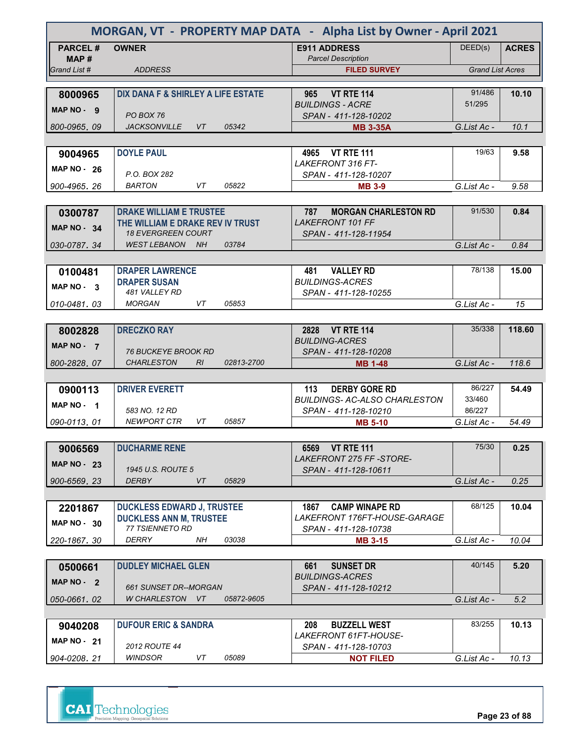| MORGAN, VT - PROPERTY MAP DATA - Alpha List by Owner - April 2021 |                                                               |                                                   |                         |              |  |
|-------------------------------------------------------------------|---------------------------------------------------------------|---------------------------------------------------|-------------------------|--------------|--|
| <b>PARCEL#</b><br>MAP#                                            | <b>OWNER</b>                                                  | <b>E911 ADDRESS</b><br><b>Parcel Description</b>  | DEED(s)                 | <b>ACRES</b> |  |
| Grand List #                                                      | <b>ADDRESS</b>                                                | <b>FILED SURVEY</b>                               | <b>Grand List Acres</b> |              |  |
|                                                                   |                                                               |                                                   |                         |              |  |
| 8000965                                                           | DIX DANA F & SHIRLEY A LIFE ESTATE                            | <b>VT RTE 114</b><br>965                          | 91/486                  | 10.10        |  |
| MAP NO - 9                                                        |                                                               | <b>BUILDINGS - ACRE</b>                           | 51/295                  |              |  |
| 800-0965, 09                                                      | PO BOX 76<br><b>JACKSONVILLE</b><br><b>VT</b><br>05342        | SPAN - 411-128-10202<br><b>MB 3-35A</b>           | G.List Ac -             | 10.1         |  |
|                                                                   |                                                               |                                                   |                         |              |  |
| 9004965                                                           | <b>DOYLE PAUL</b>                                             | 4965 VT RTE 111                                   | 19/63                   | 9.58         |  |
|                                                                   |                                                               | <b>LAKEFRONT 316 FT-</b>                          |                         |              |  |
| <b>MAP NO - 26</b>                                                | P.O. BOX 282                                                  | SPAN - 411-128-10207                              |                         |              |  |
| 900-4965, 26                                                      | <b>BARTON</b><br>VT<br>05822                                  | <b>MB 3-9</b>                                     | G.List Ac -             | 9.58         |  |
|                                                                   |                                                               |                                                   |                         |              |  |
| 0300787                                                           | <b>DRAKE WILLIAM E TRUSTEE</b>                                | <b>MORGAN CHARLESTON RD</b><br>787                | 91/530                  | 0.84         |  |
| MAP $NO - 34$                                                     | THE WILLIAM E DRAKE REV IV TRUST<br><b>18 EVERGREEN COURT</b> | <b>LAKEFRONT 101 FF</b>                           |                         |              |  |
| 030-0787.34                                                       | 03784<br>WEST LEBANON NH                                      | SPAN - 411-128-11954                              | G.List Ac -             | 0.84         |  |
|                                                                   |                                                               |                                                   |                         |              |  |
| 0100481                                                           | <b>DRAPER LAWRENCE</b>                                        | <b>VALLEY RD</b><br>481                           | 78/138                  | 15.00        |  |
|                                                                   | <b>DRAPER SUSAN</b>                                           | <b>BUILDINGS-ACRES</b>                            |                         |              |  |
| MAP NO - 3                                                        | 481 VALLEY RD                                                 | SPAN - 411-128-10255                              |                         |              |  |
| 010-0481.03                                                       | <b>MORGAN</b><br>VT<br>05853                                  |                                                   | G.List Ac -             | 15           |  |
|                                                                   |                                                               |                                                   |                         |              |  |
| 8002828                                                           | <b>DRECZKO RAY</b>                                            | 2828 VT RTE 114                                   | 35/338                  | 118.60       |  |
| MAP NO - 7                                                        | <b>76 BUCKEYE BROOK RD</b>                                    | <b>BUILDING-ACRES</b><br>SPAN - 411-128-10208     |                         |              |  |
| 800-2828, 07                                                      | <b>CHARLESTON</b><br>RI<br>02813-2700                         | <b>MB 1-48</b>                                    | G.List Ac -             | 118.6        |  |
|                                                                   |                                                               |                                                   |                         |              |  |
| 0900113                                                           | <b>DRIVER EVERETT</b>                                         | 113<br><b>DERBY GORE RD</b>                       | 86/227                  | 54.49        |  |
| <b>MAP NO</b><br>$\overline{\mathbf{1}}$                          |                                                               | <b>BUILDINGS- AC-ALSO CHARLESTON</b>              | 33/460                  |              |  |
|                                                                   | 583 NO. 12 RD                                                 | SPAN - 411-128-10210                              | 86/227                  |              |  |
| 090-0113, 01                                                      | <b>NEWPORT CTR</b><br>VT<br>05857                             | <b>MB 5-10</b>                                    | G.List Ac -             | 54.49        |  |
|                                                                   |                                                               |                                                   |                         |              |  |
| 9006569                                                           | <b>DUCHARME RENE</b>                                          | 6569 VT RTE 111<br>LAKEFRONT 275 FF-STORE-        | 75/30                   | 0.25         |  |
| <b>MAP NO - 23</b>                                                | 1945 U.S. ROUTE 5                                             | SPAN - 411-128-10611                              |                         |              |  |
| 900-6569.23                                                       | <b>DERBY</b><br>VT<br>05829                                   |                                                   | G.List Ac -             | 0.25         |  |
|                                                                   |                                                               |                                                   |                         |              |  |
| 2201867                                                           | <b>DUCKLESS EDWARD J, TRUSTEE</b>                             | 1867<br><b>CAMP WINAPE RD</b>                     | 68/125                  | 10.04        |  |
| <b>MAP NO - 30</b>                                                | <b>DUCKLESS ANN M, TRUSTEE</b>                                | LAKEFRONT 176FT-HOUSE-GARAGE                      |                         |              |  |
|                                                                   | 77 TSIENNETO RD                                               | SPAN - 411-128-10738                              |                         |              |  |
| 220-1867.30                                                       | DERRY<br>NΗ<br>03038                                          | <b>MB 3-15</b>                                    | G.List Ac -             | 10.04        |  |
|                                                                   |                                                               |                                                   | 40/145                  |              |  |
| 0500661                                                           | <b>DUDLEY MICHAEL GLEN</b>                                    | <b>SUNSET DR</b><br>661<br><b>BUILDINGS-ACRES</b> |                         | 5.20         |  |
| MAP $NO - 2$                                                      | 661 SUNSET DR--MORGAN                                         | SPAN - 411-128-10212                              |                         |              |  |
| 050-0661, 02                                                      | W CHARLESTON VT<br>05872-9605                                 |                                                   | G.List Ac -             | 5.2          |  |
|                                                                   |                                                               |                                                   |                         |              |  |
| 9040208                                                           | <b>DUFOUR ERIC &amp; SANDRA</b>                               | <b>BUZZELL WEST</b><br>208                        | 83/255                  | 10.13        |  |
| <b>MAP NO - 21</b>                                                |                                                               | LAKEFRONT 61FT-HOUSE-                             |                         |              |  |
|                                                                   | <b>2012 ROUTE 44</b><br>WINDSOR<br>VT<br>05089                | SPAN - 411-128-10703                              |                         | 10.13        |  |
| 904-0208.21                                                       |                                                               | <b>NOT FILED</b>                                  | G.List Ac -             |              |  |

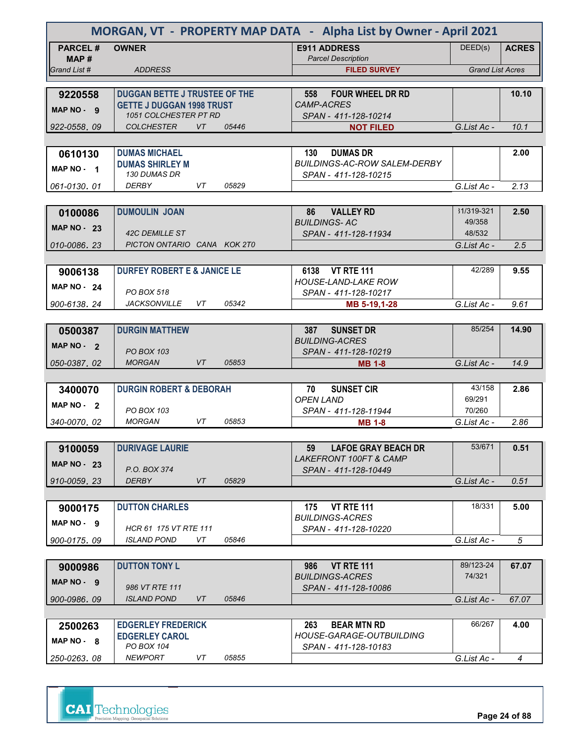| MORGAN, VT - PROPERTY MAP DATA - Alpha List by Owner - April 2021 |                                                      |           |       |                                                               |                         |                |
|-------------------------------------------------------------------|------------------------------------------------------|-----------|-------|---------------------------------------------------------------|-------------------------|----------------|
| <b>PARCEL#</b>                                                    | <b>OWNER</b>                                         |           |       | <b>E911 ADDRESS</b>                                           | DEED(s)                 | <b>ACRES</b>   |
| MAP #<br>Grand List #                                             |                                                      |           |       | <b>Parcel Description</b>                                     | <b>Grand List Acres</b> |                |
|                                                                   | <b>ADDRESS</b>                                       |           |       | <b>FILED SURVEY</b>                                           |                         |                |
| 9220558                                                           | <b>DUGGAN BETTE J TRUSTEE OF THE</b>                 |           |       | <b>FOUR WHEEL DR RD</b><br>558                                |                         | 10.10          |
| MAP NO - 9                                                        | <b>GETTE J DUGGAN 1998 TRUST</b>                     |           |       | <b>CAMP-ACRES</b>                                             |                         |                |
|                                                                   | 1051 COLCHESTER PT RD                                |           |       | SPAN - 411-128-10214                                          |                         |                |
| 922-0558.09                                                       | <b>COLCHESTER</b>                                    | <b>VT</b> | 05446 | <b>NOT FILED</b>                                              | G.List Ac -             | 10.1           |
|                                                                   |                                                      |           |       |                                                               |                         |                |
| 0610130                                                           | <b>DUMAS MICHAEL</b><br><b>DUMAS SHIRLEY M</b>       |           |       | 130<br><b>DUMAS DR</b><br><b>BUILDINGS-AC-ROW SALEM-DERBY</b> |                         | 2.00           |
| MAP NO - 1                                                        | 130 DUMAS DR                                         |           |       | SPAN - 411-128-10215                                          |                         |                |
| 061-0130.01                                                       | <b>DERBY</b>                                         | VT        | 05829 |                                                               | G.List Ac -             | 2.13           |
|                                                                   |                                                      |           |       |                                                               |                         |                |
| 0100086                                                           | <b>DUMOULIN JOAN</b>                                 |           |       | 86<br><b>VALLEY RD</b>                                        | 31/319-321              | 2.50           |
| MAP $NO - 23$                                                     |                                                      |           |       | <b>BUILDINGS-AC</b>                                           | 49/358<br>48/532        |                |
| 010-0086.23                                                       | <b>42C DEMILLE ST</b><br>PICTON ONTARIO CANA KOK 2T0 |           |       | SPAN - 411-128-11934                                          | G.List Ac -             | 2.5            |
|                                                                   |                                                      |           |       |                                                               |                         |                |
| 9006138                                                           | <b>DURFEY ROBERT E &amp; JANICE LE</b>               |           |       | <b>VT RTE 111</b><br>6138                                     | 42/289                  | 9.55           |
| <b>MAP NO - 24</b>                                                |                                                      |           |       | <b>HOUSE-LAND-LAKE ROW</b>                                    |                         |                |
|                                                                   | PO BOX 518                                           |           |       | SPAN - 411-128-10217                                          |                         |                |
| 900-6138.24                                                       | <b>JACKSONVILLE</b>                                  | VT        | 05342 | MB 5-19,1-28                                                  | G.List Ac -             | 9.61           |
|                                                                   |                                                      |           |       |                                                               |                         |                |
| 0500387                                                           | <b>DURGIN MATTHEW</b>                                |           |       | 387<br><b>SUNSET DR</b><br><b>BUILDING-ACRES</b>              | 85/254                  | 14.90          |
| MAP NO - 2                                                        | <b>PO BOX 103</b>                                    |           |       | SPAN - 411-128-10219                                          |                         |                |
| 050-0387.02                                                       | <b>MORGAN</b>                                        | VT        | 05853 | <b>MB 1-8</b>                                                 | G.List Ac -             | 14.9           |
|                                                                   |                                                      |           |       |                                                               |                         |                |
| 3400070                                                           | <b>DURGIN ROBERT &amp; DEBORAH</b>                   |           |       | <b>SUNSET CIR</b><br>70                                       | 43/158                  | 2.86           |
| MAP NO - 2                                                        | PO BOX 103                                           |           |       | <b>OPEN LAND</b>                                              | 69/291<br>70/260        |                |
| 340-0070, 02                                                      | <b>MORGAN</b>                                        | VT        | 05853 | SPAN - 411-128-11944<br><b>MB 1-8</b>                         | G.List Ac -             | 2.86           |
|                                                                   |                                                      |           |       |                                                               |                         |                |
| 9100059                                                           | <b>DURIVAGE LAURIE</b>                               |           |       | <b>LAFOE GRAY BEACH DR</b><br>59                              | 53/671                  | 0.51           |
| <b>MAP NO - 23</b>                                                |                                                      |           |       | LAKEFRONT 100FT & CAMP                                        |                         |                |
|                                                                   | P.O. BOX 374                                         |           |       | SPAN - 411-128-10449                                          |                         |                |
| 910-0059.23                                                       | <b>DERBY</b>                                         | VT        | 05829 |                                                               | G.List Ac -             | 0.51           |
|                                                                   |                                                      |           |       |                                                               |                         |                |
| 9000175                                                           | <b>DUTTON CHARLES</b>                                |           |       | 175<br><b>VT RTE 111</b><br><b>BUILDINGS-ACRES</b>            | 18/331                  | 5.00           |
| MAP NO - 9                                                        | HCR 61 175 VT RTE 111                                |           |       | SPAN - 411-128-10220                                          |                         |                |
| 900-0175.09                                                       | <b>ISLAND POND</b>                                   | VT        | 05846 |                                                               | G.List Ac -             | 5              |
|                                                                   |                                                      |           |       |                                                               |                         |                |
| 9000986                                                           | <b>DUTTON TONY L</b>                                 |           |       | <b>VT RTE 111</b><br>986                                      | 89/123-24               | 67.07          |
| $MAP NO - 9$                                                      | 986 VT RTE 111                                       |           |       | <b>BUILDINGS-ACRES</b>                                        | 74/321                  |                |
| 900-0986, 09                                                      | <b>ISLAND POND</b>                                   | VT        | 05846 | SPAN - 411-128-10086                                          | G.List Ac -             | 67.07          |
|                                                                   |                                                      |           |       |                                                               |                         |                |
| 2500263                                                           | <b>EDGERLEY FREDERICK</b>                            |           |       | 263<br><b>BEAR MTN RD</b>                                     | 66/267                  | 4.00           |
| MAP NO - 8                                                        | <b>EDGERLEY CAROL</b>                                |           |       | HOUSE-GARAGE-OUTBUILDING                                      |                         |                |
|                                                                   | PO BOX 104                                           |           |       | SPAN - 411-128-10183                                          |                         |                |
| 250-0263.08                                                       | <b>NEWPORT</b>                                       | VT        | 05855 |                                                               | G.List Ac -             | $\overline{4}$ |

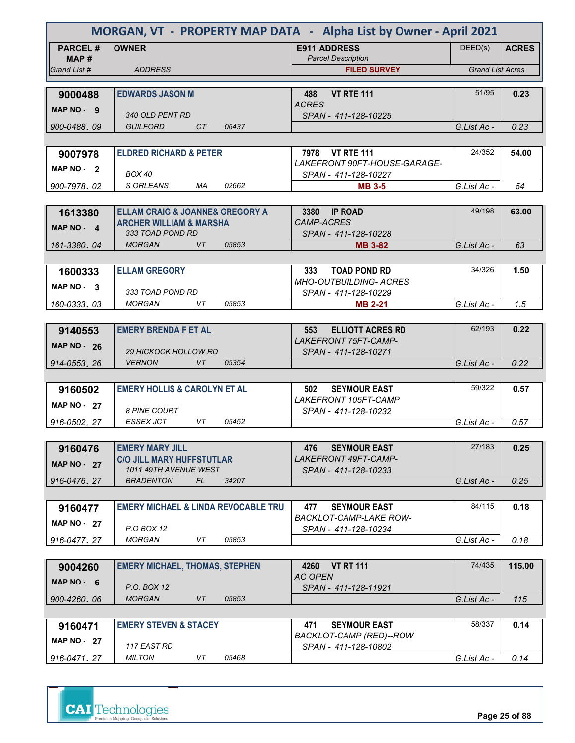| MORGAN, VT - PROPERTY MAP DATA - Alpha List by Owner - April 2021 |                                                        |                                                             |                         |              |  |
|-------------------------------------------------------------------|--------------------------------------------------------|-------------------------------------------------------------|-------------------------|--------------|--|
| <b>PARCEL#</b>                                                    | <b>OWNER</b>                                           | <b>E911 ADDRESS</b>                                         | DEED(s)                 | <b>ACRES</b> |  |
| MAP#                                                              |                                                        | <b>Parcel Description</b><br><b>FILED SURVEY</b>            | <b>Grand List Acres</b> |              |  |
| Grand List #                                                      | <b>ADDRESS</b>                                         |                                                             |                         |              |  |
| 9000488                                                           | <b>EDWARDS JASON M</b>                                 | <b>VT RTE 111</b><br>488                                    | 51/95                   | 0.23         |  |
| MAP NO - 9                                                        |                                                        | <b>ACRES</b>                                                |                         |              |  |
|                                                                   | 340 OLD PENT RD                                        | SPAN - 411-128-10225                                        |                         |              |  |
| 900-0488.09                                                       | <b>GUILFORD</b><br>CT<br>06437                         |                                                             | G.List Ac -             | 0.23         |  |
| 9007978                                                           | <b>ELDRED RICHARD &amp; PETER</b>                      | 7978 VT RTE 111                                             | 24/352                  | 54.00        |  |
| MAP $NO - 2$                                                      |                                                        | LAKEFRONT 90FT-HOUSE-GARAGE-                                |                         |              |  |
|                                                                   | <b>BOX 40</b>                                          | SPAN - 411-128-10227                                        |                         |              |  |
| 900-7978, 02                                                      | S ORLEANS<br>МA<br>02662                               | <b>MB 3-5</b>                                               | G.List Ac -             | 54           |  |
|                                                                   | <b>ELLAM CRAIG &amp; JOANNE&amp; GREGORY A</b>         | 3380<br><b>IP ROAD</b>                                      | 49/198                  |              |  |
| 1613380                                                           | <b>ARCHER WILLIAM &amp; MARSHA</b>                     | <b>CAMP-ACRES</b>                                           |                         | 63.00        |  |
| $MAP NO - 4$                                                      | 333 TOAD POND RD                                       | SPAN - 411-128-10228                                        |                         |              |  |
| 161-3380.04                                                       | <b>MORGAN</b><br>VT.<br>05853                          | <b>MB 3-82</b>                                              | G.List Ac -             | 63           |  |
|                                                                   |                                                        |                                                             |                         |              |  |
| 1600333                                                           | <b>ELLAM GREGORY</b>                                   | 333<br><b>TOAD POND RD</b><br><b>MHO-OUTBUILDING- ACRES</b> | 34/326                  | 1.50         |  |
| MAP NO - 3                                                        | 333 TOAD POND RD                                       | SPAN - 411-128-10229                                        |                         |              |  |
| 160-0333.03                                                       | MORGAN<br>VT<br>05853                                  | <b>MB 2-21</b>                                              | G.List Ac -             | 1.5          |  |
|                                                                   |                                                        |                                                             |                         |              |  |
| 9140553                                                           | <b>EMERY BRENDA F ET AL</b>                            | <b>ELLIOTT ACRES RD</b><br>553                              | 62/193                  | 0.22         |  |
| MAP $NO - 26$                                                     | <b>29 HICKOCK HOLLOW RD</b>                            | <b>LAKEFRONT 75FT-CAMP-</b><br>SPAN - 411-128-10271         |                         |              |  |
| 914-0553, 26                                                      | <b>VERNON</b><br>VT<br>05354                           |                                                             | G.List Ac -             | 0.22         |  |
|                                                                   |                                                        |                                                             |                         |              |  |
| 9160502                                                           | <b>EMERY HOLLIS &amp; CAROLYN ET AL</b>                | <b>SEYMOUR EAST</b><br>502                                  | 59/322                  | 0.57         |  |
| MAP $NO - 27$                                                     |                                                        | LAKEFRONT 105FT-CAMP                                        |                         |              |  |
| 916-0502, 27                                                      | <b>8 PINE COURT</b><br>VT<br><b>ESSEX JCT</b><br>05452 | SPAN - 411-128-10232                                        | G.List Ac -             | 0.57         |  |
|                                                                   |                                                        |                                                             |                         |              |  |
| 9160476                                                           | <b>EMERY MARY JILL</b>                                 | <b>SEYMOUR EAST</b><br>476                                  | 27/183                  | 0.25         |  |
| <b>MAP NO - 27</b>                                                | <b>C/O JILL MARY HUFFSTUTLAR</b>                       | LAKEFRONT 49FT-CAMP-                                        |                         |              |  |
|                                                                   | 1011 49TH AVENUE WEST                                  | SPAN - 411-128-10233                                        |                         |              |  |
| 916-0476.27                                                       | <b>BRADENTON</b><br>FL<br>34207                        |                                                             | G.List Ac -             | 0.25         |  |
| 9160477                                                           | <b>EMERY MICHAEL &amp; LINDA REVOCABLE TRU</b>         | 477<br><b>SEYMOUR EAST</b>                                  | 84/115                  | 0.18         |  |
| MAP $NO - 27$                                                     |                                                        | <b>BACKLOT-CAMP-LAKE ROW-</b>                               |                         |              |  |
|                                                                   | P.O BOX 12                                             | SPAN - 411-128-10234                                        |                         |              |  |
| 916-0477.27                                                       | VT<br>05853<br><b>MORGAN</b>                           |                                                             | G.List Ac -             | 0.18         |  |
|                                                                   | <b>EMERY MICHAEL, THOMAS, STEPHEN</b>                  | 4260 VT RT 111                                              | 74/435                  | 115.00       |  |
| 9004260                                                           |                                                        | <b>AC OPEN</b>                                              |                         |              |  |
| MAP NO - 6                                                        | P.O. BOX 12                                            | SPAN - 411-128-11921                                        |                         |              |  |
| 900-4260, 06                                                      | 05853<br><b>MORGAN</b><br>VT                           |                                                             | G.List Ac -             | 115          |  |
|                                                                   |                                                        |                                                             |                         |              |  |
| 9160471                                                           | <b>EMERY STEVEN &amp; STACEY</b>                       | 471<br><b>SEYMOUR EAST</b><br>BACKLOT-CAMP (RED)--ROW       | 58/337                  | 0.14         |  |
| <b>MAP NO - 27</b>                                                | 117 EAST RD                                            | SPAN - 411-128-10802                                        |                         |              |  |
| 916-0471.27                                                       | <b>MILTON</b><br>VT<br>05468                           |                                                             | G.List Ac -             | 0.14         |  |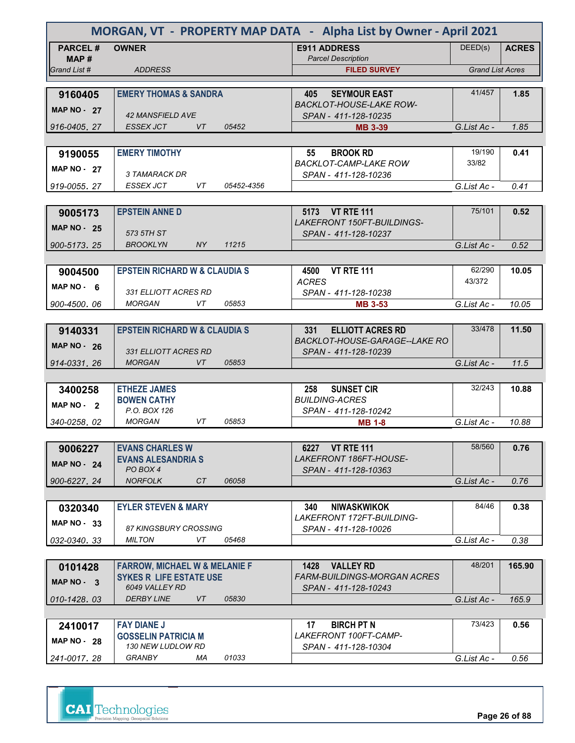| MORGAN, VT - PROPERTY MAP DATA - Alpha List by Owner - April 2021 |                                          |                    |                                                              |                         |              |  |
|-------------------------------------------------------------------|------------------------------------------|--------------------|--------------------------------------------------------------|-------------------------|--------------|--|
| <b>PARCEL#</b><br>MAP #                                           | <b>OWNER</b>                             |                    | <b>E911 ADDRESS</b><br><b>Parcel Description</b>             | DEED(s)                 | <b>ACRES</b> |  |
| Grand List #                                                      | <b>ADDRESS</b>                           |                    | <b>FILED SURVEY</b>                                          | <b>Grand List Acres</b> |              |  |
|                                                                   |                                          |                    |                                                              |                         |              |  |
| 9160405                                                           | <b>EMERY THOMAS &amp; SANDRA</b>         |                    | <b>SEYMOUR EAST</b><br>405<br><b>BACKLOT-HOUSE-LAKE ROW-</b> | 41/457                  | 1.85         |  |
| <b>MAP NO - 27</b>                                                | <b>42 MANSFIELD AVE</b>                  |                    | SPAN - 411-128-10235                                         |                         |              |  |
| 916-0405.27                                                       | <b>ESSEX JCT</b>                         | <b>VT</b><br>05452 | <b>MB 3-39</b>                                               | G.List Ac -             | 1.85         |  |
|                                                                   |                                          |                    |                                                              |                         |              |  |
| 9190055                                                           | <b>EMERY TIMOTHY</b>                     |                    | <b>BROOK RD</b><br>55                                        | 19/190                  | 0.41         |  |
| <b>MAP NO - 27</b>                                                |                                          |                    | <b>BACKLOT-CAMP-LAKE ROW</b>                                 | 33/82                   |              |  |
| 919-0055, 27                                                      | 3 TAMARACK DR<br>ESSEX JCT               | VT<br>05452-4356   | SPAN - 411-128-10236                                         | G.List Ac -             | 0.41         |  |
|                                                                   |                                          |                    |                                                              |                         |              |  |
| 9005173                                                           | <b>EPSTEIN ANNE D</b>                    |                    | 5173 VT RTE 111                                              | 75/101                  | 0.52         |  |
| <b>MAP NO - 25</b>                                                |                                          |                    | <b>LAKEFRONT 150FT-BUILDINGS-</b>                            |                         |              |  |
|                                                                   | 573 5TH ST                               |                    | SPAN - 411-128-10237                                         |                         |              |  |
| 900-5173.25                                                       | <b>BROOKLYN</b>                          | NY.<br>11215       |                                                              | G.List Ac -             | 0.52         |  |
|                                                                   |                                          |                    |                                                              | 62/290                  |              |  |
| 9004500                                                           | <b>EPSTEIN RICHARD W &amp; CLAUDIA S</b> |                    | <b>VT RTE 111</b><br>4500<br><b>ACRES</b>                    | 43/372                  | 10.05        |  |
| MAP NO 6                                                          | 331 ELLIOTT ACRES RD                     |                    | SPAN - 411-128-10238                                         |                         |              |  |
| 900-4500.06                                                       | <b>MORGAN</b>                            | VT<br>05853        | MB 3-53                                                      | G.List Ac -             | 10.05        |  |
|                                                                   |                                          |                    |                                                              |                         |              |  |
| 9140331                                                           | <b>EPSTEIN RICHARD W &amp; CLAUDIA S</b> |                    | <b>ELLIOTT ACRES RD</b><br>331                               | 33/478                  | 11.50        |  |
| <b>MAP NO - 26</b>                                                | 331 ELLIOTT ACRES RD                     |                    | BACKLOT-HOUSE-GARAGE--LAKE RO<br>SPAN - 411-128-10239        |                         |              |  |
| 914-0331.26                                                       | <b>MORGAN</b>                            | <b>VT</b><br>05853 |                                                              | G.List Ac -             | 11.5         |  |
|                                                                   |                                          |                    |                                                              |                         |              |  |
| 3400258                                                           | <b>ETHEZE JAMES</b>                      |                    | <b>SUNSET CIR</b><br>258                                     | 32/243                  | 10.88        |  |
| MAP NO - 2                                                        | <b>BOWEN CATHY</b>                       |                    | <b>BUILDING-ACRES</b>                                        |                         |              |  |
|                                                                   | P.O. BOX 126                             |                    | SPAN - 411-128-10242                                         |                         |              |  |
| 340-0258.02                                                       | <b>MORGAN</b>                            | VT<br>05853        | <b>MB 1-8</b>                                                | G.List Ac -             | 10.88        |  |
|                                                                   | <b>EVANS CHARLES W</b>                   |                    | 6227 VT RTE 111                                              | 58/560                  | 0.76         |  |
| 9006227                                                           | <b>EVANS ALESANDRIA S</b>                |                    | LAKEFRONT 186FT-HOUSE-                                       |                         |              |  |
| <b>MAP NO - 24</b>                                                | PO BOX 4                                 |                    | SPAN - 411-128-10363                                         |                         |              |  |
| 900-6227.24                                                       | <b>NORFOLK</b>                           | CT<br>06058        |                                                              | G.List Ac -             | 0.76         |  |
|                                                                   |                                          |                    |                                                              |                         |              |  |
| 0320340                                                           | <b>EYLER STEVEN &amp; MARY</b>           |                    | <b>NIWASKWIKOK</b><br>340                                    | 84/46                   | 0.38         |  |
| MAP $NO - 33$                                                     | 87 KINGSBURY CROSSING                    |                    | <b>LAKEFRONT 172FT-BUILDING-</b><br>SPAN - 411-128-10026     |                         |              |  |
| 032-0340.33                                                       | <b>MILTON</b>                            | VT<br>05468        |                                                              | G.List Ac -             | 0.38         |  |
|                                                                   |                                          |                    |                                                              |                         |              |  |
| 0101428                                                           | <b>FARROW, MICHAEL W &amp; MELANIE F</b> |                    | <b>VALLEY RD</b><br>1428                                     | 48/201                  | 165.90       |  |
| MAP $NO - 3$                                                      | <b>SYKES R LIFE ESTATE USE</b>           |                    | <b>FARM-BUILDINGS-MORGAN ACRES</b>                           |                         |              |  |
| 010-1428.03                                                       | 6049 VALLEY RD<br><b>DERBY LINE</b>      | VT<br>05830        | SPAN - 411-128-10243                                         | G.List Ac -             | 165.9        |  |
|                                                                   |                                          |                    |                                                              |                         |              |  |
| 2410017                                                           | <b>FAY DIANE J</b>                       |                    | <b>BIRCH PT N</b><br>17                                      | 73/423                  | 0.56         |  |
| <b>MAP NO - 28</b>                                                | <b>GOSSELIN PATRICIA M</b>               |                    | LAKEFRONT 100FT-CAMP-                                        |                         |              |  |
|                                                                   | <i>130 NEW LUDLOW RD</i>                 |                    | SPAN - 411-128-10304                                         |                         |              |  |
| 241-0017, 28                                                      | GRANBY                                   | 01033<br>МA        |                                                              | G.List Ac -             | 0.56         |  |



**Page 26 of 88**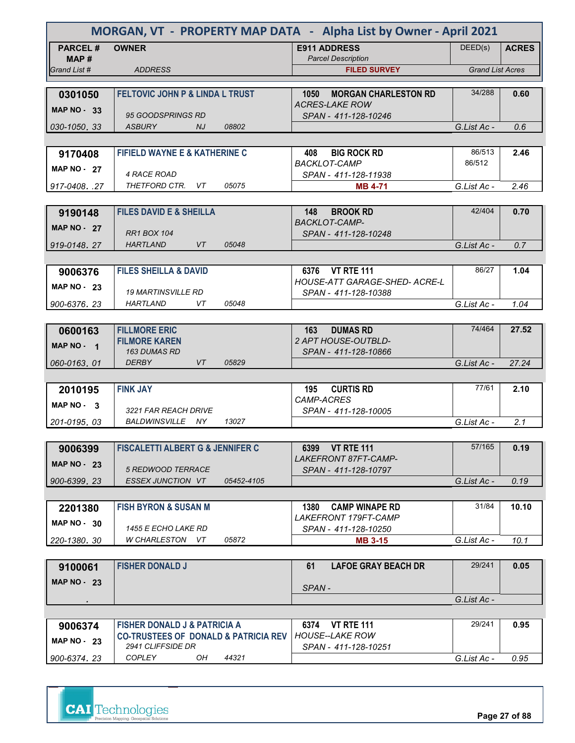| MORGAN, VT - PROPERTY MAP DATA - Alpha List by Owner - April 2021 |                                                                                            |                                                      |                         |              |
|-------------------------------------------------------------------|--------------------------------------------------------------------------------------------|------------------------------------------------------|-------------------------|--------------|
| <b>PARCEL#</b>                                                    | <b>OWNER</b>                                                                               | <b>E911 ADDRESS</b>                                  | DEED(s)                 | <b>ACRES</b> |
| MAP#<br>Grand List #                                              | <b>ADDRESS</b>                                                                             | <b>Parcel Description</b><br><b>FILED SURVEY</b>     | <b>Grand List Acres</b> |              |
|                                                                   |                                                                                            |                                                      |                         |              |
| 0301050                                                           | <b>FELTOVIC JOHN P &amp; LINDA L TRUST</b>                                                 | <b>MORGAN CHARLESTON RD</b><br>1050                  | 34/288                  | 0.60         |
| <b>MAP NO - 33</b>                                                | 95 GOODSPRINGS RD                                                                          | <b>ACRES-LAKE ROW</b><br>SPAN - 411-128-10246        |                         |              |
| 030-1050, 33                                                      | 08802<br><b>ASBURY</b><br>NJ.                                                              |                                                      | G.List Ac -             | 0.6          |
|                                                                   |                                                                                            |                                                      |                         |              |
| 9170408                                                           | <b>FIFIELD WAYNE E &amp; KATHERINE C</b>                                                   | <b>BIG ROCK RD</b><br>408                            | 86/513                  | 2.46         |
| <b>MAP NO - 27</b>                                                | 4 RACE ROAD                                                                                | <b>BACKLOT-CAMP</b><br>SPAN - 411-128-11938          | 86/512                  |              |
| 917-0408. .27                                                     | THETFORD CTR. VT<br>05075                                                                  | <b>MB 4-71</b>                                       | G.List Ac -             | 2.46         |
|                                                                   |                                                                                            |                                                      |                         |              |
| 9190148                                                           | <b>FILES DAVID E &amp; SHEILLA</b>                                                         | 148<br><b>BROOK RD</b>                               | 42/404                  | 0.70         |
| <b>MAP NO - 27</b>                                                |                                                                                            | <b>BACKLOT-CAMP-</b>                                 |                         |              |
| 919-0148.27                                                       | <b>RR1 BOX 104</b><br><b>HARTLAND</b><br>05048<br>VT                                       | SPAN - 411-128-10248                                 | G.List Ac -             | 0.7          |
|                                                                   |                                                                                            |                                                      |                         |              |
| 9006376                                                           | <b>FILES SHEILLA &amp; DAVID</b>                                                           | 6376 VT RTE 111                                      | 86/27                   | 1.04         |
| <b>MAP NO - 23</b>                                                |                                                                                            | <b>HOUSE-ATT GARAGE-SHED- ACRE-L</b>                 |                         |              |
|                                                                   | <b>19 MARTINSVILLE RD</b>                                                                  | SPAN - 411-128-10388                                 |                         |              |
| 900-6376.23                                                       | HARTLAND<br>VT<br>05048                                                                    |                                                      | G.List Ac -             | 1.04         |
|                                                                   |                                                                                            |                                                      |                         |              |
| 0600163                                                           | <b>FILLMORE ERIC</b><br><b>FILMORE KAREN</b>                                               | 163<br><b>DUMAS RD</b><br><b>2 APT HOUSE-OUTBLD-</b> | 74/464                  | 27.52        |
| MAP NO - 1                                                        | <b>163 DUMAS RD</b>                                                                        | SPAN - 411-128-10866                                 |                         |              |
| 060-0163, 01                                                      | <b>DERBY</b><br>VT<br>05829                                                                |                                                      | G.List Ac -             | 27.24        |
|                                                                   |                                                                                            |                                                      |                         |              |
| 2010195                                                           | <b>FINK JAY</b>                                                                            | <b>CURTIS RD</b><br>195                              | 77/61                   | 2.10         |
| MAP $NO - 3$                                                      | 3221 FAR REACH DRIVE                                                                       | CAMP-ACRES<br>SPAN - 411-128-10005                   |                         |              |
| 201-0195.03                                                       | BALDWINSVILLE NY<br>13027                                                                  |                                                      | G.List Ac -             | 2.1          |
|                                                                   |                                                                                            |                                                      |                         |              |
| 9006399                                                           | <b>FISCALETTI ALBERT G &amp; JENNIFER C</b>                                                | 6399 VT RTE 111                                      | 57/165                  | 0.19         |
| <b>MAP NO - 23</b>                                                |                                                                                            | <b>LAKEFRONT 87FT-CAMP-</b>                          |                         |              |
| 900-6399.23                                                       | 5 REDWOOD TERRACE<br>ESSEX JUNCTION VT<br>05452-4105                                       | SPAN - 411-128-10797                                 | G.List Ac -             | 0.19         |
|                                                                   |                                                                                            |                                                      |                         |              |
| 2201380                                                           | <b>FISH BYRON &amp; SUSAN M</b>                                                            | <b>CAMP WINAPE RD</b><br>1380                        | 31/84                   | 10.10        |
| $MAP NO - 30$                                                     |                                                                                            | LAKEFRONT 179FT-CAMP                                 |                         |              |
|                                                                   | 1455 E ECHO LAKE RD                                                                        | SPAN - 411-128-10250                                 |                         |              |
| 220-1380.30                                                       | W CHARLESTON VT<br>05872                                                                   | <b>MB 3-15</b>                                       | G.List Ac -             | 10.1         |
|                                                                   | <b>FISHER DONALD J</b>                                                                     | <b>LAFOE GRAY BEACH DR</b><br>61                     | 29/241                  | 0.05         |
| 9100061                                                           |                                                                                            |                                                      |                         |              |
| <b>MAP NO - 23</b>                                                |                                                                                            | SPAN-                                                |                         |              |
|                                                                   |                                                                                            |                                                      | G.List Ac -             |              |
|                                                                   |                                                                                            |                                                      |                         |              |
| 9006374                                                           | <b>FISHER DONALD J &amp; PATRICIA A</b><br><b>CO-TRUSTEES OF DONALD &amp; PATRICIA REV</b> | 6374<br><b>VT RTE 111</b><br><b>HOUSE--LAKE ROW</b>  | 29/241                  | 0.95         |
| <b>MAP NO - 23</b>                                                | 2941 CLIFFSIDE DR                                                                          | SPAN - 411-128-10251                                 |                         |              |
| 900-6374.23                                                       | <b>COPLEY</b><br>OH<br>44321                                                               |                                                      | G.List Ac -             | 0.95         |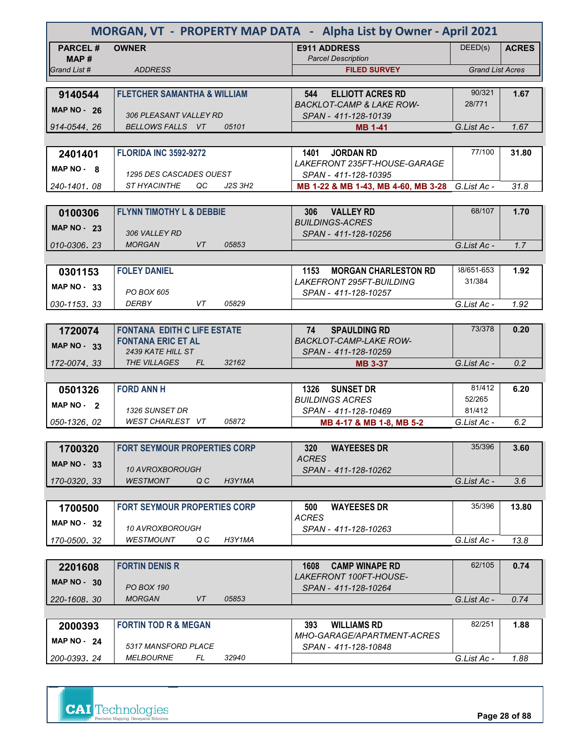| MORGAN, VT - PROPERTY MAP DATA - Alpha List by Owner - April 2021 |                                          |         |                                                                        |                         |              |  |
|-------------------------------------------------------------------|------------------------------------------|---------|------------------------------------------------------------------------|-------------------------|--------------|--|
| <b>PARCEL#</b>                                                    | <b>OWNER</b>                             |         | <b>E911 ADDRESS</b>                                                    | DEED(s)                 | <b>ACRES</b> |  |
| MAP #                                                             |                                          |         | <b>Parcel Description</b>                                              |                         |              |  |
| Grand List #                                                      | <b>ADDRESS</b>                           |         | <b>FILED SURVEY</b>                                                    | <b>Grand List Acres</b> |              |  |
| 9140544                                                           | <b>FLETCHER SAMANTHA &amp; WILLIAM</b>   |         | <b>ELLIOTT ACRES RD</b><br>544                                         | 90/321                  | 1.67         |  |
|                                                                   |                                          |         | <b>BACKLOT-CAMP &amp; LAKE ROW-</b>                                    | 28/771                  |              |  |
| <b>MAP NO - 26</b>                                                | 306 PLEASANT VALLEY RD                   |         | SPAN - 411-128-10139                                                   |                         |              |  |
| 914-0544.26                                                       | BELLOWS FALLS VT                         | 05101   | <b>MB 1-41</b>                                                         | G.List Ac -             | 1.67         |  |
|                                                                   |                                          |         |                                                                        |                         |              |  |
| 2401401                                                           | <b>FLORIDA INC 3592-9272</b>             |         | <b>JORDAN RD</b><br>1401                                               | 77/100                  | 31.80        |  |
| MAP NO 8                                                          | 1295 DES CASCADES OUEST                  |         | LAKEFRONT 235FT-HOUSE-GARAGE<br>SPAN - 411-128-10395                   |                         |              |  |
| 240-1401, 08                                                      | ST HYACINTHE<br>QC                       | J2S 3H2 | MB 1-22 & MB 1-43, MB 4-60, MB 3-28 G. List Ac -                       |                         | 31.8         |  |
|                                                                   |                                          |         |                                                                        |                         |              |  |
| 0100306                                                           | <b>FLYNN TIMOTHY L &amp; DEBBIE</b>      |         | 306 VALLEY RD                                                          | 68/107                  | 1.70         |  |
| MAP $NO - 23$                                                     |                                          |         | <b>BUILDINGS-ACRES</b>                                                 |                         |              |  |
|                                                                   | 306 VALLEY RD                            |         | SPAN - 411-128-10256                                                   |                         |              |  |
| 010-0306.23                                                       | <b>MORGAN</b><br>VT.                     | 05853   |                                                                        | G.List Ac -             | 1.7          |  |
|                                                                   |                                          |         |                                                                        | 38/651-653              |              |  |
| 0301153                                                           | <b>FOLEY DANIEL</b>                      |         | 1153<br><b>MORGAN CHARLESTON RD</b><br><i>LAKEFRONT 295FT-BUILDING</i> | 31/384                  | 1.92         |  |
| <b>MAP NO - 33</b>                                                | PO BOX 605                               |         | SPAN - 411-128-10257                                                   |                         |              |  |
| 030-1153.33                                                       | <b>DERBY</b><br>VT                       | 05829   |                                                                        | G.List Ac -             | 1.92         |  |
|                                                                   |                                          |         |                                                                        |                         |              |  |
| 1720074                                                           | <b>FONTANA EDITH C LIFE ESTATE</b>       |         | 74<br><b>SPAULDING RD</b>                                              | 73/378                  | 0.20         |  |
| <b>MAP NO - 33</b>                                                | <b>FONTANA ERIC ET AL</b>                |         | <b>BACKLOT-CAMP-LAKE ROW-</b>                                          |                         |              |  |
|                                                                   | 2439 KATE HILL ST<br>THE VILLAGES<br>FL. | 32162   | SPAN - 411-128-10259                                                   | G.List Ac -             | 0.2          |  |
| 172-0074.33                                                       |                                          |         | <b>MB 3-37</b>                                                         |                         |              |  |
| 0501326                                                           | <b>FORD ANN H</b>                        |         | 1326<br><b>SUNSET DR</b>                                               | 81/412                  | 6.20         |  |
| MAP NO - 2                                                        |                                          |         | <b>BUILDINGS ACRES</b>                                                 | 52/265                  |              |  |
|                                                                   | 1326 SUNSET DR                           |         | SPAN - 411-128-10469                                                   | 81/412                  |              |  |
| 050-1326.02                                                       | WEST CHARLEST VT                         | 05872   | MB 4-17 & MB 1-8, MB 5-2                                               | G.List Ac -             | 6.2          |  |
|                                                                   |                                          |         |                                                                        |                         |              |  |
| 1700320                                                           | <b>FORT SEYMOUR PROPERTIES CORP</b>      |         | 320<br><b>WAYEESES DR</b>                                              | 35/396                  | 3.60         |  |
| <b>MAP NO - 33</b>                                                | 10 AVROXBOROUGH                          |         | <b>ACRES</b><br>SPAN - 411-128-10262                                   |                         |              |  |
| 170-0320.33                                                       | <b>WESTMONT</b><br>Q C                   | H3Y1MA  |                                                                        | G.List Ac -             | 3.6          |  |
|                                                                   |                                          |         |                                                                        |                         |              |  |
| 1700500                                                           | <b>FORT SEYMOUR PROPERTIES CORP</b>      |         | 500<br><b>WAYEESES DR</b>                                              | 35/396                  | 13.80        |  |
| MAP $NO - 32$                                                     |                                          |         | <b>ACRES</b>                                                           |                         |              |  |
|                                                                   | 10 AVROXBOROUGH                          |         | SPAN - 411-128-10263                                                   |                         |              |  |
| 170-0500, 32                                                      | WESTMOUNT<br>Q C                         | H3Y1MA  |                                                                        | G.List Ac -             | 13.8         |  |
|                                                                   |                                          |         |                                                                        | 62/105                  |              |  |
| 2201608                                                           | <b>FORTIN DENIS R</b>                    |         | <b>CAMP WINAPE RD</b><br>1608<br><i>LAKEFRONT 100FT-HOUSE-</i>         |                         | 0.74         |  |
| <b>MAP NO - 30</b>                                                | <b>PO BOX 190</b>                        |         | SPAN - 411-128-10264                                                   |                         |              |  |
| 220-1608, 30                                                      | <b>MORGAN</b><br>VT                      | 05853   |                                                                        | G.List Ac -             | 0.74         |  |
|                                                                   |                                          |         |                                                                        |                         |              |  |
| 2000393                                                           | <b>FORTIN TOD R &amp; MEGAN</b>          |         | <b>WILLIAMS RD</b><br>393                                              | 82/251                  | 1.88         |  |
| MAP $NO - 24$                                                     | 5317 MANSFORD PLACE                      |         | <i>MHO-GARAGE/APARTMENT-ACRES</i>                                      |                         |              |  |
| 200-0393, 24                                                      | <i>MELBOURNE</i><br>FL                   | 32940   | SPAN - 411-128-10848                                                   | G.List Ac -             | 1.88         |  |
|                                                                   |                                          |         |                                                                        |                         |              |  |

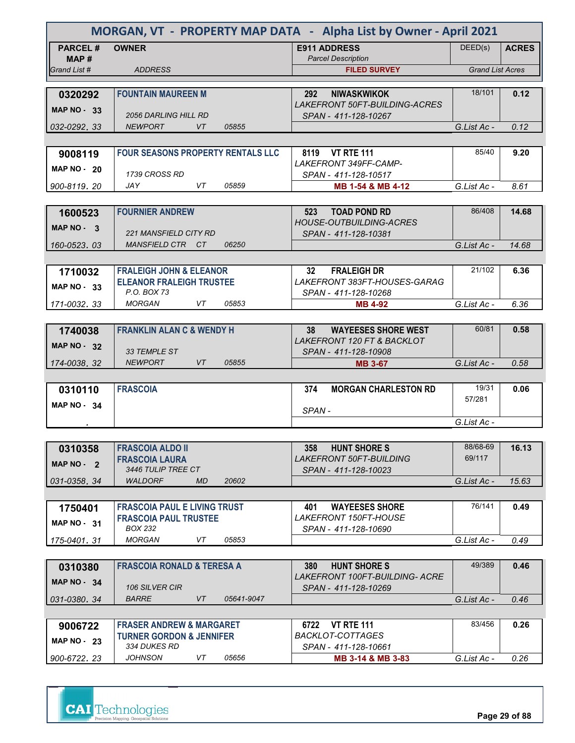|                         | MORGAN, VT - PROPERTY MAP DATA - Alpha List by Owner - April 2021 |                                                  |                         |              |  |  |  |
|-------------------------|-------------------------------------------------------------------|--------------------------------------------------|-------------------------|--------------|--|--|--|
| <b>PARCEL#</b><br>MAP # | <b>OWNER</b>                                                      | <b>E911 ADDRESS</b><br><b>Parcel Description</b> | DEED(s)                 | <b>ACRES</b> |  |  |  |
| Grand List #            | <b>ADDRESS</b>                                                    | <b>FILED SURVEY</b>                              | <b>Grand List Acres</b> |              |  |  |  |
|                         |                                                                   |                                                  |                         |              |  |  |  |
| 0320292                 | <b>FOUNTAIN MAUREEN M</b>                                         | <b>NIWASKWIKOK</b><br>292                        | 18/101                  | 0.12         |  |  |  |
| <b>MAP NO - 33</b>      |                                                                   | <b>LAKEFRONT 50FT-BUILDING-ACRES</b>             |                         |              |  |  |  |
|                         | <b>2056 DARLING HILL RD</b>                                       | SPAN - 411-128-10267                             |                         |              |  |  |  |
| 032-0292.33             | <b>NEWPORT</b><br><b>VT</b><br>05855                              |                                                  | G.List Ac -             | 0.12         |  |  |  |
|                         |                                                                   |                                                  |                         |              |  |  |  |
| 9008119                 | <b>FOUR SEASONS PROPERTY RENTALS LLC</b>                          | <b>VT RTE 111</b><br>8119                        | 85/40                   | 9.20         |  |  |  |
| <b>MAP NO - 20</b>      |                                                                   | LAKEFRONT 349FF-CAMP-                            |                         |              |  |  |  |
|                         | 1739 CROSS RD                                                     | SPAN - 411-128-10517                             |                         |              |  |  |  |
| 900-8119, 20            | <b>JAY</b><br>VT<br>05859                                         | MB 1-54 & MB 4-12                                | G.List Ac -             | 8.61         |  |  |  |
|                         |                                                                   |                                                  |                         |              |  |  |  |
| 1600523                 | <b>FOURNIER ANDREW</b>                                            | <b>TOAD POND RD</b><br>523                       | 86/408                  | 14.68        |  |  |  |
| MAP $NO - 3$            |                                                                   | <b>HOUSE-OUTBUILDING-ACRES</b>                   |                         |              |  |  |  |
|                         | 221 MANSFIELD CITY RD                                             | SPAN - 411-128-10381                             |                         |              |  |  |  |
| 160-0523, 03            | MANSFIELD CTR CT<br>06250                                         |                                                  | G.List Ac -             | 14.68        |  |  |  |
|                         |                                                                   |                                                  |                         |              |  |  |  |
| 1710032                 | <b>FRALEIGH JOHN &amp; ELEANOR</b>                                | <b>FRALEIGH DR</b><br>32                         | 21/102                  | 6.36         |  |  |  |
| <b>MAP NO - 33</b>      | <b>ELEANOR FRALEIGH TRUSTEE</b>                                   | LAKEFRONT 383FT-HOUSES-GARAG                     |                         |              |  |  |  |
|                         | P.O. BOX 73                                                       | SPAN - 411-128-10268                             |                         |              |  |  |  |
| 171-0032.33             | <b>MORGAN</b><br>05853<br>VT                                      | <b>MB 4-92</b>                                   | G.List Ac -             | 6.36         |  |  |  |
|                         |                                                                   |                                                  |                         |              |  |  |  |
| 1740038                 | <b>FRANKLIN ALAN C &amp; WENDY H</b>                              | 38<br><b>WAYEESES SHORE WEST</b>                 | 60/81                   | 0.58         |  |  |  |
| <b>MAP NO 32</b>        |                                                                   | <b>LAKEFRONT 120 FT &amp; BACKLOT</b>            |                         |              |  |  |  |
|                         | 33 TEMPLE ST                                                      | SPAN - 411-128-10908                             |                         |              |  |  |  |

| 0310110               | <b>FRASCOIA</b> | 374   | <b>MORGAN CHARLESTON RD</b> | 19/31       | 0.06 |
|-----------------------|-----------------|-------|-----------------------------|-------------|------|
| <b>MAP NO -</b><br>34 |                 | SPAN- |                             | 57/281      |      |
|                       |                 |       |                             | G.List Ac - |      |

*174-0038 32 .* **MB 3-67** *NEWPORT VT 05855*

| 0310358             | <b>FRASCOIA ALDO II</b>              | <b>HUNT SHORE S</b><br>358     | 88/68-69    | 16.13 |
|---------------------|--------------------------------------|--------------------------------|-------------|-------|
| MAP $NO - 2$        | <b>FRASCOIA LAURA</b>                | <b>LAKEFRONT 50FT-BUILDING</b> | 69/117      |       |
|                     | 3446 TULIP TREE CT                   | SPAN - 411-128-10023           |             |       |
| $\mid$ 031-0358, 34 | 20602<br><b>MD</b><br><b>WALDORF</b> |                                | G.List Ac - | 15.63 |
|                     |                                      |                                |             |       |
| 1750401             | <b>FRASCOIA PAUL E LIVING TRUST</b>  | <b>WAYEESES SHORE</b><br>401   | 76/141      | 0.49  |
| $MAP NO - 31$       | <b>FRASCOIA PAUL TRUSTEE</b>         | <i>LAKEFRONT 150FT-HOUSE</i>   |             |       |
|                     | BOX 232                              | SPAN - 411-128-10690           |             |       |
| 175-0401, 31        | <b>MORGAN</b><br>05853<br>VT         |                                | G.List Ac - | 0.49  |

| 0310380       | <b>FRASCOIA RONALD &amp; TERESA A</b> |    |            | 380 | <b>HUNT SHORE S</b>                                    | 49/389      | 0.46 |
|---------------|---------------------------------------|----|------------|-----|--------------------------------------------------------|-------------|------|
| MAP $NO - 34$ | <b>106 SILVER CIR</b>                 |    |            |     | LAKEFRONT 100FT-BUILDING- ACRE<br>SPAN - 411-128-10269 |             |      |
| 031-0380. 34  | <b>BARRE</b>                          | V7 | 05641-9047 |     |                                                        | G.List Ac - | 0.46 |

| 9006722      | <b>FRASER ANDREW &amp; MARGARET</b> | 6722<br><b>VT RTF 111</b> | 83/456      | 0.26 |
|--------------|-------------------------------------|---------------------------|-------------|------|
| MAP NO $-23$ | <b>TURNER GORDON &amp; JENNIFER</b> | BACKLOT-COTTAGES          |             |      |
|              | 334 DUKES RD                        | SPAN - 411-128-10661      |             |      |
| 900-6722, 23 | 05656<br>JOHNSON                    | MB 3-14 & MB 3-83         | G.List Ac - | 0.26 |

 *G.List Ac - 0.58*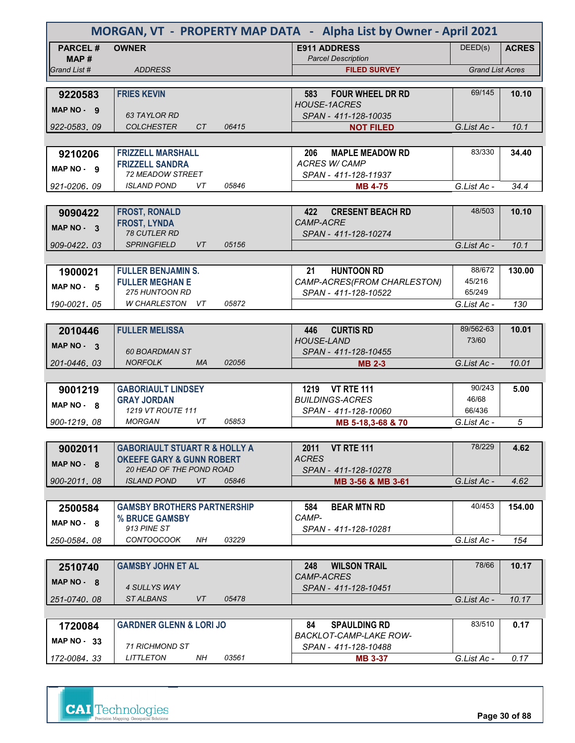| MORGAN, VT - PROPERTY MAP DATA - Alpha List by Owner - April 2021 |                                                   |       |                                                       |                         |              |
|-------------------------------------------------------------------|---------------------------------------------------|-------|-------------------------------------------------------|-------------------------|--------------|
| <b>PARCEL#</b><br>MAP#                                            | <b>OWNER</b>                                      |       | <b>E911 ADDRESS</b><br><b>Parcel Description</b>      | DEED(s)                 | <b>ACRES</b> |
| Grand List #                                                      | <b>ADDRESS</b>                                    |       | <b>FILED SURVEY</b>                                   | <b>Grand List Acres</b> |              |
|                                                                   |                                                   |       |                                                       |                         |              |
| 9220583<br>MAP NO - 9                                             | <b>FRIES KEVIN</b>                                |       | <b>FOUR WHEEL DR RD</b><br>583<br><b>HOUSE-1ACRES</b> | 69/145                  | 10.10        |
|                                                                   | <b>63 TAYLOR RD</b>                               |       | SPAN - 411-128-10035                                  |                         |              |
| 922-0583.09                                                       | <b>COLCHESTER</b><br>CT                           | 06415 | <b>NOT FILED</b>                                      | G.List Ac -             | 10.1         |
|                                                                   |                                                   |       |                                                       |                         |              |
| 9210206                                                           | <b>FRIZZELL MARSHALL</b>                          |       | 206<br><b>MAPLE MEADOW RD</b>                         | 83/330                  | 34.40        |
| MAP NO - 9                                                        | <b>FRIZZELL SANDRA</b><br><b>72 MEADOW STREET</b> |       | <b>ACRES W/ CAMP</b><br>SPAN - 411-128-11937          |                         |              |
| 921-0206.09                                                       | <b>ISLAND POND</b><br>VT                          | 05846 | <b>MB 4-75</b>                                        | G.List Ac -             | 34.4         |
|                                                                   |                                                   |       |                                                       |                         |              |
| 9090422                                                           | <b>FROST, RONALD</b>                              |       | 422<br><b>CRESENT BEACH RD</b>                        | 48/503                  | 10.10        |
|                                                                   | <b>FROST, LYNDA</b>                               |       | <b>CAMP-ACRE</b>                                      |                         |              |
| MAP NO 3                                                          | <b>78 CUTLER RD</b>                               |       | SPAN - 411-128-10274                                  |                         |              |
| 909-0422.03                                                       | <b>SPRINGFIELD</b><br>VT                          | 05156 |                                                       | G.List Ac -             | 10.1         |
|                                                                   |                                                   |       |                                                       |                         |              |
| 1900021                                                           | <b>FULLER BENJAMIN S.</b>                         |       | <b>HUNTOON RD</b><br>21                               | 88/672                  | 130.00       |
|                                                                   | <b>FULLER MEGHAN E</b>                            |       | CAMP-ACRES(FROM CHARLESTON)                           | 45/216                  |              |
| MAP NO - 5                                                        | <b>275 HUNTOON RD</b>                             |       | SPAN - 411-128-10522                                  | 65/249                  |              |
| 190-0021.05                                                       | W CHARLESTON<br>VT.                               | 05872 |                                                       | G.List Ac -             | 130          |
|                                                                   |                                                   |       |                                                       |                         |              |
| 2010446                                                           | <b>FULLER MELISSA</b>                             |       | <b>CURTIS RD</b><br>446                               | 89/562-63               | 10.01        |
| MAP NO - 3                                                        |                                                   |       | <b>HOUSE-LAND</b>                                     | 73/60                   |              |
|                                                                   | <b>60 BOARDMAN ST</b>                             |       | SPAN - 411-128-10455                                  |                         |              |
| 201-0446.03                                                       | <b>NORFOLK</b><br><b>MA</b>                       | 02056 | <b>MB 2-3</b>                                         | G.List Ac -             | 10.01        |
|                                                                   |                                                   |       |                                                       |                         |              |
| 9001219                                                           | <b>GABORIAULT LINDSEY</b>                         |       | <b>VT RTE 111</b><br>1219                             | 90/243                  | 5.00         |
| MAP NO - 8                                                        | <b>GRAY JORDAN</b>                                |       | <b>BUILDINGS-ACRES</b>                                | 46/68                   |              |
|                                                                   | 1219 VT ROUTE 111                                 |       | SPAN - 411-128-10060                                  | 66/436                  |              |
| 900-1219, 08                                                      | <b>MORGAN</b><br>VT                               | 05853 | MB 5-18,3-68 & 70                                     | G.List Ac -             | 5            |
|                                                                   |                                                   |       |                                                       |                         |              |
| 9002011                                                           | <b>GABORIAULT STUART R &amp; HOLLY A</b>          |       | <b>VT RTE 111</b><br>2011                             | 78/229                  | 4.62         |
| MAP NO - 8                                                        | <b>OKEEFE GARY &amp; GUNN ROBERT</b>              |       | <b>ACRES</b>                                          |                         |              |
|                                                                   | 20 HEAD OF THE POND ROAD                          |       | SPAN - 411-128-10278                                  |                         |              |
| 900-2011.08                                                       | <b>ISLAND POND</b><br>VT                          | 05846 | MB 3-56 & MB 3-61                                     | G.List Ac -             | 4.62         |
|                                                                   |                                                   |       |                                                       |                         |              |
| 2500584                                                           | <b>GAMSBY BROTHERS PARTNERSHIP</b>                |       | <b>BEAR MTN RD</b><br>584                             | 40/453                  | 154.00       |
| $MAP NO - 8$                                                      | % BRUCE GAMSBY<br>913 PINE ST                     |       | CAMP-                                                 |                         |              |
| 250-0584.08                                                       | <b>CONTOOCOOK</b><br>NH                           | 03229 | SPAN - 411-128-10281                                  | G.List Ac -             | 154          |
|                                                                   |                                                   |       |                                                       |                         |              |
|                                                                   | <b>GAMSBY JOHN ET AL</b>                          |       | <b>WILSON TRAIL</b><br>248                            | 78/66                   | 10.17        |
| 2510740                                                           |                                                   |       | <b>CAMP-ACRES</b>                                     |                         |              |
| $MAP NO - 8$                                                      | 4 SULLYS WAY                                      |       | SPAN - 411-128-10451                                  |                         |              |
| 251-0740.08                                                       | ST ALBANS<br>VT                                   | 05478 |                                                       | G.List Ac -             | 10.17        |
|                                                                   |                                                   |       |                                                       |                         |              |
| 1720084                                                           | <b>GARDNER GLENN &amp; LORI JO</b>                |       | 84<br><b>SPAULDING RD</b>                             | 83/510                  | 0.17         |
| MAP $NO - 33$                                                     |                                                   |       | BACKLOT-CAMP-LAKE ROW-                                |                         |              |
|                                                                   | 71 RICHMOND ST                                    |       | SPAN - 411-128-10488                                  |                         |              |
| 172-0084.33                                                       | <b>LITTLETON</b><br>NH                            | 03561 | <b>MB 3-37</b>                                        | G.List Ac -             | 0.17         |

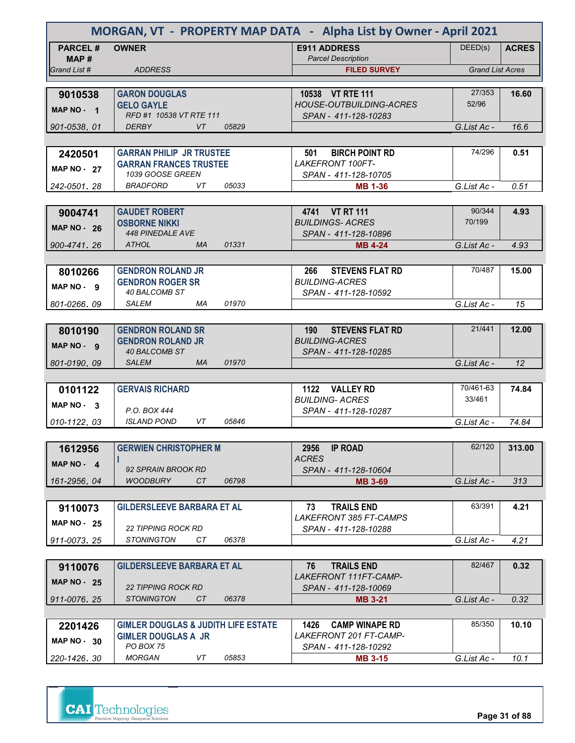|                         | MORGAN, VT - PROPERTY MAP DATA - Alpha List by Owner - April 2021 |                                                        |                         |              |
|-------------------------|-------------------------------------------------------------------|--------------------------------------------------------|-------------------------|--------------|
| <b>PARCEL#</b><br>MAP # | <b>OWNER</b>                                                      | <b>E911 ADDRESS</b><br><b>Parcel Description</b>       | DEED(s)                 | <b>ACRES</b> |
| Grand List #            | <b>ADDRESS</b>                                                    | <b>FILED SURVEY</b>                                    | <b>Grand List Acres</b> |              |
|                         |                                                                   |                                                        |                         |              |
| 9010538                 | <b>GARON DOUGLAS</b>                                              | 10538 VT RTE 111                                       | 27/353                  | 16.60        |
| MAP NO - 1              | <b>GELO GAYLE</b>                                                 | <b>HOUSE-OUTBUILDING-ACRES</b>                         | 52/96                   |              |
| 901-0538.01             | RFD #1 10538 VT RTE 111<br><b>DERBY</b><br>VT<br>05829            | SPAN - 411-128-10283                                   | G.List Ac -             | 16.6         |
|                         |                                                                   |                                                        |                         |              |
| 2420501                 | <b>GARRAN PHILIP JR TRUSTEE</b>                                   | <b>BIRCH POINT RD</b><br>501                           | 74/296                  | 0.51         |
|                         | <b>GARRAN FRANCES TRUSTEE</b>                                     | <b>LAKEFRONT 100FT-</b>                                |                         |              |
| <b>MAP NO - 27</b>      | 1039 GOOSE GREEN                                                  | SPAN - 411-128-10705                                   |                         |              |
| 242-0501, 28            | 05033<br><b>BRADFORD</b><br>VT                                    | <b>MB 1-36</b>                                         | G.List Ac -             | 0.51         |
|                         |                                                                   |                                                        |                         |              |
| 9004741                 | <b>GAUDET ROBERT</b>                                              | 4741 VT RT 111                                         | 90/344                  | 4.93         |
| <b>MAP NO - 26</b>      | <b>OSBORNE NIKKI</b>                                              | <b>BUILDINGS-ACRES</b>                                 | 70/199                  |              |
|                         | <b>448 PINEDALE AVE</b>                                           | SPAN - 411-128-10896                                   |                         |              |
| 900-4741.26             | 01331<br>ATHOL<br><b>MA</b>                                       | <b>MB 4-24</b>                                         | G.List Ac -             | 4.93         |
|                         |                                                                   |                                                        |                         |              |
| 8010266                 | <b>GENDRON ROLAND JR</b>                                          | <b>STEVENS FLAT RD</b><br>266<br><b>BUILDING-ACRES</b> | 70/487                  | 15.00        |
| MAP NO - 9              | <b>GENDRON ROGER SR</b><br>40 BALCOMB ST                          | SPAN - 411-128-10592                                   |                         |              |
| 801-0266.09             | <b>SALEM</b><br>01970<br>МA                                       |                                                        | G.List Ac -             | 15           |
|                         |                                                                   |                                                        |                         |              |
| 8010190                 | <b>GENDRON ROLAND SR</b>                                          | <b>STEVENS FLAT RD</b><br>190                          | 21/441                  | 12.00        |
| MAP NO - 9              | <b>GENDRON ROLAND JR</b>                                          | <b>BUILDING-ACRES</b>                                  |                         |              |
|                         | <b>40 BALCOMB ST</b>                                              | SPAN - 411-128-10285                                   |                         |              |
| 801-0190.09             | <b>SALEM</b><br><b>MA</b><br>01970                                |                                                        | G.List Ac -             | 12           |
|                         |                                                                   |                                                        |                         |              |
| 0101122                 | <b>GERVAIS RICHARD</b>                                            | 1122 VALLEY RD                                         | 70/461-63               | 74.84        |
| MAP NO - 3              | P.O. BOX 444                                                      | <b>BUILDING- ACRES</b><br>SPAN - 411-128-10287         | 33/461                  |              |
| 010-1122.03             | <b>ISLAND POND</b><br>VT<br>05846                                 |                                                        | G.List Ac -             | 74.84        |
|                         |                                                                   |                                                        |                         |              |
| 1612956                 | <b>GERWIEN CHRISTOPHER M</b>                                      | <b>IP ROAD</b><br>2956                                 | 62/120                  | 313.00       |
|                         |                                                                   | <b>ACRES</b>                                           |                         |              |
| MAP $NO - 4$            | 92 SPRAIN BROOK RD                                                | SPAN - 411-128-10604                                   |                         |              |
| 161-2956.04             | CT<br><b>WOODBURY</b><br>06798                                    | <b>MB 3-69</b>                                         | G.List Ac -             | 313          |
|                         |                                                                   |                                                        |                         |              |
| 9110073                 | <b>GILDERSLEEVE BARBARA ET AL</b>                                 | <b>TRAILS END</b><br>73                                | 63/391                  | 4.21         |
| <b>MAP NO - 25</b>      |                                                                   | LAKEFRONT 385 FT-CAMPS                                 |                         |              |
|                         | <b>22 TIPPING ROCK RD</b>                                         | SPAN - 411-128-10288                                   |                         |              |
| 911-0073.25             | <b>STONINGTON</b><br>CT<br>06378                                  |                                                        | G.List Ac -             | 4.21         |
|                         | <b>GILDERSLEEVE BARBARA ET AL</b>                                 | <b>TRAILS END</b><br>76                                | 82/467                  | 0.32         |
| 9110076                 |                                                                   | LAKEFRONT 111FT-CAMP-                                  |                         |              |
| <b>MAP NO - 25</b>      | <b>22 TIPPING ROCK RD</b>                                         | SPAN - 411-128-10069                                   |                         |              |
| 911-0076.25             | <b>STONINGTON</b><br>CT.<br>06378                                 | <b>MB 3-21</b>                                         | G.List Ac -             | 0.32         |
|                         |                                                                   |                                                        |                         |              |
| 2201426                 | <b>GIMLER DOUGLAS &amp; JUDITH LIFE ESTATE</b>                    | <b>CAMP WINAPE RD</b><br>1426                          | 85/350                  | 10.10        |
| MAP $NO - 30$           | <b>GIMLER DOUGLAS A JR</b>                                        | <i>LAKEFRONT 201 FT-CAMP-</i>                          |                         |              |
|                         | PO BOX 75                                                         | SPAN - 411-128-10292                                   |                         |              |
| 220-1426, 30            | <b>MORGAN</b><br>VT<br>05853                                      | <b>MB 3-15</b>                                         | G.List Ac -             | 10.1         |

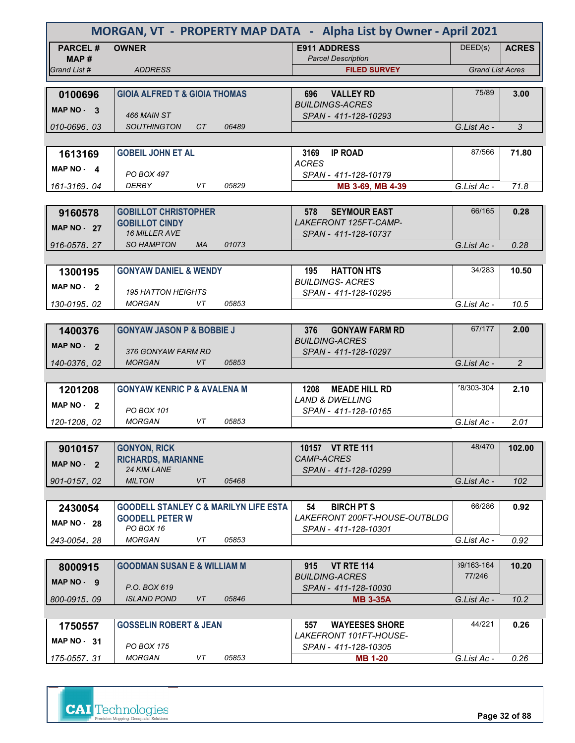| MORGAN, VT - PROPERTY MAP DATA - Alpha List by Owner - April 2021 |                                                                            |                                                          |                         |                |  |
|-------------------------------------------------------------------|----------------------------------------------------------------------------|----------------------------------------------------------|-------------------------|----------------|--|
| <b>PARCEL#</b>                                                    | <b>OWNER</b>                                                               | <b>E911 ADDRESS</b>                                      | DEED(s)                 | <b>ACRES</b>   |  |
| MAP #<br>Grand List #                                             | <b>ADDRESS</b>                                                             | <b>Parcel Description</b><br><b>FILED SURVEY</b>         | <b>Grand List Acres</b> |                |  |
|                                                                   |                                                                            |                                                          |                         |                |  |
| 0100696                                                           | <b>GIOIA ALFRED T &amp; GIOIA THOMAS</b>                                   | <b>VALLEY RD</b><br>696                                  | 75/89                   | 3.00           |  |
| MAP NO - 3                                                        |                                                                            | <b>BUILDINGS-ACRES</b>                                   |                         |                |  |
|                                                                   | 466 MAIN ST                                                                | SPAN - 411-128-10293                                     |                         |                |  |
| 010-0696, 03                                                      | 06489<br><b>SOUTHINGTON</b><br>CT.                                         |                                                          | G.List Ac -             | 3              |  |
| 1613169                                                           | <b>GOBEIL JOHN ET AL</b>                                                   | 3169<br><b>IP ROAD</b>                                   | 87/566                  | 71.80          |  |
|                                                                   |                                                                            | <b>ACRES</b>                                             |                         |                |  |
| $MAP NO - 4$                                                      | PO BOX 497                                                                 | SPAN - 411-128-10179                                     |                         |                |  |
| 161-3169, 04                                                      | <b>DERBY</b><br>VT<br>05829                                                | MB 3-69, MB 4-39                                         | G.List Ac -             | 71.8           |  |
|                                                                   |                                                                            |                                                          |                         |                |  |
| 9160578                                                           | <b>GOBILLOT CHRISTOPHER</b><br><b>GOBILLOT CINDY</b>                       | <b>SEYMOUR EAST</b><br>578<br>LAKEFRONT 125FT-CAMP-      | 66/165                  | 0.28           |  |
| <b>MAP NO - 27</b>                                                | <b>16 MILLER AVE</b>                                                       | SPAN - 411-128-10737                                     |                         |                |  |
| 916-0578, 27                                                      | 01073<br><b>SO HAMPTON</b><br><b>MA</b>                                    |                                                          | G.List Ac -             | 0.28           |  |
|                                                                   |                                                                            |                                                          |                         |                |  |
| 1300195                                                           | <b>GONYAW DANIEL &amp; WENDY</b>                                           | 195<br><b>HATTON HTS</b>                                 | 34/283                  | 10.50          |  |
| $MAP NO - 2$                                                      | <b>195 HATTON HEIGHTS</b>                                                  | <b>BUILDINGS-ACRES</b><br>SPAN - 411-128-10295           |                         |                |  |
| 130-0195.02                                                       | <b>MORGAN</b><br>VT<br>05853                                               |                                                          | G.List Ac -             | 10.5           |  |
|                                                                   |                                                                            |                                                          |                         |                |  |
| 1400376                                                           | <b>GONYAW JASON P &amp; BOBBIE J</b>                                       | <b>GONYAW FARM RD</b><br>376                             | 67/177                  | 2.00           |  |
| MAP $NO - 2$                                                      |                                                                            | <b>BUILDING-ACRES</b>                                    |                         |                |  |
| 140-0376, 02                                                      | 376 GONYAW FARM RD<br><b>MORGAN</b><br>VT<br>05853                         | SPAN - 411-128-10297                                     | G.List Ac -             | $\overline{2}$ |  |
|                                                                   |                                                                            |                                                          |                         |                |  |
| 1201208                                                           | <b>GONYAW KENRIC P &amp; AVALENA M</b>                                     | 1208<br><b>MEADE HILL RD</b>                             | 78/303-304              | 2.10           |  |
| MAP $NO - 2$                                                      |                                                                            | <b>LAND &amp; DWELLING</b>                               |                         |                |  |
|                                                                   | PO BOX 101<br>VT<br><b>MORGAN</b><br>05853                                 | SPAN - 411-128-10165                                     |                         |                |  |
| 120-1208, 02                                                      |                                                                            |                                                          | G.List Ac -             | 2.01           |  |
| 9010157                                                           | <b>GONYON, RICK</b>                                                        | 10157 VT RTE 111                                         | 48/470                  | 102.00         |  |
| MAP NO - 2                                                        | <b>RICHARDS, MARIANNE</b>                                                  | CAMP-ACRES                                               |                         |                |  |
|                                                                   | 24 KIM LANE                                                                | SPAN - 411-128-10299                                     |                         |                |  |
| 901-0157.02                                                       | <b>MILTON</b><br>VT<br>05468                                               |                                                          | G.List Ac -             | 102            |  |
|                                                                   |                                                                            |                                                          |                         |                |  |
| 2430054                                                           | <b>GOODELL STANLEY C &amp; MARILYN LIFE ESTA</b><br><b>GOODELL PETER W</b> | 54<br><b>BIRCH PT S</b><br>LAKEFRONT 200FT-HOUSE-OUTBLDG | 66/286                  | 0.92           |  |
| <b>MAP NO - 28</b>                                                | PO BOX 16                                                                  | SPAN - 411-128-10301                                     |                         |                |  |
| 243-0054.28                                                       | <b>MORGAN</b><br>VT<br>05853                                               |                                                          | G.List Ac -             | 0.92           |  |
|                                                                   |                                                                            |                                                          |                         |                |  |
| 8000915                                                           | <b>GOODMAN SUSAN E &amp; WILLIAM M</b>                                     | <b>VT RTE 114</b><br>915<br><b>BUILDING-ACRES</b>        | 39/163-164<br>77/246    | 10.20          |  |
| $MAP NO - 9$                                                      | P.O. BOX 619                                                               | SPAN - 411-128-10030                                     |                         |                |  |
| 800-0915, 09                                                      | <b>ISLAND POND</b><br>VT<br>05846                                          | <b>MB 3-35A</b>                                          | G.List Ac -             | 10.2           |  |
|                                                                   |                                                                            |                                                          |                         |                |  |
| 1750557                                                           | <b>GOSSELIN ROBERT &amp; JEAN</b>                                          | <b>WAYEESES SHORE</b><br>557                             | 44/221                  | 0.26           |  |
| MAP $NO - 31$                                                     | PO BOX 175                                                                 | LAKEFRONT 101FT-HOUSE-<br>SPAN - 411-128-10305           |                         |                |  |
| 175-0557.31                                                       | <b>MORGAN</b><br>VT<br>05853                                               | <b>MB 1-20</b>                                           | G.List Ac -             | 0.26           |  |
|                                                                   |                                                                            |                                                          |                         |                |  |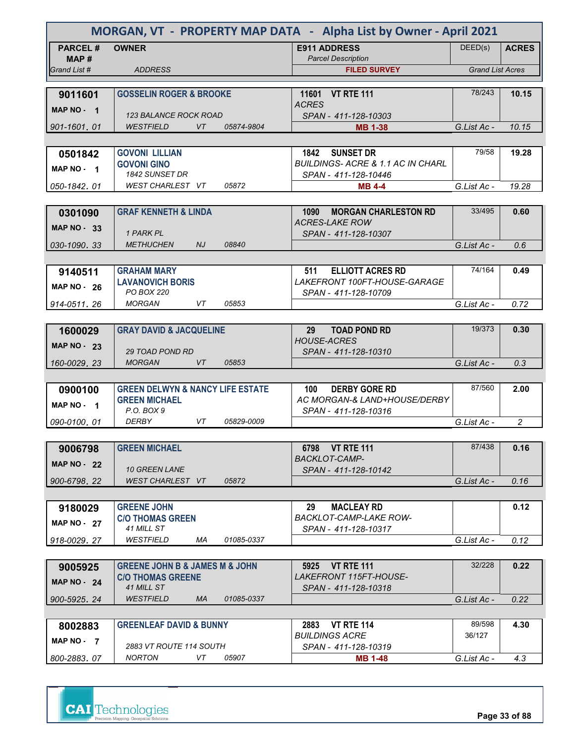| MORGAN, VT - PROPERTY MAP DATA - Alpha List by Owner - April 2021 |                                                                           |                                                                     |                         |                |
|-------------------------------------------------------------------|---------------------------------------------------------------------------|---------------------------------------------------------------------|-------------------------|----------------|
| <b>PARCEL#</b><br>MAP #                                           | <b>OWNER</b>                                                              | <b>E911 ADDRESS</b><br><b>Parcel Description</b>                    | DEED(s)                 | <b>ACRES</b>   |
| Grand List #                                                      | <b>ADDRESS</b>                                                            | <b>FILED SURVEY</b>                                                 | <b>Grand List Acres</b> |                |
|                                                                   |                                                                           |                                                                     |                         |                |
| 9011601                                                           | <b>GOSSELIN ROGER &amp; BROOKE</b>                                        | <b>VT RTE 111</b><br>11601<br><b>ACRES</b>                          | 78/243                  | 10.15          |
| MAP NO - 1                                                        | 123 BALANCE ROCK ROAD                                                     | SPAN - 411-128-10303                                                |                         |                |
| 901-1601.01                                                       | <b>WESTFIELD</b><br>VT.<br>05874-9804                                     | <b>MB 1-38</b>                                                      | G.List Ac -             | 10.15          |
|                                                                   |                                                                           |                                                                     |                         |                |
| 0501842                                                           | <b>GOVONI LILLIAN</b>                                                     | 1842<br><b>SUNSET DR</b>                                            | 79/58                   | 19.28          |
| MAP NO - 1                                                        | <b>GOVONI GINO</b><br>1842 SUNSET DR                                      | <b>BUILDINGS-ACRE &amp; 1.1 AC IN CHARL</b><br>SPAN - 411-128-10446 |                         |                |
| 050-1842.01                                                       | WEST CHARLEST VT<br>05872                                                 | <b>MB 4-4</b>                                                       | G.List Ac -             | 19.28          |
|                                                                   |                                                                           |                                                                     |                         |                |
| 0301090                                                           | <b>GRAF KENNETH &amp; LINDA</b>                                           | 1090<br><b>MORGAN CHARLESTON RD</b>                                 | 33/495                  | 0.60           |
| MAP $NO - 33$                                                     | 1 PARK PL                                                                 | <b>ACRES-LAKE ROW</b><br>SPAN - 411-128-10307                       |                         |                |
| 030-1090.33                                                       | <b>METHUCHEN</b><br>08840<br>NJ                                           |                                                                     | G.List Ac -             | 0.6            |
|                                                                   |                                                                           |                                                                     |                         |                |
| 9140511                                                           | <b>GRAHAM MARY</b>                                                        | <b>ELLIOTT ACRES RD</b><br>511                                      | 74/164                  | 0.49           |
| <b>MAP NO - 26</b>                                                | <b>LAVANOVICH BORIS</b>                                                   | LAKEFRONT 100FT-HOUSE-GARAGE                                        |                         |                |
|                                                                   | PO BOX 220<br><b>MORGAN</b><br>VT<br>05853                                | SPAN - 411-128-10709                                                |                         |                |
| 914-0511.26                                                       |                                                                           |                                                                     | G.List Ac -             | 0.72           |
| 1600029                                                           | <b>GRAY DAVID &amp; JACQUELINE</b>                                        | 29<br><b>TOAD POND RD</b>                                           | 19/373                  | 0.30           |
|                                                                   |                                                                           | <b>HOUSE-ACRES</b>                                                  |                         |                |
| <b>MAP NO - 23</b>                                                | <b>29 TOAD POND RD</b>                                                    | SPAN - 411-128-10310                                                |                         |                |
| 160-0029, 23                                                      | <b>MORGAN</b><br><b>VT</b><br>05853                                       |                                                                     | G.List Ac -             | 0.3            |
|                                                                   |                                                                           |                                                                     |                         |                |
| 0900100                                                           | <b>GREEN DELWYN &amp; NANCY LIFE ESTATE</b><br><b>GREEN MICHAEL</b>       | <b>DERBY GORE RD</b><br>100<br>AC MORGAN-& LAND+HOUSE/DERBY         | 87/560                  | 2.00           |
| MAP NO - 1                                                        | P.O. BOX 9                                                                | SPAN - 411-128-10316                                                |                         |                |
| 090-0100, 01                                                      | <b>DERBY</b><br>VT<br>05829-0009                                          |                                                                     | G.List Ac -             | $\overline{c}$ |
|                                                                   |                                                                           |                                                                     |                         |                |
| 9006798                                                           | <b>GREEN MICHAEL</b>                                                      | 6798 VT RTE 111                                                     | 87/438                  | 0.16           |
| MAP $NO - 22$                                                     |                                                                           | <b>BACKLOT-CAMP-</b>                                                |                         |                |
| 900-6798.22                                                       | <b>10 GREEN LANE</b><br>WEST CHARLEST VT<br>05872                         | SPAN - 411-128-10142                                                | G.List Ac -             | 0.16           |
|                                                                   |                                                                           |                                                                     |                         |                |
| 9180029                                                           | <b>GREENE JOHN</b>                                                        | 29<br><b>MACLEAY RD</b>                                             |                         | 0.12           |
| <b>MAP NO - 27</b>                                                | <b>C/O THOMAS GREEN</b>                                                   | <b>BACKLOT-CAMP-LAKE ROW-</b>                                       |                         |                |
|                                                                   | 41 MILL ST                                                                | SPAN - 411-128-10317                                                |                         |                |
| 918-0029.27                                                       | WESTFIELD<br>ΜA<br>01085-0337                                             |                                                                     | G.List Ac -             | 0.12           |
|                                                                   |                                                                           |                                                                     |                         |                |
| 9005925                                                           | <b>GREENE JOHN B &amp; JAMES M &amp; JOHN</b><br><b>C/O THOMAS GREENE</b> | 5925 VT RTE 111<br><i>LAKEFRONT 115FT-HOUSE-</i>                    | 32/228                  | 0.22           |
| MAP $NO - 24$                                                     | 41 MILL ST                                                                | SPAN - 411-128-10318                                                |                         |                |
| 900-5925, 24                                                      | <b>WESTFIELD</b><br><b>MA</b><br>01085-0337                               |                                                                     | G.List Ac -             | 0.22           |
|                                                                   |                                                                           |                                                                     |                         |                |
| 8002883                                                           | <b>GREENLEAF DAVID &amp; BUNNY</b>                                        | 2883<br><b>VT RTE 114</b>                                           | 89/598                  | 4.30           |
| MAP NO - 7                                                        | 2883 VT ROUTE 114 SOUTH                                                   | <b>BUILDINGS ACRE</b><br>SPAN - 411-128-10319                       | 36/127                  |                |
| 800-2883.07                                                       | <b>NORTON</b><br>05907<br>VT                                              | <b>MB 1-48</b>                                                      | G.List Ac -             | 4.3            |
|                                                                   |                                                                           |                                                                     |                         |                |



**Page 33 of 88**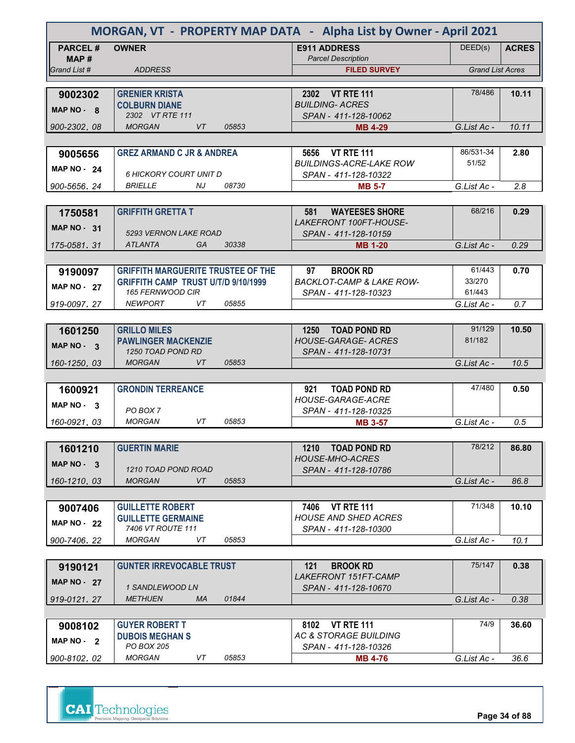| MORGAN, VT - PROPERTY MAP DATA - Alpha List by Owner - April 2021 |                                                                                         |                                                              |                         |              |
|-------------------------------------------------------------------|-----------------------------------------------------------------------------------------|--------------------------------------------------------------|-------------------------|--------------|
| <b>PARCEL#</b><br>MAP #                                           | <b>OWNER</b>                                                                            | <b>E911 ADDRESS</b><br><b>Parcel Description</b>             | DEED(s)                 | <b>ACRES</b> |
| Grand List #                                                      | <b>ADDRESS</b>                                                                          | <b>FILED SURVEY</b>                                          | <b>Grand List Acres</b> |              |
|                                                                   |                                                                                         |                                                              |                         |              |
| 9002302                                                           | <b>GRENIER KRISTA</b>                                                                   | 2302 VT RTE 111                                              | 78/486                  | 10.11        |
| MAP NO - 8                                                        | <b>COLBURN DIANE</b><br>2302 VT RTE 111                                                 | <b>BUILDING- ACRES</b>                                       |                         |              |
| 900-2302.08                                                       | <b>MORGAN</b><br><b>VT</b><br>05853                                                     | SPAN - 411-128-10062<br><b>MB 4-29</b>                       | G.List Ac -             | 10.11        |
|                                                                   |                                                                                         |                                                              |                         |              |
| 9005656                                                           | <b>GREZ ARMAND C JR &amp; ANDREA</b>                                                    | 5656 VT RTE 111                                              | 86/531-34               | 2.80         |
|                                                                   |                                                                                         | <b>BUILDINGS-ACRE-LAKE ROW</b>                               | 51/52                   |              |
| MAP $NO - 24$                                                     | 6 HICKORY COURT UNIT D                                                                  | SPAN - 411-128-10322                                         |                         |              |
| 900-5656, 24                                                      | <b>BRIELLE</b><br>NJ<br>08730                                                           | <b>MB 5-7</b>                                                | G.List Ac -             | 2.8          |
|                                                                   |                                                                                         |                                                              |                         |              |
| 1750581                                                           | <b>GRIFFITH GRETTA T</b>                                                                | 581<br><b>WAYEESES SHORE</b>                                 | 68/216                  | 0.29         |
| <b>MAP NO - 31</b>                                                |                                                                                         | LAKEFRONT 100FT-HOUSE-                                       |                         |              |
|                                                                   | 5293 VERNON LAKE ROAD                                                                   | SPAN - 411-128-10159                                         |                         |              |
| 175-0581.31                                                       | ATLANTA<br>GA<br>30338                                                                  | <b>MB 1-20</b>                                               | G.List Ac -             | 0.29         |
|                                                                   |                                                                                         |                                                              | 61/443                  |              |
| 9190097                                                           | <b>GRIFFITH MARGUERITE TRUSTEE OF THE</b><br><b>GRIFFITH CAMP TRUST U/T/D 9/10/1999</b> | <b>BROOK RD</b><br>97<br><b>BACKLOT-CAMP &amp; LAKE ROW-</b> | 33/270                  | 0.70         |
| <b>MAP NO - 27</b>                                                | 165 FERNWOOD CIR                                                                        | SPAN - 411-128-10323                                         | 61/443                  |              |
| 919-0097.27                                                       | <b>NEWPORT</b><br>05855<br>VT                                                           |                                                              | G.List Ac -             | 0.7          |
|                                                                   |                                                                                         |                                                              |                         |              |
| 1601250                                                           | <b>GRILLO MILES</b>                                                                     | <b>TOAD POND RD</b><br>1250                                  | 91/129                  | 10.50        |
| MAP NO - 3                                                        | <b>PAWLINGER MACKENZIE</b>                                                              | <b>HOUSE-GARAGE- ACRES</b>                                   | 81/182                  |              |
|                                                                   | 1250 TOAD POND RD                                                                       | SPAN - 411-128-10731                                         |                         |              |
| 160-1250.03                                                       | <b>MORGAN</b><br><b>VT</b><br>05853                                                     |                                                              | G.List Ac -             | 10.5         |
|                                                                   |                                                                                         |                                                              |                         |              |
| 1600921                                                           | <b>GRONDIN TERREANCE</b>                                                                | 921<br><b>TOAD POND RD</b>                                   | 47/480                  | 0.50         |
| MAP NO 3                                                          | PO BOX 7                                                                                | <b>HOUSE-GARAGE-ACRE</b><br>SPAN - 411-128-10325             |                         |              |
| 160-0921, 03                                                      | VT<br><b>MORGAN</b><br>05853                                                            | <b>MB 3-57</b>                                               | G.List Ac -             | 0.5          |
|                                                                   |                                                                                         |                                                              |                         |              |
| 1601210                                                           | <b>GUERTIN MARIE</b>                                                                    | 1210<br><b>TOAD POND RD</b>                                  | 78/212                  | 86.80        |
| MAP $NO - 3$                                                      |                                                                                         | <b>HOUSE-MHO-ACRES</b>                                       |                         |              |
|                                                                   | 1210 TOAD POND ROAD                                                                     | SPAN - 411-128-10786                                         |                         |              |
| 160-1210.03                                                       | <b>MORGAN</b><br>VT<br>05853                                                            |                                                              | G.List Ac -             | 86.8         |
|                                                                   |                                                                                         |                                                              |                         |              |
| 9007406                                                           | <b>GUILLETTE ROBERT</b>                                                                 | <b>VT RTE 111</b><br>7406                                    | 71/348                  | 10.10        |
| <b>MAP NO - 22</b>                                                | <b>GUILLETTE GERMAINE</b><br>7406 VT ROUTE 111                                          | <b>HOUSE AND SHED ACRES</b>                                  |                         |              |
| 900-7406.22                                                       | <b>MORGAN</b><br>VT<br>05853                                                            | SPAN - 411-128-10300                                         | G.List Ac -             | 10.1         |
|                                                                   |                                                                                         |                                                              |                         |              |
| 9190121                                                           | <b>GUNTER IRREVOCABLE TRUST</b>                                                         | <b>BROOK RD</b><br>121                                       | 75/147                  | 0.38         |
|                                                                   |                                                                                         | <b>LAKEFRONT 151FT-CAMP</b>                                  |                         |              |
| <b>MAP NO - 27</b>                                                | 1 SANDLEWOOD LN                                                                         | SPAN - 411-128-10670                                         |                         |              |
| 919-0121, 27                                                      | <b>METHUEN</b><br><b>MA</b><br>01844                                                    |                                                              | G.List Ac -             | 0.38         |
|                                                                   |                                                                                         |                                                              |                         |              |
| 9008102                                                           | <b>GUYER ROBERT T</b>                                                                   | <b>VT RTE 111</b><br>8102                                    | 74/9                    | 36.60        |
| MAP $NO - 2$                                                      | <b>DUBOIS MEGHAN S</b>                                                                  | <b>AC &amp; STORAGE BUILDING</b>                             |                         |              |
|                                                                   | PO BOX 205<br><b>MORGAN</b><br>05853                                                    | SPAN - 411-128-10326                                         |                         |              |
| 900-8102.02                                                       | VT                                                                                      | <b>MB 4-76</b>                                               | G.List Ac -             | 36.6         |

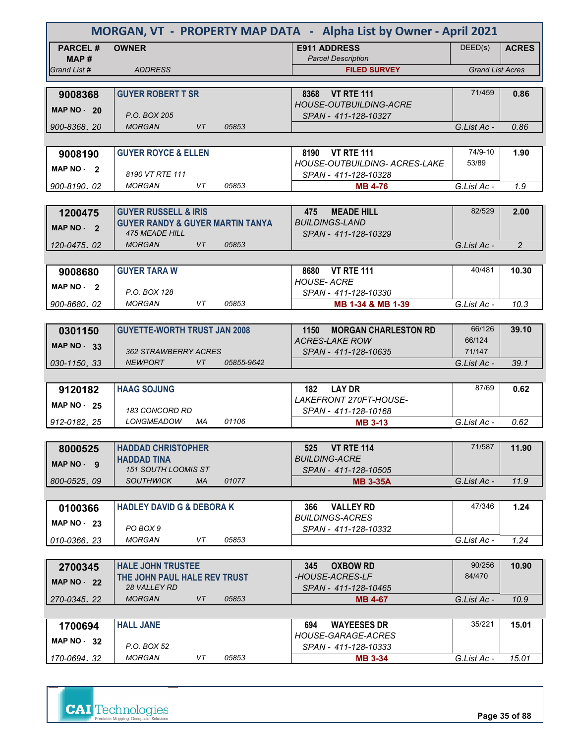| MORGAN, VT - PROPERTY MAP DATA - Alpha List by Owner - April 2021 |                                                 |            |                                                       |                         |                |
|-------------------------------------------------------------------|-------------------------------------------------|------------|-------------------------------------------------------|-------------------------|----------------|
| <b>PARCEL#</b><br>MAP#                                            | <b>OWNER</b>                                    |            | <b>E911 ADDRESS</b><br><b>Parcel Description</b>      | DEED(s)                 | <b>ACRES</b>   |
| Grand List #                                                      | <b>ADDRESS</b>                                  |            | <b>FILED SURVEY</b>                                   | <b>Grand List Acres</b> |                |
|                                                                   |                                                 |            |                                                       |                         |                |
| 9008368                                                           | <b>GUYER ROBERT T SR</b>                        |            | 8368 VT RTE 111                                       | 71/459                  | 0.86           |
| <b>MAP NO - 20</b>                                                | P.O. BOX 205                                    |            | <b>HOUSE-OUTBUILDING-ACRE</b><br>SPAN - 411-128-10327 |                         |                |
| 900-8368.20                                                       | <b>MORGAN</b><br>VT                             | 05853      |                                                       | G.List Ac -             | 0.86           |
|                                                                   |                                                 |            |                                                       |                         |                |
| 9008190                                                           | <b>GUYER ROYCE &amp; ELLEN</b>                  |            | 8190<br><b>VT RTE 111</b>                             | 74/9-10                 | 1.90           |
| MAP NO - 2                                                        |                                                 |            | <b>HOUSE-OUTBUILDING- ACRES-LAKE</b>                  | 53/89                   |                |
|                                                                   | 8190 VT RTE 111<br><b>MORGAN</b><br>VT          | 05853      | SPAN - 411-128-10328                                  |                         |                |
| 900-8190, 02                                                      |                                                 |            | <b>MB 4-76</b>                                        | G.List Ac -             | 1.9            |
| 1200475                                                           | <b>GUYER RUSSELL &amp; IRIS</b>                 |            | 475<br><b>MEADE HILL</b>                              | 82/529                  | 2.00           |
|                                                                   | <b>GUYER RANDY &amp; GUYER MARTIN TANYA</b>     |            | <b>BUILDINGS-LAND</b>                                 |                         |                |
| MAP NO - 2                                                        | <b>475 MEADE HILL</b>                           |            | SPAN - 411-128-10329                                  |                         |                |
| 120-0475, 02                                                      | <b>MORGAN</b><br>VT                             | 05853      |                                                       | G.List Ac -             | $\overline{2}$ |
|                                                                   |                                                 |            |                                                       |                         |                |
| 9008680                                                           | <b>GUYER TARA W</b>                             |            | <b>VT RTE 111</b><br>8680                             | 40/481                  | 10.30          |
| MAP NO - 2                                                        | P.O. BOX 128                                    |            | <b>HOUSE-ACRE</b><br>SPAN - 411-128-10330             |                         |                |
| 900-8680.02                                                       | <b>MORGAN</b><br>VT                             | 05853      | MB 1-34 & MB 1-39                                     | G.List Ac -             | 10.3           |
|                                                                   |                                                 |            |                                                       |                         |                |
| 0301150                                                           | <b>GUYETTE-WORTH TRUST JAN 2008</b>             |            | <b>MORGAN CHARLESTON RD</b><br>1150                   | 66/126                  | 39.10          |
| <b>MAP NO - 33</b>                                                |                                                 |            | <b>ACRES-LAKE ROW</b>                                 | 66/124                  |                |
|                                                                   | 362 STRAWBERRY ACRES<br><b>NEWPORT</b>          | 05855-9642 | SPAN - 411-128-10635                                  | 71/147                  |                |
| 030-1150.33                                                       | VT                                              |            |                                                       | G.List Ac -             | 39.1           |
| 9120182                                                           | <b>HAAG SOJUNG</b>                              |            | <b>LAY DR</b><br>182                                  | 87/69                   | 0.62           |
| MAP $NO - 25$                                                     |                                                 |            | LAKEFRONT 270FT-HOUSE-                                |                         |                |
|                                                                   | 183 CONCORD RD                                  |            | SPAN - 411-128-10168                                  |                         |                |
| 912-0182, 25                                                      | LONGMEADOW<br>МA                                | 01106      | <b>MB 3-13</b>                                        | G.List Ac -             | 0.62           |
|                                                                   |                                                 |            |                                                       | 71/587                  |                |
| 8000525                                                           | <b>HADDAD CHRISTOPHER</b><br><b>HADDAD TINA</b> |            | <b>VT RTE 114</b><br>525.<br><b>BUILDING-ACRE</b>     |                         | 11.90          |
| MAP NO - 9                                                        | <b>151 SOUTH LOOMIS ST</b>                      |            | SPAN - 411-128-10505                                  |                         |                |
| 800-0525.09                                                       | <b>SOUTHWICK</b><br>МA                          | 01077      | <b>MB 3-35A</b>                                       | G.List Ac -             | 11.9           |
|                                                                   |                                                 |            |                                                       |                         |                |
| 0100366                                                           | <b>HADLEY DAVID G &amp; DEBORA K</b>            |            | <b>VALLEY RD</b><br>366                               | 47/346                  | 1.24           |
| <b>MAP NO - 23</b>                                                | PO BOX 9                                        |            | <b>BUILDINGS-ACRES</b><br>SPAN - 411-128-10332        |                         |                |
| 010-0366.23                                                       | <b>MORGAN</b><br>VT                             | 05853      |                                                       | G.List Ac -             | 1.24           |
|                                                                   |                                                 |            |                                                       |                         |                |
| 2700345                                                           | <b>HALE JOHN TRUSTEE</b>                        |            | <b>OXBOW RD</b><br>345                                | 90/256                  | 10.90          |
| <b>MAP NO - 22</b>                                                | THE JOHN PAUL HALE REV TRUST                    |            | -HOUSE-ACRES-LF                                       | 84/470                  |                |
|                                                                   | 28 VALLEY RD                                    |            | SPAN - 411-128-10465                                  |                         |                |
| 270-0345, 22                                                      | <b>MORGAN</b><br>VT                             | 05853      | <b>MB 4-67</b>                                        | G.List Ac -             | 10.9           |
| 1700694                                                           | <b>HALL JANE</b>                                |            | <b>WAYEESES DR</b><br>694                             | 35/221                  | 15.01          |
|                                                                   |                                                 |            | HOUSE-GARAGE-ACRES                                    |                         |                |
| MAP $NO - 32$                                                     | P.O. BOX 52                                     |            | SPAN - 411-128-10333                                  |                         |                |
| 170-0694.32                                                       | <b>MORGAN</b><br>VT                             | 05853      | <b>MB 3-34</b>                                        | G.List Ac -             | 15.01          |

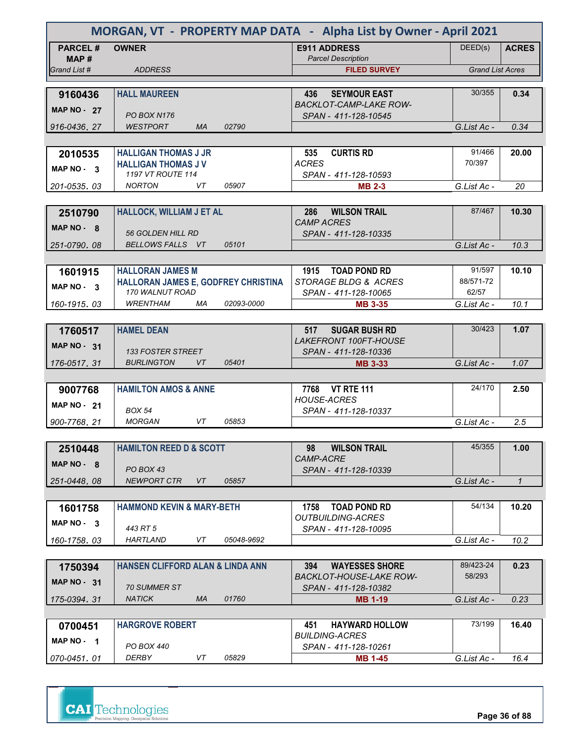| MORGAN, VT - PROPERTY MAP DATA - Alpha List by Owner - April 2021 |                                                        |                                                        |                         |              |
|-------------------------------------------------------------------|--------------------------------------------------------|--------------------------------------------------------|-------------------------|--------------|
| <b>PARCEL#</b><br>MAP #                                           | <b>OWNER</b>                                           | <b>E911 ADDRESS</b><br><b>Parcel Description</b>       | DEED(s)                 | <b>ACRES</b> |
| Grand List #                                                      | <b>ADDRESS</b>                                         | <b>FILED SURVEY</b>                                    | <b>Grand List Acres</b> |              |
|                                                                   |                                                        |                                                        |                         |              |
| 9160436                                                           | <b>HALL MAUREEN</b>                                    | <b>SEYMOUR EAST</b><br>436                             | 30/355                  | 0.34         |
| <b>MAP NO - 27</b>                                                | <b>PO BOX N176</b>                                     | <b>BACKLOT-CAMP-LAKE ROW-</b><br>SPAN - 411-128-10545  |                         |              |
| 916-0436.27                                                       | <b>WESTPORT</b><br><b>MA</b><br>02790                  |                                                        | G.List Ac -             | 0.34         |
|                                                                   |                                                        |                                                        |                         |              |
| 2010535                                                           | <b>HALLIGAN THOMAS J JR</b>                            | <b>CURTIS RD</b><br>535                                | 91/466                  | 20.00        |
| MAP NO - 3                                                        | <b>HALLIGAN THOMAS JV</b><br>1197 VT ROUTE 114         | <b>ACRES</b><br>SPAN - 411-128-10593                   | 70/397                  |              |
| 201-0535.03                                                       | 05907<br><b>NORTON</b><br>VT                           | <b>MB 2-3</b>                                          | G.List Ac -             | 20           |
|                                                                   |                                                        |                                                        |                         |              |
| 2510790                                                           | HALLOCK, WILLIAM J ET AL                               | <b>WILSON TRAIL</b><br>286                             | 87/467                  | 10.30        |
| MAP $NO - 8$                                                      | <b>56 GOLDEN HILL RD</b>                               | <b>CAMP ACRES</b><br>SPAN - 411-128-10335              |                         |              |
| 251-0790.08                                                       | BELLOWS FALLS VT<br>05101                              |                                                        | G.List Ac -             | 10.3         |
|                                                                   |                                                        |                                                        |                         |              |
| 1601915                                                           | <b>HALLORAN JAMES M</b>                                | 1915<br><b>TOAD POND RD</b>                            | 91/597                  | 10.10        |
| MAP NO - 3                                                        | HALLORAN JAMES E, GODFREY CHRISTINA                    | STORAGE BLDG & ACRES                                   | 88/571-72               |              |
|                                                                   | 170 WALNUT ROAD<br><b>WRENTHAM</b><br>02093-0000<br>МA | SPAN - 411-128-10065<br><b>MB 3-35</b>                 | 62/57<br>G.List Ac -    | 10.1         |
| 160-1915.03                                                       |                                                        |                                                        |                         |              |
| 1760517                                                           | <b>HAMEL DEAN</b>                                      | <b>SUGAR BUSH RD</b><br>517                            | 30/423                  | 1.07         |
|                                                                   |                                                        | LAKEFRONT 100FT-HOUSE                                  |                         |              |
| <b>MAP NO - 31</b>                                                | <b>133 FOSTER STREET</b>                               | SPAN - 411-128-10336                                   |                         |              |
| 176-0517, 31                                                      | <b>BURLINGTON</b><br>VT<br>05401                       | <b>MB 3-33</b>                                         | G.List Ac -             | 1.07         |
| 9007768                                                           | <b>HAMILTON AMOS &amp; ANNE</b>                        | 7768 VT RTE 111                                        | 24/170                  | 2.50         |
|                                                                   |                                                        | <b>HOUSE-ACRES</b>                                     |                         |              |
| <b>MAP NO - 21</b>                                                | <b>BOX 54</b>                                          | SPAN - 411-128-10337                                   |                         |              |
| 900-7768, 21                                                      | <b>MORGAN</b><br>VT<br>05853                           |                                                        | G.List Ac -             | 2.5          |
|                                                                   |                                                        |                                                        |                         |              |
| 2510448                                                           | <b>HAMILTON REED D &amp; SCOTT</b>                     | <b>WILSON TRAIL</b><br>98<br><b>CAMP-ACRE</b>          | 45/355                  | 1.00         |
| MAP NO - 8                                                        | PO BOX 43                                              | SPAN - 411-128-10339                                   |                         |              |
| 251-0448.08                                                       | <b>NEWPORT CTR</b><br>VT<br>05857                      |                                                        | G.List Ac -             | $\mathbf{1}$ |
|                                                                   |                                                        |                                                        |                         |              |
| 1601758                                                           | <b>HAMMOND KEVIN &amp; MARY-BETH</b>                   | 1758<br><b>TOAD POND RD</b>                            | 54/134                  | 10.20        |
| MAP NO - 3                                                        | 443 RT 5                                               | <b>OUTBUILDING-ACRES</b><br>SPAN - 411-128-10095       |                         |              |
| 160-1758.03                                                       | HARTLAND<br>VT<br>05048-9692                           |                                                        | G.List Ac -             | 10.2         |
|                                                                   |                                                        |                                                        |                         |              |
| 1750394                                                           | <b>HANSEN CLIFFORD ALAN &amp; LINDA ANN</b>            | <b>WAYESSES SHORE</b><br>394                           | 89/423-24               | 0.23         |
| MAP $NO - 31$                                                     | <b>70 SUMMER ST</b>                                    | <b>BACKLOT-HOUSE-LAKE ROW-</b><br>SPAN - 411-128-10382 | 58/293                  |              |
| 175-0394.31                                                       | <b>NATICK</b><br><b>MA</b><br>01760                    | <b>MB 1-19</b>                                         | G.List Ac -             | 0.23         |
|                                                                   |                                                        |                                                        |                         |              |
| 0700451                                                           | <b>HARGROVE ROBERT</b>                                 | 451<br><b>HAYWARD HOLLOW</b>                           | 73/199                  | 16.40        |
| MAP NO - 1                                                        | PO BOX 440                                             | <b>BUILDING-ACRES</b><br>SPAN - 411-128-10261          |                         |              |
| 070-0451.01                                                       | DERBY<br>VT<br>05829                                   | <b>MB 1-45</b>                                         | G.List Ac -             | 16.4         |
|                                                                   |                                                        |                                                        |                         |              |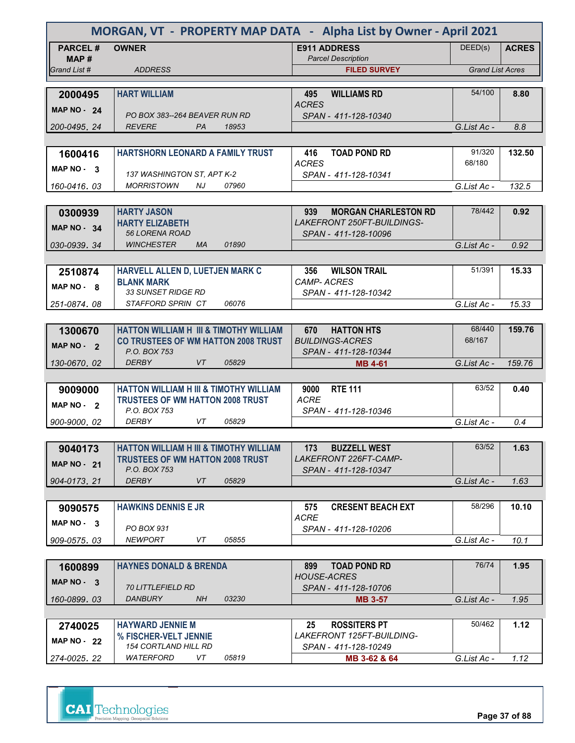| MORGAN, VT - PROPERTY MAP DATA - Alpha List by Owner - April 2021 |                                                   |                                                    |                         |              |
|-------------------------------------------------------------------|---------------------------------------------------|----------------------------------------------------|-------------------------|--------------|
| <b>PARCEL#</b>                                                    | <b>OWNER</b>                                      | <b>E911 ADDRESS</b>                                | DEED(s)                 | <b>ACRES</b> |
| MAP#<br>Grand List #                                              | <b>ADDRESS</b>                                    | <b>Parcel Description</b><br><b>FILED SURVEY</b>   | <b>Grand List Acres</b> |              |
|                                                                   |                                                   |                                                    |                         |              |
| 2000495                                                           | <b>HART WILLIAM</b>                               | <b>WILLIAMS RD</b><br>495                          | 54/100                  | 8.80         |
| <b>MAP NO - 24</b>                                                | PO BOX 383--264 BEAVER RUN RD                     | <b>ACRES</b><br>SPAN - 411-128-10340               |                         |              |
| 200-0495.24                                                       | <b>REVERE</b><br>18953<br><b>PA</b>               |                                                    | G.List Ac -             | 8.8          |
|                                                                   |                                                   |                                                    |                         |              |
| 1600416                                                           | HARTSHORN LEONARD A FAMILY TRUST                  | <b>TOAD POND RD</b><br>416                         | 91/320                  | 132.50       |
| MAP $NO - 3$                                                      | 137 WASHINGTON ST, APT K-2                        | ACRES<br>SPAN - 411-128-10341                      | 68/180                  |              |
| 160-0416, 03                                                      | 07960<br><b>MORRISTOWN</b><br>NJ                  |                                                    | G.List Ac -             | 132.5        |
|                                                                   |                                                   |                                                    |                         |              |
| 0300939                                                           | <b>HARTY JASON</b>                                | 939<br><b>MORGAN CHARLESTON RD</b>                 | 78/442                  | 0.92         |
| MAP $NO - 34$                                                     | <b>HARTY ELIZABETH</b><br><b>56 LORENA ROAD</b>   | LAKEFRONT 250FT-BUILDINGS-<br>SPAN - 411-128-10096 |                         |              |
| 030-0939.34                                                       | <b>WINCHESTER</b><br>01890<br><b>MA</b>           |                                                    | G.List Ac -             | 0.92         |
|                                                                   |                                                   |                                                    |                         |              |
| 2510874                                                           | HARVELL ALLEN D, LUETJEN MARK C                   | <b>WILSON TRAIL</b><br>356                         | 51/391                  | 15.33        |
| MAP NO - 8                                                        | <b>BLANK MARK</b>                                 | <b>CAMP-ACRES</b>                                  |                         |              |
| 251-0874.08                                                       | 33 SUNSET RIDGE RD<br>STAFFORD SPRIN CT<br>06076  | SPAN - 411-128-10342                               | G.List Ac -             | 15.33        |
|                                                                   |                                                   |                                                    |                         |              |
| 1300670                                                           | <b>HATTON WILLIAM H III &amp; TIMOTHY WILLIAM</b> | 670<br><b>HATTON HTS</b>                           | 68/440                  | 159.76       |
| MAP NO - 2                                                        | <b>CO TRUSTEES OF WM HATTON 2008 TRUST</b>        | <b>BUILDINGS-ACRES</b>                             | 68/167                  |              |
|                                                                   | P.O. BOX 753                                      | SPAN - 411-128-10344                               |                         |              |
| 130-0670.02                                                       | <b>DERBY</b><br>VT<br>05829                       | <b>MB 4-61</b>                                     | G.List Ac -             | 159.76       |
| 9009000                                                           | <b>HATTON WILLIAM H III &amp; TIMOTHY WILLIAM</b> | <b>RTE 111</b><br>9000                             | 63/52                   | 0.40         |
| MAP NO - 2                                                        | <b>TRUSTEES OF WM HATTON 2008 TRUST</b>           | <b>ACRE</b>                                        |                         |              |
|                                                                   | P.O. BOX 753                                      | SPAN - 411-128-10346                               |                         |              |
| 900-9000, 02                                                      | <b>DERBY</b><br>05829<br>VT.                      |                                                    | G.List Ac -             | 0.4          |
| 9040173                                                           | <b>HATTON WILLIAM H III &amp; TIMOTHY WILLIAM</b> | <b>BUZZELL WEST</b><br>173                         | 63/52                   | 1.63         |
|                                                                   | <b>TRUSTEES OF WM HATTON 2008 TRUST</b>           | LAKEFRONT 226FT-CAMP-                              |                         |              |
| <b>MAP NO - 21</b>                                                | P.O. BOX 753                                      | SPAN - 411-128-10347                               |                         |              |
| 904-0173.21                                                       | <b>DERBY</b><br>VT<br>05829                       |                                                    | G.List Ac -             | 1.63         |
|                                                                   |                                                   |                                                    | 58/296                  |              |
| 9090575                                                           | <b>HAWKINS DENNIS E JR</b>                        | 575<br><b>CRESENT BEACH EXT</b><br><b>ACRE</b>     |                         | 10.10        |
| $MAP NO - 3$                                                      | PO BOX 931                                        | SPAN - 411-128-10206                               |                         |              |
| 909-0575.03                                                       | NEWPORT<br>VT<br>05855                            |                                                    | G.List Ac -             | 10.1         |
|                                                                   |                                                   |                                                    |                         |              |
| 1600899                                                           | <b>HAYNES DONALD &amp; BRENDA</b>                 | <b>TOAD POND RD</b><br>899<br><b>HOUSE-ACRES</b>   | 76/74                   | 1.95         |
| MAP NO - 3                                                        | <i>70 LITTLEFIELD RD</i>                          | SPAN - 411-128-10706                               |                         |              |
| 160-0899, 03                                                      | DANBURY<br>NH.<br>03230                           | <b>MB 3-57</b>                                     | G.List Ac -             | 1.95         |
|                                                                   |                                                   |                                                    |                         |              |
| 2740025                                                           | <b>HAYWARD JENNIE M</b>                           | <b>ROSSITERS PT</b><br>25                          | 50/462                  | 1.12         |
| <b>MAP NO - 22</b>                                                | % FISCHER-VELT JENNIE                             | LAKEFRONT 125FT-BUILDING-                          |                         |              |
|                                                                   | <b>154 CORTLAND HILL RD</b>                       | SPAN - 411-128-10249                               |                         |              |

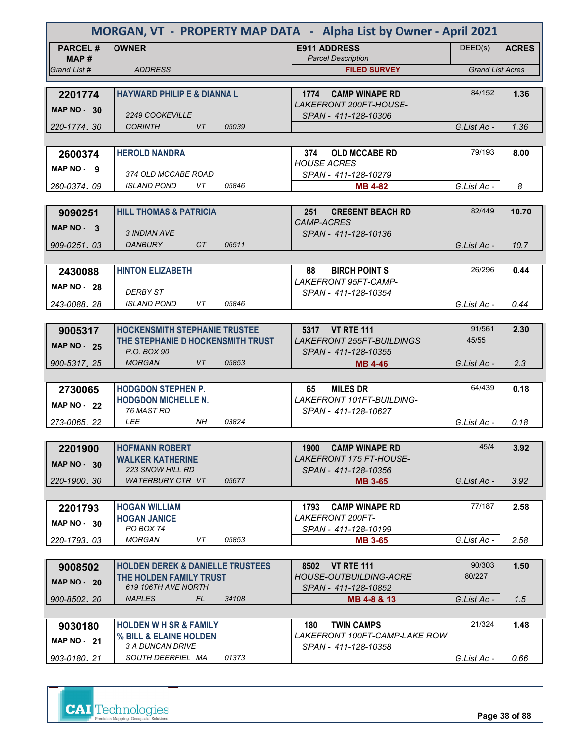| MORGAN, VT - PROPERTY MAP DATA - Alpha List by Owner - April 2021 |                                                  |                                                              |                         |              |
|-------------------------------------------------------------------|--------------------------------------------------|--------------------------------------------------------------|-------------------------|--------------|
| <b>PARCEL#</b><br>MAP#                                            | <b>OWNER</b>                                     | <b>E911 ADDRESS</b><br><b>Parcel Description</b>             | DEED(s)                 | <b>ACRES</b> |
| Grand List #                                                      | <b>ADDRESS</b>                                   | <b>FILED SURVEY</b>                                          | <b>Grand List Acres</b> |              |
|                                                                   |                                                  |                                                              |                         |              |
| 2201774<br><b>MAP NO - 30</b>                                     | <b>HAYWARD PHILIP E &amp; DIANNA L</b>           | 1774 CAMP WINAPE RD<br>LAKEFRONT 200FT-HOUSE-                | 84/152                  | 1.36         |
|                                                                   | <b>2249 COOKEVILLE</b>                           | SPAN - 411-128-10306                                         |                         |              |
| 220-1774.30                                                       | <b>VT</b><br><b>CORINTH</b><br>05039             |                                                              | G.List Ac -             | 1.36         |
|                                                                   |                                                  |                                                              |                         |              |
| 2600374                                                           | <b>HEROLD NANDRA</b>                             | <b>OLD MCCABE RD</b><br>374                                  | 79/193                  | 8.00         |
| MAP NO - 9                                                        | 374 OLD MCCABE ROAD                              | <b>HOUSE ACRES</b><br>SPAN - 411-128-10279                   |                         |              |
| 260-0374.09                                                       | <b>ISLAND POND</b><br>VT<br>05846                | <b>MB 4-82</b>                                               | G.List Ac -             | 8            |
|                                                                   |                                                  |                                                              |                         |              |
| 9090251                                                           | <b>HILL THOMAS &amp; PATRICIA</b>                | 251<br><b>CRESENT BEACH RD</b><br><b>CAMP-ACRES</b>          | 82/449                  | 10.70        |
| MAP $NO - 3$                                                      | 3 INDIAN AVE                                     | SPAN - 411-128-10136                                         |                         |              |
| 909-0251.03                                                       | DANBURY<br>CT<br>06511                           |                                                              | G.List Ac -             | 10.7         |
|                                                                   |                                                  |                                                              |                         |              |
| 2430088                                                           | <b>HINTON ELIZABETH</b>                          | 88<br><b>BIRCH POINT S</b>                                   | 26/296                  | 0.44         |
| <b>MAP NO - 28</b>                                                | <b>DERBY ST</b>                                  | <b>LAKEFRONT 95FT-CAMP-</b><br>SPAN - 411-128-10354          |                         |              |
| 243-0088.28                                                       | <b>ISLAND POND</b><br>VT<br>05846                |                                                              | G.List Ac -             | 0.44         |
|                                                                   |                                                  |                                                              |                         |              |
| 9005317                                                           | <b>HOCKENSMITH STEPHANIE TRUSTEE</b>             | 5317 VT RTE 111                                              | 91/561                  | 2.30         |
| <b>MAP NO - 25</b>                                                | THE STEPHANIE D HOCKENSMITH TRUST<br>P.O. BOX 90 | <b>LAKEFRONT 255FT-BUILDINGS</b><br>SPAN - 411-128-10355     | 45/55                   |              |
| 900-5317, 25                                                      | <b>MORGAN</b><br>VT<br>05853                     | <b>MB 4-46</b>                                               | G.List Ac -             | 2.3          |
|                                                                   |                                                  |                                                              |                         |              |
| 2730065                                                           | <b>HODGDON STEPHEN P.</b>                        | <b>MILES DR</b><br>65                                        | 64/439                  | 0.18         |
| <b>MAP NO - 22</b>                                                | <b>HODGDON MICHELLE N.</b>                       | <b>LAKEFRONT 101FT-BUILDING-</b>                             |                         |              |
| 273-0065, 22                                                      | 76 MAST RD<br><b>LEE</b><br>03824<br>NH          | SPAN - 411-128-10627                                         | G.List Ac -             | 0.18         |
|                                                                   |                                                  |                                                              |                         |              |
| 2201900                                                           | <b>HOFMANN ROBERT</b>                            | 1900<br><b>CAMP WINAPE RD</b>                                | 45/4                    | 3.92         |
|                                                                   | <b>WALKER KATHERINE</b>                          | <b>LAKEFRONT 175 FT-HOUSE-</b>                               |                         |              |
| <b>MAP NO - 30</b>                                                | <b>223 SNOW HILL RD</b>                          | SPAN - 411-128-10356                                         |                         |              |
| 220-1900. 30                                                      | <b>WATERBURY CTR VT</b><br>05677                 | <b>MB 3-65</b>                                               | G.List Ac -             | 3.92         |
|                                                                   |                                                  |                                                              |                         |              |
| 2201793                                                           | <b>HOGAN WILLIAM</b>                             | <b>CAMP WINAPE RD</b><br>1793                                | 77/187                  | 2.58         |
| $MAP NO - 30$                                                     | <b>HOGAN JANICE</b><br>PO BOX 74                 | <b>LAKEFRONT 200FT-</b><br>SPAN - 411-128-10199              |                         |              |
| 220-1793.03                                                       | 05853<br><b>MORGAN</b><br>VT                     | <b>MB 3-65</b>                                               | G.List Ac -             | 2.58         |
|                                                                   |                                                  |                                                              |                         |              |
| 9008502                                                           | <b>HOLDEN DEREK &amp; DANIELLE TRUSTEES</b>      | <b>VT RTE 111</b><br>8502                                    | 90/303                  | 1.50         |
| <b>MAP NO - 20</b>                                                | THE HOLDEN FAMILY TRUST<br>619 106TH AVE NORTH   | <b>HOUSE-OUTBUILDING-ACRE</b><br>SPAN - 411-128-10852        | 80/227                  |              |
| 900-8502.20                                                       | <b>NAPLES</b><br>FL.<br>34108                    | MB 4-8 & 13                                                  | G.List Ac -             | 1.5          |
|                                                                   |                                                  |                                                              |                         |              |
| 9030180                                                           | <b>HOLDEN W H SR &amp; FAMILY</b>                | <b>TWIN CAMPS</b><br>180                                     | 21/324                  | 1.48         |
| MAP $NO - 21$                                                     | % BILL & ELAINE HOLDEN<br>3 A DUNCAN DRIVE       | <i>LAKEFRONT 100FT-CAMP-LAKE ROW</i><br>SPAN - 411-128-10358 |                         |              |
| 903-0180, 21                                                      | SOUTH DEERFIEL MA<br>01373                       |                                                              | G.List Ac -             | 0.66         |
|                                                                   |                                                  |                                                              |                         |              |



**Page 38 of 88**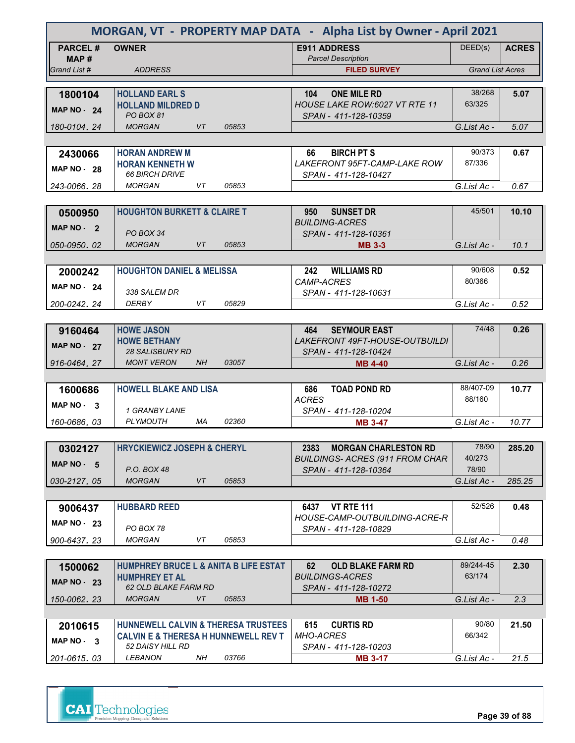|                         | MORGAN, VT - PROPERTY MAP DATA - Alpha List by Owner - April 2021 |                                                                   |                         |              |  |
|-------------------------|-------------------------------------------------------------------|-------------------------------------------------------------------|-------------------------|--------------|--|
| <b>PARCEL#</b><br>MAP # | <b>OWNER</b>                                                      | <b>E911 ADDRESS</b><br><b>Parcel Description</b>                  | DEED(s)                 | <b>ACRES</b> |  |
| Grand List #            | <b>ADDRESS</b>                                                    | <b>FILED SURVEY</b>                                               | <b>Grand List Acres</b> |              |  |
|                         |                                                                   |                                                                   |                         |              |  |
| 1800104                 | <b>HOLLAND EARL S</b><br><b>HOLLAND MILDRED D</b>                 | <b>ONE MILE RD</b><br>104<br><b>HOUSE LAKE ROW:6027 VT RTE 11</b> | 38/268<br>63/325        | 5.07         |  |
| MAP $NO - 24$           | PO BOX 81                                                         | SPAN - 411-128-10359                                              |                         |              |  |
| 180-0104, 24            | <b>MORGAN</b><br><b>VT</b><br>05853                               |                                                                   | G.List Ac -             | 5.07         |  |
|                         |                                                                   |                                                                   |                         |              |  |
| 2430066                 | <b>HORAN ANDREW M</b>                                             | <b>BIRCH PT S</b><br>66                                           | 90/373                  | 0.67         |  |
| <b>MAP NO - 28</b>      | <b>HORAN KENNETH W</b>                                            | <b>LAKEFRONT 95FT-CAMP-LAKE ROW</b>                               | 87/336                  |              |  |
| 243-0066, 28            | <b>66 BIRCH DRIVE</b><br>05853<br><b>MORGAN</b><br>VT             | SPAN - 411-128-10427                                              | G.List Ac -             | 0.67         |  |
|                         |                                                                   |                                                                   |                         |              |  |
| 0500950                 | <b>HOUGHTON BURKETT &amp; CLAIRE T</b>                            | 950<br><b>SUNSET DR</b>                                           | 45/501                  | 10.10        |  |
| MAP NO - 2              |                                                                   | <b>BUILDING-ACRES</b>                                             |                         |              |  |
|                         | PO BOX 34                                                         | SPAN - 411-128-10361                                              |                         |              |  |
| 050-0950.02             | 05853<br><b>MORGAN</b><br>VT                                      | <b>MB 3-3</b>                                                     | G.List Ac -             | 10.1         |  |
|                         |                                                                   |                                                                   | 90/608                  |              |  |
| 2000242                 | <b>HOUGHTON DANIEL &amp; MELISSA</b>                              | <b>WILLIAMS RD</b><br>242<br>CAMP-ACRES                           | 80/366                  | 0.52         |  |
| <b>MAP NO - 24</b>      | 338 SALEM DR                                                      | SPAN - 411-128-10631                                              |                         |              |  |
| 200-0242.24             | <b>DERBY</b><br>VT<br>05829                                       |                                                                   | G.List Ac -             | 0.52         |  |
|                         |                                                                   |                                                                   |                         |              |  |
| 9160464                 | <b>HOWE JASON</b>                                                 | <b>SEYMOUR EAST</b><br>464                                        | 74/48                   | 0.26         |  |
| <b>MAP NO - 27</b>      | <b>HOWE BETHANY</b><br>28 SALISBURY RD                            | <i>LAKEFRONT 49FT-HOUSE-OUTBUILDI</i><br>SPAN - 411-128-10424     |                         |              |  |
| 916-0464.27             | <b>MONT VERON</b><br><b>NH</b><br>03057                           | <b>MB 4-40</b>                                                    | G.List Ac -             | 0.26         |  |
|                         |                                                                   |                                                                   |                         |              |  |
| 1600686                 | <b>HOWELL BLAKE AND LISA</b>                                      | <b>TOAD POND RD</b><br>686                                        | 88/407-09               | 10.77        |  |
| MAP $NO - 3$            |                                                                   | <b>ACRES</b>                                                      | 88/160                  |              |  |
|                         | 1 GRANBY LANE                                                     | SPAN - 411-128-10204                                              |                         |              |  |
| 160-0686, 03            | <b>PLYMOUTH</b><br>02360<br>МA                                    | <b>MB 3-47</b>                                                    | G.List Ac -             | 10.77        |  |
|                         | <b>HRYCKIEWICZ JOSEPH &amp; CHERYL</b>                            | <b>MORGAN CHARLESTON RD</b><br>2383                               | 78/90                   | 285.20       |  |
| 0302127                 |                                                                   | <b>BUILDINGS- ACRES (911 FROM CHAR</b>                            | 40/273                  |              |  |
| MAP $NO - 5$            | P.O. BOX 48                                                       | SPAN - 411-128-10364                                              | 78/90                   |              |  |
| 030-2127.05             | <b>MORGAN</b><br>VT<br>05853                                      |                                                                   | G.List Ac -             | 285.25       |  |
|                         |                                                                   |                                                                   |                         |              |  |
| 9006437                 | <b>HUBBARD REED</b>                                               | <b>VT RTE 111</b><br>6437                                         | 52/526                  | 0.48         |  |
| <b>MAP NO - 23</b>      | PO BOX 78                                                         | HOUSE-CAMP-OUTBUILDING-ACRE-R<br>SPAN - 411-128-10829             |                         |              |  |
| 900-6437, 23            | <b>MORGAN</b><br>VT<br>05853                                      |                                                                   | G.List Ac -             | 0.48         |  |
|                         |                                                                   |                                                                   |                         |              |  |
| 1500062                 | <b>HUMPHREY BRUCE L &amp; ANITA B LIFE ESTAT</b>                  | 62<br><b>OLD BLAKE FARM RD</b>                                    | 89/244-45               | 2.30         |  |
| <b>MAP NO - 23</b>      | <b>HUMPHREY ET AL</b>                                             | <b>BUILDINGS-ACRES</b>                                            | 63/174                  |              |  |
|                         | <b>62 OLD BLAKE FARM RD</b><br>VT<br><b>MORGAN</b><br>05853       | SPAN - 411-128-10272                                              | G.List Ac -             | 2.3          |  |
| 150-0062, 23            |                                                                   | <b>MB 1-50</b>                                                    |                         |              |  |
| 2010615                 | HUNNEWELL CALVIN & THERESA TRUSTEES                               | <b>CURTIS RD</b><br>615                                           | 90/80                   | 21.50        |  |
|                         | <b>CALVIN E &amp; THERESA H HUNNEWELL REV T</b>                   | <b>MHO-ACRES</b>                                                  | 66/342                  |              |  |
| MAP NO - 3              | 52 DAISY HILL RD                                                  | SPAN - 411-128-10203                                              |                         |              |  |
| 201-0615.03             | <b>LEBANON</b><br>NH<br>03766                                     | <b>MB 3-17</b>                                                    | G.List Ac -             | 21.5         |  |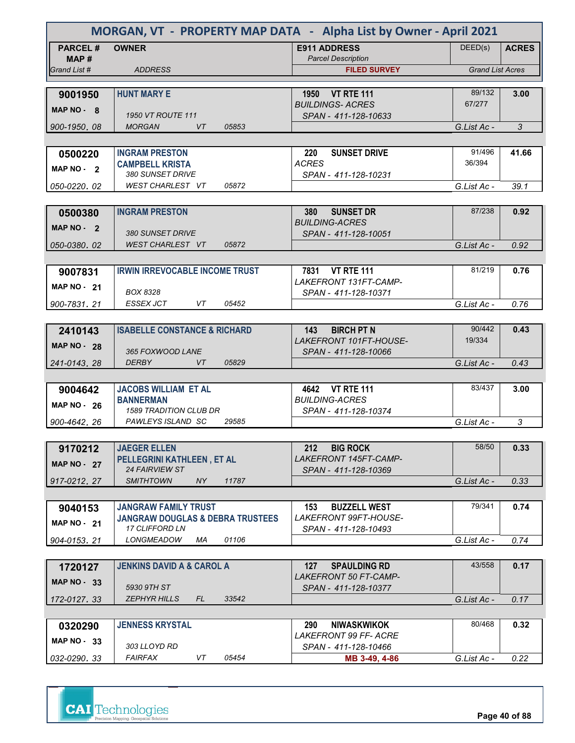| MORGAN, VT - PROPERTY MAP DATA - Alpha List by Owner - April 2021 |                                                          |                                                    |                         |              |
|-------------------------------------------------------------------|----------------------------------------------------------|----------------------------------------------------|-------------------------|--------------|
| <b>PARCEL#</b><br>MAP#                                            | <b>OWNER</b>                                             | <b>E911 ADDRESS</b><br><b>Parcel Description</b>   | DEED(s)                 | <b>ACRES</b> |
| Grand List #                                                      | <b>ADDRESS</b>                                           | <b>FILED SURVEY</b>                                | <b>Grand List Acres</b> |              |
|                                                                   |                                                          |                                                    |                         |              |
| 9001950                                                           | <b>HUNT MARY E</b>                                       | 1950 VT RTE 111                                    | 89/132                  | 3.00         |
| MAP NO - 8                                                        |                                                          | <b>BUILDINGS-ACRES</b>                             | 67/277                  |              |
| 900-1950, 08                                                      | <b>1950 VT ROUTE 111</b><br>05853<br><b>MORGAN</b><br>VT | SPAN - 411-128-10633                               | G.List Ac -             | 3            |
|                                                                   |                                                          |                                                    |                         |              |
|                                                                   |                                                          |                                                    | 91/496                  |              |
| 0500220                                                           | <b>INGRAM PRESTON</b><br><b>CAMPBELL KRISTA</b>          | <b>SUNSET DRIVE</b><br>220<br><b>ACRES</b>         | 36/394                  | 41.66        |
| MAP NO - 2                                                        | <i>380 SUNSET DRIVE</i>                                  | SPAN - 411-128-10231                               |                         |              |
| 050-0220, 02                                                      | 05872<br>WEST CHARLEST VT                                |                                                    | G.List Ac -             | 39.1         |
|                                                                   |                                                          |                                                    |                         |              |
| 0500380                                                           | <b>INGRAM PRESTON</b>                                    | <b>SUNSET DR</b><br>380                            | 87/238                  | 0.92         |
| MAP NO - 2                                                        |                                                          | <b>BUILDING-ACRES</b>                              |                         |              |
|                                                                   | 380 SUNSET DRIVE                                         | SPAN - 411-128-10051                               |                         |              |
| 050-0380, 02                                                      | <b>WEST CHARLEST VT</b><br>05872                         |                                                    | G.List Ac -             | 0.92         |
|                                                                   |                                                          |                                                    |                         |              |
| 9007831                                                           | <b>IRWIN IRREVOCABLE INCOME TRUST</b>                    | 7831 VT RTE 111                                    | 81/219                  | 0.76         |
| <b>MAP NO - 21</b>                                                |                                                          | LAKEFRONT 131FT-CAMP-                              |                         |              |
|                                                                   | <b>BOX 8328</b><br><b>ESSEX JCT</b><br>VT<br>05452       | SPAN - 411-128-10371                               |                         |              |
| 900-7831.21                                                       |                                                          |                                                    | G.List Ac -             | 0.76         |
|                                                                   |                                                          | <b>BIRCH PT N</b>                                  | 90/442                  | 0.43         |
| 2410143                                                           | <b>ISABELLE CONSTANCE &amp; RICHARD</b>                  | 143<br><b>LAKEFRONT 101FT-HOUSE-</b>               | 19/334                  |              |
| <b>MAP NO - 28</b>                                                | 365 FOXWOOD LANE                                         | SPAN - 411-128-10066                               |                         |              |
| 241-0143, 28                                                      | 05829<br><b>DERBY</b><br><b>VT</b>                       |                                                    | G.List Ac -             | 0.43         |
|                                                                   |                                                          |                                                    |                         |              |
| 9004642                                                           | <b>JACOBS WILLIAM ET AL</b>                              | 4642 VT RTE 111                                    | 83/437                  | 3.00         |
| <b>MAP NO - 26</b>                                                | <b>BANNERMAN</b>                                         | <b>BUILDING-ACRES</b>                              |                         |              |
|                                                                   | <b>1589 TRADITION CLUB DR</b>                            | SPAN - 411-128-10374                               |                         |              |
| 900-4642, 26                                                      | PAWLEYS ISLAND SC<br>29585                               |                                                    | G.List Ac -             | 3            |
|                                                                   |                                                          |                                                    |                         |              |
| 9170212                                                           | <b>JAEGER ELLEN</b>                                      | <b>BIG ROCK</b><br>212                             | 58/50                   | 0.33         |
| <b>MAP NO - 27</b>                                                | PELLEGRINI KATHLEEN, ET AL<br><b>24 FAIRVIEW ST</b>      | LAKEFRONT 145FT-CAMP-<br>SPAN - 411-128-10369      |                         |              |
| 917-0212.27                                                       | <b>SMITHTOWN</b><br>NY<br>11787                          |                                                    | G.List Ac -             | 0.33         |
|                                                                   |                                                          |                                                    |                         |              |
| 9040153                                                           | <b>JANGRAW FAMILY TRUST</b>                              | 153<br><b>BUZZELL WEST</b>                         | 79/341                  | 0.74         |
|                                                                   | <b>JANGRAW DOUGLAS &amp; DEBRA TRUSTEES</b>              | LAKEFRONT 99FT-HOUSE-                              |                         |              |
| <b>MAP NO - 21</b>                                                | <b>17 CLIFFORD LN</b>                                    | SPAN - 411-128-10493                               |                         |              |
| 904-0153.21                                                       | 01106<br><b>LONGMEADOW</b><br>МA                         |                                                    | G.List Ac -             | 0.74         |
|                                                                   |                                                          |                                                    |                         |              |
| 1720127                                                           | <b>JENKINS DAVID A &amp; CAROL A</b>                     | <b>SPAULDING RD</b><br>127                         | 43/558                  | 0.17         |
| MAP $NO - 33$                                                     |                                                          | <b>LAKEFRONT 50 FT-CAMP-</b>                       |                         |              |
|                                                                   | 5930 9TH ST                                              | SPAN - 411-128-10377                               |                         |              |
| 172-0127.33                                                       | <b>ZEPHYR HILLS</b><br>33542<br>FL                       |                                                    | G.List Ac -             | 0.17         |
|                                                                   |                                                          |                                                    | 80/468                  |              |
| 0320290                                                           | <b>JENNESS KRYSTAL</b>                                   | <b>NIWASKWIKOK</b><br>290<br>LAKEFRONT 99 FF- ACRE |                         | 0.32         |
| MAP $NO - 33$                                                     | 303 LLOYD RD                                             | SPAN - 411-128-10466                               |                         |              |
| 032-0290.33                                                       | FAIRFAX<br>VT<br>05454                                   | MB 3-49, 4-86                                      | G.List Ac -             | 0.22         |
|                                                                   |                                                          |                                                    |                         |              |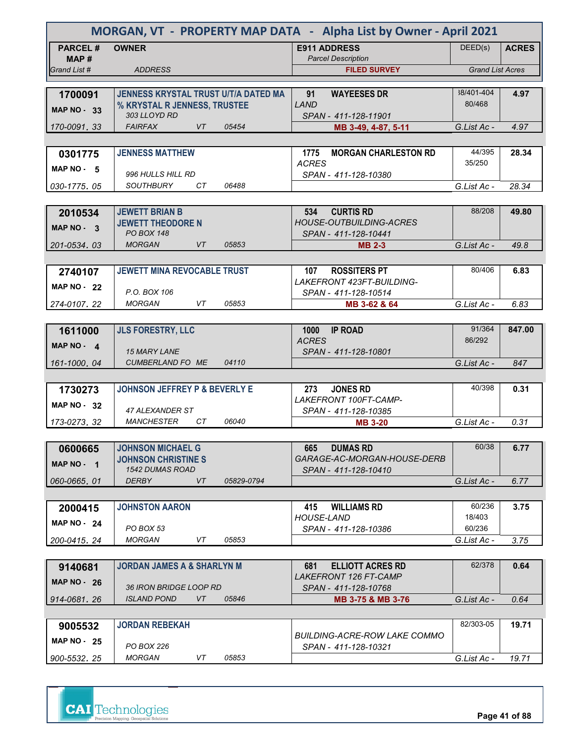| MORGAN, VT - PROPERTY MAP DATA - Alpha List by Owner - April 2021 |                                               |                                                     |                         |              |
|-------------------------------------------------------------------|-----------------------------------------------|-----------------------------------------------------|-------------------------|--------------|
| <b>PARCEL#</b>                                                    | <b>OWNER</b>                                  | <b>E911 ADDRESS</b>                                 | DEED(s)                 | <b>ACRES</b> |
| MAP #<br>Grand List #                                             | <b>ADDRESS</b>                                | <b>Parcel Description</b><br><b>FILED SURVEY</b>    | <b>Grand List Acres</b> |              |
|                                                                   |                                               |                                                     |                         |              |
| 1700091                                                           | JENNESS KRYSTAL TRUST U/T/A DATED MA          | 91<br><b>WAYEESES DR</b>                            | 38/401-404              | 4.97         |
| <b>MAP NO - 33</b>                                                | % KRYSTAL R JENNESS, TRUSTEE                  | <b>LAND</b>                                         | 80/468                  |              |
|                                                                   | 303 LLOYD RD                                  | SPAN - 411-128-11901                                |                         |              |
| 170-0091.33                                                       | <b>FAIRFAX</b><br>VT<br>05454                 | MB 3-49, 4-87, 5-11                                 | G.List Ac -             | 4.97         |
|                                                                   |                                               |                                                     | 44/395                  |              |
| 0301775                                                           | <b>JENNESS MATTHEW</b>                        | <b>MORGAN CHARLESTON RD</b><br>1775<br><b>ACRES</b> | 35/250                  | 28.34        |
| MAP $NO - 5$                                                      | 996 HULLS HILL RD                             | SPAN - 411-128-10380                                |                         |              |
| 030-1775, 05                                                      | <b>SOUTHBURY</b><br>CТ<br>06488               |                                                     | G.List Ac -             | 28.34        |
|                                                                   |                                               |                                                     |                         |              |
| 2010534                                                           | <b>JEWETT BRIAN B</b>                         | <b>CURTIS RD</b><br>534                             | 88/208                  | 49.80        |
| MAP NO - 3                                                        | <b>JEWETT THEODORE N</b><br><b>PO BOX 148</b> | <b>HOUSE-OUTBUILDING-ACRES</b>                      |                         |              |
| 201-0534.03                                                       | <b>MORGAN</b><br>VT<br>05853                  | SPAN - 411-128-10441<br><b>MB 2-3</b>               | G.List Ac -             | 49.8         |
|                                                                   |                                               |                                                     |                         |              |
| 2740107                                                           | <b>JEWETT MINA REVOCABLE TRUST</b>            | 107<br><b>ROSSITERS PT</b>                          | 80/406                  | 6.83         |
| <b>MAP NO - 22</b>                                                |                                               | LAKEFRONT 423FT-BUILDING-                           |                         |              |
|                                                                   | P.O. BOX 106                                  | SPAN - 411-128-10514                                |                         |              |
| 274-0107.22                                                       | <b>MORGAN</b><br>VT<br>05853                  | MB 3-62 & 64                                        | G.List Ac -             | 6.83         |
|                                                                   |                                               |                                                     |                         |              |
| 1611000                                                           | <b>JLS FORESTRY, LLC</b>                      | 1000<br><b>IP ROAD</b><br><b>ACRES</b>              | 91/364<br>86/292        | 847.00       |
| MAP NO - 4                                                        | <b>15 MARY LANE</b>                           | SPAN - 411-128-10801                                |                         |              |
| 161-1000, 04                                                      | CUMBERLAND FO ME<br>04110                     |                                                     | G.List Ac -             | 847          |
|                                                                   |                                               |                                                     |                         |              |
| 1730273                                                           | <b>JOHNSON JEFFREY P &amp; BEVERLY E</b>      | <b>JONES RD</b><br>273                              | 40/398                  | 0.31         |
| <b>MAP NO - 32</b>                                                | 47 ALEXANDER ST                               | LAKEFRONT 100FT-CAMP-                               |                         |              |
| 173-0273, 32                                                      | <b>MANCHESTER</b><br>CТ<br>06040              | SPAN - 411-128-10385<br><b>MB 3-20</b>              | G.List Ac -             | 0.31         |
|                                                                   |                                               |                                                     |                         |              |
| 0600665                                                           | <b>JOHNSON MICHAEL G</b>                      | <b>DUMAS RD</b><br>665                              | 60/38                   | 6.77         |
| MAP NO - 1                                                        | <b>JOHNSON CHRISTINE S</b>                    | GARAGE-AC-MORGAN-HOUSE-DERB                         |                         |              |
|                                                                   | <b>1542 DUMAS ROAD</b>                        | SPAN - 411-128-10410                                |                         |              |
| 060-0665.01                                                       | <b>DERBY</b><br>VT<br>05829-0794              |                                                     | G.List Ac -             | 6.77         |
|                                                                   |                                               |                                                     | 60/236                  |              |
| 2000415                                                           | <b>JOHNSTON AARON</b>                         | <b>WILLIAMS RD</b><br>415<br><b>HOUSE-LAND</b>      | 18/403                  | 3.75         |
| <b>MAP NO - 24</b>                                                | PO BOX 53                                     | SPAN - 411-128-10386                                | 60/236                  |              |
| 200-0415.24                                                       | <b>MORGAN</b><br>VT<br>05853                  |                                                     | G.List Ac -             | 3.75         |
|                                                                   |                                               |                                                     |                         |              |
| 9140681                                                           | <b>JORDAN JAMES A &amp; SHARLYN M</b>         | <b>ELLIOTT ACRES RD</b><br>681                      | 62/378                  | 0.64         |
| <b>MAP NO - 26</b>                                                | <b>36 IRON BRIDGE LOOP RD</b>                 | LAKEFRONT 126 FT-CAMP<br>SPAN - 411-128-10768       |                         |              |
| 914-0681, 26                                                      | 05846<br><i><b>ISLAND POND</b></i><br>VT      | MB 3-75 & MB 3-76                                   | G.List Ac -             | 0.64         |
|                                                                   |                                               |                                                     |                         |              |
| 9005532                                                           | <b>JORDAN REBEKAH</b>                         |                                                     | 82/303-05               | 19.71        |
| <b>MAP NO - 25</b>                                                |                                               | BUILDING-ACRE-ROW LAKE COMMO                        |                         |              |
|                                                                   | PO BOX 226                                    | SPAN - 411-128-10321                                |                         |              |
| 900-5532.25                                                       | <b>MORGAN</b><br>05853<br>VT                  |                                                     | G.List Ac -             | 19.71        |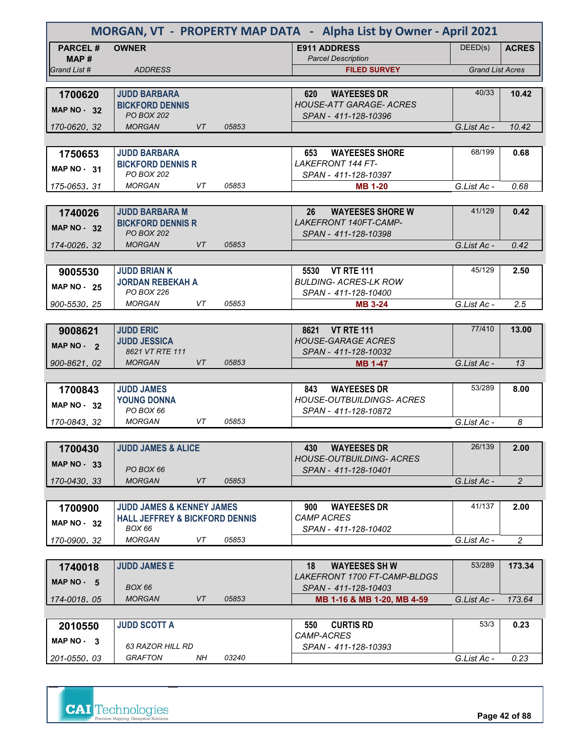|                         | MORGAN, VT - PROPERTY MAP DATA - Alpha List by Owner - April 2021 |           |       |                                                         |                         |                |
|-------------------------|-------------------------------------------------------------------|-----------|-------|---------------------------------------------------------|-------------------------|----------------|
| <b>PARCEL#</b><br>MAP # | <b>OWNER</b>                                                      |           |       | <b>E911 ADDRESS</b><br><b>Parcel Description</b>        | DEED(s)                 | <b>ACRES</b>   |
| Grand List #            | <b>ADDRESS</b>                                                    |           |       | <b>FILED SURVEY</b>                                     | <b>Grand List Acres</b> |                |
|                         |                                                                   |           |       |                                                         |                         |                |
| 1700620                 | <b>JUDD BARBARA</b>                                               |           |       | 620<br><b>WAYEESES DR</b>                               | 40/33                   | 10.42          |
| <b>MAP NO - 32</b>      | <b>BICKFORD DENNIS</b><br><b>PO BOX 202</b>                       |           |       | <b>HOUSE-ATT GARAGE- ACRES</b>                          |                         |                |
| 170-0620.32             | <b>MORGAN</b>                                                     | VT        | 05853 | SPAN - 411-128-10396                                    | G.List Ac -             | 10.42          |
|                         |                                                                   |           |       |                                                         |                         |                |
|                         | <b>JUDD BARBARA</b>                                               |           |       | <b>WAYEESES SHORE</b><br>653                            | 68/199                  | 0.68           |
| 1750653                 | <b>BICKFORD DENNIS R</b>                                          |           |       | <b>LAKEFRONT 144 FT-</b>                                |                         |                |
| MAP $NO - 31$           | PO BOX 202                                                        |           |       | SPAN - 411-128-10397                                    |                         |                |
| 175-0653.31             | <b>MORGAN</b>                                                     | VT.       | 05853 | <b>MB 1-20</b>                                          | G.List Ac -             | 0.68           |
|                         |                                                                   |           |       |                                                         |                         |                |
| 1740026                 | <b>JUDD BARBARA M</b>                                             |           |       | 26<br><b>WAYEESES SHORE W</b>                           | 41/129                  | 0.42           |
| <b>MAP NO - 32</b>      | <b>BICKFORD DENNIS R</b>                                          |           |       | LAKEFRONT 140FT-CAMP-                                   |                         |                |
|                         | <b>PO BOX 202</b>                                                 |           |       | SPAN - 411-128-10398                                    |                         |                |
| 174-0026.32             | <b>MORGAN</b>                                                     | VT        | 05853 |                                                         | G.List Ac -             | 0.42           |
|                         |                                                                   |           |       |                                                         |                         |                |
| 9005530                 | <b>JUDD BRIAN K</b>                                               |           |       | 5530 VT RTE 111                                         | 45/129                  | 2.50           |
| <b>MAP NO - 25</b>      | <b>JORDAN REBEKAH A</b>                                           |           |       | <b>BULDING- ACRES-LK ROW</b>                            |                         |                |
|                         | PO BOX 226<br><b>MORGAN</b>                                       | VT        | 05853 | SPAN - 411-128-10400                                    |                         | 2.5            |
| 900-5530.25             |                                                                   |           |       | <b>MB 3-24</b>                                          | G.List Ac -             |                |
|                         |                                                                   |           |       |                                                         | 77/410                  | 13.00          |
| 9008621                 | <b>JUDD ERIC</b><br><b>JUDD JESSICA</b>                           |           |       | 8621 VT RTE 111<br><b>HOUSE-GARAGE ACRES</b>            |                         |                |
| MAP NO - 2              | 8621 VT RTE 111                                                   |           |       | SPAN - 411-128-10032                                    |                         |                |
| 900-8621, 02            | <b>MORGAN</b>                                                     | <b>VT</b> | 05853 | <b>MB 1-47</b>                                          | G.List Ac -             | 13             |
|                         |                                                                   |           |       |                                                         |                         |                |
| 1700843                 | <b>JUDD JAMES</b>                                                 |           |       | <b>WAYEESES DR</b><br>843                               | 53/289                  | 8.00           |
| <b>MAP NO - 32</b>      | <b>YOUNG DONNA</b>                                                |           |       | <b>HOUSE-OUTBUILDINGS- ACRES</b>                        |                         |                |
|                         | PO BOX 66                                                         |           |       | SPAN - 411-128-10872                                    |                         |                |
| 170-0843, 32            | <b>MORGAN</b>                                                     | VT        | 05853 |                                                         | G.List Ac -             | 8              |
|                         |                                                                   |           |       |                                                         |                         |                |
| 1700430                 | <b>JUDD JAMES &amp; ALICE</b>                                     |           |       | 430<br><b>WAYEESES DR</b>                               | 26/139                  | 2.00           |
| <b>MAP NO - 33</b>      | PO BOX 66                                                         |           |       | <b>HOUSE-OUTBUILDING- ACRES</b><br>SPAN - 411-128-10401 |                         |                |
| 170-0430.33             | <b>MORGAN</b>                                                     | VT        | 05853 |                                                         | G.List Ac -             | $\overline{2}$ |
|                         |                                                                   |           |       |                                                         |                         |                |
| 1700900                 | <b>JUDD JAMES &amp; KENNEY JAMES</b>                              |           |       | 900<br><b>WAYEESES DR</b>                               | 41/137                  | 2.00           |
|                         | <b>HALL JEFFREY &amp; BICKFORD DENNIS</b>                         |           |       | <b>CAMP ACRES</b>                                       |                         |                |
| <b>MAP NO - 32</b>      | <b>BOX 66</b>                                                     |           |       | SPAN - 411-128-10402                                    |                         |                |
| 170-0900.32             | MORGAN                                                            | VT        | 05853 |                                                         | G.List Ac -             | $\overline{2}$ |
|                         |                                                                   |           |       |                                                         |                         |                |
| 1740018                 | <b>JUDD JAMES E</b>                                               |           |       | <b>WAYEESES SH W</b><br>18                              | 53/289                  | 173.34         |
| MAP NO $-5$             |                                                                   |           |       | <i>LAKEFRONT 1700 FT-CAMP-BLDGS</i>                     |                         |                |
|                         | <b>BOX 66</b>                                                     |           |       | SPAN - 411-128-10403                                    |                         |                |
| 174-0018, 05            | <b>MORGAN</b>                                                     | VT        | 05853 | MB 1-16 & MB 1-20, MB 4-59                              | G.List Ac -             | 173.64         |
|                         |                                                                   |           |       |                                                         | 53/3                    |                |
| 2010550                 | <b>JUDD SCOTT A</b>                                               |           |       | <b>CURTIS RD</b><br>550<br>CAMP-ACRES                   |                         | 0.23           |
| MAP NO - 3              | 63 RAZOR HILL RD                                                  |           |       | SPAN - 411-128-10393                                    |                         |                |
| 201-0550, 03            | <b>GRAFTON</b>                                                    | NΗ        | 03240 |                                                         | G.List Ac -             | 0.23           |

**CAI** Technologies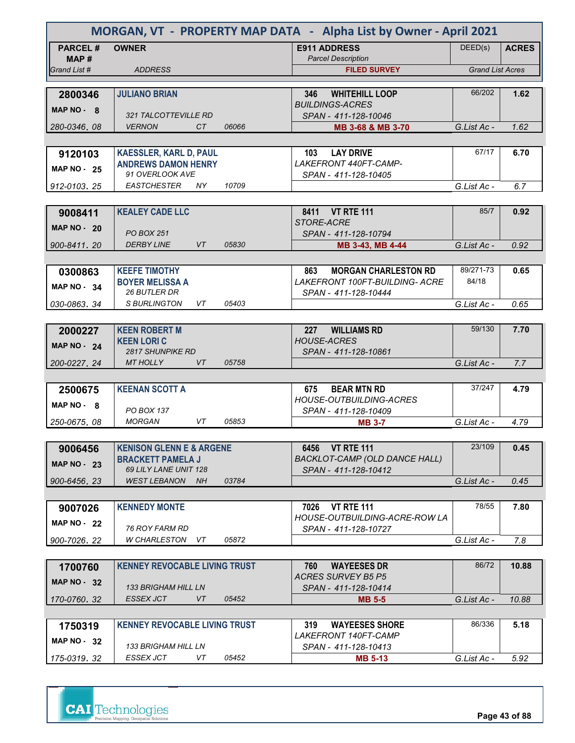| MORGAN, VT - PROPERTY MAP DATA - Alpha List by Owner - April 2021 |                                                                 |       |                                                              |                         |              |
|-------------------------------------------------------------------|-----------------------------------------------------------------|-------|--------------------------------------------------------------|-------------------------|--------------|
| <b>PARCEL#</b><br>MAP #                                           | <b>OWNER</b>                                                    |       | <b>E911 ADDRESS</b><br><b>Parcel Description</b>             | DEED(s)                 | <b>ACRES</b> |
| Grand List #                                                      | <b>ADDRESS</b>                                                  |       | <b>FILED SURVEY</b>                                          | <b>Grand List Acres</b> |              |
|                                                                   |                                                                 |       |                                                              |                         |              |
| 2800346                                                           | <b>JULIANO BRIAN</b>                                            |       | <b>WHITEHILL LOOP</b><br>346                                 | 66/202                  | 1.62         |
| MAP NO - 8                                                        |                                                                 |       | <b>BUILDINGS-ACRES</b>                                       |                         |              |
| 280-0346.08                                                       | 321 TALCOTTEVILLE RD<br><b>VERNON</b><br>CT.                    | 06066 | SPAN - 411-128-10046<br>MB 3-68 & MB 3-70                    | G.List Ac -             | 1.62         |
|                                                                   |                                                                 |       |                                                              |                         |              |
|                                                                   | <b>KAESSLER, KARL D, PAUL</b>                                   |       | <b>LAY DRIVE</b><br>103                                      | 67/17                   | 6.70         |
| 9120103                                                           | <b>ANDREWS DAMON HENRY</b>                                      |       | LAKEFRONT 440FT-CAMP-                                        |                         |              |
| <b>MAP NO - 25</b>                                                | 91 OVERLOOK AVE                                                 |       | SPAN - 411-128-10405                                         |                         |              |
| 912-0103.25                                                       | <b>EASTCHESTER</b><br>NY.                                       | 10709 |                                                              | G.List Ac -             | 6.7          |
|                                                                   |                                                                 |       |                                                              |                         |              |
| 9008411                                                           | <b>KEALEY CADE LLC</b>                                          |       | 8411 VT RTE 111                                              | 85/7                    | 0.92         |
| <b>MAP NO - 20</b>                                                | <b>PO BOX 251</b>                                               |       | STORE-ACRE                                                   |                         |              |
| 900-8411.20                                                       | <b>DERBY LINE</b><br>VT.                                        | 05830 | SPAN - 411-128-10794<br>MB 3-43, MB 4-44                     | G.List Ac -             | 0.92         |
|                                                                   |                                                                 |       |                                                              |                         |              |
| 0300863                                                           | <b>KEEFE TIMOTHY</b>                                            |       | <b>MORGAN CHARLESTON RD</b><br>863                           | 89/271-73               | 0.65         |
|                                                                   | <b>BOYER MELISSA A</b>                                          |       | <b>LAKEFRONT 100FT-BUILDING- ACRE</b>                        | 84/18                   |              |
| <b>MAP NO - 34</b>                                                | <b>26 BUTLER DR</b>                                             |       | SPAN - 411-128-10444                                         |                         |              |
| 030-0863.34                                                       | <b>S BURLINGTON</b><br>VT                                       | 05403 |                                                              | G.List Ac -             | 0.65         |
|                                                                   |                                                                 |       |                                                              |                         |              |
| 2000227                                                           | <b>KEEN ROBERT M</b>                                            |       | <b>WILLIAMS RD</b><br>227                                    | 59/130                  | 7.70         |
| <b>MAP NO - 24</b>                                                | <b>KEEN LORIC</b><br><b>2817 SHUNPIKE RD</b>                    |       | <b>HOUSE-ACRES</b><br>SPAN - 411-128-10861                   |                         |              |
| 200-0227, 24                                                      | <b>MT HOLLY</b><br>VT                                           | 05758 |                                                              | G.List Ac -             | 7.7          |
|                                                                   |                                                                 |       |                                                              |                         |              |
| 2500675                                                           | <b>KEENAN SCOTT A</b>                                           |       | <b>BEAR MTN RD</b><br>675                                    | 37/247                  | 4.79         |
| MAP NO - 8                                                        |                                                                 |       | <b>HOUSE-OUTBUILDING-ACRES</b>                               |                         |              |
|                                                                   | <b>PO BOX 137</b>                                               |       | SPAN - 411-128-10409                                         |                         |              |
| 250-0675.08                                                       | <b>MORGAN</b><br>VT                                             | 05853 | <b>MB 3-7</b>                                                | G.List Ac -             | 4.79         |
|                                                                   |                                                                 |       |                                                              |                         |              |
| 9006456                                                           | <b>KENISON GLENN E &amp; ARGENE</b><br><b>BRACKETT PAMELA J</b> |       | 6456 VT RTE 111                                              | 23/109                  | 0.45         |
| <b>MAP NO - 23</b>                                                | 69 LILY LANE UNIT 128                                           |       | <b>BACKLOT-CAMP (OLD DANCE HALL)</b><br>SPAN - 411-128-10412 |                         |              |
| 900-6456.23                                                       | <b>WEST LEBANON</b><br>NH                                       | 03784 |                                                              | G.List Ac -             | 0.45         |
|                                                                   |                                                                 |       |                                                              |                         |              |
| 9007026                                                           | <b>KENNEDY MONTE</b>                                            |       | <b>VT RTE 111</b><br>7026                                    | 78/55                   | 7.80         |
| <b>MAP NO - 22</b>                                                |                                                                 |       | HOUSE-OUTBUILDING-ACRE-ROW LA                                |                         |              |
|                                                                   | 76 ROY FARM RD                                                  |       | SPAN - 411-128-10727                                         |                         |              |
| 900-7026.22                                                       | W CHARLESTON<br>VT.                                             | 05872 |                                                              | G.List Ac -             | 7.8          |
|                                                                   |                                                                 |       |                                                              | 86/72                   |              |
| 1700760                                                           | <b>KENNEY REVOCABLE LIVING TRUST</b>                            |       | <b>WAYEESES DR</b><br>760<br><b>ACRES SURVEY B5 P5</b>       |                         | 10.88        |
| <b>MAP NO - 32</b>                                                | 133 BRIGHAM HILL LN                                             |       | SPAN - 411-128-10414                                         |                         |              |
| 170-0760.32                                                       | ESSEX JCT<br>VT                                                 | 05452 | <b>MB 5-5</b>                                                | G.List Ac -             | 10.88        |
|                                                                   |                                                                 |       |                                                              |                         |              |
| 1750319                                                           | <b>KENNEY REVOCABLE LIVING TRUST</b>                            |       | <b>WAYEESES SHORE</b><br>319                                 | 86/336                  | 5.18         |
| MAP $NO - 32$                                                     |                                                                 |       | <i>LAKEFRONT 140FT-CAMP</i>                                  |                         |              |
|                                                                   | 133 BRIGHAM HILL LN<br>ESSEX JCT<br>VT                          | 05452 | SPAN - 411-128-10413                                         |                         |              |
| 175-0319, 32                                                      |                                                                 |       | <b>MB 5-13</b>                                               | G.List Ac -             | 5.92         |

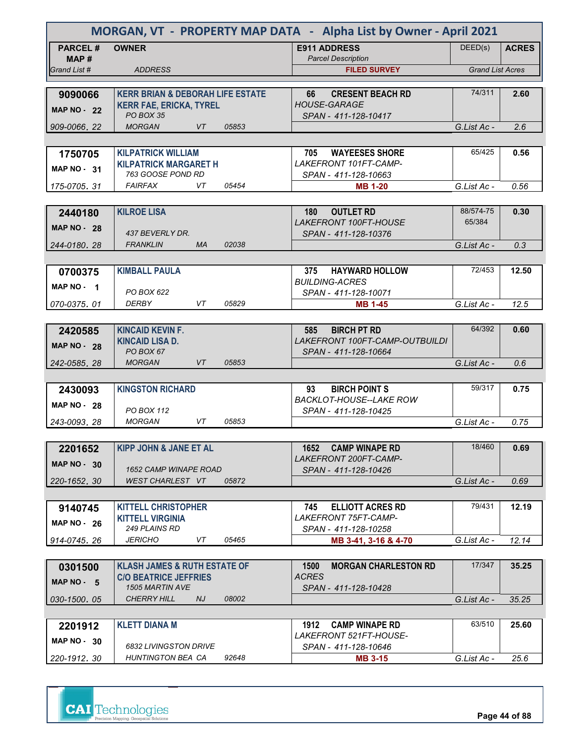| MORGAN, VT - PROPERTY MAP DATA - Alpha List by Owner - April 2021 |                                                   |       |                                                  |                         |              |
|-------------------------------------------------------------------|---------------------------------------------------|-------|--------------------------------------------------|-------------------------|--------------|
| <b>PARCEL#</b>                                                    | <b>OWNER</b>                                      |       | <b>E911 ADDRESS</b>                              | DEED(s)                 | <b>ACRES</b> |
| MAP#<br>Grand List #                                              | <b>ADDRESS</b>                                    |       | <b>Parcel Description</b><br><b>FILED SURVEY</b> | <b>Grand List Acres</b> |              |
|                                                                   |                                                   |       |                                                  |                         |              |
| 9090066                                                           | <b>KERR BRIAN &amp; DEBORAH LIFE ESTATE</b>       |       | <b>CRESENT BEACH RD</b><br>66                    | 74/311                  | 2.60         |
| <b>MAP NO - 22</b>                                                | <b>KERR FAE, ERICKA, TYREL</b>                    |       | <b>HOUSE-GARAGE</b>                              |                         |              |
|                                                                   | PO BOX 35                                         |       | SPAN - 411-128-10417                             |                         |              |
| 909-0066, 22                                                      | <b>MORGAN</b><br>VT                               | 05853 |                                                  | G.List Ac -             | 2.6          |
|                                                                   |                                                   |       |                                                  |                         |              |
| 1750705                                                           | <b>KILPATRICK WILLIAM</b>                         |       | 705<br><b>WAYEESES SHORE</b>                     | 65/425                  | 0.56         |
| <b>MAP NO - 31</b>                                                | <b>KILPATRICK MARGARET H</b><br>763 GOOSE POND RD |       | LAKEFRONT 101FT-CAMP-<br>SPAN - 411-128-10663    |                         |              |
| 175-0705, 31                                                      | <b>FAIRFAX</b><br>VT                              | 05454 | <b>MB 1-20</b>                                   | G.List Ac -             | 0.56         |
|                                                                   |                                                   |       |                                                  |                         |              |
| 2440180                                                           | <b>KILROE LISA</b>                                |       | 180<br><b>OUTLET RD</b>                          | 88/574-75               | 0.30         |
| <b>MAP NO - 28</b>                                                |                                                   |       | <b>LAKEFRONT 100FT-HOUSE</b>                     | 65/384                  |              |
|                                                                   | 437 BEVERLY DR.                                   |       | SPAN - 411-128-10376                             |                         |              |
| 244-0180, 28                                                      | <b>FRANKLIN</b><br><b>MA</b>                      | 02038 |                                                  | G.List Ac -             | 0.3          |
|                                                                   |                                                   |       |                                                  |                         |              |
| 0700375                                                           | <b>KIMBALL PAULA</b>                              |       | <b>HAYWARD HOLLOW</b><br>375                     | 72/453                  | 12.50        |
| MAP NO - 1                                                        | PO BOX 622                                        |       | <b>BUILDING-ACRES</b>                            |                         |              |
| 070-0375.01                                                       | <b>DERBY</b><br>VT                                | 05829 | SPAN - 411-128-10071<br><b>MB 1-45</b>           | G.List Ac -             | 12.5         |
|                                                                   |                                                   |       |                                                  |                         |              |
| 2420585                                                           | <b>KINCAID KEVIN F.</b>                           |       | 585<br><b>BIRCH PT RD</b>                        | 64/392                  | 0.60         |
|                                                                   | <b>KINCAID LISA D.</b>                            |       | LAKEFRONT 100FT-CAMP-OUTBUILDI                   |                         |              |
| <b>MAP NO - 28</b>                                                | PO BOX 67                                         |       | SPAN - 411-128-10664                             |                         |              |
| 242-0585, 28                                                      | <b>MORGAN</b><br>VT                               | 05853 |                                                  | G.List Ac -             | 0.6          |
|                                                                   |                                                   |       |                                                  |                         |              |
| 2430093                                                           | <b>KINGSTON RICHARD</b>                           |       | 93<br><b>BIRCH POINT S</b>                       | 59/317                  | 0.75         |
| <b>MAP NO - 28</b>                                                | PO BOX 112                                        |       | <b>BACKLOT-HOUSE--LAKE ROW</b>                   |                         |              |
| 243-0093, 28                                                      | <b>MORGAN</b><br>VT                               | 05853 | SPAN - 411-128-10425                             | G.List Ac -             | 0.75         |
|                                                                   |                                                   |       |                                                  |                         |              |
| 2201652                                                           | <b>KIPP JOHN &amp; JANE ET AL</b>                 |       | 1652 CAMP WINAPE RD                              | 18/460                  | 0.69         |
|                                                                   |                                                   |       | LAKEFRONT 200FT-CAMP-                            |                         |              |
| <b>MAP NO - 30</b>                                                | <b>1652 CAMP WINAPE ROAD</b>                      |       | SPAN - 411-128-10426                             |                         |              |
| 220-1652.30                                                       | WEST CHARLEST VT                                  | 05872 |                                                  | G.List Ac -             | 0.69         |
|                                                                   |                                                   |       |                                                  |                         |              |
| 9140745                                                           | <b>KITTELL CHRISTOPHER</b>                        |       | <b>ELLIOTT ACRES RD</b><br>745                   | 79/431                  | 12.19        |
| <b>MAP NO - 26</b>                                                | <b>KITTELL VIRGINIA</b>                           |       | <i>LAKEFRONT 75FT-CAMP-</i>                      |                         |              |
|                                                                   | 249 PLAINS RD<br>JERICHO<br>VT                    | 05465 | SPAN - 411-128-10258                             | G.List Ac -             |              |
| 914-0745.26                                                       |                                                   |       | MB 3-41, 3-16 & 4-70                             |                         | 12.14        |
| 0301500                                                           | <b>KLASH JAMES &amp; RUTH ESTATE OF</b>           |       | 1500<br><b>MORGAN CHARLESTON RD</b>              | 17/347                  | 35.25        |
|                                                                   | <b>C/O BEATRICE JEFFRIES</b>                      |       | <b>ACRES</b>                                     |                         |              |
| MAP NO - 5                                                        | <b>1505 MARTIN AVE</b>                            |       | SPAN - 411-128-10428                             |                         |              |
| 030-1500.05                                                       | <b>CHERRY HILL</b><br>NJ                          | 08002 |                                                  | G.List Ac -             | 35.25        |
|                                                                   |                                                   |       |                                                  |                         |              |
| 2201912                                                           | <b>KLETT DIANA M</b>                              |       | <b>CAMP WINAPE RD</b><br>1912                    | 63/510                  | 25.60        |
| MAP $NO - 30$                                                     |                                                   |       | <i>LAKEFRONT 521FT-HOUSE-</i>                    |                         |              |
|                                                                   | 6832 LIVINGSTON DRIVE<br>HUNTINGTON BEA CA        | 92648 | SPAN - 411-128-10646                             |                         |              |
| 220-1912, 30                                                      |                                                   |       | <b>MB 3-15</b>                                   | G.List Ac -             | 25.6         |

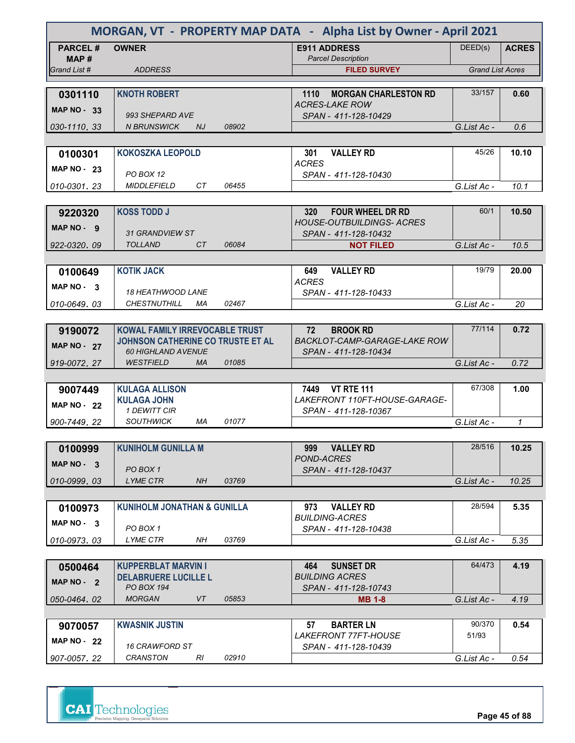|                        | MORGAN, VT - PROPERTY MAP DATA - Alpha List by Owner - April 2021     |       |                                                              |                         |              |
|------------------------|-----------------------------------------------------------------------|-------|--------------------------------------------------------------|-------------------------|--------------|
| <b>PARCEL#</b><br>MAP# | <b>OWNER</b>                                                          |       | <b>E911 ADDRESS</b><br><b>Parcel Description</b>             | DEED(s)                 | <b>ACRES</b> |
| Grand List #           | <b>ADDRESS</b>                                                        |       | <b>FILED SURVEY</b>                                          | <b>Grand List Acres</b> |              |
|                        |                                                                       |       |                                                              |                         |              |
| 0301110                | <b>KNOTH ROBERT</b>                                                   |       | 1110<br><b>MORGAN CHARLESTON RD</b><br><b>ACRES-LAKE ROW</b> | 33/157                  | 0.60         |
| <b>MAP NO - 33</b>     | 993 SHEPARD AVE                                                       |       | SPAN - 411-128-10429                                         |                         |              |
| 030-1110, 33           | <b>N BRUNSWICK</b><br>NJ                                              | 08902 |                                                              | G.List Ac -             | 0.6          |
|                        |                                                                       |       |                                                              |                         |              |
| 0100301                | <b>KOKOSZKA LEOPOLD</b>                                               |       | <b>VALLEY RD</b><br>301                                      | 45/26                   | 10.10        |
| <b>MAP NO - 23</b>     | PO BOX 12                                                             |       | <b>ACRES</b><br>SPAN - 411-128-10430                         |                         |              |
| 010-0301, 23           | <b>MIDDLEFIELD</b><br>CT                                              | 06455 |                                                              | G.List Ac -             | 10.1         |
|                        |                                                                       |       |                                                              |                         |              |
| 9220320                | <b>KOSS TODD J</b>                                                    |       | <b>FOUR WHEEL DR RD</b><br>320                               | 60/1                    | 10.50        |
| MAP NO - 9             | 31 GRANDVIEW ST                                                       |       | <b>HOUSE-OUTBUILDINGS- ACRES</b><br>SPAN - 411-128-10432     |                         |              |
| 922-0320, 09           | <b>TOLLAND</b><br>CT                                                  | 06084 | <b>NOT FILED</b>                                             | G.List Ac -             | 10.5         |
|                        |                                                                       |       |                                                              |                         |              |
| 0100649                | <b>KOTIK JACK</b>                                                     |       | <b>VALLEY RD</b><br>649                                      | 19/79                   | 20.00        |
| MAP NO - 3             | <b>18 HEATHWOOD LANE</b>                                              |       | <b>ACRES</b><br>SPAN - 411-128-10433                         |                         |              |
| 010-0649.03            | <b>CHESTNUTHILL</b><br>МA                                             | 02467 |                                                              | G.List Ac -             | 20           |
|                        |                                                                       |       |                                                              |                         |              |
| 9190072                | <b>KOWAL FAMILY IRREVOCABLE TRUST</b>                                 |       | 72<br><b>BROOK RD</b>                                        | 77/114                  | 0.72         |
| <b>MAP NO - 27</b>     | <b>JOHNSON CATHERINE CO TRUSTE ET AL</b><br><b>60 HIGHLAND AVENUE</b> |       | <b>BACKLOT-CAMP-GARAGE-LAKE ROW</b><br>SPAN - 411-128-10434  |                         |              |
| 919-0072, 27           | <b>WESTFIELD</b><br><b>MA</b>                                         | 01085 |                                                              | G.List Ac -             | 0.72         |
|                        |                                                                       |       |                                                              |                         |              |
| 9007449                | <b>KULAGA ALLISON</b>                                                 |       | <b>VT RTE 111</b><br>7449                                    | 67/308                  | 1.00         |
| <b>MAP NO - 22</b>     | <b>KULAGA JOHN</b><br>1 DEWITT CIR                                    |       | LAKEFRONT 110FT-HOUSE-GARAGE-<br>SPAN - 411-128-10367        |                         |              |
| 900-7449.22            | <b>SOUTHWICK</b><br>МA                                                | 01077 |                                                              | G.List Ac -             | $\mathcal I$ |
|                        |                                                                       |       |                                                              |                         |              |
| 0100999                | <b>KUNIHOLM GUNILLA M</b>                                             |       | <b>VALLEY RD</b><br>999                                      | 28/516                  | 10.25        |
| MAP NO - 3             | PO BOX 1                                                              |       | POND-ACRES                                                   |                         |              |
| 010-0999.03            | <b>LYME CTR</b><br><b>NH</b>                                          | 03769 | SPAN - 411-128-10437                                         | G.List Ac -             | 10.25        |
|                        |                                                                       |       |                                                              |                         |              |
| 0100973                | <b>KUNIHOLM JONATHAN &amp; GUNILLA</b>                                |       | 973<br><b>VALLEY RD</b>                                      | 28/594                  | 5.35         |
| $MAP NO - 3$           |                                                                       |       | <b>BUILDING-ACRES</b>                                        |                         |              |
| 010-0973.03            | PO BOX 1<br>LYME CTR<br>NΗ                                            | 03769 | SPAN - 411-128-10438                                         | G.List Ac -             | 5.35         |
|                        |                                                                       |       |                                                              |                         |              |
| 0500464                | <b>KUPPERBLAT MARVIN I</b>                                            |       | <b>SUNSET DR</b><br>464                                      | 64/473                  | 4.19         |
| MAP NO - 2             | <b>DELABRUERE LUCILLE L</b>                                           |       | <b>BUILDING ACRES</b>                                        |                         |              |
| 050-0464, 02           | <b>PO BOX 194</b><br><b>MORGAN</b><br>VT                              | 05853 | SPAN - 411-128-10743<br><b>MB 1-8</b>                        | G.List Ac -             | 4.19         |
|                        |                                                                       |       |                                                              |                         |              |
| 9070057                | <b>KWASNIK JUSTIN</b>                                                 |       | <b>BARTER LN</b><br>57                                       | 90/370                  | 0.54         |
| MAP $NO - 22$          |                                                                       |       | <i>LAKEFRONT 77FT-HOUSE</i>                                  | 51/93                   |              |
|                        | <b>16 CRAWFORD ST</b>                                                 |       | SPAN - 411-128-10439                                         |                         |              |
| 907-0057, 22           | <b>CRANSTON</b><br>RI                                                 | 02910 |                                                              | G.List Ac -             | 0.54         |



**Page 45 of 88**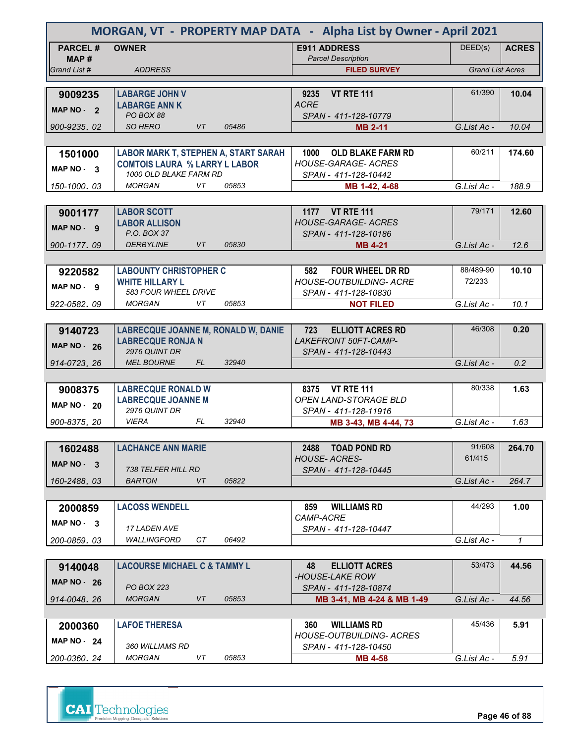| MORGAN, VT - PROPERTY MAP DATA - Alpha List by Owner - April 2021 |                                                                        |                                                               |                         |              |
|-------------------------------------------------------------------|------------------------------------------------------------------------|---------------------------------------------------------------|-------------------------|--------------|
| <b>PARCEL#</b>                                                    | <b>OWNER</b>                                                           | <b>E911 ADDRESS</b>                                           | DEED(s)                 | <b>ACRES</b> |
| MAP#                                                              |                                                                        | <b>Parcel Description</b>                                     |                         |              |
| Grand List #                                                      | <b>ADDRESS</b>                                                         | <b>FILED SURVEY</b>                                           | <b>Grand List Acres</b> |              |
| 9009235                                                           | <b>LABARGE JOHN V</b>                                                  | <b>VT RTE 111</b><br>9235                                     | 61/390                  | 10.04        |
|                                                                   | <b>LABARGE ANN K</b>                                                   | <b>ACRE</b>                                                   |                         |              |
| MAP NO - 2                                                        | PO BOX 88                                                              | SPAN - 411-128-10779                                          |                         |              |
| 900-9235.02                                                       | SO HERO<br>VT<br>05486                                                 | <b>MB 2-11</b>                                                | G.List Ac -             | 10.04        |
|                                                                   |                                                                        |                                                               |                         |              |
| 1501000                                                           | LABOR MARK T, STEPHEN A, START SARAH                                   | 1000<br><b>OLD BLAKE FARM RD</b>                              | 60/211                  | 174.60       |
| MAP $NO-3$                                                        | <b>COMTOIS LAURA % LARRY L LABOR</b><br>1000 OLD BLAKE FARM RD         | <b>HOUSE-GARAGE- ACRES</b>                                    |                         |              |
| 150-1000.03                                                       | <b>MORGAN</b><br>VT<br>05853                                           | SPAN - 411-128-10442<br>MB 1-42, 4-68                         | G.List Ac -             | 188.9        |
|                                                                   |                                                                        |                                                               |                         |              |
| 9001177                                                           | <b>LABOR SCOTT</b>                                                     | 1177 VT RTE 111                                               | 79/171                  | 12.60        |
|                                                                   | <b>LABOR ALLISON</b>                                                   | <b>HOUSE-GARAGE- ACRES</b>                                    |                         |              |
| $MAP NO - 9$                                                      | P.O. BOX 37                                                            | SPAN - 411-128-10186                                          |                         |              |
| 900-1177.09                                                       | 05830<br><b>DERBYLINE</b><br>VT.                                       | <b>MB 4-21</b>                                                | G.List Ac -             | 12.6         |
|                                                                   |                                                                        |                                                               |                         |              |
| 9220582                                                           | <b>LABOUNTY CHRISTOPHER C</b>                                          | <b>FOUR WHEEL DR RD</b><br>582                                | 88/489-90               | 10.10        |
| MAP NO - 9                                                        | <b>WHITE HILLARY L</b>                                                 | <b>HOUSE-OUTBUILDING- ACRE</b>                                | 72/233                  |              |
|                                                                   | 583 FOUR WHEEL DRIVE                                                   | SPAN - 411-128-10830                                          |                         |              |
| 922-0582.09                                                       | VT<br><b>MORGAN</b><br>05853                                           | <b>NOT FILED</b>                                              | G.List Ac -             | 10.1         |
|                                                                   |                                                                        |                                                               | 46/308                  | 0.20         |
| 9140723                                                           | <b>LABRECQUE JOANNE M, RONALD W, DANIE</b><br><b>LABRECQUE RONJA N</b> | 723<br><b>ELLIOTT ACRES RD</b><br><b>LAKEFRONT 50FT-CAMP-</b> |                         |              |
| <b>MAP NO - 26</b>                                                | 2976 QUINT DR                                                          | SPAN - 411-128-10443                                          |                         |              |
| 914-0723, 26                                                      | 32940<br><b>MEL BOURNE</b><br>FL.                                      |                                                               | G.List Ac -             | 0.2          |
|                                                                   |                                                                        |                                                               |                         |              |
| 9008375                                                           | <b>LABRECQUE RONALD W</b>                                              | <b>VT RTE 111</b><br>8375                                     | 80/338                  | 1.63         |
| MAP $NO - 20$                                                     | <b>LABRECQUE JOANNE M</b>                                              | OPEN LAND-STORAGE BLD                                         |                         |              |
|                                                                   | 2976 QUINT DR<br>FL                                                    | SPAN - 411-128-11916                                          |                         |              |
| 900-8375.20                                                       | <b>VIERA</b><br>32940                                                  | MB 3-43, MB 4-44, 73                                          | G.List Ac -             | 1.63         |
|                                                                   |                                                                        |                                                               | 91/608                  |              |
| 1602488                                                           | <b>LACHANCE ANN MARIE</b>                                              | 2488 TOAD POND RD<br><b>HOUSE- ACRES-</b>                     | 61/415                  | 264.70       |
| MAP $NO - 3$                                                      | 738 TELFER HILL RD                                                     | SPAN - 411-128-10445                                          |                         |              |
| 160-2488.03                                                       | <b>BARTON</b><br>VT<br>05822                                           |                                                               | G.List Ac -             | 264.7        |
|                                                                   |                                                                        |                                                               |                         |              |
| 2000859                                                           | <b>LACOSS WENDELL</b>                                                  | <b>WILLIAMS RD</b><br>859                                     | 44/293                  | 1.00         |
| MAP NO - 3                                                        |                                                                        | CAMP-ACRE                                                     |                         |              |
|                                                                   | 17 LADEN AVE                                                           | SPAN - 411-128-10447                                          |                         |              |
| 200-0859.03                                                       | CТ<br>WALLINGFORD<br>06492                                             |                                                               | G.List Ac -             | 1            |
|                                                                   |                                                                        |                                                               | 53/473                  |              |
| 9140048                                                           | <b>LACOURSE MICHAEL C &amp; TAMMY L</b>                                | <b>ELLIOTT ACRES</b><br>48<br>-HOUSE-LAKE ROW                 |                         | 44.56        |
| <b>MAP NO - 26</b>                                                | PO BOX 223                                                             | SPAN - 411-128-10874                                          |                         |              |
| 914-0048, 26                                                      | <b>MORGAN</b><br>VT<br>05853                                           | MB 3-41, MB 4-24 & MB 1-49                                    | G.List Ac -             | 44.56        |
|                                                                   |                                                                        |                                                               |                         |              |
| 2000360                                                           | <b>LAFOE THERESA</b>                                                   | <b>WILLIAMS RD</b><br>360                                     | 45/436                  | 5.91         |
| <b>MAP NO - 24</b>                                                |                                                                        | <b>HOUSE-OUTBUILDING- ACRES</b>                               |                         |              |
|                                                                   | 360 WILLIAMS RD                                                        | SPAN - 411-128-10450                                          |                         |              |
| 200-0360.24                                                       | VT<br>05853<br>MORGAN                                                  | MB 4-58                                                       | G.List Ac -             | 5.91         |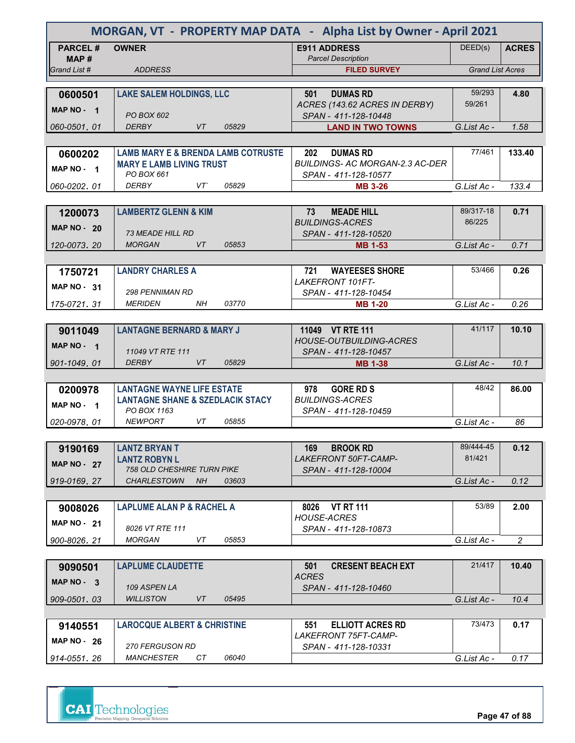|                    | MORGAN, VT - PROPERTY MAP DATA - Alpha List by Owner - April 2021                |                                                                |                         |                |  |
|--------------------|----------------------------------------------------------------------------------|----------------------------------------------------------------|-------------------------|----------------|--|
| <b>PARCEL#</b>     | <b>OWNER</b>                                                                     | <b>E911 ADDRESS</b>                                            | DEED(s)                 | <b>ACRES</b>   |  |
| MAP #              |                                                                                  | <b>Parcel Description</b>                                      |                         |                |  |
| Grand List #       | <b>ADDRESS</b>                                                                   | <b>FILED SURVEY</b>                                            | <b>Grand List Acres</b> |                |  |
| 0600501            | <b>LAKE SALEM HOLDINGS, LLC</b>                                                  | <b>DUMAS RD</b><br>501                                         | 59/293                  | 4.80           |  |
|                    |                                                                                  | ACRES (143.62 ACRES IN DERBY)                                  | 59/261                  |                |  |
| MAP NO - 1         | PO BOX 602                                                                       | SPAN - 411-128-10448                                           |                         |                |  |
| 060-0501, 01       | <b>DERBY</b><br>VT<br>05829                                                      | <b>LAND IN TWO TOWNS</b>                                       | G.List Ac -             | 1.58           |  |
|                    |                                                                                  |                                                                |                         |                |  |
| 0600202            | <b>LAMB MARY E &amp; BRENDA LAMB COTRUSTE</b>                                    | 202<br><b>DUMAS RD</b>                                         | 77/461                  | 133.40         |  |
| MAP NO - 1         | <b>MARY E LAMB LIVING TRUST</b><br>PO BOX 661                                    | <b>BUILDINGS- AC MORGAN-2.3 AC-DER</b><br>SPAN - 411-128-10577 |                         |                |  |
| 060-0202, 01       | <b>DERBY</b><br>VT<br>05829                                                      | <b>MB 3-26</b>                                                 | G.List Ac -             | 133.4          |  |
|                    |                                                                                  |                                                                |                         |                |  |
| 1200073            | <b>LAMBERTZ GLENN &amp; KIM</b>                                                  | 73<br><b>MEADE HILL</b>                                        | 89/317-18               | 0.71           |  |
| <b>MAP NO - 20</b> |                                                                                  | <b>BUILDINGS-ACRES</b>                                         | 86/225                  |                |  |
|                    | <b>73 MEADE HILL RD</b>                                                          | SPAN - 411-128-10520                                           |                         |                |  |
| 120-0073.20        | <b>MORGAN</b><br>VT.<br>05853                                                    | <b>MB 1-53</b>                                                 | G.List Ac -             | 0.71           |  |
|                    |                                                                                  |                                                                |                         |                |  |
| 1750721            | <b>LANDRY CHARLES A</b>                                                          | 721<br><b>WAYEESES SHORE</b>                                   | 53/466                  | 0.26           |  |
| MAP NO - 31        | 298 PENNIMAN RD                                                                  | <b>LAKEFRONT 101FT-</b><br>SPAN - 411-128-10454                |                         |                |  |
| 175-0721.31        | <i>MERIDEN</i><br>03770<br>ΝH                                                    | <b>MB 1-20</b>                                                 | G.List Ac -             | 0.26           |  |
|                    |                                                                                  |                                                                |                         |                |  |
| 9011049            | <b>LANTAGNE BERNARD &amp; MARY J</b>                                             | 11049 VT RTE 111                                               | 41/117                  | 10.10          |  |
| MAP NO - 1         |                                                                                  | <b>HOUSE-OUTBUILDING-ACRES</b>                                 |                         |                |  |
|                    | 11049 VT RTE 111                                                                 | SPAN - 411-128-10457                                           |                         |                |  |
| 901-1049, 01       | <b>DERBY</b><br><b>VT</b><br>05829                                               | <b>MB 1-38</b>                                                 | G.List Ac -             | 10.1           |  |
|                    |                                                                                  |                                                                | 48/42                   | 86.00          |  |
| 0200978            | <b>LANTAGNE WAYNE LIFE ESTATE</b><br><b>LANTAGNE SHANE &amp; SZEDLACIK STACY</b> | <b>GORE RD S</b><br>978<br><b>BUILDINGS-ACRES</b>              |                         |                |  |
| MAP NO - 1         | PO BOX 1163                                                                      | SPAN - 411-128-10459                                           |                         |                |  |
| 020-0978, 01       | <b>NEWPORT</b><br>VT<br>05855                                                    |                                                                | G.List Ac -             | 86             |  |
|                    |                                                                                  |                                                                |                         |                |  |
| 9190169            | <b>LANTZ BRYAN T</b>                                                             | <b>BROOK RD</b><br>169                                         | 89/444-45               | 0.12           |  |
| <b>MAP NO - 27</b> | <b>LANTZ ROBYN L</b>                                                             | <b>LAKEFRONT 50FT-CAMP-</b>                                    | 81/421                  |                |  |
| 919-0169.27        | <b>758 OLD CHESHIRE TURN PIKE</b><br><b>CHARLESTOWN</b><br><b>NH</b><br>03603    | SPAN - 411-128-10004                                           | G.List Ac -             | 0.12           |  |
|                    |                                                                                  |                                                                |                         |                |  |
| 9008026            | <b>LAPLUME ALAN P &amp; RACHEL A</b>                                             | 8026 VT RT 111                                                 | 53/89                   | 2.00           |  |
|                    |                                                                                  | <b>HOUSE-ACRES</b>                                             |                         |                |  |
| MAP $NO - 21$      | 8026 VT RTE 111                                                                  | SPAN - 411-128-10873                                           |                         |                |  |
| 900-8026.21        | <b>MORGAN</b><br>VT<br>05853                                                     |                                                                | G.List Ac -             | $\overline{2}$ |  |
|                    |                                                                                  |                                                                |                         |                |  |
| 9090501            | <b>LAPLUME CLAUDETTE</b>                                                         | 501<br><b>CRESENT BEACH EXT</b><br><b>ACRES</b>                | 21/417                  | 10.40          |  |
| MAP NO - 3         | 109 ASPEN LA                                                                     | SPAN - 411-128-10460                                           |                         |                |  |
| 909-0501, 03       | WILLISTON<br>VT<br>05495                                                         |                                                                | G.List Ac -             | 10.4           |  |
|                    |                                                                                  |                                                                |                         |                |  |
| 9140551            | <b>LAROCQUE ALBERT &amp; CHRISTINE</b>                                           | <b>ELLIOTT ACRES RD</b><br>551                                 | 73/473                  | 0.17           |  |
| MAP $NO - 26$      |                                                                                  | <b>LAKEFRONT 75FT-CAMP-</b>                                    |                         |                |  |
|                    | <b>270 FERGUSON RD</b>                                                           | SPAN - 411-128-10331                                           |                         |                |  |
| 914-0551.26        | <b>MANCHESTER</b><br>CT<br>06040                                                 |                                                                | G.List Ac -             | 0.17           |  |

**CAI** Technologies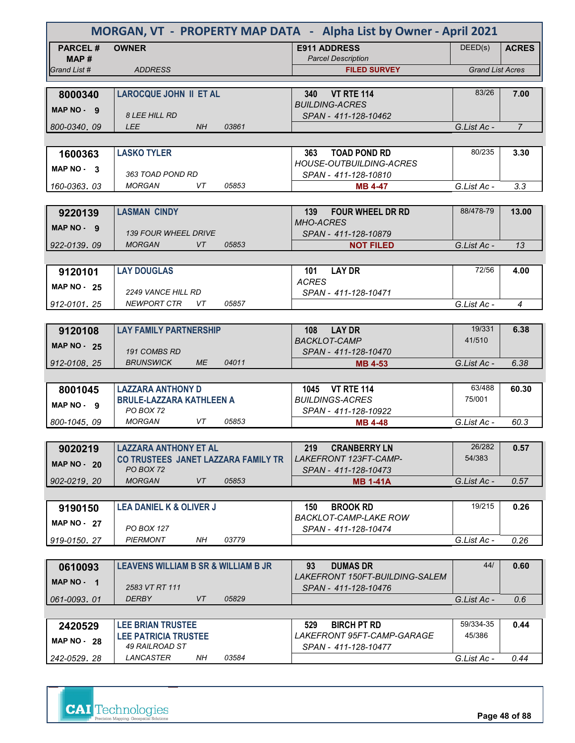| MORGAN, VT - PROPERTY MAP DATA - Alpha List by Owner - April 2021 |                                                             |                                                         |                         |                |
|-------------------------------------------------------------------|-------------------------------------------------------------|---------------------------------------------------------|-------------------------|----------------|
| <b>PARCEL#</b>                                                    | <b>OWNER</b>                                                | <b>E911 ADDRESS</b><br><b>Parcel Description</b>        | DEED(s)                 | <b>ACRES</b>   |
| MAP#<br>Grand List #                                              | <b>ADDRESS</b>                                              | <b>FILED SURVEY</b>                                     | <b>Grand List Acres</b> |                |
|                                                                   |                                                             |                                                         |                         |                |
| 8000340                                                           | <b>LAROCQUE JOHN II ET AL</b>                               | <b>VT RTE 114</b><br><b>340</b>                         | 83/26                   | 7.00           |
| MAP NO - 9                                                        |                                                             | <b>BUILDING-ACRES</b>                                   |                         |                |
| 800-0340.09                                                       | <b>8 LEE HILL RD</b><br><b>LEE</b><br>NH<br>03861           | SPAN - 411-128-10462                                    | G.List Ac -             | $\overline{7}$ |
|                                                                   |                                                             |                                                         |                         |                |
| 1600363                                                           | <b>LASKO TYLER</b>                                          | <b>TOAD POND RD</b><br>363                              | 80/235                  | 3.30           |
|                                                                   |                                                             | <b>HOUSE-OUTBUILDING-ACRES</b>                          |                         |                |
| MAP NO - 3                                                        | 363 TOAD POND RD                                            | SPAN - 411-128-10810                                    |                         |                |
| 160-0363.03                                                       | 05853<br><b>MORGAN</b><br>VT.                               | <b>MB 4-47</b>                                          | G.List Ac -             | 3.3            |
|                                                                   |                                                             |                                                         |                         |                |
| 9220139                                                           | <b>LASMAN CINDY</b>                                         | <b>FOUR WHEEL DR RD</b><br>139<br><b>MHO-ACRES</b>      | 88/478-79               | 13.00          |
| MAP NO - 9                                                        | <b>139 FOUR WHEEL DRIVE</b>                                 | SPAN - 411-128-10879                                    |                         |                |
| 922-0139.09                                                       | <b>MORGAN</b><br><b>VT</b><br>05853                         | <b>NOT FILED</b>                                        | G.List Ac -             | 13             |
|                                                                   |                                                             |                                                         |                         |                |
| 9120101                                                           | <b>LAY DOUGLAS</b>                                          | <b>LAY DR</b><br>101                                    | 72/56                   | 4.00           |
| <b>MAP NO - 25</b>                                                |                                                             | <b>ACRES</b>                                            |                         |                |
| 912-0101.25                                                       | 2249 VANCE HILL RD<br><b>NEWPORT CTR</b><br>05857<br>VT     | SPAN - 411-128-10471                                    | G.List Ac -             | 4              |
|                                                                   |                                                             |                                                         |                         |                |
| 9120108                                                           | <b>LAY FAMILY PARTNERSHIP</b>                               | <b>LAY DR</b><br>108                                    | 19/331                  | 6.38           |
| <b>MAP NO - 25</b>                                                |                                                             | <b>BACKLOT-CAMP</b>                                     | 41/510                  |                |
|                                                                   | 191 COMBS RD                                                | SPAN - 411-128-10470                                    |                         |                |
| 912-0108, 25                                                      | <b>BRUNSWICK</b><br><b>ME</b><br>04011                      | <b>MB 4-53</b>                                          | G.List Ac -             | 6.38           |
|                                                                   |                                                             |                                                         | 63/488                  |                |
| 8001045                                                           | <b>LAZZARA ANTHONY D</b><br><b>BRULE-LAZZARA KATHLEEN A</b> | <b>VT RTE 114</b><br>1045<br><b>BUILDINGS-ACRES</b>     | 75/001                  | 60.30          |
| MAP NO - 9                                                        | PO BOX 72                                                   | SPAN - 411-128-10922                                    |                         |                |
| 800-1045, 09                                                      | <b>MORGAN</b><br>05853<br>VT                                | <b>MB 4-48</b>                                          | G.List Ac -             | 60.3           |
|                                                                   |                                                             |                                                         |                         |                |
| 9020219                                                           | <b>LAZZARA ANTHONY ET AL</b>                                | 219<br><b>CRANBERRY LN</b>                              | 26/282                  | 0.57           |
| <b>MAP NO - 20</b>                                                | CO TRUSTEES JANET LAZZARA FAMILY TR<br>PO BOX 72            | LAKEFRONT 123FT-CAMP-<br>SPAN - 411-128-10473           | 54/383                  |                |
| 902-0219.20                                                       | <b>MORGAN</b><br>VT<br>05853                                | MB 1-41A                                                | G.List Ac -             | 0.57           |
|                                                                   |                                                             |                                                         |                         |                |
| 9190150                                                           | <b>LEA DANIEL K &amp; OLIVER J</b>                          | <b>BROOK RD</b><br>150                                  | 19/215                  | 0.26           |
| <b>MAP NO - 27</b>                                                |                                                             | <b>BACKLOT-CAMP-LAKE ROW</b>                            |                         |                |
|                                                                   | PO BOX 127<br><b>PIERMONT</b><br>NΗ<br>03779                | SPAN - 411-128-10474                                    | G.List Ac -             |                |
| 919-0150, 27                                                      |                                                             |                                                         |                         | 0.26           |
| 0610093                                                           | <b>LEAVENS WILLIAM B SR &amp; WILLIAM B JR</b>              | <b>DUMAS DR</b><br>93                                   | 44/                     | 0.60           |
| MAP NO - 1                                                        |                                                             | LAKEFRONT 150FT-BUILDING-SALEM                          |                         |                |
|                                                                   | 2583 VT RT 111                                              | SPAN - 411-128-10476                                    |                         |                |
| 061-0093, 01                                                      | <b>DERBY</b><br>05829<br>VT                                 |                                                         | G.List Ac -             | 0.6            |
|                                                                   |                                                             |                                                         |                         |                |
| 2420529                                                           | <b>LEE BRIAN TRUSTEE</b><br><b>LEE PATRICIA TRUSTEE</b>     | <b>BIRCH PT RD</b><br>529<br>LAKEFRONT 95FT-CAMP-GARAGE | 59/334-35<br>45/386     | 0.44           |
| <b>MAP NO - 28</b>                                                | 49 RAILROAD ST                                              | SPAN - 411-128-10477                                    |                         |                |
| 242-0529, 28                                                      | LANCASTER<br>03584<br>NH                                    |                                                         | G.List Ac -             | 0.44           |

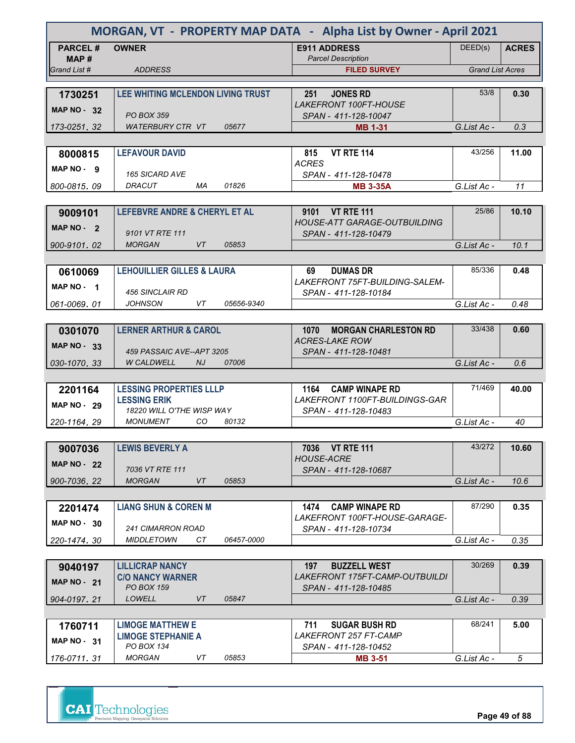| MORGAN, VT - PROPERTY MAP DATA - Alpha List by Owner - April 2021 |                                                              |                                                              |                         |              |  |  |
|-------------------------------------------------------------------|--------------------------------------------------------------|--------------------------------------------------------------|-------------------------|--------------|--|--|
| <b>PARCEL#</b>                                                    | <b>OWNER</b>                                                 | <b>E911 ADDRESS</b>                                          | DEED(s)                 | <b>ACRES</b> |  |  |
| MAP #<br>Grand List #                                             | <b>ADDRESS</b>                                               | <b>Parcel Description</b><br><b>FILED SURVEY</b>             | <b>Grand List Acres</b> |              |  |  |
|                                                                   |                                                              |                                                              |                         |              |  |  |
| 1730251                                                           | LEE WHITING MCLENDON LIVING TRUST                            | 251<br><b>JONES RD</b>                                       | 53/8                    | 0.30         |  |  |
| MAP $NO - 32$                                                     |                                                              | <b>LAKEFRONT 100FT-HOUSE</b>                                 |                         |              |  |  |
|                                                                   | <b>PO BOX 359</b>                                            | SPAN - 411-128-10047                                         |                         |              |  |  |
| 173-0251.32                                                       | <b>WATERBURY CTR VT</b><br>05677                             | <b>MB 1-31</b>                                               | G.List Ac -             | 0.3          |  |  |
|                                                                   |                                                              |                                                              |                         |              |  |  |
| 8000815                                                           | <b>LEFAVOUR DAVID</b>                                        | <b>VT RTE 114</b><br>815                                     | 43/256                  | 11.00        |  |  |
| MAP NO - 9                                                        | <b>165 SICARD AVE</b>                                        | <b>ACRES</b><br>SPAN - 411-128-10478                         |                         |              |  |  |
| 800-0815.09                                                       | DRACUT<br>01826<br>МA                                        | <b>MB 3-35A</b>                                              | G.List Ac -             | 11           |  |  |
|                                                                   |                                                              |                                                              |                         |              |  |  |
| 9009101                                                           | <b>LEFEBVRE ANDRE &amp; CHERYL ET AL</b>                     | 9101 VT RTE 111                                              | 25/86                   | 10.10        |  |  |
| MAP $NO - 2$                                                      |                                                              | <b>HOUSE-ATT GARAGE-OUTBUILDING</b>                          |                         |              |  |  |
|                                                                   | 9101 VT RTE 111                                              | SPAN - 411-128-10479                                         |                         |              |  |  |
| 900-9101.02                                                       | <b>MORGAN</b><br>VT<br>05853                                 |                                                              | G.List Ac -             | 10.1         |  |  |
|                                                                   |                                                              |                                                              |                         |              |  |  |
| 0610069                                                           | <b>LEHOUILLIER GILLES &amp; LAURA</b>                        | 69<br><b>DUMAS DR</b>                                        | 85/336                  | 0.48         |  |  |
| MAP NO - 1                                                        | 456 SINCLAIR RD                                              | LAKEFRONT 75FT-BUILDING-SALEM-                               |                         |              |  |  |
| 061-0069.01                                                       | JOHNSON<br>VT<br>05656-9340                                  | SPAN - 411-128-10184                                         | G.List Ac -             | 0.48         |  |  |
|                                                                   |                                                              |                                                              |                         |              |  |  |
| 0301070                                                           | <b>LERNER ARTHUR &amp; CAROL</b>                             | 1070<br><b>MORGAN CHARLESTON RD</b>                          | 33/438                  | 0.60         |  |  |
|                                                                   |                                                              | <b>ACRES-LAKE ROW</b>                                        |                         |              |  |  |
| <b>MAP NO - 33</b>                                                | 459 PASSAIC AVE--APT 3205                                    | SPAN - 411-128-10481                                         |                         |              |  |  |
| 030-1070.33                                                       | <b>W CALDWELL</b><br><b>NJ</b><br>07006                      |                                                              | G.List Ac -             | 0.6          |  |  |
|                                                                   |                                                              |                                                              |                         |              |  |  |
| 2201164                                                           | <b>LESSING PROPERTIES LLLP</b>                               | <b>CAMP WINAPE RD</b><br>1164                                | 71/469                  | 40.00        |  |  |
| <b>MAP NO - 29</b>                                                | <b>LESSING ERIK</b>                                          | LAKEFRONT 1100FT-BUILDINGS-GAR                               |                         |              |  |  |
|                                                                   | 18220 WILL O'THE WISP WAY<br><b>MONUMENT</b><br>CO.<br>80132 | SPAN - 411-128-10483                                         | G.List Ac -             |              |  |  |
| 220-1164.29                                                       |                                                              |                                                              |                         | 40           |  |  |
|                                                                   | <b>LEWIS BEVERLY A</b>                                       | 7036 VT RTE 111                                              | 43/272                  | 10.60        |  |  |
| 9007036                                                           |                                                              | <b>HOUSE-ACRE</b>                                            |                         |              |  |  |
| <b>MAP NO - 22</b>                                                | 7036 VT RTE 111                                              | SPAN - 411-128-10687                                         |                         |              |  |  |
| 900-7036.22                                                       | <b>MORGAN</b><br>05853<br>VT                                 |                                                              | G.List Ac -             | 10.6         |  |  |
|                                                                   |                                                              |                                                              |                         |              |  |  |
| 2201474                                                           | <b>LIANG SHUN &amp; COREN M</b>                              | 1474<br><b>CAMP WINAPE RD</b>                                | 87/290                  | 0.35         |  |  |
| MAP $NO - 30$                                                     |                                                              | <i>LAKEFRONT 100FT-HOUSE-GARAGE-</i>                         |                         |              |  |  |
|                                                                   | <b>241 CIMARRON ROAD</b>                                     | SPAN - 411-128-10734                                         |                         |              |  |  |
| 220-1474.30                                                       | <b>MIDDLETOWN</b><br>CТ<br>06457-0000                        |                                                              | G.List Ac -             | 0.35         |  |  |
|                                                                   |                                                              |                                                              |                         |              |  |  |
| 9040197                                                           | <b>LILLICRAP NANCY</b><br><b>C/O NANCY WARNER</b>            | 197<br><b>BUZZELL WEST</b><br>LAKEFRONT 175FT-CAMP-OUTBUILDI | 30/269                  | 0.39         |  |  |
| <b>MAP NO - 21</b>                                                | <b>PO BOX 159</b>                                            | SPAN - 411-128-10485                                         |                         |              |  |  |
| 904-0197, 21                                                      | LOWELL<br>05847<br>VT                                        |                                                              | G.List Ac -             | 0.39         |  |  |
|                                                                   |                                                              |                                                              |                         |              |  |  |
| 1760711                                                           | <b>LIMOGE MATTHEW E</b>                                      | 711<br><b>SUGAR BUSH RD</b>                                  | 68/241                  | 5.00         |  |  |
| MAP NO - 31                                                       | <b>LIMOGE STEPHANIE A</b>                                    | <b>LAKEFRONT 257 FT-CAMP</b>                                 |                         |              |  |  |
|                                                                   | PO BOX 134                                                   | SPAN - 411-128-10452                                         |                         |              |  |  |
| 176-0711.31                                                       | <b>MORGAN</b><br>VT<br>05853                                 | <b>MB 3-51</b>                                               | G.List Ac -             | $\sqrt{5}$   |  |  |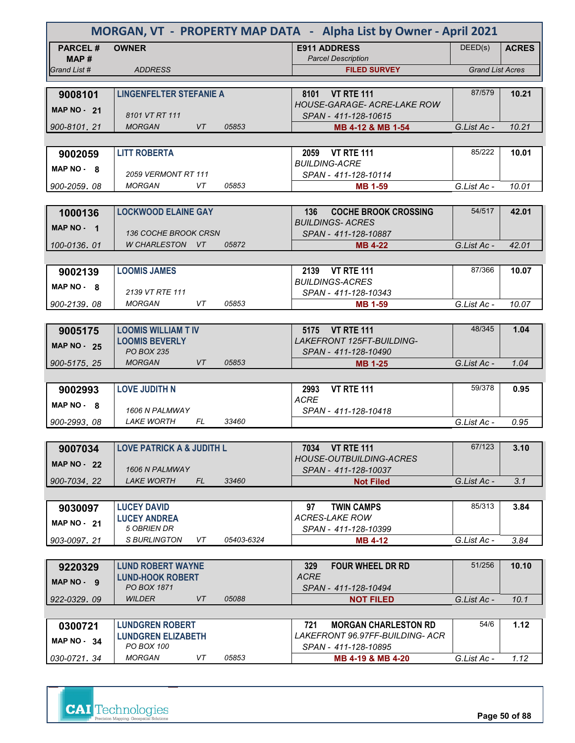| MORGAN, VT - PROPERTY MAP DATA - Alpha List by Owner - April 2021 |                                            |            |                                                          |                         |              |
|-------------------------------------------------------------------|--------------------------------------------|------------|----------------------------------------------------------|-------------------------|--------------|
| <b>PARCEL#</b>                                                    | <b>OWNER</b>                               |            | <b>E911 ADDRESS</b><br><b>Parcel Description</b>         | DEED(s)                 | <b>ACRES</b> |
| MAP#<br>Grand List #                                              | <b>ADDRESS</b>                             |            | <b>FILED SURVEY</b>                                      | <b>Grand List Acres</b> |              |
|                                                                   |                                            |            |                                                          |                         |              |
| 9008101                                                           | <b>LINGENFELTER STEFANIE A</b>             |            | 8101 VT RTE 111                                          | 87/579                  | 10.21        |
| <b>MAP NO - 21</b>                                                | 8101 VT RT 111                             |            | HOUSE-GARAGE- ACRE-LAKE ROW<br>SPAN - 411-128-10615      |                         |              |
| 900-8101.21                                                       | <b>VT</b><br><b>MORGAN</b>                 | 05853      | MB 4-12 & MB 1-54                                        | G.List Ac -             | 10.21        |
|                                                                   |                                            |            |                                                          |                         |              |
| 9002059                                                           | <b>LITT ROBERTA</b>                        |            | 2059 VT RTE 111                                          | 85/222                  | 10.01        |
| MAP NO - 8                                                        | 2059 VERMONT RT 111                        |            | <b>BUILDING-ACRE</b><br>SPAN - 411-128-10114             |                         |              |
| 900-2059.08                                                       | <b>MORGAN</b><br>VT                        | 05853      | <b>MB 1-59</b>                                           | G.List Ac -             | 10.01        |
|                                                                   |                                            |            |                                                          |                         |              |
| 1000136                                                           | <b>LOCKWOOD ELAINE GAY</b>                 |            | <b>COCHE BROOK CROSSING</b><br>136                       | 54/517                  | 42.01        |
| MAP NO - 1                                                        | <b>136 COCHE BROOK CRSN</b>                |            | <b>BUILDINGS-ACRES</b><br>SPAN - 411-128-10887           |                         |              |
| 100-0136.01                                                       | W CHARLESTON VT                            | 05872      | <b>MB 4-22</b>                                           | G.List Ac -             | 42.01        |
|                                                                   |                                            |            |                                                          |                         |              |
| 9002139                                                           | <b>LOOMIS JAMES</b>                        |            | 2139<br><b>VT RTE 111</b>                                | 87/366                  | 10.07        |
| $MAP NO - 8$                                                      | 2139 VT RTE 111                            |            | <b>BUILDINGS-ACRES</b>                                   |                         |              |
| 900-2139.08                                                       | <b>MORGAN</b><br>VT                        | 05853      | SPAN - 411-128-10343<br><b>MB 1-59</b>                   | G.List Ac -             | 10.07        |
|                                                                   |                                            |            |                                                          |                         |              |
| 9005175                                                           | <b>LOOMIS WILLIAM T IV</b>                 |            | 5175 VT RTE 111                                          | 48/345                  | 1.04         |
| <b>MAP NO - 25</b>                                                | <b>LOOMIS BEVERLY</b><br><b>PO BOX 235</b> |            | <b>LAKEFRONT 125FT-BUILDING-</b><br>SPAN - 411-128-10490 |                         |              |
| 900-5175, 25                                                      | <b>MORGAN</b><br><b>VT</b>                 | 05853      | <b>MB 1-25</b>                                           | G.List Ac -             | 1.04         |
|                                                                   |                                            |            |                                                          |                         |              |
| 9002993                                                           | <b>LOVE JUDITH N</b>                       |            | <b>VT RTE 111</b><br>2993                                | 59/378                  | 0.95         |
| MAP NO - 8                                                        | 1606 N PALMWAY                             |            | ACRE<br>SPAN - 411-128-10418                             |                         |              |
| 900-2993, 08                                                      | <b>LAKE WORTH</b><br>FL                    | 33460      |                                                          | G.List Ac -             | 0.95         |
|                                                                   |                                            |            |                                                          |                         |              |
| 9007034                                                           | <b>LOVE PATRICK A &amp; JUDITH L</b>       |            | 7034 VT RTE 111                                          | 67/123                  | 3.10         |
| <b>MAP NO - 22</b>                                                | 1606 N PALMWAY                             |            | <b>HOUSE-OUTBUILDING-ACRES</b>                           |                         |              |
| 900-7034.22                                                       | <b>LAKE WORTH</b><br>FL.                   | 33460      | SPAN - 411-128-10037<br><b>Not Filed</b>                 | G.List Ac -             | 3.1          |
|                                                                   |                                            |            |                                                          |                         |              |
| 9030097                                                           | <b>LUCEY DAVID</b>                         |            | <b>TWIN CAMPS</b><br>97                                  | 85/313                  | 3.84         |
| <b>MAP NO - 21</b>                                                | <b>LUCEY ANDREA</b><br>5 OBRIEN DR         |            | <b>ACRES-LAKE ROW</b>                                    |                         |              |
| 903-0097.21                                                       | S BURLINGTON<br>VT                         | 05403-6324 | SPAN - 411-128-10399<br><b>MB 4-12</b>                   | G.List Ac -             | 3.84         |
|                                                                   |                                            |            |                                                          |                         |              |
| 9220329                                                           | <b>LUND ROBERT WAYNE</b>                   |            | 329<br><b>FOUR WHEEL DR RD</b>                           | 51/256                  | 10.10        |
| MAP NO - 9                                                        | <b>LUND-HOOK ROBERT</b>                    |            | <b>ACRE</b>                                              |                         |              |
| 922-0329.09                                                       | PO BOX 1871<br><b>WILDER</b><br>VT         | 05088      | SPAN - 411-128-10494<br><b>NOT FILED</b>                 | G.List Ac -             | 10.1         |
|                                                                   |                                            |            |                                                          |                         |              |
| 0300721                                                           | <b>LUNDGREN ROBERT</b>                     |            | <b>MORGAN CHARLESTON RD</b><br>721                       | 54/6                    | 1.12         |
| <b>MAP NO - 34</b>                                                | <b>LUNDGREN ELIZABETH</b><br>PO BOX 100    |            | LAKEFRONT 96.97FF-BUILDING- ACR<br>SPAN - 411-128-10895  |                         |              |
| 030-0721.34                                                       | <b>MORGAN</b><br>VT                        | 05853      | MB 4-19 & MB 4-20                                        | G.List Ac -             | 1.12         |

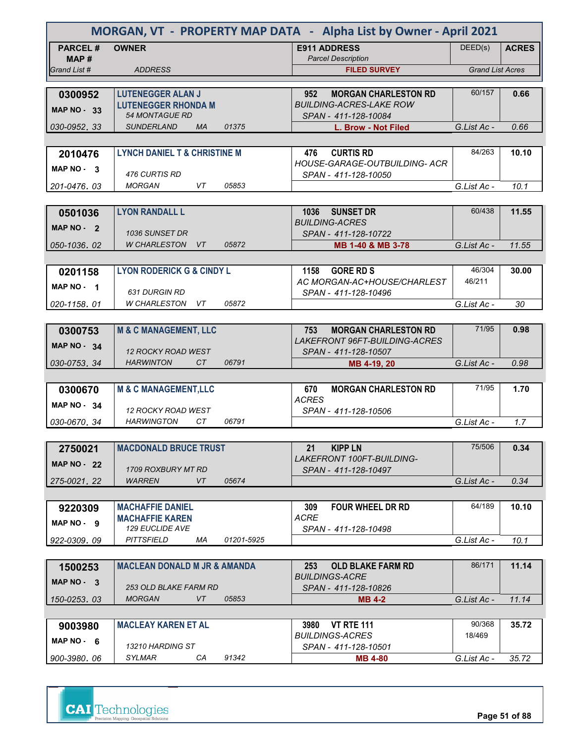| MORGAN, VT - PROPERTY MAP DATA - Alpha List by Owner - April 2021 |                                                              |                                                          |                         |              |  |  |
|-------------------------------------------------------------------|--------------------------------------------------------------|----------------------------------------------------------|-------------------------|--------------|--|--|
| <b>PARCEL#</b>                                                    | <b>OWNER</b>                                                 | <b>E911 ADDRESS</b>                                      | DEED(s)                 | <b>ACRES</b> |  |  |
| MAP #<br>Grand List #                                             | <b>ADDRESS</b>                                               | <b>Parcel Description</b><br><b>FILED SURVEY</b>         | <b>Grand List Acres</b> |              |  |  |
|                                                                   |                                                              |                                                          |                         |              |  |  |
| 0300952                                                           | <b>LUTENEGGER ALAN J</b>                                     | 952<br><b>MORGAN CHARLESTON RD</b>                       | 60/157                  | 0.66         |  |  |
| MAP $NO - 33$                                                     | <b>LUTENEGGER RHONDA M</b><br><b>54 MONTAGUE RD</b>          | <b>BUILDING-ACRES-LAKE ROW</b><br>SPAN - 411-128-10084   |                         |              |  |  |
| 030-0952.33                                                       | <b>SUNDERLAND</b><br><b>MA</b><br>01375                      | L. Brow - Not Filed                                      | G.List Ac -             | 0.66         |  |  |
|                                                                   |                                                              |                                                          |                         |              |  |  |
| 2010476                                                           | <b>LYNCH DANIEL T &amp; CHRISTINE M</b>                      | <b>CURTIS RD</b><br>476                                  | 84/263                  | 10.10        |  |  |
| MAP NO 3                                                          | 476 CURTIS RD                                                | HOUSE-GARAGE-OUTBUILDING- ACR<br>SPAN - 411-128-10050    |                         |              |  |  |
| 201-0476, 03                                                      | 05853<br><b>MORGAN</b><br>VT.                                |                                                          | G.List Ac -             | 10.1         |  |  |
|                                                                   |                                                              |                                                          |                         |              |  |  |
| 0501036                                                           | <b>LYON RANDALL L</b>                                        | 1036<br><b>SUNSET DR</b>                                 | 60/438                  | 11.55        |  |  |
| MAP NO - 2                                                        | 1036 SUNSET DR                                               | <b>BUILDING-ACRES</b><br>SPAN - 411-128-10722            |                         |              |  |  |
| 050-1036.02                                                       | W CHARLESTON<br>05872<br>VT.                                 | MB 1-40 & MB 3-78                                        | G.List Ac -             | 11.55        |  |  |
|                                                                   |                                                              |                                                          |                         |              |  |  |
| 0201158                                                           | <b>LYON RODERICK G &amp; CINDY L</b>                         | <b>GORE RD S</b><br>1158                                 | 46/304                  | 30.00        |  |  |
| MAP NO - 1                                                        |                                                              | AC MORGAN-AC+HOUSE/CHARLEST                              | 46/211                  |              |  |  |
| 020-1158.01                                                       | <b>631 DURGIN RD</b><br>05872<br>W CHARLESTON<br>VT.         | SPAN - 411-128-10496                                     | G.List Ac -             | 30           |  |  |
|                                                                   |                                                              |                                                          |                         |              |  |  |
| 0300753                                                           | <b>M &amp; C MANAGEMENT, LLC</b>                             | <b>MORGAN CHARLESTON RD</b><br>753                       | 71/95                   | 0.98         |  |  |
| MAP $NO - 34$                                                     |                                                              | <b>LAKEFRONT 96FT-BUILDING-ACRES</b>                     |                         |              |  |  |
| 030-0753.34                                                       | <b>12 ROCKY ROAD WEST</b><br><b>HARWINTON</b><br>CT<br>06791 | SPAN - 411-128-10507<br>MB 4-19, 20                      | G.List Ac -             | 0.98         |  |  |
|                                                                   |                                                              |                                                          |                         |              |  |  |
| 0300670                                                           | <b>M &amp; C MANAGEMENT,LLC</b>                              | <b>MORGAN CHARLESTON RD</b><br>670                       | 71/95                   | 1.70         |  |  |
| <b>MAP NO - 34</b>                                                | 12 ROCKY ROAD WEST                                           | <b>ACRES</b><br>SPAN - 411-128-10506                     |                         |              |  |  |
| 030-0670.34                                                       | 06791<br><b>HARWINGTON</b><br>CT                             |                                                          | G.List Ac -             | 1.7          |  |  |
|                                                                   |                                                              |                                                          |                         |              |  |  |
| 2750021                                                           | <b>MACDONALD BRUCE TRUST</b>                                 | <b>KIPP LN</b><br>21                                     | 75/506                  | 0.34         |  |  |
| <b>MAP NO - 22</b>                                                | 1709 ROXBURY MT RD                                           | <b>LAKEFRONT 100FT-BUILDING-</b><br>SPAN - 411-128-10497 |                         |              |  |  |
| 275-0021.22                                                       | <b>WARREN</b><br>VT<br>05674                                 |                                                          | G.List Ac -             | 0.34         |  |  |
|                                                                   |                                                              |                                                          |                         |              |  |  |
| 9220309                                                           | <b>MACHAFFIE DANIEL</b>                                      | <b>FOUR WHEEL DR RD</b><br>309                           | 64/189                  | 10.10        |  |  |
| MAP NO - 9                                                        | <b>MACHAFFIE KAREN</b><br><b>129 EUCLIDE AVE</b>             | <b>ACRE</b>                                              |                         |              |  |  |
| 922-0309.09                                                       | <b>PITTSFIELD</b><br>МA                                      | SPAN - 411-128-10498<br>01201-5925                       | G.List Ac -             | 10.1         |  |  |
|                                                                   |                                                              |                                                          |                         |              |  |  |
| 1500253                                                           | <b>MACLEAN DONALD M JR &amp; AMANDA</b>                      | 253<br><b>OLD BLAKE FARM RD</b>                          | 86/171                  | 11.14        |  |  |
| $MAP NO - 3$                                                      | <b>253 OLD BLAKE FARM RD</b>                                 | <i>BUILDINGS-ACRE</i><br>SPAN - 411-128-10826            |                         |              |  |  |
| 150-0253.03                                                       | <b>MORGAN</b><br>VT<br>05853                                 | <b>MB 4-2</b>                                            | G.List Ac -             | 11.14        |  |  |
|                                                                   |                                                              |                                                          |                         |              |  |  |
| 9003980                                                           | <b>MACLEAY KAREN ET AL</b>                                   | <b>VT RTE 111</b><br>3980                                | 90/368                  | 35.72        |  |  |
| MAP NO - 6                                                        | 13210 HARDING ST                                             | <b>BUILDINGS-ACRES</b><br>SPAN - 411-128-10501           | 18/469                  |              |  |  |
|                                                                   | SYLMAR<br>91342<br>CA                                        |                                                          |                         | 35.72        |  |  |
| 900-3980.06                                                       |                                                              | <b>MB 4-80</b>                                           | G.List Ac -             |              |  |  |



**Page 51 of 88**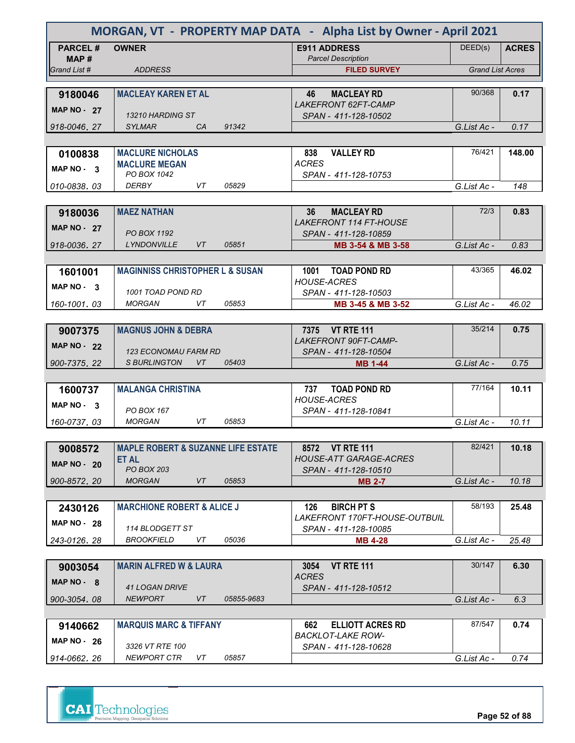| MORGAN, VT - PROPERTY MAP DATA - Alpha List by Owner - April 2021 |                                               |                                                       |                         |              |  |
|-------------------------------------------------------------------|-----------------------------------------------|-------------------------------------------------------|-------------------------|--------------|--|
| <b>PARCEL#</b><br>MAP#                                            | <b>OWNER</b>                                  | <b>E911 ADDRESS</b><br><b>Parcel Description</b>      | DEED(s)                 | <b>ACRES</b> |  |
| Grand List #                                                      | <b>ADDRESS</b>                                | <b>FILED SURVEY</b>                                   | <b>Grand List Acres</b> |              |  |
|                                                                   |                                               |                                                       |                         |              |  |
| 9180046                                                           | <b>MACLEAY KAREN ET AL</b>                    | <b>MACLEAY RD</b><br>46                               | 90/368                  | 0.17         |  |
| <b>MAP NO - 27</b>                                                | 13210 HARDING ST                              | <b>LAKEFRONT 62FT-CAMP</b><br>SPAN - 411-128-10502    |                         |              |  |
| 918-0046, 27                                                      | <b>SYLMAR</b><br>91342<br>C <sub>A</sub>      |                                                       | G.List Ac -             | 0.17         |  |
|                                                                   |                                               |                                                       |                         |              |  |
| 0100838                                                           | <b>MACLURE NICHOLAS</b>                       | <b>VALLEY RD</b><br>838                               | 76/421                  | 148.00       |  |
| MAP NO - 3                                                        | <b>MACLURE MEGAN</b>                          | <b>ACRES</b>                                          |                         |              |  |
|                                                                   | PO BOX 1042                                   | SPAN - 411-128-10753                                  |                         |              |  |
| 010-0838, 03                                                      | <b>DERBY</b><br>VT<br>05829                   |                                                       | G.List Ac -             | 148          |  |
|                                                                   |                                               |                                                       |                         |              |  |
| 9180036                                                           | <b>MAEZ NATHAN</b>                            | <b>MACLEAY RD</b><br>36                               | 72/3                    | 0.83         |  |
| <b>MAP NO - 27</b>                                                | PO BOX 1192                                   | <b>LAKEFRONT 114 FT-HOUSE</b><br>SPAN - 411-128-10859 |                         |              |  |
| 918-0036.27                                                       | <b>LYNDONVILLE</b><br>05851<br>VT             | MB 3-54 & MB 3-58                                     | G.List Ac -             | 0.83         |  |
|                                                                   |                                               |                                                       |                         |              |  |
| 1601001                                                           | <b>MAGINNISS CHRISTOPHER L &amp; SUSAN</b>    | <b>TOAD POND RD</b><br>1001                           | 43/365                  | 46.02        |  |
| MAP NO. 3                                                         |                                               | <b>HOUSE-ACRES</b>                                    |                         |              |  |
|                                                                   | 1001 TOAD POND RD                             | SPAN - 411-128-10503                                  |                         |              |  |
| 160-1001.03                                                       | <b>MORGAN</b><br>VT<br>05853                  | MB 3-45 & MB 3-52                                     | G.List Ac -             | 46.02        |  |
|                                                                   |                                               |                                                       |                         |              |  |
| 9007375                                                           | <b>MAGNUS JOHN &amp; DEBRA</b>                | 7375 VT RTE 111                                       | 35/214                  | 0.75         |  |
| <b>MAP NO - 22</b>                                                | <b>123 ECONOMAU FARM RD</b>                   | <b>LAKEFRONT 90FT-CAMP-</b>                           |                         |              |  |
| 900-7375, 22                                                      | <b>S BURLINGTON</b><br>VT<br>05403            | SPAN - 411-128-10504<br>MB 1-44                       | G.List Ac -             | 0.75         |  |
|                                                                   |                                               |                                                       |                         |              |  |
| 1600737                                                           | <b>MALANGA CHRISTINA</b>                      | <b>TOAD POND RD</b><br>737                            | 77/164                  | 10.11        |  |
| MAP $NO - 3$                                                      |                                               | <b>HOUSE-ACRES</b>                                    |                         |              |  |
|                                                                   | PO BOX 167<br><b>MORGAN</b><br>VT<br>05853    | SPAN - 411-128-10841                                  |                         |              |  |
| 160-0737, 03                                                      |                                               |                                                       | G.List Ac -             | 10.11        |  |
|                                                                   | <b>MAPLE ROBERT &amp; SUZANNE LIFE ESTATE</b> | 8572 VT RTE 111                                       | 82/421                  | 10.18        |  |
| 9008572                                                           | <b>ET AL</b>                                  | <b>HOUSE-ATT GARAGE-ACRES</b>                         |                         |              |  |
| <b>MAP NO - 20</b>                                                | <b>PO BOX 203</b>                             | SPAN - 411-128-10510                                  |                         |              |  |
| 900-8572.20                                                       | <b>MORGAN</b><br>VT<br>05853                  | <b>MB 2-7</b>                                         | G.List Ac -             | 10.18        |  |
|                                                                   |                                               |                                                       |                         |              |  |
| 2430126                                                           | <b>MARCHIONE ROBERT &amp; ALICE J</b>         | <b>BIRCH PT S</b><br>126                              | 58/193                  | 25.48        |  |
| <b>MAP NO - 28</b>                                                |                                               | LAKEFRONT 170FT-HOUSE-OUTBUIL                         |                         |              |  |
|                                                                   | 114 BLODGETT ST                               | SPAN - 411-128-10085                                  |                         |              |  |
| 243-0126.28                                                       | <b>BROOKFIELD</b><br>VT<br>05036              | <b>MB 4-28</b>                                        | G.List Ac -             | 25.48        |  |
| 9003054                                                           | <b>MARIN ALFRED W &amp; LAURA</b>             | 3054<br><b>VT RTE 111</b>                             | 30/147                  | 6.30         |  |
|                                                                   |                                               | <b>ACRES</b>                                          |                         |              |  |
| $MAP NO - 8$                                                      | <b>41 LOGAN DRIVE</b>                         | SPAN - 411-128-10512                                  |                         |              |  |
| 900-3054.08                                                       | <b>NEWPORT</b><br>VT<br>05855-9683            |                                                       | G.List Ac -             | 6.3          |  |
|                                                                   |                                               |                                                       |                         |              |  |
| 9140662                                                           | <b>MARQUIS MARC &amp; TIFFANY</b>             | 662<br><b>ELLIOTT ACRES RD</b>                        | 87/547                  | 0.74         |  |
| MAP $NO - 26$                                                     | 3326 VT RTE 100                               | <b>BACKLOT-LAKE ROW-</b>                              |                         |              |  |
| 914-0662, 26                                                      | NEWPORT CTR<br>VT<br>05857                    | SPAN - 411-128-10628                                  | G.List Ac -             | 0.74         |  |
|                                                                   |                                               |                                                       |                         |              |  |



**Page 52 of 88**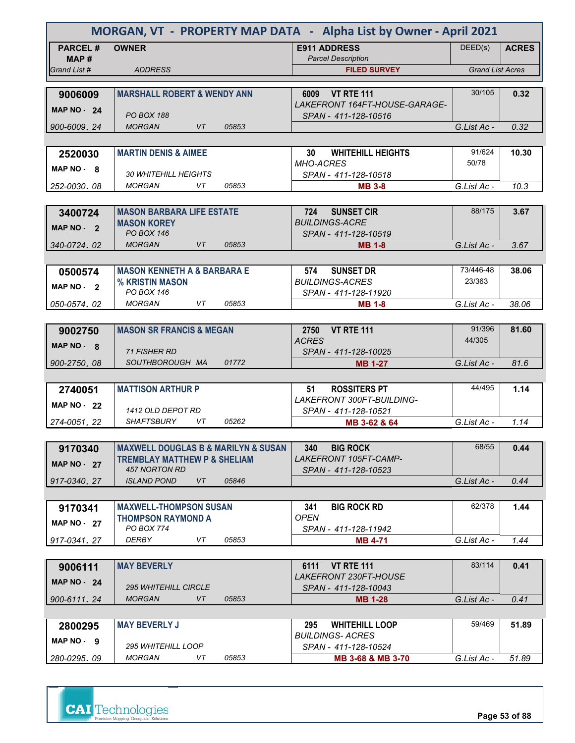| MORGAN, VT - PROPERTY MAP DATA - Alpha List by Owner - April 2021 |                                                            |                                                           |                         |              |  |  |
|-------------------------------------------------------------------|------------------------------------------------------------|-----------------------------------------------------------|-------------------------|--------------|--|--|
| <b>PARCEL#</b><br>MAP #                                           | <b>OWNER</b>                                               | <b>E911 ADDRESS</b><br><b>Parcel Description</b>          | DEED(s)                 | <b>ACRES</b> |  |  |
| Grand List #                                                      | <b>ADDRESS</b>                                             | <b>FILED SURVEY</b>                                       | <b>Grand List Acres</b> |              |  |  |
|                                                                   |                                                            |                                                           |                         |              |  |  |
| 9006009                                                           | <b>MARSHALL ROBERT &amp; WENDY ANN</b>                     | 6009 VT RTE 111<br>LAKEFRONT 164FT-HOUSE-GARAGE-          | 30/105                  | 0.32         |  |  |
| MAP $NO - 24$                                                     | <b>PO BOX 188</b>                                          | SPAN - 411-128-10516                                      |                         |              |  |  |
| 900-6009.24                                                       | <b>MORGAN</b><br>VT<br>05853                               |                                                           | G.List Ac -             | 0.32         |  |  |
|                                                                   |                                                            |                                                           |                         |              |  |  |
| 2520030                                                           | <b>MARTIN DENIS &amp; AIMEE</b>                            | <b>WHITEHILL HEIGHTS</b><br>30                            | 91/624                  | 10.30        |  |  |
| $MAP NO - R$                                                      | <b>30 WHITEHILL HEIGHTS</b>                                | <b>MHO-ACRES</b><br>SPAN - 411-128-10518                  | 50/78                   |              |  |  |
| 252-0030.08                                                       | <b>MORGAN</b><br>VT<br>05853                               | <b>MB 3-8</b>                                             | G.List Ac -             | 10.3         |  |  |
|                                                                   |                                                            |                                                           |                         |              |  |  |
| 3400724                                                           | <b>MASON BARBARA LIFE ESTATE</b>                           | 724<br><b>SUNSET CIR</b>                                  | 88/175                  | 3.67         |  |  |
| MAP NO - 2                                                        | <b>MASON KOREY</b>                                         | <b>BUILDINGS-ACRE</b>                                     |                         |              |  |  |
|                                                                   | <b>PO BOX 146</b>                                          | SPAN - 411-128-10519                                      |                         |              |  |  |
| 340-0724.02                                                       | <b>MORGAN</b><br>VT.<br>05853                              | <b>MB 1-8</b>                                             | G.List Ac -             | 3.67         |  |  |
|                                                                   |                                                            |                                                           |                         |              |  |  |
| 0500574                                                           | <b>MASON KENNETH A &amp; BARBARA E</b>                     | <b>SUNSET DR</b><br>574                                   | 73/446-48               | 38.06        |  |  |
| $MAP NO - 2$                                                      | % KRISTIN MASON                                            | <b>BUILDINGS-ACRES</b>                                    | 23/363                  |              |  |  |
|                                                                   | PO BOX 146                                                 | SPAN - 411-128-11920                                      |                         |              |  |  |
| 050-0574.02                                                       | <b>MORGAN</b><br>VT<br>05853                               | <b>MB 1-8</b>                                             | G.List Ac -             | 38.06        |  |  |
|                                                                   |                                                            |                                                           |                         |              |  |  |
| 9002750                                                           | <b>MASON SR FRANCIS &amp; MEGAN</b>                        | <b>VT RTE 111</b><br>2750                                 | 91/396                  | 81.60        |  |  |
| MAP $NO - 8$                                                      | <b>71 FISHER RD</b>                                        | <b>ACRES</b><br>SPAN - 411-128-10025                      | 44/305                  |              |  |  |
| 900-2750, 08                                                      | SOUTHBOROUGH MA<br>01772                                   | <b>MB 1-27</b>                                            | G.List Ac -             | 81.6         |  |  |
|                                                                   |                                                            |                                                           |                         |              |  |  |
| 2740051                                                           | <b>MATTISON ARTHUR P</b>                                   | <b>ROSSITERS PT</b><br>51                                 | 44/495                  | 1.14         |  |  |
|                                                                   |                                                            | <b>LAKEFRONT 300FT-BUILDING-</b>                          |                         |              |  |  |
| MAP $NO - 22$                                                     | 1412 OLD DEPOT RD                                          | SPAN - 411-128-10521                                      |                         |              |  |  |
| 274-0051, 22                                                      | 05262<br>SHAFTSBURY<br>VT                                  | MB 3-62 & 64                                              | G.List Ac -             | 1.14         |  |  |
|                                                                   |                                                            |                                                           |                         |              |  |  |
| 9170340                                                           | <b>MAXWELL DOUGLAS B &amp; MARILYN &amp; SUSAN</b>         | <b>BIG ROCK</b><br>340                                    | 68/55                   | 0.44         |  |  |
| <b>MAP NO - 27</b>                                                | <b>TREMBLAY MATTHEW P &amp; SHELIAM</b>                    | LAKEFRONT 105FT-CAMP-                                     |                         |              |  |  |
|                                                                   | 457 NORTON RD                                              | SPAN - 411-128-10523                                      |                         |              |  |  |
| 917-0340.27                                                       | VT<br><b>ISLAND POND</b><br>05846                          |                                                           | G.List Ac -             | 0.44         |  |  |
|                                                                   |                                                            |                                                           | 62/378                  |              |  |  |
| 9170341                                                           | <b>MAXWELL-THOMPSON SUSAN</b><br><b>THOMPSON RAYMOND A</b> | <b>BIG ROCK RD</b><br>341<br><b>OPEN</b>                  |                         | 1.44         |  |  |
| <b>MAP NO - 27</b>                                                | PO BOX 774                                                 | SPAN - 411-128-11942                                      |                         |              |  |  |
| 917-0341.27                                                       | DERBY<br>VT<br>05853                                       | <b>MB 4-71</b>                                            | G.List Ac -             | 1.44         |  |  |
|                                                                   |                                                            |                                                           |                         |              |  |  |
| 9006111                                                           | <b>MAY BEVERLY</b>                                         | <b>VT RTE 111</b><br>6111<br><b>LAKEFRONT 230FT-HOUSE</b> | 83/114                  | 0.41         |  |  |
| <b>MAP NO - 24</b>                                                | <b>295 WHITEHILL CIRCLE</b>                                | SPAN - 411-128-10043                                      |                         |              |  |  |
| 900-6111.24                                                       | VT<br><b>MORGAN</b><br>05853                               | <b>MB 1-28</b>                                            | G.List Ac -             | 0.41         |  |  |
|                                                                   |                                                            |                                                           |                         |              |  |  |
| 2800295                                                           | <b>MAY BEVERLY J</b>                                       | <b>WHITEHILL LOOP</b><br>295                              | 59/469                  | 51.89        |  |  |
| MAP NO - 9                                                        |                                                            | <i>BUILDINGS- ACRES</i>                                   |                         |              |  |  |
|                                                                   |                                                            |                                                           |                         |              |  |  |
|                                                                   | <b>295 WHITEHILL LOOP</b>                                  | SPAN - 411-128-10524                                      |                         |              |  |  |



**Page 53 of 88**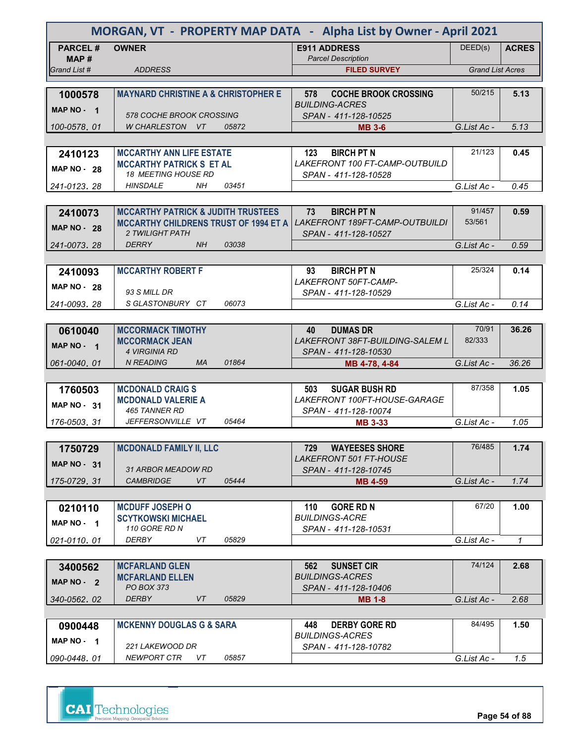| MORGAN, VT - PROPERTY MAP DATA - Alpha List by Owner - April 2021 |                                                                        |                                                             |                         |              |  |  |
|-------------------------------------------------------------------|------------------------------------------------------------------------|-------------------------------------------------------------|-------------------------|--------------|--|--|
| <b>PARCEL#</b><br>MAP #                                           | <b>OWNER</b>                                                           | <b>E911 ADDRESS</b><br><b>Parcel Description</b>            | DEED(s)                 | <b>ACRES</b> |  |  |
| Grand List #                                                      | <b>ADDRESS</b>                                                         | <b>FILED SURVEY</b>                                         | <b>Grand List Acres</b> |              |  |  |
|                                                                   |                                                                        |                                                             |                         |              |  |  |
| 1000578                                                           | <b>MAYNARD CHRISTINE A &amp; CHRISTOPHER E</b>                         | 578<br><b>COCHE BROOK CROSSING</b><br><b>BUILDING-ACRES</b> | 50/215                  | 5.13         |  |  |
| MAP NO - 1                                                        | <b>578 COCHE BROOK CROSSING</b>                                        | SPAN - 411-128-10525                                        |                         |              |  |  |
| 100-0578, 01                                                      | W CHARLESTON VT<br>05872                                               | <b>MB 3-6</b>                                               | G.List Ac -             | 5.13         |  |  |
|                                                                   |                                                                        |                                                             |                         |              |  |  |
| 2410123                                                           | <b>MCCARTHY ANN LIFE ESTATE</b>                                        | <b>BIRCH PT N</b><br>123                                    | 21/123                  | 0.45         |  |  |
| <b>MAP NO - 28</b>                                                | <b>MCCARTHY PATRICK S ET AL</b>                                        | LAKEFRONT 100 FT-CAMP-OUTBUILD                              |                         |              |  |  |
|                                                                   | <b>18 MEETING HOUSE RD</b>                                             | SPAN - 411-128-10528                                        |                         |              |  |  |
| 241-0123.28                                                       | <b>HINSDALE</b><br>NH.<br>03451                                        |                                                             | G.List Ac -             | 0.45         |  |  |
|                                                                   |                                                                        |                                                             |                         |              |  |  |
| 2410073                                                           | <b>MCCARTHY PATRICK &amp; JUDITH TRUSTEES</b>                          | 73<br><b>BIRCH PT N</b>                                     | 91/457<br>53/561        | 0.59         |  |  |
| <b>MAP NO - 28</b>                                                | <b>MCCARTHY CHILDRENS TRUST OF 1994 ET A</b><br><b>2 TWILIGHT PATH</b> | LAKEFRONT 189FT-CAMP-OUTBUILDI<br>SPAN - 411-128-10527      |                         |              |  |  |
| 241-0073.28                                                       | 03038<br><b>DERRY</b><br>NH.                                           |                                                             | G.List Ac -             | 0.59         |  |  |
|                                                                   |                                                                        |                                                             |                         |              |  |  |
| 2410093                                                           | <b>MCCARTHY ROBERT F</b>                                               | <b>BIRCH PT N</b><br>93                                     | 25/324                  | 0.14         |  |  |
|                                                                   |                                                                        | LAKEFRONT 50FT-CAMP-                                        |                         |              |  |  |
| <b>MAP NO - 28</b>                                                | 93 S MILL DR                                                           | SPAN - 411-128-10529                                        |                         |              |  |  |
| 241-0093, 28                                                      | SGLASTONBURY CT<br>06073                                               |                                                             | G.List Ac -             | 0.14         |  |  |
|                                                                   |                                                                        |                                                             |                         |              |  |  |
| 0610040                                                           | <b>MCCORMACK TIMOTHY</b>                                               | <b>DUMAS DR</b><br>40                                       | 70/91                   | 36.26        |  |  |
| MAP NO - 1                                                        | <b>MCCORMACK JEAN</b>                                                  | <b>LAKEFRONT 38FT-BUILDING-SALEM L</b>                      | 82/333                  |              |  |  |
|                                                                   | <b>4 VIRGINIA RD</b><br><b>N READING</b><br><b>MA</b><br>01864         | SPAN - 411-128-10530                                        |                         | 36.26        |  |  |
| 061-0040, 01                                                      |                                                                        | MB 4-78, 4-84                                               | G.List Ac -             |              |  |  |
| 1760503                                                           | <b>MCDONALD CRAIGS</b>                                                 | <b>SUGAR BUSH RD</b><br>503                                 | 87/358                  | 1.05         |  |  |
|                                                                   | <b>MCDONALD VALERIE A</b>                                              | LAKEFRONT 100FT-HOUSE-GARAGE                                |                         |              |  |  |
| MAP $NO - 31$                                                     | 465 TANNER RD                                                          | SPAN - 411-128-10074                                        |                         |              |  |  |
| 176-0503.31                                                       | JEFFERSONVILLE VT<br>05464                                             | <b>MB 3-33</b>                                              | G.List Ac -             | 1.05         |  |  |
|                                                                   |                                                                        |                                                             |                         |              |  |  |
| 1750729                                                           | <b>MCDONALD FAMILY II, LLC</b>                                         | <b>WAYEESES SHORE</b><br>729                                | 76/485                  | 1.74         |  |  |
| <b>MAP NO - 31</b>                                                |                                                                        | LAKEFRONT 501 FT-HOUSE                                      |                         |              |  |  |
|                                                                   | 31 ARBOR MEADOW RD                                                     | SPAN - 411-128-10745                                        |                         |              |  |  |
| 175-0729.31                                                       | VT<br><b>CAMBRIDGE</b><br>05444                                        | <b>MB 4-59</b>                                              | G.List Ac -             | 1.74         |  |  |
|                                                                   |                                                                        |                                                             | 67/20                   |              |  |  |
| 0210110                                                           | <b>MCDUFF JOSEPH O</b><br><b>SCYTKOWSKI MICHAEL</b>                    | <b>GORE RD N</b><br>110<br><b>BUILDINGS-ACRE</b>            |                         | 1.00         |  |  |
| MAP NO - 1                                                        | 110 GORE RD N                                                          | SPAN - 411-128-10531                                        |                         |              |  |  |
| 021-0110.01                                                       | DERBY<br>VT<br>05829                                                   |                                                             | G.List Ac -             | 1            |  |  |
|                                                                   |                                                                        |                                                             |                         |              |  |  |
| 3400562                                                           | <b>MCFARLAND GLEN</b>                                                  | 562<br><b>SUNSET CIR</b>                                    | 74/124                  | 2.68         |  |  |
| MAP NO - 2                                                        | <b>MCFARLAND ELLEN</b>                                                 | <b>BUILDINGS-ACRES</b>                                      |                         |              |  |  |
|                                                                   | <b>PO BOX 373</b>                                                      | SPAN - 411-128-10406                                        |                         |              |  |  |
| 340-0562.02                                                       | <b>DERBY</b><br>VT<br>05829                                            | <b>MB 1-8</b>                                               | G.List Ac -             | 2.68         |  |  |
|                                                                   |                                                                        |                                                             | 84/495                  | 1.50         |  |  |
| 0900448                                                           | <b>MCKENNY DOUGLAS G &amp; SARA</b>                                    | <b>DERBY GORE RD</b><br>448<br><i>BUILDINGS-ACRES</i>       |                         |              |  |  |
| MAP NO $-1$                                                       | 221 LAKEWOOD DR                                                        | SPAN - 411-128-10782                                        |                         |              |  |  |
| 090-0448.01                                                       | <b>NEWPORT CTR</b><br>05857<br>VT                                      |                                                             | G.List Ac -             | 1.5          |  |  |



**Page 54 of 88**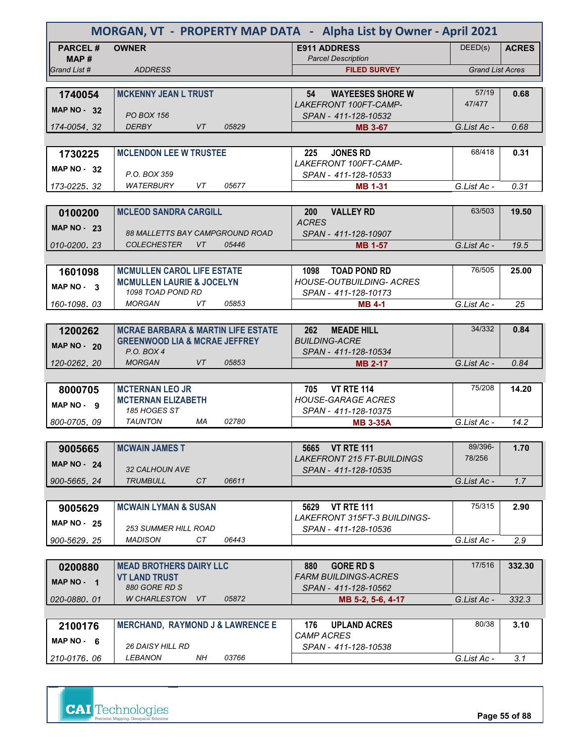| MORGAN, VT - PROPERTY MAP DATA - Alpha List by Owner - April 2021 |                                               |                                                  |                         |              |  |  |
|-------------------------------------------------------------------|-----------------------------------------------|--------------------------------------------------|-------------------------|--------------|--|--|
| <b>PARCEL#</b>                                                    | <b>OWNER</b>                                  | <b>E911 ADDRESS</b>                              | DEED(s)                 | <b>ACRES</b> |  |  |
| MAP#<br>Grand List #                                              | <b>ADDRESS</b>                                | <b>Parcel Description</b><br><b>FILED SURVEY</b> | <b>Grand List Acres</b> |              |  |  |
|                                                                   |                                               |                                                  |                         |              |  |  |
| 1740054                                                           | <b>MCKENNY JEAN L TRUST</b>                   | 54<br><b>WAYEESES SHORE W</b>                    | 57/19                   | 0.68         |  |  |
|                                                                   |                                               | LAKEFRONT 100FT-CAMP-                            | 47/477                  |              |  |  |
| MAP $NO - 32$                                                     | <b>PO BOX 156</b>                             | SPAN - 411-128-10532                             |                         |              |  |  |
| 174-0054.32                                                       | VT<br><b>DERBY</b><br>05829                   | <b>MB 3-67</b>                                   | G.List Ac -             | 0.68         |  |  |
|                                                                   |                                               |                                                  |                         |              |  |  |
| 1730225                                                           | <b>MCLENDON LEE W TRUSTEE</b>                 | 225<br><b>JONES RD</b>                           | 68/418                  | 0.31         |  |  |
| <b>MAP NO - 32</b>                                                |                                               | LAKEFRONT 100FT-CAMP-                            |                         |              |  |  |
|                                                                   | P.O. BOX 359                                  | SPAN - 411-128-10533                             |                         |              |  |  |
| 173-0225, 32                                                      | WATERBURY<br>VT.<br>05677                     | <b>MB 1-31</b>                                   | G.List Ac -             | 0.31         |  |  |
|                                                                   |                                               |                                                  |                         |              |  |  |
| 0100200                                                           | <b>MCLEOD SANDRA CARGILL</b>                  | <b>200</b><br><b>VALLEY RD</b><br><b>ACRES</b>   | 63/503                  | 19.50        |  |  |
| MAP $NO - 23$                                                     | <b>88 MALLETTS BAY CAMPGROUND ROAD</b>        | SPAN - 411-128-10907                             |                         |              |  |  |
| 010-0200.23                                                       | <i>COLECHESTER</i><br>VT.<br>05446            | <b>MB 1-57</b>                                   | G.List Ac -             | 19.5         |  |  |
|                                                                   |                                               |                                                  |                         |              |  |  |
| 1601098                                                           | <b>MCMULLEN CAROL LIFE ESTATE</b>             | <b>TOAD POND RD</b><br>1098                      | 76/505                  | 25.00        |  |  |
|                                                                   | <b>MCMULLEN LAURIE &amp; JOCELYN</b>          | <b>HOUSE-OUTBUILDING- ACRES</b>                  |                         |              |  |  |
| MAP NO 3                                                          | 1098 TOAD POND RD                             | SPAN - 411-128-10173                             |                         |              |  |  |
| 160-1098.03                                                       | <b>MORGAN</b><br>VT<br>05853                  | <b>MB 4-1</b>                                    | G.List Ac -             | 25           |  |  |
|                                                                   |                                               |                                                  |                         |              |  |  |
| 1200262                                                           | <b>MCRAE BARBARA &amp; MARTIN LIFE ESTATE</b> | <b>MEADE HILL</b><br><b>262</b>                  | 34/332                  | 0.84         |  |  |
| <b>MAP NO - 20</b>                                                | <b>GREENWOOD LIA &amp; MCRAE JEFFREY</b>      | <b>BUILDING-ACRE</b>                             |                         |              |  |  |
|                                                                   | P.O. BOX 4                                    | SPAN - 411-128-10534                             |                         |              |  |  |
| 120-0262, 20                                                      | <b>MORGAN</b><br>VT<br>05853                  | <b>MB 2-17</b>                                   | G.List Ac -             | 0.84         |  |  |
|                                                                   |                                               |                                                  |                         |              |  |  |
| 8000705                                                           | <b>MCTERNAN LEO JR</b>                        | <b>VT RTE 114</b><br>705                         | 75/208                  | 14.20        |  |  |
| MAP NO - 9                                                        | <b>MCTERNAN ELIZABETH</b><br>185 HOGES ST     | <b>HOUSE-GARAGE ACRES</b>                        |                         |              |  |  |
| 800-0705, 09                                                      | <b>TAUNTON</b><br>МA<br>02780                 | SPAN - 411-128-10375<br><b>MB 3-35A</b>          | G.List Ac -             | 14.2         |  |  |
|                                                                   |                                               |                                                  |                         |              |  |  |
|                                                                   | <b>MCWAIN JAMES T</b>                         | 5665 VT RTE 111                                  | 89/396-                 | 1.70         |  |  |
| 9005665                                                           |                                               | LAKEFRONT 215 FT-BUILDINGS                       | 78/256                  |              |  |  |
| <b>MAP NO - 24</b>                                                | 32 CALHOUN AVE                                | SPAN - 411-128-10535                             |                         |              |  |  |
| 900-5665.24                                                       | CT<br>06611<br><b>TRUMBULL</b>                |                                                  | G.List Ac -             | 1.7          |  |  |
|                                                                   |                                               |                                                  |                         |              |  |  |
| 9005629                                                           | <b>MCWAIN LYMAN &amp; SUSAN</b>               | <b>VT RTE 111</b><br>5629                        | 75/315                  | 2.90         |  |  |
| <b>MAP NO - 25</b>                                                |                                               | LAKEFRONT 315FT-3 BUILDINGS-                     |                         |              |  |  |
|                                                                   | 253 SUMMER HILL ROAD                          | SPAN - 411-128-10536                             |                         |              |  |  |
| 900-5629.25                                                       | MADISON<br>CT<br>06443                        |                                                  | G.List Ac -             | 2.9          |  |  |
|                                                                   |                                               |                                                  |                         |              |  |  |
| 0200880                                                           | <b>MEAD BROTHERS DAIRY LLC</b>                | <b>GORE RD S</b><br>880                          | 17/516                  | 332.30       |  |  |
| MAP NO - 1                                                        | <b>VT LAND TRUST</b>                          | <b>FARM BUILDINGS-ACRES</b>                      |                         |              |  |  |
|                                                                   | 880 GORE RD S                                 | SPAN - 411-128-10562                             |                         |              |  |  |
| 020-0880.01                                                       | W CHARLESTON<br>VT.<br>05872                  | MB 5-2, 5-6, 4-17                                | G.List Ac -             | 332.3        |  |  |
|                                                                   |                                               |                                                  | 80/38                   |              |  |  |
| 2100176                                                           | <b>MERCHAND, RAYMOND J &amp; LAWRENCE E</b>   | <b>UPLAND ACRES</b><br>176<br><b>CAMP ACRES</b>  |                         | 3.10         |  |  |
| MAP $NO - 6$                                                      | <i><b>26 DAISY HILL RD</b></i>                | SPAN - 411-128-10538                             |                         |              |  |  |
| 210-0176.06                                                       | LEBANON<br>NΗ<br>03766                        |                                                  | G.List Ac -             | 3.1          |  |  |

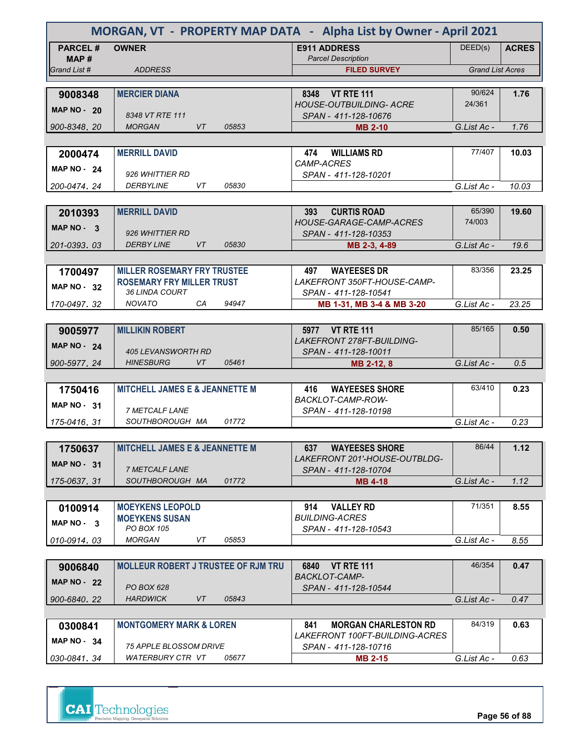| MORGAN, VT - PROPERTY MAP DATA - Alpha List by Owner - April 2021 |                                              |       |                                                                      |                         |              |
|-------------------------------------------------------------------|----------------------------------------------|-------|----------------------------------------------------------------------|-------------------------|--------------|
| <b>PARCEL#</b><br>MAP#                                            | <b>OWNER</b>                                 |       | <b>E911 ADDRESS</b><br><b>Parcel Description</b>                     | DEED(s)                 | <b>ACRES</b> |
| Grand List #                                                      | <b>ADDRESS</b>                               |       | <b>FILED SURVEY</b>                                                  | <b>Grand List Acres</b> |              |
|                                                                   |                                              |       |                                                                      |                         |              |
| 9008348                                                           | <b>MERCIER DIANA</b>                         |       | <b>VT RTE 111</b><br>8348                                            | 90/624                  | 1.76         |
| <b>MAP NO - 20</b>                                                |                                              |       | <b>HOUSE-OUTBUILDING- ACRE</b>                                       | 24/361                  |              |
|                                                                   | 8348 VT RTE 111                              |       | SPAN - 411-128-10676                                                 |                         |              |
| 900-8348.20                                                       | <b>MORGAN</b><br>VT.                         | 05853 | <b>MB 2-10</b>                                                       | G.List Ac -             | 1.76         |
|                                                                   |                                              |       |                                                                      |                         |              |
| 2000474                                                           | <b>MERRILL DAVID</b>                         |       | <b>WILLIAMS RD</b><br>474                                            | 77/407                  | 10.03        |
| MAP $NO - 24$                                                     | 926 WHITTIER RD                              |       | <i>CAMP-ACRES</i><br>SPAN - 411-128-10201                            |                         |              |
| 200-0474, 24                                                      | DERBYLINE<br>VT.                             | 05830 |                                                                      | G.List Ac -             | 10.03        |
|                                                                   |                                              |       |                                                                      |                         |              |
| 2010393                                                           | <b>MERRILL DAVID</b>                         |       | <b>CURTIS ROAD</b><br>393                                            | 65/390                  | 19.60        |
| MAP $NO - 3$                                                      |                                              |       | HOUSE-GARAGE-CAMP-ACRES                                              | 74/003                  |              |
|                                                                   | 926 WHITTIER RD                              |       | SPAN - 411-128-10353                                                 |                         |              |
| 201-0393.03                                                       | <b>DERBY LINE</b><br>VT                      | 05830 | MB 2-3, 4-89                                                         | G.List Ac -             | 19.6         |
|                                                                   |                                              |       |                                                                      |                         |              |
| 1700497                                                           | <b>MILLER ROSEMARY FRY TRUSTEE</b>           |       | <b>WAYEESES DR</b><br>497                                            | 83/356                  | 23.25        |
| <b>MAP NO - 32</b>                                                | <b>ROSEMARY FRY MILLER TRUST</b>             |       | LAKEFRONT 350FT-HOUSE-CAMP-                                          |                         |              |
| 170-0497.32                                                       | <b>36 LINDA COURT</b><br><b>NOVATO</b><br>CА | 94947 | SPAN - 411-128-10541<br>MB 1-31, MB 3-4 & MB 3-20                    | G.List Ac -             | 23.25        |
|                                                                   |                                              |       |                                                                      |                         |              |
| 9005977                                                           | <b>MILLIKIN ROBERT</b>                       |       | 5977 VT RTE 111                                                      | 85/165                  | 0.50         |
|                                                                   |                                              |       | <b>LAKEFRONT 278FT-BUILDING-</b>                                     |                         |              |
| <b>MAP NO - 24</b>                                                | 405 LEVANSWORTH RD                           |       | SPAN - 411-128-10011                                                 |                         |              |
| 900-5977, 24                                                      | <b>HINESBURG</b><br>VT                       | 05461 | MB 2-12, 8                                                           | G.List Ac -             | 0.5          |
|                                                                   |                                              |       |                                                                      |                         |              |
| 1750416                                                           | <b>MITCHELL JAMES E &amp; JEANNETTE M</b>    |       | 416<br><b>WAYEESES SHORE</b>                                         | 63/410                  | 0.23         |
| MAP $NO - 31$                                                     |                                              |       | BACKLOT-CAMP-ROW-                                                    |                         |              |
|                                                                   | 7 METCALF LANE                               |       | SPAN - 411-128-10198                                                 |                         |              |
| 175-0416.31                                                       | SOUTHBOROUGH MA                              | 01772 |                                                                      | G.List Ac -             | 0.23         |
|                                                                   |                                              |       |                                                                      | 86/44                   |              |
| 1750637                                                           | <b>MITCHELL JAMES E &amp; JEANNETTE M</b>    |       | <b>WAYEESES SHORE</b><br>637<br><i>LAKEFRONT 201'-HOUSE-OUTBLDG-</i> |                         | 1.12         |
| MAP $NO - 31$                                                     | <b>7 METCALF LANE</b>                        |       | SPAN - 411-128-10704                                                 |                         |              |
| 175-0637.31                                                       | SOUTHBOROUGH MA                              | 01772 | <b>MB 4-18</b>                                                       | G.List Ac -             | 1.12         |
|                                                                   |                                              |       |                                                                      |                         |              |
| 0100914                                                           | <b>MOEYKENS LEOPOLD</b>                      |       | 914<br><b>VALLEY RD</b>                                              | 71/351                  | 8.55         |
| $MAP NO - 3$                                                      | <b>MOEYKENS SUSAN</b>                        |       | <b>BUILDING-ACRES</b>                                                |                         |              |
|                                                                   | PO BOX 105                                   |       | SPAN - 411-128-10543                                                 |                         |              |
| 010-0914.03                                                       | <b>MORGAN</b><br>VT                          | 05853 |                                                                      | G.List Ac -             | 8.55         |
|                                                                   |                                              |       |                                                                      |                         |              |
| 9006840                                                           | <b>MOLLEUR ROBERT J TRUSTEE OF RJM TRU</b>   |       | 6840<br><b>VT RTE 111</b><br><b>BACKLOT-CAMP-</b>                    | 46/354                  | 0.47         |
| <b>MAP NO - 22</b>                                                | PO BOX 628                                   |       | SPAN - 411-128-10544                                                 |                         |              |
| 900-6840, 22                                                      | <b>HARDWICK</b><br>VT                        | 05843 |                                                                      | G.List Ac -             | 0.47         |
|                                                                   |                                              |       |                                                                      |                         |              |
| 0300841                                                           | <b>MONTGOMERY MARK &amp; LOREN</b>           |       | 841<br><b>MORGAN CHARLESTON RD</b>                                   | 84/319                  | 0.63         |
| <b>MAP NO - 34</b>                                                |                                              |       | <i>LAKEFRONT 100FT-BUILDING-ACRES</i>                                |                         |              |
|                                                                   | <i>75 APPLE BLOSSOM DRIVE</i>                |       | SPAN - 411-128-10716                                                 |                         |              |
| 030-0841.34                                                       | WATERBURY CTR VT                             | 05677 | <b>MB 2-15</b>                                                       | G.List Ac -             | 0.63         |

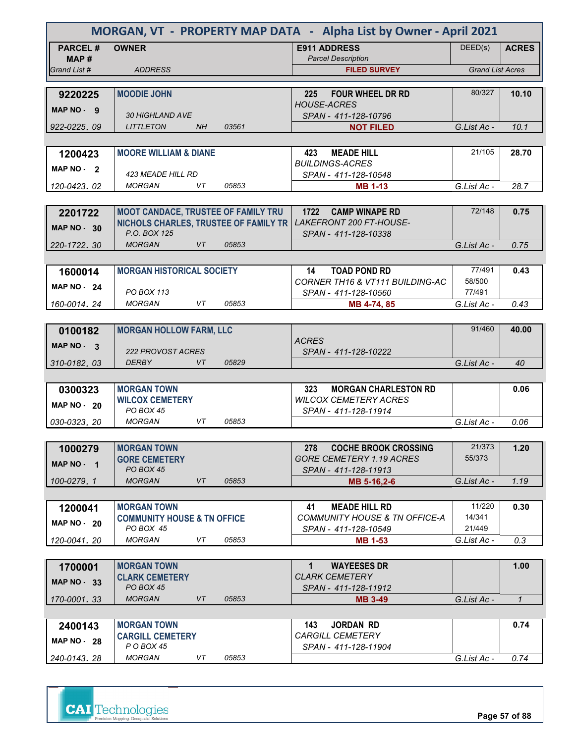| MORGAN, VT - PROPERTY MAP DATA - Alpha List by Owner - April 2021 |                                                              |       |                                                                        |                         |               |
|-------------------------------------------------------------------|--------------------------------------------------------------|-------|------------------------------------------------------------------------|-------------------------|---------------|
| <b>PARCEL#</b>                                                    | <b>OWNER</b>                                                 |       | <b>E911 ADDRESS</b>                                                    | DEED(s)                 | <b>ACRES</b>  |
| MAP #                                                             |                                                              |       | <b>Parcel Description</b>                                              |                         |               |
| Grand List #                                                      | <b>ADDRESS</b>                                               |       | <b>FILED SURVEY</b>                                                    | <b>Grand List Acres</b> |               |
| 9220225                                                           | <b>MOODIE JOHN</b>                                           |       | <b>FOUR WHEEL DR RD</b><br>225                                         | 80/327                  | 10.10         |
|                                                                   |                                                              |       | <b>HOUSE-ACRES</b>                                                     |                         |               |
| MAP NO - 9                                                        | <b>30 HIGHLAND AVE</b>                                       |       | SPAN - 411-128-10796                                                   |                         |               |
| 922-0225, 09                                                      | <b>LITTLETON</b><br>NH                                       | 03561 | <b>NOT FILED</b>                                                       | G.List Ac -             | 10.1          |
|                                                                   |                                                              |       |                                                                        |                         |               |
| 1200423                                                           | <b>MOORE WILLIAM &amp; DIANE</b>                             |       | 423<br><b>MEADE HILL</b><br><b>BUILDINGS-ACRES</b>                     | 21/105                  | 28.70         |
| MAP $NO-2$                                                        | <b>423 MEADE HILL RD</b>                                     |       | SPAN - 411-128-10548                                                   |                         |               |
| 120-0423, 02                                                      | <b>MORGAN</b><br>VT                                          | 05853 | <b>MB 1-13</b>                                                         | G.List Ac -             | 28.7          |
|                                                                   |                                                              |       |                                                                        |                         |               |
| 2201722                                                           | <b>MOOT CANDACE, TRUSTEE OF FAMILY TRU</b>                   |       | 1722 CAMP WINAPE RD                                                    | 72/148                  | 0.75          |
| MAP $NO - 30$                                                     | NICHOLS CHARLES, TRUSTEE OF FAMILY TR                        |       | LAKEFRONT 200 FT-HOUSE-                                                |                         |               |
| 220-1722.30                                                       | P.O. BOX 125<br><b>MORGAN</b><br>VT.                         | 05853 | SPAN - 411-128-10338                                                   | G.List Ac -             | 0.75          |
|                                                                   |                                                              |       |                                                                        |                         |               |
| 1600014                                                           | <b>MORGAN HISTORICAL SOCIETY</b>                             |       | <b>TOAD POND RD</b><br>14                                              | 77/491                  | 0.43          |
|                                                                   |                                                              |       | <b>CORNER TH16 &amp; VT111 BUILDING-AC</b>                             | 58/500                  |               |
| <b>MAP NO - 24</b>                                                | <b>PO BOX 113</b>                                            |       | SPAN - 411-128-10560                                                   | 77/491                  |               |
| 160-0014.24                                                       | <b>MORGAN</b><br>VT                                          | 05853 | MB 4-74, 85                                                            | G.List Ac -             | 0.43          |
|                                                                   |                                                              |       |                                                                        |                         |               |
| 0100182                                                           | <b>MORGAN HOLLOW FARM, LLC</b>                               |       | <b>ACRES</b>                                                           | 91/460                  | 40.00         |
| MAP $NO - 3$                                                      | 222 PROVOST ACRES                                            |       | SPAN - 411-128-10222                                                   |                         |               |
| 310-0182, 03                                                      | <b>DERBY</b><br>VT                                           | 05829 |                                                                        | G.List Ac -             | 40            |
|                                                                   |                                                              |       |                                                                        |                         |               |
| 0300323                                                           | <b>MORGAN TOWN</b>                                           |       | <b>MORGAN CHARLESTON RD</b><br>323                                     |                         | 0.06          |
| <b>MAP NO - 20</b>                                                | <b>WILCOX CEMETERY</b>                                       |       | <b>WILCOX CEMETERY ACRES</b>                                           |                         |               |
| 030-0323, 20                                                      | PO BOX 45<br><b>MORGAN</b><br>VT                             | 05853 | SPAN - 411-128-11914                                                   | G.List Ac -             | 0.06          |
|                                                                   |                                                              |       |                                                                        |                         |               |
| 1000279                                                           | <b>MORGAN TOWN</b>                                           |       | <b>COCHE BROOK CROSSING</b><br>278                                     | 21/373                  | 1.20          |
| MAP NO - 1                                                        | <b>GORE CEMETERY</b>                                         |       | <b>GORE CEMETERY 1.19 ACRES</b>                                        | 55/373                  |               |
|                                                                   | PO BOX 45                                                    |       | SPAN - 411-128-11913                                                   |                         |               |
| 100-0279.1                                                        | <b>MORGAN</b><br>VT                                          | 05853 | MB 5-16,2-6                                                            | G.List Ac -             | 1.19          |
|                                                                   |                                                              |       |                                                                        |                         |               |
| 1200041                                                           | <b>MORGAN TOWN</b><br><b>COMMUNITY HOUSE &amp; TN OFFICE</b> |       | <b>MEADE HILL RD</b><br>41<br><b>COMMUNITY HOUSE &amp; TN OFFICE-A</b> | 11/220<br>14/341        | 0.30          |
| MAP $NO - 20$                                                     | PO BOX 45                                                    |       | SPAN - 411-128-10549                                                   | 21/449                  |               |
| 120-0041.20                                                       | <b>MORGAN</b><br>VT                                          | 05853 | <b>MB 1-53</b>                                                         | G.List Ac -             | 0.3           |
|                                                                   |                                                              |       |                                                                        |                         |               |
| 1700001                                                           | <b>MORGAN TOWN</b>                                           |       | <b>WAYEESES DR</b><br>$\mathbf 1$                                      |                         | 1.00          |
| <b>MAP NO - 33</b>                                                | <b>CLARK CEMETERY</b><br>PO BOX 45                           |       | <b>CLARK CEMETERY</b>                                                  |                         |               |
| 170-0001, 33                                                      | <b>MORGAN</b><br>VT                                          | 05853 | SPAN - 411-128-11912<br><b>MB 3-49</b>                                 | G.List Ac -             | $\mathcal{I}$ |
|                                                                   |                                                              |       |                                                                        |                         |               |
| 2400143                                                           | <b>MORGAN TOWN</b>                                           |       | <b>JORDAN RD</b><br>143                                                |                         | 0.74          |
| <b>MAP NO - 28</b>                                                | <b>CARGILL CEMETERY</b>                                      |       | <i>CARGILL CEMETERY</i>                                                |                         |               |
|                                                                   | P O BOX 45                                                   |       | SPAN - 411-128-11904                                                   |                         |               |
| 240-0143, 28                                                      | <b>MORGAN</b><br>VT                                          | 05853 |                                                                        | G.List Ac -             | 0.74          |

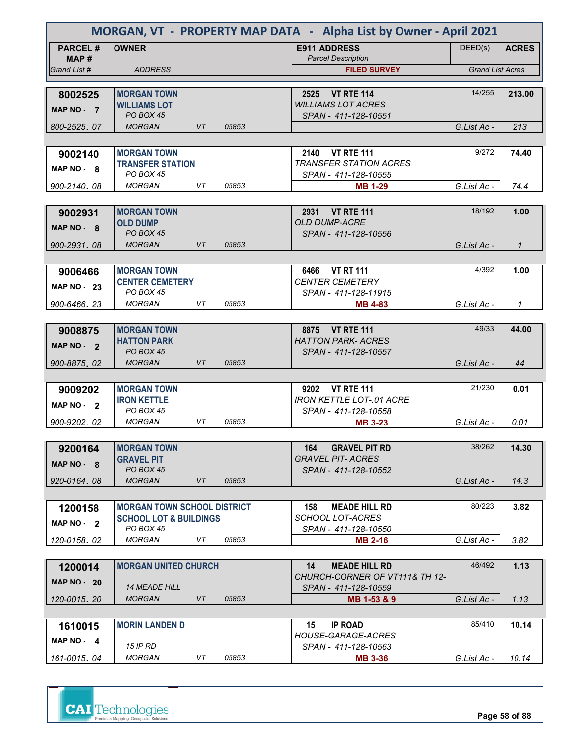| MORGAN, VT - PROPERTY MAP DATA - Alpha List by Owner - April 2021 |                                                |    |       |                                                    |                         |              |
|-------------------------------------------------------------------|------------------------------------------------|----|-------|----------------------------------------------------|-------------------------|--------------|
| <b>PARCEL#</b><br>MAP#                                            | <b>OWNER</b>                                   |    |       | <b>E911 ADDRESS</b><br><b>Parcel Description</b>   | DEED(s)                 | <b>ACRES</b> |
| Grand List #                                                      | <b>ADDRESS</b>                                 |    |       | <b>FILED SURVEY</b>                                | <b>Grand List Acres</b> |              |
|                                                                   |                                                |    |       |                                                    |                         |              |
| 8002525                                                           | <b>MORGAN TOWN</b>                             |    |       | 2525 VT RTE 114                                    | 14/255                  | 213.00       |
| MAP NO - 7                                                        | <b>WILLIAMS LOT</b><br>PO BOX 45               |    |       | <b>WILLIAMS LOT ACRES</b>                          |                         |              |
| 800-2525.07                                                       | <b>MORGAN</b>                                  | VT | 05853 | SPAN - 411-128-10551                               | G.List Ac -             | 213          |
|                                                                   |                                                |    |       |                                                    |                         |              |
| 9002140                                                           | <b>MORGAN TOWN</b>                             |    |       | 2140 VT RTE 111                                    | 9/272                   | 74.40        |
|                                                                   | <b>TRANSFER STATION</b>                        |    |       | <b>TRANSFER STATION ACRES</b>                      |                         |              |
| MAP NO - 8                                                        | <b>PO BOX 45</b>                               |    |       | SPAN - 411-128-10555                               |                         |              |
| 900-2140.08                                                       | <b>MORGAN</b>                                  | VT | 05853 | <b>MB 1-29</b>                                     | G.List Ac -             | 74.4         |
|                                                                   |                                                |    |       |                                                    |                         |              |
| 9002931                                                           | <b>MORGAN TOWN</b>                             |    |       | 2931 VT RTE 111                                    | 18/192                  | 1.00         |
| MAP NO - 8                                                        | <b>OLD DUMP</b>                                |    |       | <b>OLD DUMP-ACRE</b>                               |                         |              |
|                                                                   | <b>PO BOX 45</b><br><b>MORGAN</b>              | VT | 05853 | SPAN - 411-128-10556                               |                         |              |
| 900-2931.08                                                       |                                                |    |       |                                                    | G.List Ac -             | $\mathbf{1}$ |
|                                                                   | <b>MORGAN TOWN</b>                             |    |       | <b>VT RT 111</b><br>6466                           | 4/392                   | 1.00         |
| 9006466                                                           | <b>CENTER CEMETERY</b>                         |    |       | <b>CENTER CEMETERY</b>                             |                         |              |
| <b>MAP NO - 23</b>                                                | <b>PO BOX 45</b>                               |    |       | SPAN - 411-128-11915                               |                         |              |
| 900-6466.23                                                       | <b>MORGAN</b>                                  | VT | 05853 | <b>MB 4-83</b>                                     | G.List Ac -             | $\mathcal I$ |
|                                                                   |                                                |    |       |                                                    |                         |              |
| 9008875                                                           | <b>MORGAN TOWN</b>                             |    |       | 8875 VT RTE 111                                    | 49/33                   | 44.00        |
| MAP NO - 2                                                        | <b>HATTON PARK</b>                             |    |       | <b>HATTON PARK- ACRES</b>                          |                         |              |
|                                                                   | <b>PO BOX 45</b>                               |    |       | SPAN - 411-128-10557                               |                         |              |
| 900-8875.02                                                       | <b>MORGAN</b>                                  | VT | 05853 |                                                    | G.List Ac -             | 44           |
|                                                                   |                                                |    |       |                                                    |                         |              |
| 9009202                                                           | <b>MORGAN TOWN</b><br><b>IRON KETTLE</b>       |    |       | 9202 VT RTE 111<br><b>IRON KETTLE LOT-.01 ACRE</b> | 21/230                  | 0.01         |
| MAP NO - 2                                                        | <b>PO BOX 45</b>                               |    |       | SPAN - 411-128-10558                               |                         |              |
| 900-9202.02                                                       | <b>MORGAN</b>                                  | VT | 05853 | <b>MB 3-23</b>                                     | G.List Ac -             | 0.01         |
|                                                                   |                                                |    |       |                                                    |                         |              |
| 9200164                                                           | <b>MORGAN TOWN</b>                             |    |       | <b>GRAVEL PIT RD</b><br>164                        | 38/262                  | 14.30        |
| MAP NO - 8                                                        | <b>GRAVEL PIT</b>                              |    |       | <b>GRAVEL PIT- ACRES</b>                           |                         |              |
|                                                                   | <b>PO BOX 45</b>                               |    |       | SPAN - 411-128-10552                               |                         |              |
| 920-0164.08                                                       | <b>MORGAN</b>                                  | VT | 05853 |                                                    | G.List Ac -             | 14.3         |
|                                                                   |                                                |    |       |                                                    |                         |              |
| 1200158                                                           | <b>MORGAN TOWN SCHOOL DISTRICT</b>             |    |       | <b>MEADE HILL RD</b><br>158                        | 80/223                  | 3.82         |
| MAP $NO - 2$                                                      | <b>SCHOOL LOT &amp; BUILDINGS</b><br>PO BOX 45 |    |       | <b>SCHOOL LOT-ACRES</b><br>SPAN - 411-128-10550    |                         |              |
| 120-0158.02                                                       | <b>MORGAN</b>                                  | VT | 05853 | <b>MB 2-16</b>                                     | G.List Ac -             | 3.82         |
|                                                                   |                                                |    |       |                                                    |                         |              |
| 1200014                                                           | <b>MORGAN UNITED CHURCH</b>                    |    |       | 14<br><b>MEADE HILL RD</b>                         | 46/492                  | 1.13         |
| <b>MAP NO - 20</b>                                                |                                                |    |       | CHURCH-CORNER OF VT111& TH 12-                     |                         |              |
|                                                                   | <b>14 MEADE HILL</b>                           |    |       | SPAN - 411-128-10559                               |                         |              |
| 120-0015, 20                                                      | <b>MORGAN</b>                                  | VT | 05853 | MB 1-53 & 9                                        | G.List Ac -             | 1.13         |
|                                                                   |                                                |    |       |                                                    |                         |              |
| 1610015                                                           | <b>MORIN LANDEN D</b>                          |    |       | <b>IP ROAD</b><br>15                               | 85/410                  | 10.14        |
| MAP $NO - 4$                                                      | <b>15 IP RD</b>                                |    |       | <b>HOUSE-GARAGE-ACRES</b><br>SPAN - 411-128-10563  |                         |              |
| 161-0015, 04                                                      | <b>MORGAN</b>                                  | VT | 05853 | <b>MB 3-36</b>                                     | G.List Ac -             | 10.14        |
|                                                                   |                                                |    |       |                                                    |                         |              |

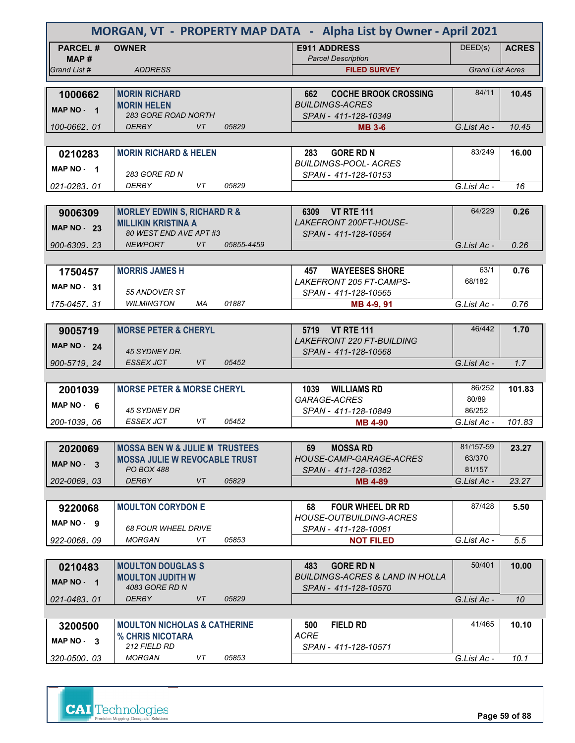| MORGAN, VT - PROPERTY MAP DATA - Alpha List by Owner - April 2021 |                                                      |            |                                                                       |                         |              |
|-------------------------------------------------------------------|------------------------------------------------------|------------|-----------------------------------------------------------------------|-------------------------|--------------|
| <b>PARCEL#</b><br>MAP #                                           | <b>OWNER</b>                                         |            | <b>E911 ADDRESS</b><br><b>Parcel Description</b>                      | DEED(s)                 | <b>ACRES</b> |
| Grand List #                                                      | <b>ADDRESS</b>                                       |            | <b>FILED SURVEY</b>                                                   | <b>Grand List Acres</b> |              |
|                                                                   |                                                      |            |                                                                       |                         |              |
| 1000662                                                           | <b>MORIN RICHARD</b>                                 |            | <b>COCHE BROOK CROSSING</b><br>662                                    | 84/11                   | 10.45        |
| MAP NO - 1                                                        | <b>MORIN HELEN</b><br><b>283 GORE ROAD NORTH</b>     |            | <b>BUILDINGS-ACRES</b><br>SPAN - 411-128-10349                        |                         |              |
| 100-0662.01                                                       | <b>VT</b><br><b>DERBY</b>                            | 05829      | <b>MB 3-6</b>                                                         | G.List Ac -             | 10.45        |
|                                                                   |                                                      |            |                                                                       |                         |              |
| 0210283                                                           | <b>MORIN RICHARD &amp; HELEN</b>                     |            | <b>GORE RD N</b><br>283                                               | 83/249                  | 16.00        |
| MAP NO - 1                                                        |                                                      |            | <b>BUILDINGS-POOL- ACRES</b>                                          |                         |              |
|                                                                   | <b>283 GORE RD N</b>                                 |            | SPAN - 411-128-10153                                                  |                         |              |
| 021-0283, 01                                                      | DERBY<br>VT.                                         | 05829      |                                                                       | G.List Ac -             | 16           |
|                                                                   |                                                      |            |                                                                       |                         |              |
| 9006309                                                           | <b>MORLEY EDWIN S, RICHARD R &amp;</b>               |            | 6309 VT RTE 111<br>LAKEFRONT 200FT-HOUSE-                             | 64/229                  | 0.26         |
| <b>MAP NO - 23</b>                                                | <b>MILLIKIN KRISTINA A</b><br>80 WEST END AVE APT #3 |            | SPAN - 411-128-10564                                                  |                         |              |
| 900-6309.23                                                       | <b>NEWPORT</b><br>VT                                 | 05855-4459 |                                                                       | G.List Ac -             | 0.26         |
|                                                                   |                                                      |            |                                                                       |                         |              |
| 1750457                                                           | <b>MORRIS JAMES H</b>                                |            | <b>WAYEESES SHORE</b><br>457                                          | 63/1                    | 0.76         |
| <b>MAP NO - 31</b>                                                |                                                      |            | <b>LAKEFRONT 205 FT-CAMPS-</b>                                        | 68/182                  |              |
|                                                                   | 55 ANDOVER ST                                        |            | SPAN - 411-128-10565                                                  |                         |              |
| 175-0457.31                                                       | <b>WILMINGTON</b><br>МA                              | 01887      | MB 4-9, 91                                                            | G.List Ac -             | 0.76         |
|                                                                   |                                                      |            |                                                                       |                         |              |
| 9005719                                                           | <b>MORSE PETER &amp; CHERYL</b>                      |            | 5719 VT RTE 111                                                       | 46/442                  | 1.70         |
| <b>MAP NO - 24</b>                                                | 45 SYDNEY DR.                                        |            | <b>LAKEFRONT 220 FT-BUILDING</b><br>SPAN - 411-128-10568              |                         |              |
| 900-5719, 24                                                      | <b>ESSEX JCT</b><br><b>VT</b>                        | 05452      |                                                                       | G.List Ac -             | 1.7          |
|                                                                   |                                                      |            |                                                                       |                         |              |
| 2001039                                                           | <b>MORSE PETER &amp; MORSE CHERYL</b>                |            | 1039 WILLIAMS RD                                                      | 86/252                  | 101.83       |
| MAP $NO - 6$                                                      |                                                      |            | GARAGE-ACRES                                                          | 80/89                   |              |
|                                                                   | 45 SYDNEY DR                                         |            | SPAN - 411-128-10849                                                  | 86/252                  |              |
| 200-1039, 06                                                      | <b>ESSEX JCT</b><br>VT                               | 05452      | <b>MB 4-90</b>                                                        | G.List Ac -             | 101.83       |
|                                                                   |                                                      |            |                                                                       |                         |              |
| 2020069                                                           | <b>MOSSA BEN W &amp; JULIE M TRUSTEES</b>            |            | <b>MOSSA RD</b><br>69<br>HOUSE-CAMP-GARAGE-ACRES                      | 81/157-59<br>63/370     | 23.27        |
| MAP $NO - 3$                                                      | <b>MOSSA JULIE W REVOCABLE TRUST</b><br>PO BOX 488   |            | SPAN - 411-128-10362                                                  | 81/157                  |              |
| 202-0069.03                                                       | VT<br><b>DERBY</b>                                   | 05829      | <b>MB 4-89</b>                                                        | G.List Ac -             | 23.27        |
|                                                                   |                                                      |            |                                                                       |                         |              |
| 9220068                                                           | <b>MOULTON CORYDON E</b>                             |            | <b>FOUR WHEEL DR RD</b><br>68                                         | 87/428                  | 5.50         |
| MAP NO. 9                                                         |                                                      |            | <b>HOUSE-OUTBUILDING-ACRES</b>                                        |                         |              |
|                                                                   | <b>68 FOUR WHEEL DRIVE</b>                           |            | SPAN - 411-128-10061                                                  |                         |              |
| 922-0068.09                                                       | <b>MORGAN</b><br>VT                                  | 05853      | <b>NOT FILED</b>                                                      | G.List Ac -             | 5.5          |
|                                                                   |                                                      |            |                                                                       |                         |              |
| 0210483                                                           | <b>MOULTON DOUGLASS</b><br><b>MOULTON JUDITH W</b>   |            | 483<br><b>GORE RD N</b><br><b>BUILDINGS-ACRES &amp; LAND IN HOLLA</b> | 50/401                  | 10.00        |
| MAP $NO - 1$                                                      | 4083 GORE RD N                                       |            | SPAN - 411-128-10570                                                  |                         |              |
| 021-0483.01                                                       | <b>DERBY</b><br>VT                                   | 05829      |                                                                       | G.List Ac -             | 10           |
|                                                                   |                                                      |            |                                                                       |                         |              |
| 3200500                                                           | <b>MOULTON NICHOLAS &amp; CATHERINE</b>              |            | <b>FIELD RD</b><br>500                                                | 41/465                  | 10.10        |
| MAP NO - 3                                                        | % CHRIS NICOTARA                                     |            | <b>ACRE</b>                                                           |                         |              |
|                                                                   | 212 FIELD RD                                         |            | SPAN - 411-128-10571                                                  |                         |              |
| 320-0500, 03                                                      | <b>MORGAN</b><br>VT                                  | 05853      |                                                                       | G.List Ac -             | 10.1         |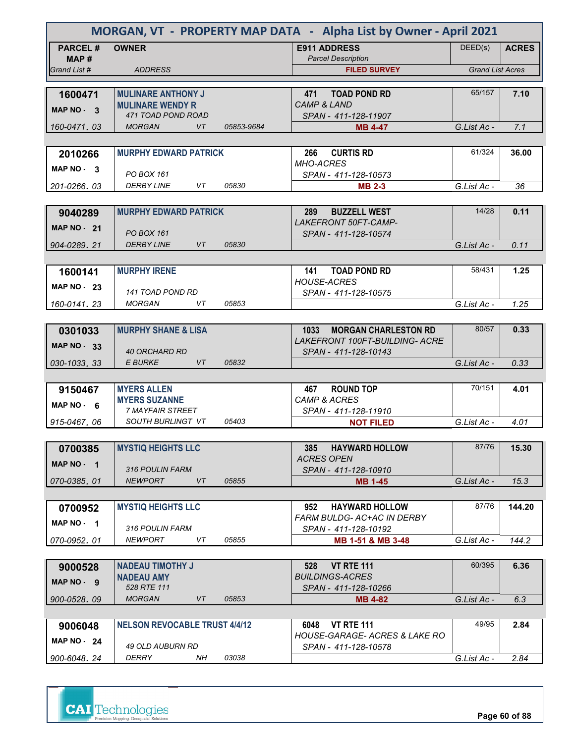| MORGAN, VT - PROPERTY MAP DATA - Alpha List by Owner - April 2021 |                                                      |            |                                                      |                         |              |  |
|-------------------------------------------------------------------|------------------------------------------------------|------------|------------------------------------------------------|-------------------------|--------------|--|
| <b>PARCEL#</b><br>MAP #                                           | <b>OWNER</b>                                         |            | <b>E911 ADDRESS</b><br><b>Parcel Description</b>     | DEED(s)                 | <b>ACRES</b> |  |
| Grand List #                                                      | <b>ADDRESS</b>                                       |            | <b>FILED SURVEY</b>                                  | <b>Grand List Acres</b> |              |  |
|                                                                   |                                                      |            |                                                      | 65/157                  | 7.10         |  |
| 1600471                                                           | <b>MULINARE ANTHONY J</b><br><b>MULINARE WENDY R</b> |            | <b>TOAD POND RD</b><br>471<br><b>CAMP &amp; LAND</b> |                         |              |  |
| MAP NO - 3                                                        | 471 TOAD POND ROAD                                   |            | SPAN - 411-128-11907                                 |                         |              |  |
| 160-0471.03                                                       | <b>MORGAN</b><br>VT                                  | 05853-9684 | <b>MB 4-47</b>                                       | G.List Ac -             | 7.1          |  |
|                                                                   |                                                      |            |                                                      |                         |              |  |
| 2010266                                                           | <b>MURPHY EDWARD PATRICK</b>                         |            | <b>CURTIS RD</b><br>266                              | 61/324                  | 36.00        |  |
| MAP NO - 3                                                        | <b>PO BOX 161</b>                                    |            | <b>MHO-ACRES</b>                                     |                         |              |  |
| 201-0266.03                                                       | <b>DERBY LINE</b><br>VT                              | 05830      | SPAN - 411-128-10573<br><b>MB 2-3</b>                | G.List Ac -             | 36           |  |
|                                                                   |                                                      |            |                                                      |                         |              |  |
| 9040289                                                           | <b>MURPHY EDWARD PATRICK</b>                         |            | 289<br><b>BUZZELL WEST</b>                           | 14/28                   | 0.11         |  |
| <b>MAP NO - 21</b>                                                |                                                      |            | LAKEFRONT 50FT-CAMP-                                 |                         |              |  |
|                                                                   | <b>PO BOX 161</b>                                    |            | SPAN - 411-128-10574                                 |                         |              |  |
| 904-0289.21                                                       | <b>DERBY LINE</b><br>VT                              | 05830      |                                                      | G.List Ac -             | 0.11         |  |
|                                                                   |                                                      |            |                                                      |                         |              |  |
| 1600141                                                           | <b>MURPHY IRENE</b>                                  |            | <b>TOAD POND RD</b><br>141<br><b>HOUSE-ACRES</b>     | 58/431                  | 1.25         |  |
| <b>MAP NO - 23</b>                                                | 141 TOAD POND RD                                     |            | SPAN - 411-128-10575                                 |                         |              |  |
| 160-0141.23                                                       | <b>MORGAN</b><br>VT                                  | 05853      |                                                      | G.List Ac -             | 1.25         |  |
|                                                                   |                                                      |            |                                                      |                         |              |  |
| 0301033                                                           | <b>MURPHY SHANE &amp; LISA</b>                       |            | 1033<br><b>MORGAN CHARLESTON RD</b>                  | 80/57                   | 0.33         |  |
| <b>MAP NO - 33</b>                                                |                                                      |            | <b>LAKEFRONT 100FT-BUILDING- ACRE</b>                |                         |              |  |
|                                                                   | <b>40 ORCHARD RD</b>                                 |            | SPAN - 411-128-10143                                 |                         |              |  |
| 030-1033, 33                                                      | VT<br><b>E BURKE</b>                                 | 05832      |                                                      | G.List Ac -             | 0.33         |  |
|                                                                   | <b>MYERS ALLEN</b>                                   |            | <b>ROUND TOP</b><br>467                              | 70/151                  | 4.01         |  |
| 9150467                                                           | <b>MYERS SUZANNE</b>                                 |            | <b>CAMP &amp; ACRES</b>                              |                         |              |  |
| MAP $NO - 6$                                                      | <b>7 MAYFAIR STREET</b>                              |            | SPAN - 411-128-11910                                 |                         |              |  |
| 915-0467.06                                                       | SOUTH BURLINGT VT                                    | 05403      | <b>NOT FILED</b>                                     | G.List Ac -             | 4.01         |  |
|                                                                   |                                                      |            |                                                      |                         |              |  |
| 0700385                                                           | <b>MYSTIQ HEIGHTS LLC</b>                            |            | <b>HAYWARD HOLLOW</b><br>385                         | 87/76                   | 15.30        |  |
| MAP $NO - 1$                                                      |                                                      |            | <b>ACRES OPEN</b>                                    |                         |              |  |
| 070-0385.01                                                       | 316 POULIN FARM<br><b>VT</b><br><b>NEWPORT</b>       | 05855      | SPAN - 411-128-10910<br><b>MB 1-45</b>               | G.List Ac -             | 15.3         |  |
|                                                                   |                                                      |            |                                                      |                         |              |  |
| 0700952                                                           | <b>MYSTIQ HEIGHTS LLC</b>                            |            | <b>HAYWARD HOLLOW</b><br>952                         | 87/76                   | 144.20       |  |
| $MAP NO - 1$                                                      |                                                      |            | FARM BULDG- AC+AC IN DERBY                           |                         |              |  |
|                                                                   | 316 POULIN FARM                                      |            | SPAN - 411-128-10192                                 |                         |              |  |
| 070-0952.01                                                       | <b>NEWPORT</b><br>VT                                 | 05855      | MB 1-51 & MB 3-48                                    | G.List Ac -             | 144.2        |  |
|                                                                   |                                                      |            |                                                      |                         |              |  |
| 9000528                                                           | <b>NADEAU TIMOTHY J</b>                              |            | <b>VT RTE 111</b><br>528<br><b>BUILDINGS-ACRES</b>   | 60/395                  | 6.36         |  |
| MAP NO - 9                                                        | <b>NADEAU AMY</b><br>528 RTE 111                     |            | SPAN - 411-128-10266                                 |                         |              |  |
| 900-0528.09                                                       | <b>MORGAN</b><br>VT                                  | 05853      | <b>MB 4-82</b>                                       | G.List Ac -             | 6.3          |  |
|                                                                   |                                                      |            |                                                      |                         |              |  |
| 9006048                                                           | <b>NELSON REVOCABLE TRUST 4/4/12</b>                 |            | <b>VT RTE 111</b><br>6048                            | 49/95                   | 2.84         |  |
| MAP $NO - 24$                                                     |                                                      |            | <b>HOUSE-GARAGE- ACRES &amp; LAKE RO</b>             |                         |              |  |
| 900-6048.24                                                       | 49 OLD AUBURN RD<br>DERRY<br>NH                      | 03038      | SPAN - 411-128-10578                                 |                         |              |  |
|                                                                   |                                                      |            |                                                      | G.List Ac -             | 2.84         |  |



**Page 60 of 88**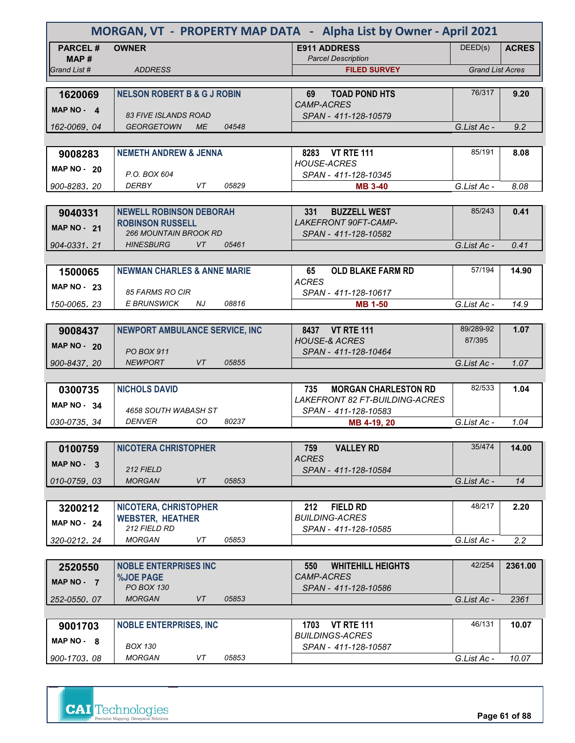|                    | MORGAN, VT - PROPERTY MAP DATA - Alpha List by Owner - April 2021 |       |                                                     |                         |              |
|--------------------|-------------------------------------------------------------------|-------|-----------------------------------------------------|-------------------------|--------------|
| <b>PARCEL#</b>     | <b>OWNER</b>                                                      |       | <b>E911 ADDRESS</b>                                 | DEED(s)                 | <b>ACRES</b> |
| MAP #              |                                                                   |       | <b>Parcel Description</b>                           |                         |              |
| Grand List #       | <b>ADDRESS</b>                                                    |       | <b>FILED SURVEY</b>                                 | <b>Grand List Acres</b> |              |
| 1620069            | <b>NELSON ROBERT B &amp; G J ROBIN</b>                            |       | <b>TOAD POND HTS</b><br>69                          | 76/317                  | 9.20         |
| MAP NO - 4         |                                                                   |       | <i>CAMP-ACRES</i>                                   |                         |              |
|                    | <b>83 FIVE ISLANDS ROAD</b>                                       |       | SPAN - 411-128-10579                                |                         |              |
| 162-0069, 04       | <b>GEORGETOWN</b><br><b>ME</b>                                    | 04548 |                                                     | G.List Ac -             | 9.2          |
|                    |                                                                   |       |                                                     |                         |              |
| 9008283            | <b>NEMETH ANDREW &amp; JENNA</b>                                  |       | 8283 VT RTE 111<br><b>HOUSE-ACRES</b>               | 85/191                  | 8.08         |
| MAP $NO - 20$      | P.O. BOX 604                                                      |       | SPAN - 411-128-10345                                |                         |              |
| 900-8283, 20       | VT<br>DERBY                                                       | 05829 | <b>MB 3-40</b>                                      | G.List Ac -             | 8.08         |
|                    |                                                                   |       |                                                     |                         |              |
| 9040331            | <b>NEWELL ROBINSON DEBORAH</b>                                    |       | <b>BUZZELL WEST</b><br>331                          | 85/243                  | 0.41         |
| <b>MAP NO - 21</b> | <b>ROBINSON RUSSELL</b>                                           |       | LAKEFRONT 90FT-CAMP-                                |                         |              |
|                    | <b>266 MOUNTAIN BROOK RD</b><br><b>HINESBURG</b><br>VT            | 05461 | SPAN - 411-128-10582                                | G.List Ac -             | 0.41         |
| 904-0331.21        |                                                                   |       |                                                     |                         |              |
| 1500065            | <b>NEWMAN CHARLES &amp; ANNE MARIE</b>                            |       | <b>OLD BLAKE FARM RD</b><br>65                      | 57/194                  | 14.90        |
|                    |                                                                   |       | <b>ACRES</b>                                        |                         |              |
| <b>MAP NO - 23</b> | 85 FARMS RO CIR                                                   |       | SPAN - 411-128-10617                                |                         |              |
| 150-0065.23        | <b>E BRUNSWICK</b><br>NJ                                          | 08816 | <b>MB 1-50</b>                                      | G.List Ac -             | 14.9         |
|                    |                                                                   |       |                                                     |                         |              |
| 9008437            | <b>NEWPORT AMBULANCE SERVICE, INC</b>                             |       | 8437 VT RTE 111                                     | 89/289-92               | 1.07         |
| MAP $NO - 20$      | <b>PO BOX 911</b>                                                 |       | <b>HOUSE-&amp; ACRES</b><br>SPAN - 411-128-10464    | 87/395                  |              |
| 900-8437, 20       | <b>VT</b><br><b>NEWPORT</b>                                       | 05855 |                                                     | G.List Ac -             | 1.07         |
|                    |                                                                   |       |                                                     |                         |              |
| 0300735            | <b>NICHOLS DAVID</b>                                              |       | 735<br><b>MORGAN CHARLESTON RD</b>                  | 82/533                  | 1.04         |
| <b>MAP NO - 34</b> |                                                                   |       | <i>LAKEFRONT 82 FT-BUILDING-ACRES</i>               |                         |              |
|                    | 4658 SOUTH WABASH ST                                              |       | SPAN - 411-128-10583                                |                         |              |
| 030-0735, 34       | <b>DENVER</b><br>CO.                                              | 80237 | MB 4-19, 20                                         | G.List Ac -             | 1.04         |
|                    |                                                                   |       |                                                     | 35/474                  |              |
| 0100759            | <b>NICOTERA CHRISTOPHER</b>                                       |       | <b>VALLEY RD</b><br>759<br><b>ACRES</b>             |                         | 14.00        |
| MAP NO - 3         | 212 FIELD                                                         |       | SPAN - 411-128-10584                                |                         |              |
| 010-0759.03        | <b>MORGAN</b><br>VT                                               | 05853 |                                                     | G.List Ac -             | 14           |
|                    |                                                                   |       |                                                     |                         |              |
| 3200212            | <b>NICOTERA, CHRISTOPHER</b>                                      |       | 212<br><b>FIELD RD</b>                              | 48/217                  | 2.20         |
| <b>MAP NO - 24</b> | <b>WEBSTER, HEATHER</b>                                           |       | <b>BUILDING-ACRES</b>                               |                         |              |
| 320-0212.24        | 212 FIELD RD<br><b>MORGAN</b><br>VT                               | 05853 | SPAN - 411-128-10585                                | G.List Ac -             | 2.2          |
|                    |                                                                   |       |                                                     |                         |              |
| 2520550            | <b>NOBLE ENTERPRISES INC</b>                                      |       | <b>WHITEHILL HEIGHTS</b><br>550                     | 42/254                  | 2361.00      |
| MAP NO - 7         | <b>%JOE PAGE</b>                                                  |       | <b>CAMP-ACRES</b>                                   |                         |              |
|                    | <b>PO BOX 130</b>                                                 |       | SPAN - 411-128-10586                                |                         |              |
| 252-0550, 07       | <b>MORGAN</b><br>VT                                               | 05853 |                                                     | G.List Ac -             | 2361         |
|                    |                                                                   |       |                                                     |                         |              |
| 9001703            | <b>NOBLE ENTERPRISES, INC</b>                                     |       | <b>VT RTE 111</b><br>1703<br><b>BUILDINGS-ACRES</b> | 46/131                  | 10.07        |
| MAP NO - 8         | <b>BOX 130</b>                                                    |       | SPAN - 411-128-10587                                |                         |              |
| 900-1703.08        | <b>MORGAN</b><br>VT                                               | 05853 |                                                     | G.List Ac -             | 10.07        |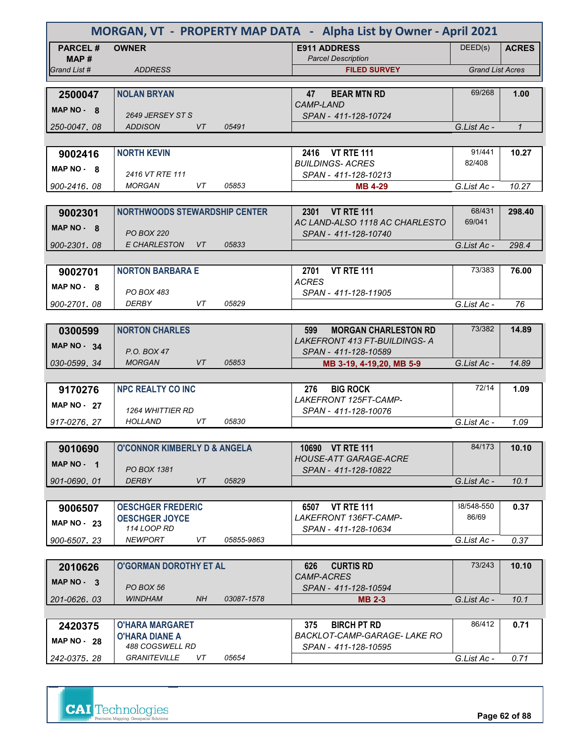| MORGAN, VT - PROPERTY MAP DATA - Alpha List by Owner - April 2021 |                                                   |            |                                                      |                         |              |
|-------------------------------------------------------------------|---------------------------------------------------|------------|------------------------------------------------------|-------------------------|--------------|
| <b>PARCEL#</b>                                                    | <b>OWNER</b>                                      |            | <b>E911 ADDRESS</b>                                  | DEED(s)                 | <b>ACRES</b> |
| MAP #<br>Grand List #                                             | <b>ADDRESS</b>                                    |            | <b>Parcel Description</b><br><b>FILED SURVEY</b>     | <b>Grand List Acres</b> |              |
|                                                                   |                                                   |            |                                                      |                         |              |
| 2500047                                                           | <b>NOLAN BRYAN</b>                                |            | <b>BEAR MTN RD</b><br>47                             | 69/268                  | 1.00         |
| MAP NO - 8                                                        |                                                   |            | CAMP-LAND                                            |                         |              |
| 250-0047, 08                                                      | 2649 JERSEY ST S<br>VT<br><b>ADDISON</b>          | 05491      | SPAN - 411-128-10724                                 | G.List Ac -             | $\mathbf{1}$ |
|                                                                   |                                                   |            |                                                      |                         |              |
| 9002416                                                           | <b>NORTH KEVIN</b>                                |            | 2416 VT RTE 111                                      | 91/441                  | 10.27        |
| MAP NO 8                                                          |                                                   |            | <b>BUILDINGS-ACRES</b>                               | 82/408                  |              |
|                                                                   | 2416 VT RTE 111                                   |            | SPAN - 411-128-10213                                 |                         |              |
| 900-2416, 08                                                      | <b>MORGAN</b><br>VT.                              | 05853      | <b>MB 4-29</b>                                       | G.List Ac -             | 10.27        |
|                                                                   |                                                   |            |                                                      | 68/431                  |              |
| 9002301                                                           | <b>NORTHWOODS STEWARDSHIP CENTER</b>              |            | 2301 VT RTE 111<br>AC LAND-ALSO 1118 AC CHARLESTO    | 69/041                  | 298.40       |
| $MAP NO - R$                                                      | <b>PO BOX 220</b>                                 |            | SPAN - 411-128-10740                                 |                         |              |
| 900-2301.08                                                       | E CHARLESTON VT                                   | 05833      |                                                      | G.List Ac -             | 298.4        |
|                                                                   |                                                   |            |                                                      |                         |              |
| 9002701                                                           | <b>NORTON BARBARA E</b>                           |            | <b>VT RTE 111</b><br>2701                            | 73/383                  | 76.00        |
| MAP NO - 8                                                        | PO BOX 483                                        |            | <b>ACRES</b><br>SPAN - 411-128-11905                 |                         |              |
| 900-2701.08                                                       | <b>DERBY</b><br>VT                                | 05829      |                                                      | G.List Ac -             | 76           |
|                                                                   |                                                   |            |                                                      |                         |              |
| 0300599                                                           | <b>NORTON CHARLES</b>                             |            | <b>MORGAN CHARLESTON RD</b><br>599                   | 73/382                  | 14.89        |
| MAP NO 34                                                         |                                                   |            | LAKEFRONT 413 FT-BUILDINGS- A                        |                         |              |
| 030-0599.34                                                       | P.O. BOX 47<br><b>MORGAN</b><br>VT                | 05853      | SPAN - 411-128-10589<br>MB 3-19, 4-19, 20, MB 5-9    | G.List Ac -             | 14.89        |
|                                                                   |                                                   |            |                                                      |                         |              |
| 9170276                                                           | <b>NPC REALTY CO INC</b>                          |            | <b>BIG ROCK</b><br>276                               | 72/14                   | 1.09         |
| MAP $NO - 27$                                                     |                                                   |            | LAKEFRONT 125FT-CAMP-                                |                         |              |
|                                                                   | <b>1264 WHITTIER RD</b><br>HOLLAND<br>VT          | 05830      | SPAN - 411-128-10076                                 |                         |              |
| 917-0276.27                                                       |                                                   |            |                                                      | G.List Ac -             | 1.09         |
| 9010690                                                           | <b>O'CONNOR KIMBERLY D &amp; ANGELA</b>           |            | 10690 VT RTE 111                                     | 84/173                  | 10.10        |
| MAP NO - 1                                                        |                                                   |            | <b>HOUSE-ATT GARAGE-ACRE</b>                         |                         |              |
|                                                                   | PO BOX 1381                                       |            | SPAN - 411-128-10822                                 |                         |              |
| 901-0690.01                                                       | <b>DERBY</b><br>VT                                | 05829      |                                                      | G.List Ac -             | 10.1         |
|                                                                   |                                                   |            |                                                      |                         |              |
| 9006507                                                           | <b>OESCHGER FREDERIC</b><br><b>OESCHGER JOYCE</b> |            | 6507 VT RTE 111<br>LAKEFRONT 136FT-CAMP-             | 38/548-550<br>86/69     | 0.37         |
| <b>MAP NO - 23</b>                                                | 114 LOOP RD                                       |            | SPAN - 411-128-10634                                 |                         |              |
| 900-6507.23                                                       | <b>NEWPORT</b><br>VT                              | 05855-9863 |                                                      | G.List Ac -             | 0.37         |
|                                                                   |                                                   |            |                                                      |                         |              |
| 2010626                                                           | <b>O'GORMAN DOROTHY ET AL</b>                     |            | <b>CURTIS RD</b><br>626                              | 73/243                  | 10.10        |
| MAP NO - 3                                                        | PO BOX 56                                         |            | <i>CAMP-ACRES</i><br>SPAN - 411-128-10594            |                         |              |
| 201-0626, 03                                                      | <b>WINDHAM</b><br><b>NH</b>                       | 03087-1578 | <b>MB 2-3</b>                                        | G.List Ac -             | 10.1         |
|                                                                   |                                                   |            |                                                      |                         |              |
| 2420375                                                           | <b>O'HARA MARGARET</b>                            |            | <b>BIRCH PT RD</b><br>375                            | 86/412                  | 0.71         |
| <b>MAP NO - 28</b>                                                | <b>O'HARA DIANE A</b><br>488 COGSWELL RD          |            | BACKLOT-CAMP-GARAGE- LAKE RO<br>SPAN - 411-128-10595 |                         |              |
| 242-0375, 28                                                      | GRANITEVILLE<br>VT                                | 05654      |                                                      | G.List Ac -             | 0.71         |
|                                                                   |                                                   |            |                                                      |                         |              |



**Page 62 of 88**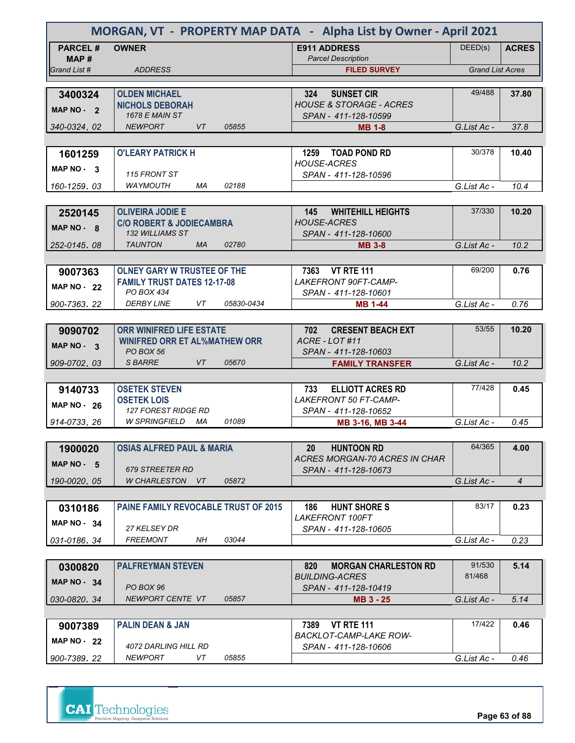| MORGAN, VT - PROPERTY MAP DATA - Alpha List by Owner - April 2021 |                                                        |                                                            |                         |                |
|-------------------------------------------------------------------|--------------------------------------------------------|------------------------------------------------------------|-------------------------|----------------|
| <b>PARCEL#</b><br>MAP#                                            | <b>OWNER</b>                                           | <b>E911 ADDRESS</b><br><b>Parcel Description</b>           | DEED(s)                 | <b>ACRES</b>   |
| Grand List #                                                      | <b>ADDRESS</b>                                         | <b>FILED SURVEY</b>                                        | <b>Grand List Acres</b> |                |
|                                                                   |                                                        |                                                            |                         |                |
| 3400324                                                           | <b>OLDEN MICHAEL</b>                                   | 324<br><b>SUNSET CIR</b>                                   | 49/488                  | 37.80          |
| MAP NO - 2                                                        | <b>NICHOLS DEBORAH</b><br><b>1678 E MAIN ST</b>        | <b>HOUSE &amp; STORAGE - ACRES</b><br>SPAN - 411-128-10599 |                         |                |
| 340-0324.02                                                       | <b>NEWPORT</b><br>VT<br>05855                          | <b>MB 1-8</b>                                              | G.List Ac -             | 37.8           |
|                                                                   |                                                        |                                                            |                         |                |
| 1601259                                                           | <b>O'LEARY PATRICK H</b>                               | 1259 TOAD POND RD                                          | 30/378                  | 10.40          |
| MAP NO - 3                                                        |                                                        | <b>HOUSE-ACRES</b>                                         |                         |                |
|                                                                   | 115 FRONT ST                                           | SPAN - 411-128-10596                                       |                         |                |
| 160-1259.03                                                       | <b>WAYMOUTH</b><br>МA<br>02188                         |                                                            | G.List Ac -             | 10.4           |
|                                                                   |                                                        |                                                            |                         |                |
| 2520145                                                           | <b>OLIVEIRA JODIE E</b>                                | 145<br><b>WHITEHILL HEIGHTS</b>                            | 37/330                  | 10.20          |
| MAP NO - 8                                                        | <b>C/O ROBERT &amp; JODIECAMBRA</b><br>132 WILLIAMS ST | <b>HOUSE-ACRES</b><br>SPAN - 411-128-10600                 |                         |                |
| 252-0145.08                                                       | <b>TAUNTON</b><br>MA<br>02780                          | <b>MB 3-8</b>                                              | G.List Ac -             | 10.2           |
|                                                                   |                                                        |                                                            |                         |                |
| 9007363                                                           | <b>OLNEY GARY W TRUSTEE OF THE</b>                     | 7363 VT RTE 111                                            | 69/200                  | 0.76           |
|                                                                   | <b>FAMILY TRUST DATES 12-17-08</b>                     | LAKEFRONT 90FT-CAMP-                                       |                         |                |
| <b>MAP NO - 22</b>                                                | PO BOX 434                                             | SPAN - 411-128-10601                                       |                         |                |
| 900-7363.22                                                       | <b>DERBY LINE</b><br>VT<br>05830-0434                  | <b>MB 1-44</b>                                             | G.List Ac -             | 0.76           |
|                                                                   |                                                        |                                                            |                         |                |
| 9090702                                                           | <b>ORR WINIFRED LIFE ESTATE</b>                        | <b>CRESENT BEACH EXT</b><br>702                            | 53/55                   | 10.20          |
| MAP NO - 3                                                        | <b>WINIFRED ORR ET AL%MATHEW ORR</b>                   | ACRE-LOT#11                                                |                         |                |
| 909-0702.03                                                       | PO BOX 56<br>S BARRE<br>VT<br>05670                    | SPAN - 411-128-10603                                       | G.List Ac -             | 10.2           |
|                                                                   |                                                        | <b>FAMILY TRANSFER</b>                                     |                         |                |
| 9140733                                                           | <b>OSETEK STEVEN</b>                                   | <b>ELLIOTT ACRES RD</b><br>733                             | 77/428                  | 0.45           |
|                                                                   | <b>OSETEK LOIS</b>                                     | <b>LAKEFRONT 50 FT-CAMP-</b>                               |                         |                |
| <b>MAP NO - 26</b>                                                | <b>127 FOREST RIDGE RD</b>                             | SPAN - 411-128-10652                                       |                         |                |
| 914-0733, 26                                                      | <b>W SPRINGFIELD</b><br>MA<br>01089                    | MB 3-16, MB 3-44                                           | G.List Ac -             | 0.45           |
|                                                                   |                                                        |                                                            |                         |                |
| 1900020                                                           | <b>OSIAS ALFRED PAUL &amp; MARIA</b>                   | <b>HUNTOON RD</b><br>20                                    | 64/365                  | 4.00           |
| MAP NO $-5$                                                       |                                                        | ACRES MORGAN-70 ACRES IN CHAR                              |                         |                |
|                                                                   | 679 STREETER RD<br>W CHARLESTON VT<br>05872            | SPAN - 411-128-10673                                       |                         |                |
| 190-0020.05                                                       |                                                        |                                                            | G.List Ac -             | $\overline{4}$ |
| 0310186                                                           | <b>PAINE FAMILY REVOCABLE TRUST OF 2015</b>            | <b>HUNT SHORE S</b><br>186                                 | 83/17                   | 0.23           |
|                                                                   |                                                        | <b>LAKEFRONT 100FT</b>                                     |                         |                |
| MAP $NO - 34$                                                     | 27 KELSEY DR                                           | SPAN - 411-128-10605                                       |                         |                |
| 031-0186.34                                                       | <b>FREEMONT</b><br>NH<br>03044                         |                                                            | G.List Ac -             | 0.23           |
|                                                                   |                                                        |                                                            |                         |                |
| 0300820                                                           | <b>PALFREYMAN STEVEN</b>                               | <b>MORGAN CHARLESTON RD</b><br>820                         | 91/530                  | 5.14           |
| <b>MAP NO - 34</b>                                                |                                                        | <b>BUILDING-ACRES</b>                                      | 81/468                  |                |
| 030-0820, 34                                                      | PO BOX 96<br>NEWPORT CENTE VT<br>05857                 | SPAN - 411-128-10419                                       | G.List Ac -             | 5.14           |
|                                                                   |                                                        | MB 3 - 25                                                  |                         |                |
| 9007389                                                           | <b>PALIN DEAN &amp; JAN</b>                            | <b>VT RTE 111</b><br>7389                                  | 17/422                  | 0.46           |
|                                                                   |                                                        | BACKLOT-CAMP-LAKE ROW-                                     |                         |                |
| MAP $NO - 22$                                                     | 4072 DARLING HILL RD                                   | SPAN - 411-128-10606                                       |                         |                |
| 900-7389.22                                                       | <b>NEWPORT</b><br>VT<br>05855                          |                                                            | G.List Ac -             | 0.46           |

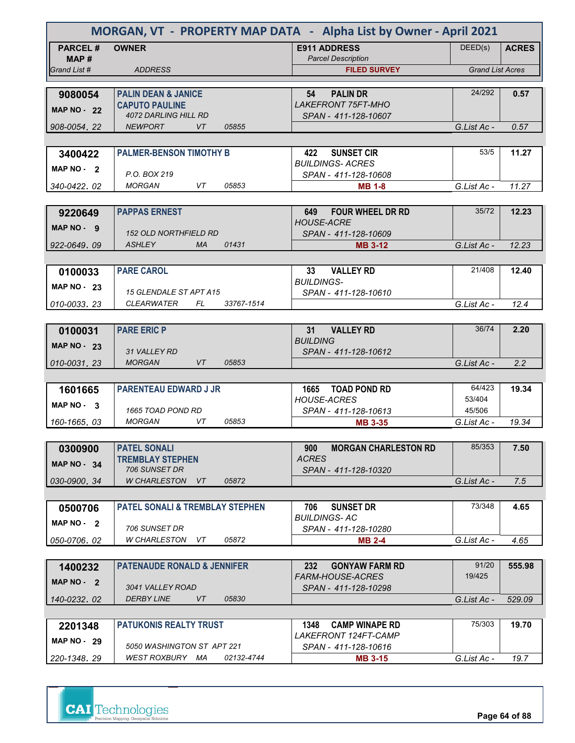| MORGAN, VT - PROPERTY MAP DATA - Alpha List by Owner - April 2021 |                                                   |                                                              |                         |              |
|-------------------------------------------------------------------|---------------------------------------------------|--------------------------------------------------------------|-------------------------|--------------|
| <b>PARCEL#</b><br>MAP#                                            | <b>OWNER</b>                                      | <b>E911 ADDRESS</b><br><b>Parcel Description</b>             | DEED(s)                 | <b>ACRES</b> |
| Grand List #                                                      | <b>ADDRESS</b>                                    | <b>FILED SURVEY</b>                                          | <b>Grand List Acres</b> |              |
|                                                                   |                                                   |                                                              |                         |              |
| 9080054                                                           | <b>PALIN DEAN &amp; JANICE</b>                    | 54<br><b>PALIN DR</b>                                        | 24/292                  | 0.57         |
| <b>MAP NO - 22</b>                                                | <b>CAPUTO PAULINE</b><br>4072 DARLING HILL RD     | <b>LAKEFRONT 75FT-MHO</b><br>SPAN - 411-128-10607            |                         |              |
| 908-0054.22                                                       | <b>VT</b><br><b>NEWPORT</b><br>05855              |                                                              | G.List Ac -             | 0.57         |
|                                                                   |                                                   |                                                              |                         |              |
| 3400422                                                           | <b>PALMER-BENSON TIMOTHY B</b>                    | <b>SUNSET CIR</b><br>422                                     | 53/5                    | 11.27        |
| MAP NO - 2                                                        |                                                   | <b>BUILDINGS-ACRES</b>                                       |                         |              |
|                                                                   | P.O. BOX 219                                      | SPAN - 411-128-10608                                         |                         |              |
| 340-0422, 02                                                      | 05853<br><b>MORGAN</b><br>VT.                     | <b>MB 1-8</b>                                                | G.List Ac -             | 11.27        |
|                                                                   |                                                   |                                                              |                         |              |
| 9220649                                                           | <b>PAPPAS ERNEST</b>                              | <b>FOUR WHEEL DR RD</b><br>649<br><b>HOUSE-ACRE</b>          | 35/72                   | 12.23        |
| $MAP NO - 9$                                                      | <b>152 OLD NORTHFIELD RD</b>                      | SPAN - 411-128-10609                                         |                         |              |
| 922-0649, 09                                                      | ASHLEY<br><b>MA</b><br>01431                      | <b>MB 3-12</b>                                               | G.List Ac -             | 12.23        |
|                                                                   |                                                   |                                                              |                         |              |
| 0100033                                                           | <b>PARE CAROL</b>                                 | <b>VALLEY RD</b><br>33 <sub>o</sub>                          | 21/408                  | 12.40        |
| <b>MAP NO - 23</b>                                                |                                                   | <b>BUILDINGS-</b>                                            |                         |              |
|                                                                   | 15 GLENDALE ST APT A15                            | SPAN - 411-128-10610                                         |                         |              |
| 010-0033.23                                                       | <b>CLEARWATER</b><br>FL.<br>33767-1514            |                                                              | G.List Ac -             | 12.4         |
|                                                                   |                                                   |                                                              | 36/74                   |              |
| 0100031                                                           | <b>PARE ERIC P</b>                                | <b>VALLEY RD</b><br>31<br><b>BUILDING</b>                    |                         | 2.20         |
| <b>MAP NO - 23</b>                                                | 31 VALLEY RD                                      | SPAN - 411-128-10612                                         |                         |              |
| 010-0031.23                                                       | <b>MORGAN</b><br>VT<br>05853                      |                                                              | G.List Ac -             | 2.2          |
|                                                                   |                                                   |                                                              |                         |              |
| 1601665                                                           | <b>PARENTEAU EDWARD J JR</b>                      | 1665 TOAD POND RD                                            | 64/423                  | 19.34        |
| MAP $NO - 3$                                                      |                                                   | <b>HOUSE-ACRES</b>                                           | 53/404                  |              |
| 160-1665, 03                                                      | 1665 TOAD POND RD<br>05853<br><b>MORGAN</b><br>VT | SPAN - 411-128-10613                                         | 45/506<br>G.List Ac -   | 19.34        |
|                                                                   |                                                   | <b>MB 3-35</b>                                               |                         |              |
| 0300900                                                           | <b>PATEL SONALI</b>                               | <b>MORGAN CHARLESTON RD</b><br>900                           | 85/353                  | 7.50         |
|                                                                   | <b>TREMBLAY STEPHEN</b>                           | <b>ACRES</b>                                                 |                         |              |
| <b>MAP NO - 34</b>                                                | 706 SUNSET DR                                     | SPAN - 411-128-10320                                         |                         |              |
| 030-0900.34                                                       | <b>W CHARLESTON</b><br>VT<br>05872                |                                                              | G.List Ac -             | 7.5          |
|                                                                   |                                                   |                                                              |                         |              |
| 0500706                                                           | <b>PATEL SONALI &amp; TREMBLAY STEPHEN</b>        | <b>SUNSET DR</b><br>706                                      | 73/348                  | 4.65         |
| MAP NO - 2                                                        | 706 SUNSET DR                                     | <b>BUILDINGS-AC</b>                                          |                         |              |
| 050-0706.02                                                       | W CHARLESTON<br>05872<br>VT                       | SPAN - 411-128-10280<br><b>MB 2-4</b>                        | G.List Ac -             | 4.65         |
|                                                                   |                                                   |                                                              |                         |              |
| 1400232                                                           | <b>PATENAUDE RONALD &amp; JENNIFER</b>            | 232<br><b>GONYAW FARM RD</b>                                 | 91/20                   | 555.98       |
| MAP NO - 2                                                        |                                                   | <i>FARM-HOUSE-ACRES</i>                                      | 19/425                  |              |
|                                                                   | 3041 VALLEY ROAD                                  | SPAN - 411-128-10298                                         |                         |              |
| 140-0232.02                                                       | <b>DERBY LINE</b><br>VT<br>05830                  |                                                              | G.List Ac -             | 529.09       |
|                                                                   |                                                   |                                                              |                         |              |
| 2201348                                                           | <b>PATUKONIS REALTY TRUST</b>                     | 1348<br><b>CAMP WINAPE RD</b><br><i>LAKEFRONT 124FT-CAMP</i> | 75/303                  | 19.70        |
| <b>MAP NO - 29</b>                                                | 5050 WASHINGTON ST APT 221                        | SPAN - 411-128-10616                                         |                         |              |
| 220-1348.29                                                       | WEST ROXBURY MA<br>02132-4744                     | <b>MB 3-15</b>                                               | G.List Ac -             | 19.7         |
|                                                                   |                                                   |                                                              |                         |              |



**Page 64 of 88**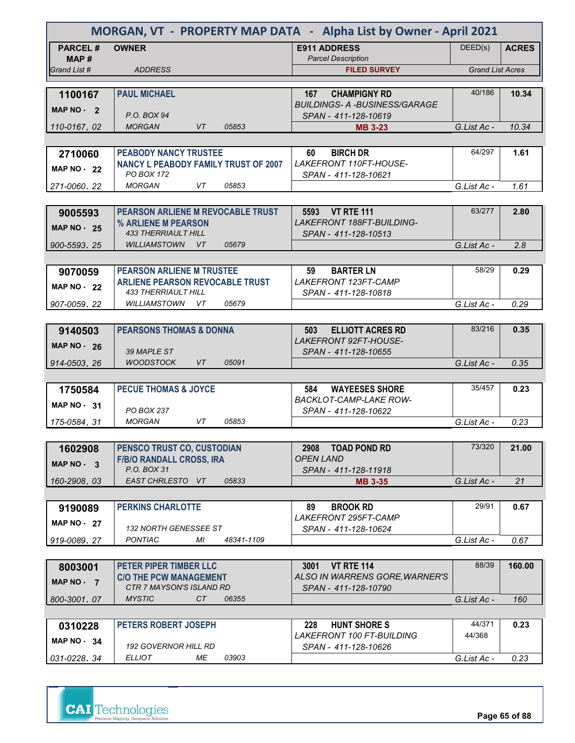| MORGAN, VT - PROPERTY MAP DATA - Alpha List by Owner - April 2021 |                                                                  |                                                                    |                         |              |
|-------------------------------------------------------------------|------------------------------------------------------------------|--------------------------------------------------------------------|-------------------------|--------------|
| <b>PARCEL#</b><br>MAP #                                           | <b>OWNER</b>                                                     | <b>E911 ADDRESS</b><br><b>Parcel Description</b>                   | DEED(s)                 | <b>ACRES</b> |
| Grand List #                                                      | <b>ADDRESS</b>                                                   | <b>FILED SURVEY</b>                                                | <b>Grand List Acres</b> |              |
|                                                                   |                                                                  |                                                                    |                         |              |
| 1100167                                                           | <b>PAUL MICHAEL</b>                                              | <b>CHAMPIGNY RD</b><br>167                                         | 40/186                  | 10.34        |
| MAP NO - 2                                                        | P.O. BOX 94                                                      | <b>BUILDINGS- A -BUSINESS/GARAGE</b><br>SPAN - 411-128-10619       |                         |              |
| 110-0167, 02                                                      | <b>VT</b><br><b>MORGAN</b><br>05853                              | <b>MB 3-23</b>                                                     | G.List Ac -             | 10.34        |
|                                                                   |                                                                  |                                                                    |                         |              |
| 2710060                                                           | <b>PEABODY NANCY TRUSTEE</b>                                     | <b>BIRCH DR</b><br>60                                              | 64/297                  | 1.61         |
| <b>MAP NO - 22</b>                                                | <b>NANCY L PEABODY FAMILY TRUST OF 2007</b><br><b>PO BOX 172</b> | LAKEFRONT 110FT-HOUSE-<br>SPAN - 411-128-10621                     |                         |              |
| 271-0060, 22                                                      | 05853<br><b>MORGAN</b><br>VT.                                    |                                                                    | G.List Ac -             | 1.61         |
|                                                                   |                                                                  |                                                                    |                         |              |
| 9005593                                                           | <b>PEARSON ARLIENE M REVOCABLE TRUST</b>                         | 5593 VT RTE 111                                                    | 63/277                  | 2.80         |
|                                                                   | % ARLIENE M PEARSON                                              | <b>LAKEFRONT 188FT-BUILDING-</b>                                   |                         |              |
| <b>MAP NO - 25</b>                                                | <b>433 THERRIAULT HILL</b>                                       | SPAN - 411-128-10513                                               |                         |              |
| 900-5593.25                                                       | <b>WILLIAMSTOWN</b><br>$V$ T<br>05679                            |                                                                    | G.List Ac -             | 2.8          |
|                                                                   |                                                                  |                                                                    |                         |              |
| 9070059                                                           | <b>PEARSON ARLIENE M TRUSTEE</b>                                 | <b>BARTER LN</b><br>59                                             | 58/29                   | 0.29         |
| <b>MAP NO - 22</b>                                                | <b>ARLIENE PEARSON REVOCABLE TRUST</b>                           | LAKEFRONT 123FT-CAMP                                               |                         |              |
|                                                                   | <b>433 THERRIAULT HILL</b>                                       | SPAN - 411-128-10818                                               |                         |              |
| 907-0059.22                                                       | <b>WILLIAMSTOWN</b><br>VT.<br>05679                              |                                                                    | G.List Ac -             | 0.29         |
|                                                                   |                                                                  |                                                                    |                         |              |
| 9140503                                                           | <b>PEARSONS THOMAS &amp; DONNA</b>                               | <b>ELLIOTT ACRES RD</b><br>503                                     | 83/216                  | 0.35         |
| <b>MAP NO - 26</b>                                                |                                                                  | LAKEFRONT 92FT-HOUSE-                                              |                         |              |
|                                                                   | 39 MAPLE ST                                                      | SPAN - 411-128-10655                                               |                         |              |
| 914-0503, 26                                                      | <b>WOODSTOCK</b><br>VT<br>05091                                  |                                                                    | G.List Ac -             | 0.35         |
|                                                                   |                                                                  |                                                                    | 35/457                  |              |
| 1750584                                                           | <b>PECUE THOMAS &amp; JOYCE</b>                                  | <b>WAYEESES SHORE</b><br>584<br><b>BACKLOT-CAMP-LAKE ROW-</b>      |                         | 0.23         |
| MAP $NO - 31$                                                     | <b>PO BOX 237</b>                                                | SPAN - 411-128-10622                                               |                         |              |
| 175-0584, 31                                                      | 05853<br><b>MORGAN</b><br>VT                                     |                                                                    | G.List Ac -             | 0.23         |
|                                                                   |                                                                  |                                                                    |                         |              |
| 1602908                                                           | PENSCO TRUST CO, CUSTODIAN                                       | <b>TOAD POND RD</b><br>2908                                        | 73/320                  | 21.00        |
|                                                                   | <b>F/B/O RANDALL CROSS, IRA</b>                                  | <b>OPEN LAND</b>                                                   |                         |              |
| MAP NO - 3                                                        | P.O. BOX 31                                                      | SPAN - 411-128-11918                                               |                         |              |
| 160-2908.03                                                       | EAST CHRLESTO VT<br>05833                                        | <b>MB 3-35</b>                                                     | G.List Ac -             | 21           |
|                                                                   |                                                                  |                                                                    |                         |              |
| 9190089                                                           | <b>PERKINS CHARLOTTE</b>                                         | <b>BROOK RD</b><br>89                                              | 29/91                   | 0.67         |
| <b>MAP NO - 27</b>                                                |                                                                  | LAKEFRONT 295FT-CAMP                                               |                         |              |
|                                                                   | <b>132 NORTH GENESSEE ST</b>                                     | SPAN - 411-128-10624                                               |                         |              |
| 919-0089.27                                                       | <b>PONTIAC</b><br>МI<br>48341-1109                               |                                                                    | G.List Ac -             | 0.67         |
|                                                                   |                                                                  |                                                                    |                         |              |
| 8003001                                                           | PETER PIPER TIMBER LLC                                           | <b>VT RTE 114</b><br><b>3001</b><br>ALSO IN WARRENS GORE, WARNER'S | 88/39                   | 160.00       |
| MAP NO - 7                                                        | <b>C/O THE PCW MANAGEMENT</b><br>CTR 7 MAYSON'S ISLAND RD        | SPAN - 411-128-10790                                               |                         |              |
| 800-3001.07                                                       | <b>MYSTIC</b><br>CT<br>06355                                     |                                                                    | G.List Ac -             | 160          |
|                                                                   |                                                                  |                                                                    |                         |              |
| 0310228                                                           | PETERS ROBERT JOSEPH                                             | <b>HUNT SHORE S</b><br>228                                         | 44/371                  | 0.23         |
|                                                                   |                                                                  | <b>LAKEFRONT 100 FT-BUILDING</b>                                   | 44/368                  |              |
| <b>MAP NO - 34</b>                                                | <b>192 GOVERNOR HILL RD</b>                                      | SPAN - 411-128-10626                                               |                         |              |
| 031-0228.34                                                       | ELLIOT<br>МE<br>03903                                            |                                                                    | G.List Ac -             | 0.23         |

| <b>CAI</b> Technologies                  |
|------------------------------------------|
| Precision Mapping. Geospatial Solutions. |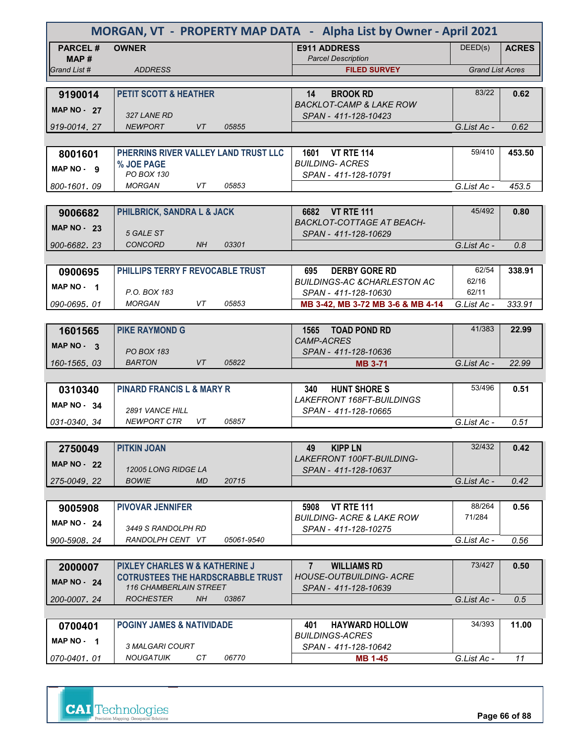|                       | MORGAN, VT - PROPERTY MAP DATA - Alpha List by Owner - April 2021 |                                                                   |                         |              |
|-----------------------|-------------------------------------------------------------------|-------------------------------------------------------------------|-------------------------|--------------|
| <b>PARCEL#</b>        | <b>OWNER</b>                                                      | <b>E911 ADDRESS</b>                                               | DEED(s)                 | <b>ACRES</b> |
| MAP #<br>Grand List # | <b>ADDRESS</b>                                                    | <b>Parcel Description</b><br><b>FILED SURVEY</b>                  | <b>Grand List Acres</b> |              |
|                       |                                                                   |                                                                   |                         |              |
| 9190014               | <b>PETIT SCOTT &amp; HEATHER</b>                                  | 14<br><b>BROOK RD</b>                                             | 83/22                   | 0.62         |
| <b>MAP NO - 27</b>    |                                                                   | <b>BACKLOT-CAMP &amp; LAKE ROW</b>                                |                         |              |
|                       | 327 LANE RD                                                       | SPAN - 411-128-10423                                              |                         |              |
| 919-0014.27           | <b>NEWPORT</b><br>VT<br>05855                                     |                                                                   | G.List Ac -             | 0.62         |
|                       | PHERRINS RIVER VALLEY LAND TRUST LLC                              | 1601 VT RTE 114                                                   | 59/410                  | 453.50       |
| 8001601               | % JOE PAGE                                                        | <b>BUILDING- ACRES</b>                                            |                         |              |
| MAP NO - 9            | <b>PO BOX 130</b>                                                 | SPAN - 411-128-10791                                              |                         |              |
| 800-1601.09           | <b>MORGAN</b><br>VT<br>05853                                      |                                                                   | G.List Ac -             | 453.5        |
|                       |                                                                   |                                                                   |                         |              |
| 9006682               | PHILBRICK, SANDRA L & JACK                                        | 6682 VT RTE 111                                                   | 45/492                  | 0.80         |
| <b>MAP NO - 23</b>    | 5 GALE ST                                                         | <b>BACKLOT-COTTAGE AT BEACH-</b><br>SPAN - 411-128-10629          |                         |              |
| 900-6682.23           | <b>CONCORD</b><br>03301<br>NH                                     |                                                                   | G.List Ac -             | 0.8          |
|                       |                                                                   |                                                                   |                         |              |
| 0900695               | PHILLIPS TERRY F REVOCABLE TRUST                                  | <b>DERBY GORE RD</b><br>695                                       | 62/54                   | 338.91       |
| MAP NO - 1            |                                                                   | <b>BUILDINGS-AC &amp;CHARLESTON AC</b>                            | 62/16                   |              |
|                       | P.O. BOX 183                                                      | SPAN - 411-128-10630                                              | 62/11                   |              |
| 090-0695.01           | 05853<br><b>MORGAN</b><br>VT                                      | MB 3-42, MB 3-72 MB 3-6 & MB 4-14                                 | G.List Ac -             | 333.91       |
|                       |                                                                   |                                                                   |                         |              |
| 1601565               | <b>PIKE RAYMOND G</b>                                             | 1565 TOAD POND RD<br><b>CAMP-ACRES</b>                            | 41/383                  | 22.99        |
| MAP $NO - 3$          | <b>PO BOX 183</b>                                                 | SPAN - 411-128-10636                                              |                         |              |
| 160-1565.03           | <b>BARTON</b><br>VT<br>05822                                      | <b>MB 3-71</b>                                                    | G.List Ac -             | 22.99        |
|                       |                                                                   |                                                                   |                         |              |
| 0310340               | <b>PINARD FRANCIS L &amp; MARY R</b>                              | <b>HUNT SHORE S</b><br>340                                        | 53/496                  | 0.51         |
| <b>MAP NO - 34</b>    | <b>2891 VANCE HILL</b>                                            | <b>LAKEFRONT 168FT-BUILDINGS</b>                                  |                         |              |
| 031-0340.34           | 05857<br><b>NEWPORT CTR</b><br>VT.                                | SPAN - 411-128-10665                                              | G.List Ac -             | 0.51         |
|                       |                                                                   |                                                                   |                         |              |
| 2750049               | <b>PITKIN JOAN</b>                                                | <b>KIPP LN</b><br>49                                              | 32/432                  | 0.42         |
| <b>MAP NO - 22</b>    |                                                                   | <b>LAKEFRONT 100FT-BUILDING-</b>                                  |                         |              |
|                       | 12005 LONG RIDGE LA                                               | SPAN - 411-128-10637                                              |                         |              |
| 275-0049.22           | <b>BOWIE</b><br><b>MD</b><br>20715                                |                                                                   | G.List Ac -             | 0.42         |
|                       |                                                                   |                                                                   | 88/264                  |              |
| 9005908               | <b>PIVOVAR JENNIFER</b>                                           | <b>VT RTE 111</b><br>5908<br><b>BUILDING- ACRE &amp; LAKE ROW</b> | 71/284                  | 0.56         |
| MAP $NO - 24$         | 3449 S RANDOLPH RD                                                | SPAN - 411-128-10275                                              |                         |              |
| 900-5908.24           | RANDOLPH CENT VT<br>05061-9540                                    |                                                                   | G.List Ac -             | 0.56         |
|                       |                                                                   |                                                                   |                         |              |
| 2000007               | <b>PIXLEY CHARLES W &amp; KATHERINE J</b>                         | $7^{\circ}$<br><b>WILLIAMS RD</b>                                 | 73/427                  | 0.50         |
| <b>MAP NO - 24</b>    | <b>COTRUSTEES THE HARDSCRABBLE TRUST</b>                          | <b>HOUSE-OUTBUILDING- ACRE</b>                                    |                         |              |
| 200-0007, 24          | <b>116 CHAMBERLAIN STREET</b><br><b>ROCHESTER</b><br>NH<br>03867  | SPAN - 411-128-10639                                              | G.List Ac -             | 0.5          |
|                       |                                                                   |                                                                   |                         |              |
| 0700401               | <b>POGINY JAMES &amp; NATIVIDADE</b>                              | <b>HAYWARD HOLLOW</b><br>401                                      | 34/393                  | 11.00        |
| MAP NO $-1$           |                                                                   | <i>BUILDINGS-ACRES</i>                                            |                         |              |
|                       | 3 MALGARI COURT                                                   | SPAN - 411-128-10642                                              |                         |              |
| 070-0401.01           | <b>NOUGATUIK</b><br>06770<br>CT                                   | <b>MB 1-45</b>                                                    | G.List Ac -             | 11           |

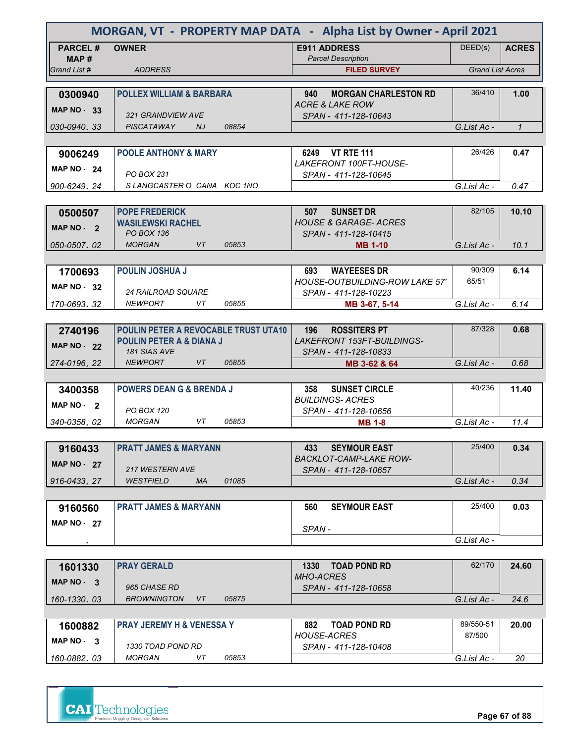| MORGAN, VT - PROPERTY MAP DATA - Alpha List by Owner - April 2021 |                                                           |                                                  |                         |              |  |
|-------------------------------------------------------------------|-----------------------------------------------------------|--------------------------------------------------|-------------------------|--------------|--|
| <b>PARCEL#</b><br>MAP #                                           | <b>OWNER</b>                                              | <b>E911 ADDRESS</b><br><b>Parcel Description</b> | DEED(s)                 | <b>ACRES</b> |  |
| Grand List #                                                      | <b>ADDRESS</b>                                            | <b>FILED SURVEY</b>                              | <b>Grand List Acres</b> |              |  |
| 0300940                                                           | <b>POLLEX WILLIAM &amp; BARBARA</b>                       | <b>MORGAN CHARLESTON RD</b><br>940               | 36/410                  | 1.00         |  |
|                                                                   |                                                           | <b>ACRE &amp; LAKE ROW</b>                       |                         |              |  |
| <b>MAP NO - 33</b>                                                | 321 GRANDVIEW AVE                                         | SPAN - 411-128-10643                             |                         |              |  |
| 030-0940.33                                                       | PISCATAWAY<br>NJ.<br>08854                                |                                                  | G.List Ac -             | $\mathbf{1}$ |  |
|                                                                   |                                                           |                                                  |                         |              |  |
| 9006249                                                           | <b>POOLE ANTHONY &amp; MARY</b>                           | 6249 VT RTE 111<br>LAKEFRONT 100FT-HOUSE-        | 26/426                  | 0.47         |  |
| <b>MAP NO - 24</b>                                                | <b>PO BOX 231</b>                                         | SPAN - 411-128-10645                             |                         |              |  |
| 900-6249.24                                                       | SLANGCASTER O CANA KOC 1NO                                |                                                  | G.List Ac -             | 0.47         |  |
|                                                                   |                                                           |                                                  |                         |              |  |
| 0500507                                                           | <b>POPE FREDERICK</b>                                     | <b>SUNSET DR</b><br>507                          | 82/105                  | 10.10        |  |
| MAP $NO - 2$                                                      | <b>WASILEWSKI RACHEL</b><br><b>PO BOX 136</b>             | <b>HOUSE &amp; GARAGE- ACRES</b>                 |                         |              |  |
| 050-0507.02                                                       | <b>MORGAN</b><br><b>VT</b><br>05853                       | SPAN - 411-128-10415<br><b>MB 1-10</b>           | G.List Ac -             | 10.1         |  |
|                                                                   |                                                           |                                                  |                         |              |  |
| 1700693                                                           | <b>POULIN JOSHUA J</b>                                    | <b>WAYEESES DR</b><br>693                        | 90/309                  | 6.14         |  |
| <b>MAP NO - 32</b>                                                |                                                           | <b>HOUSE-OUTBUILDING-ROW LAKE 57'</b>            | 65/51                   |              |  |
|                                                                   | 24 RAILROAD SQUARE                                        | SPAN - 411-128-10223                             |                         |              |  |
| 170-0693.32                                                       | <b>NEWPORT</b><br>05855<br>VT                             | MB 3-67, 5-14                                    | G.List Ac -             | 6.14         |  |
| 2740196                                                           | POULIN PETER A REVOCABLE TRUST UTA10                      | <b>ROSSITERS PT</b><br>196                       | 87/328                  | 0.68         |  |
|                                                                   | <b>POULIN PETER A &amp; DIANA J</b>                       | <b>LAKEFRONT 153FT-BUILDINGS-</b>                |                         |              |  |
| <b>MAP NO - 22</b>                                                | 181 SIAS AVE                                              | SPAN - 411-128-10833                             |                         |              |  |
| 274-0196, 22                                                      | <b>NEWPORT</b><br><b>VT</b><br>05855                      | MB 3-62 & 64                                     | G.List Ac -             | 0.68         |  |
|                                                                   |                                                           |                                                  |                         |              |  |
| 3400358                                                           | <b>POWERS DEAN G &amp; BRENDA J</b>                       | 358<br><b>SUNSET CIRCLE</b>                      | 40/236                  | 11.40        |  |
| MAP NO - 2                                                        | PO BOX 120                                                | <b>BUILDINGS-ACRES</b><br>SPAN - 411-128-10656   |                         |              |  |
| 340-0358, 02                                                      | <b>MORGAN</b><br>VT<br>05853                              | <b>MB 1-8</b>                                    | G.List Ac -             | 11.4         |  |
|                                                                   |                                                           |                                                  |                         |              |  |
| 9160433                                                           | <b>PRATT JAMES &amp; MARYANN</b>                          | <b>SEYMOUR EAST</b><br>433                       | 25/400                  | 0.34         |  |
| <b>MAP NO - 27</b>                                                |                                                           | <b>BACKLOT-CAMP-LAKE ROW-</b>                    |                         |              |  |
|                                                                   | 217 WESTERN AVE<br><b>WESTFIELD</b><br><b>MA</b><br>01085 | SPAN - 411-128-10657                             |                         |              |  |
| 916-0433.27                                                       |                                                           |                                                  | G.List Ac -             | 0.34         |  |
| 9160560                                                           | <b>PRATT JAMES &amp; MARYANN</b>                          | <b>SEYMOUR EAST</b><br>560                       | 25/400                  | 0.03         |  |
| <b>MAP NO - 27</b>                                                |                                                           |                                                  |                         |              |  |
|                                                                   |                                                           | SPAN-                                            |                         |              |  |
|                                                                   |                                                           |                                                  | G.List Ac -             |              |  |
|                                                                   |                                                           |                                                  |                         |              |  |
| 1601330                                                           | <b>PRAY GERALD</b>                                        | 1330<br><b>TOAD POND RD</b><br><b>MHO-ACRES</b>  | 62/170                  | 24.60        |  |
| MAP $NO - 3$                                                      | 965 CHASE RD                                              | SPAN - 411-128-10658                             |                         |              |  |
| 160-1330.03                                                       | <b>BROWNINGTON</b><br>05875<br>VT.                        |                                                  | G.List Ac -             | 24.6         |  |
|                                                                   |                                                           |                                                  |                         |              |  |
| 1600882                                                           | <b>PRAY JEREMY H &amp; VENESSA Y</b>                      | 882<br><b>TOAD POND RD</b>                       | 89/550-51               | 20.00        |  |
| MAP NO - 3                                                        | 1330 TOAD POND RD                                         | <b>HOUSE-ACRES</b><br>SPAN - 411-128-10408       | 87/500                  |              |  |
| 160-0882.03                                                       | MORGAN<br>VT<br>05853                                     |                                                  | G.List Ac -             | 20           |  |

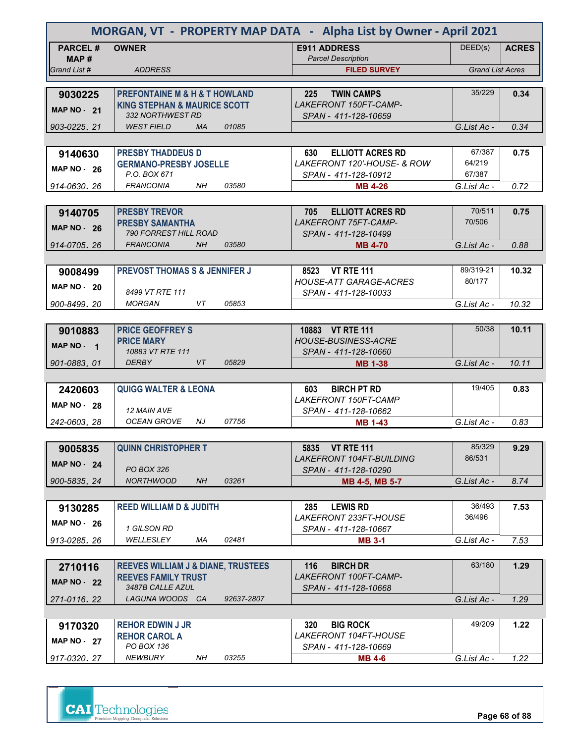| MORGAN, VT - PROPERTY MAP DATA - Alpha List by Owner - April 2021 |                                               |            |                                                  |                         |              |
|-------------------------------------------------------------------|-----------------------------------------------|------------|--------------------------------------------------|-------------------------|--------------|
| <b>PARCEL#</b>                                                    | <b>OWNER</b>                                  |            | <b>E911 ADDRESS</b>                              | DEED(s)                 | <b>ACRES</b> |
| MAP #<br>Grand List #                                             | <b>ADDRESS</b>                                |            | <b>Parcel Description</b><br><b>FILED SURVEY</b> | <b>Grand List Acres</b> |              |
|                                                                   |                                               |            |                                                  |                         |              |
| 9030225                                                           | <b>PREFONTAINE M &amp; H &amp; T HOWLAND</b>  |            | 225<br><b>TWIN CAMPS</b>                         | 35/229                  | 0.34         |
| <b>MAP NO - 21</b>                                                | <b>KING STEPHAN &amp; MAURICE SCOTT</b>       |            | LAKEFRONT 150FT-CAMP-                            |                         |              |
|                                                                   | 332 NORTHWEST RD                              |            | SPAN - 411-128-10659                             |                         |              |
| 903-0225.21                                                       | <b>WEST FIELD</b><br><b>MA</b>                | 01085      |                                                  | G.List Ac -             | 0.34         |
|                                                                   |                                               |            |                                                  |                         |              |
| 9140630                                                           | <b>PRESBY THADDEUS D</b>                      |            | <b>ELLIOTT ACRES RD</b><br>630                   | 67/387                  | 0.75         |
| <b>MAP NO - 26</b>                                                | <b>GERMANO-PRESBY JOSELLE</b>                 |            | LAKEFRONT 120'-HOUSE- & ROW                      | 64/219                  |              |
|                                                                   | P.O. BOX 671<br><b>FRANCONIA</b><br>NH        | 03580      | SPAN - 411-128-10912                             | 67/387                  |              |
| 914-0630, 26                                                      |                                               |            | <b>MB 4-26</b>                                   | G.List Ac -             | 0.72         |
|                                                                   | <b>PRESBY TREVOR</b>                          |            | 705<br><b>ELLIOTT ACRES RD</b>                   | 70/511                  | 0.75         |
| 9140705                                                           | <b>PRESBY SAMANTHA</b>                        |            | LAKEFRONT 75FT-CAMP-                             | 70/506                  |              |
| <b>MAP NO - 26</b>                                                | <b>790 FORREST HILL ROAD</b>                  |            | SPAN - 411-128-10499                             |                         |              |
| 914-0705.26                                                       | <b>FRANCONIA</b><br><b>NH</b>                 | 03580      | <b>MB 4-70</b>                                   | G.List Ac -             | 0.88         |
|                                                                   |                                               |            |                                                  |                         |              |
| 9008499                                                           | <b>PREVOST THOMAS S &amp; JENNIFER J</b>      |            | 8523 VT RTE 111                                  | 89/319-21               | 10.32        |
| <b>MAP NO - 20</b>                                                |                                               |            | <b>HOUSE-ATT GARAGE-ACRES</b>                    | 80/177                  |              |
|                                                                   | 8499 VT RTE 111                               |            | SPAN - 411-128-10033                             |                         |              |
| 900-8499.20                                                       | <b>MORGAN</b><br>VT                           | 05853      |                                                  | G.List Ac -             | 10.32        |
|                                                                   |                                               |            |                                                  |                         |              |
| 9010883                                                           | <b>PRICE GEOFFREY S</b>                       |            | 10883 VT RTE 111                                 | 50/38                   | 10.11        |
| MAP NO - 1                                                        | <b>PRICE MARY</b>                             |            | <b>HOUSE-BUSINESS-ACRE</b>                       |                         |              |
| 901-0883.01                                                       | 10883 VT RTE 111<br><b>DERBY</b><br>VT        | 05829      | SPAN - 411-128-10660<br><b>MB 1-38</b>           | G.List Ac -             | 10.11        |
|                                                                   |                                               |            |                                                  |                         |              |
| 2420603                                                           | <b>QUIGG WALTER &amp; LEONA</b>               |            | 603<br><b>BIRCH PT RD</b>                        | 19/405                  | 0.83         |
|                                                                   |                                               |            | <b>LAKEFRONT 150FT-CAMP</b>                      |                         |              |
| MAP $NO - 28$                                                     | 12 MAIN AVE                                   |            | SPAN - 411-128-10662                             |                         |              |
| 242-0603, 28                                                      | <b>OCEAN GROVE</b><br>NJ                      | 07756      | <b>MB 1-43</b>                                   | G.List Ac -             | 0.83         |
|                                                                   |                                               |            |                                                  |                         |              |
| 9005835                                                           | <b>QUINN CHRISTOPHER T</b>                    |            | 5835 VT RTE 111                                  | 85/329                  | 9.29         |
| <b>MAP NO - 24</b>                                                |                                               |            | <b>LAKEFRONT 104FT-BUILDING</b>                  | 86/531                  |              |
|                                                                   | PO BOX 326<br><b>NORTHWOOD</b>                |            | SPAN - 411-128-10290                             |                         |              |
| 900-5835.24                                                       | NH                                            | 03261      | MB 4-5, MB 5-7                                   | G.List Ac -             | 8.74         |
|                                                                   |                                               |            |                                                  | 36/493                  |              |
| 9130285                                                           | <b>REED WILLIAM D &amp; JUDITH</b>            |            | <b>LEWIS RD</b><br>285<br>LAKEFRONT 233FT-HOUSE  | 36/496                  | 7.53         |
| MAP $NO - 26$                                                     | 1 GILSON RD                                   |            | SPAN - 411-128-10667                             |                         |              |
| 913-0285.26                                                       | WELLESLEY<br>МA                               | 02481      | <b>MB 3-1</b>                                    | G.List Ac -             | 7.53         |
|                                                                   |                                               |            |                                                  |                         |              |
| 2710116                                                           | <b>REEVES WILLIAM J &amp; DIANE, TRUSTEES</b> |            | <b>BIRCH DR</b><br>116                           | 63/180                  | 1.29         |
| <b>MAP NO - 22</b>                                                | <b>REEVES FAMILY TRUST</b>                    |            | LAKEFRONT 100FT-CAMP-                            |                         |              |
|                                                                   | 3487B CALLE AZUL                              |            | SPAN - 411-128-10668                             |                         |              |
| 271-0116.22                                                       | LAGUNA WOODS CA                               | 92637-2807 |                                                  | G.List Ac -             | 1.29         |
|                                                                   |                                               |            |                                                  |                         |              |
| 9170320                                                           | <b>REHOR EDWIN J JR</b>                       |            | <b>BIG ROCK</b><br>320                           | 49/209                  | 1.22         |
| <b>MAP NO - 27</b>                                                | <b>REHOR CAROL A</b><br>PO BOX 136            |            | <i>LAKEFRONT 104FT-HOUSE</i>                     |                         |              |
| 917-0320, 27                                                      | <b>NEWBURY</b><br>NH                          | 03255      | SPAN - 411-128-10669<br><b>MB 4-6</b>            | G.List Ac -             | 1.22         |
|                                                                   |                                               |            |                                                  |                         |              |

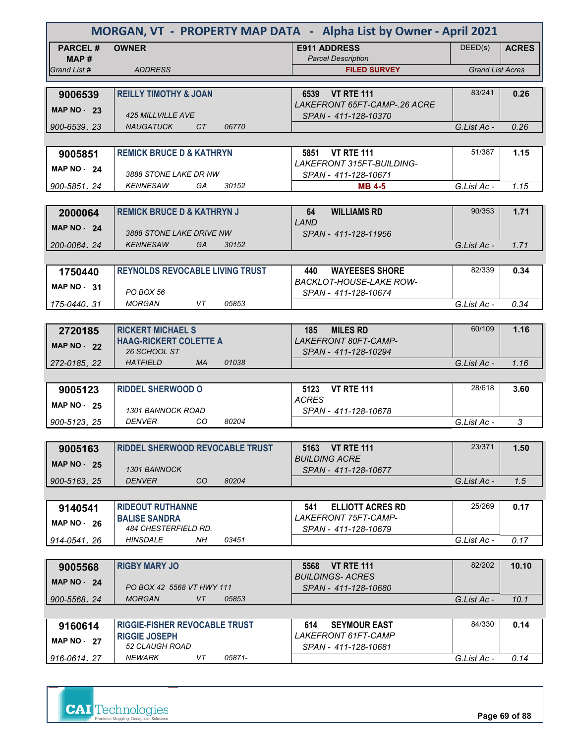| MORGAN, VT - PROPERTY MAP DATA - Alpha List by Owner - April 2021 |                                                           |                                                        |                         |              |
|-------------------------------------------------------------------|-----------------------------------------------------------|--------------------------------------------------------|-------------------------|--------------|
| <b>PARCEL#</b><br>MAP#                                            | <b>OWNER</b>                                              | <b>E911 ADDRESS</b><br><b>Parcel Description</b>       | DEED(s)                 | <b>ACRES</b> |
| Grand List #                                                      | <b>ADDRESS</b>                                            | <b>FILED SURVEY</b>                                    | <b>Grand List Acres</b> |              |
|                                                                   | <b>REILLY TIMOTHY &amp; JOAN</b>                          | 6539 VT RTE 111                                        | 83/241                  | 0.26         |
| 9006539                                                           |                                                           | LAKEFRONT 65FT-CAMP-.26 ACRE                           |                         |              |
| <b>MAP NO - 23</b>                                                | <b>425 MILLVILLE AVE</b>                                  | SPAN - 411-128-10370                                   |                         |              |
| 900-6539.23                                                       | <b>NAUGATUCK</b><br>CT<br>06770                           |                                                        | G.List Ac -             | 0.26         |
|                                                                   |                                                           |                                                        |                         |              |
| 9005851                                                           | <b>REMICK BRUCE D &amp; KATHRYN</b>                       | 5851 VT RTE 111<br><b>LAKEFRONT 315FT-BUILDING-</b>    | 51/387                  | 1.15         |
| <b>MAP NO - 24</b>                                                | 3888 STONE LAKE DR NW                                     | SPAN - 411-128-10671                                   |                         |              |
| 900-5851, 24                                                      | <b>KENNESAW</b><br>GA<br>30152                            | <b>MB 4-5</b>                                          | G.List Ac -             | 1.15         |
|                                                                   |                                                           |                                                        |                         |              |
| 2000064                                                           | <b>REMICK BRUCE D &amp; KATHRYN J</b>                     | 64<br><b>WILLIAMS RD</b><br>LAND                       | 90/353                  | 1.71         |
| <b>MAP NO - 24</b>                                                | 3888 STONE LAKE DRIVE NW                                  | SPAN - 411-128-11956                                   |                         |              |
| 200-0064.24                                                       | <b>KENNESAW</b><br><b>GA</b><br>30152                     |                                                        | G.List Ac -             | 1.71         |
|                                                                   |                                                           |                                                        |                         |              |
| 1750440                                                           | <b>REYNOLDS REVOCABLE LIVING TRUST</b>                    | <b>WAYEESES SHORE</b><br>440                           | 82/339                  | 0.34         |
| MAP NO 31                                                         | PO BOX 56                                                 | <b>BACKLOT-HOUSE-LAKE ROW-</b><br>SPAN - 411-128-10674 |                         |              |
| 175-0440.31                                                       | <b>MORGAN</b><br>VT<br>05853                              |                                                        | G.List Ac -             | 0.34         |
|                                                                   |                                                           |                                                        |                         |              |
| 2720185                                                           | <b>RICKERT MICHAEL S</b>                                  | <b>MILES RD</b><br>185                                 | 60/109                  | 1.16         |
| <b>MAP NO - 22</b>                                                | <b>HAAG-RICKERT COLETTE A</b><br>26 SCHOOL ST             | LAKEFRONT 80FT-CAMP-                                   |                         |              |
| 272-0185.22                                                       | 01038<br><b>HATFIELD</b><br><b>MA</b>                     | SPAN - 411-128-10294                                   | G.List Ac -             | 1.16         |
|                                                                   |                                                           |                                                        |                         |              |
| 9005123                                                           | <b>RIDDEL SHERWOOD O</b>                                  | <b>VT RTE 111</b><br>5123                              | 28/618                  | 3.60         |
| <b>MAP NO - 25</b>                                                |                                                           | <b>ACRES</b>                                           |                         |              |
| 900-5123, 25                                                      | <b>1301 BANNOCK ROAD</b><br><b>DENVER</b><br>CO.<br>80204 | SPAN - 411-128-10678                                   | G.List Ac -             | 3            |
|                                                                   |                                                           |                                                        |                         |              |
| 9005163                                                           | <b>RIDDEL SHERWOOD REVOCABLE TRUST</b>                    | 5163 VT RTE 111                                        | 23/371                  | 1.50         |
| <b>MAP NO - 25</b>                                                |                                                           | <b>BUILDING ACRE</b>                                   |                         |              |
| 900-5163.25                                                       | 1301 BANNOCK<br><b>DENVER</b><br>CO.<br>80204             | SPAN - 411-128-10677                                   | G.List Ac -             | 1.5          |
|                                                                   |                                                           |                                                        |                         |              |
| 9140541                                                           | <b>RIDEOUT RUTHANNE</b>                                   | <b>ELLIOTT ACRES RD</b><br>541                         | 25/269                  | 0.17         |
| <b>MAP NO 26</b>                                                  | <b>BALISE SANDRA</b>                                      | LAKEFRONT 75FT-CAMP-                                   |                         |              |
|                                                                   | 484 CHESTERFIELD RD.                                      | SPAN - 411-128-10679                                   |                         |              |
| 914-0541.26                                                       | <b>HINSDALE</b><br>NH.<br>03451                           |                                                        | G.List Ac -             | 0.17         |
| 9005568                                                           | <b>RIGBY MARY JO</b>                                      | 5568 VT RTE 111                                        | 82/202                  | 10.10        |
| <b>MAP NO - 24</b>                                                |                                                           | <b>BUILDINGS- ACRES</b>                                |                         |              |
|                                                                   | PO BOX 42 5568 VT HWY 111                                 | SPAN - 411-128-10680                                   |                         |              |
| 900-5568, 24                                                      | <b>MORGAN</b><br>VT<br>05853                              |                                                        | G.List Ac -             | 10.1         |
| 9160614                                                           | <b>RIGGIE-FISHER REVOCABLE TRUST</b>                      | <b>SEYMOUR EAST</b><br>614                             | 84/330                  | 0.14         |
| <b>MAP NO - 27</b>                                                | <b>RIGGIE JOSEPH</b>                                      | LAKEFRONT 61FT-CAMP                                    |                         |              |
|                                                                   | 52 CLAUGH ROAD                                            | SPAN - 411-128-10681                                   |                         |              |
| 916-0614.27                                                       | <b>NEWARK</b><br>VT<br>05871-                             |                                                        | G.List Ac -             | 0.14         |

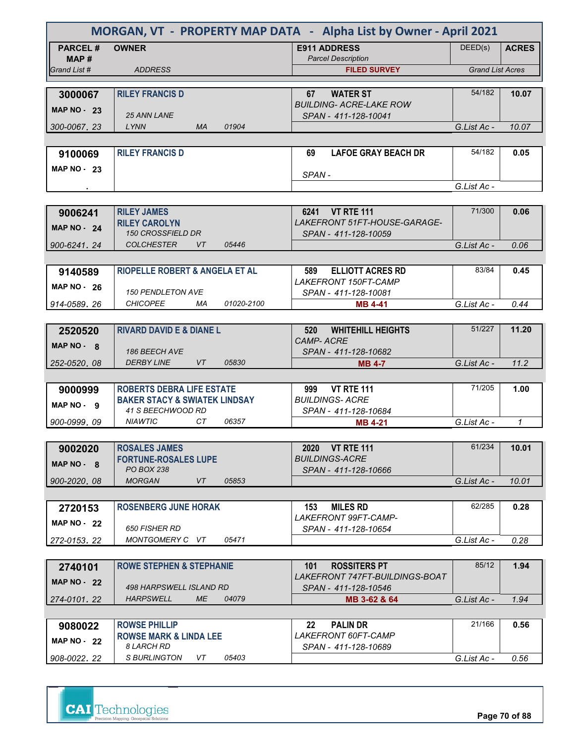|                        | MORGAN, VT - PROPERTY MAP DATA - Alpha List by Owner - April 2021 |            |                                                         |                         |              |
|------------------------|-------------------------------------------------------------------|------------|---------------------------------------------------------|-------------------------|--------------|
| <b>PARCEL#</b><br>MAP# | <b>OWNER</b>                                                      |            | <b>E911 ADDRESS</b><br><b>Parcel Description</b>        | DEED(s)                 | <b>ACRES</b> |
| Grand List #           | <b>ADDRESS</b>                                                    |            | <b>FILED SURVEY</b>                                     | <b>Grand List Acres</b> |              |
|                        |                                                                   |            |                                                         |                         |              |
| 3000067                | <b>RILEY FRANCIS D</b>                                            |            | <b>WATER ST</b><br>67<br><b>BUILDING- ACRE-LAKE ROW</b> | 54/182                  | 10.07        |
| <b>MAP NO - 23</b>     | <b>25 ANN LANE</b>                                                |            | SPAN - 411-128-10041                                    |                         |              |
| 300-0067, 23           | LYNN<br><b>MA</b>                                                 | 01904      |                                                         | G.List Ac -             | 10.07        |
|                        |                                                                   |            |                                                         |                         |              |
| 9100069                | <b>RILEY FRANCIS D</b>                                            |            | 69<br><b>LAFOE GRAY BEACH DR</b>                        | 54/182                  | 0.05         |
| <b>MAP NO - 23</b>     |                                                                   |            | SPAN-                                                   |                         |              |
|                        |                                                                   |            |                                                         | G.List Ac -             |              |
|                        |                                                                   |            |                                                         |                         |              |
| 9006241                | <b>RILEY JAMES</b>                                                |            | 6241 VT RTE 111                                         | 71/300                  | 0.06         |
| <b>MAP NO - 24</b>     | <b>RILEY CAROLYN</b><br><b>150 CROSSFIELD DR</b>                  |            | LAKEFRONT 51FT-HOUSE-GARAGE-<br>SPAN - 411-128-10059    |                         |              |
| 900-6241.24            | <b>COLCHESTER</b><br>VT                                           | 05446      |                                                         | G.List Ac -             | 0.06         |
|                        |                                                                   |            |                                                         |                         |              |
| 9140589                | RIOPELLE ROBERT & ANGELA ET AL                                    |            | 589<br><b>ELLIOTT ACRES RD</b>                          | 83/84                   | 0.45         |
| <b>MAP NO - 26</b>     |                                                                   |            | LAKEFRONT 150FT-CAMP                                    |                         |              |
|                        | <b>150 PENDLETON AVE</b>                                          |            | SPAN - 411-128-10081                                    |                         |              |
| 914-0589.26            | <b>CHICOPEE</b><br>МA                                             | 01020-2100 | <b>MB 4-41</b>                                          | G.List Ac -             | 0.44         |
|                        | <b>RIVARD DAVID E &amp; DIANE L</b>                               |            | <b>WHITEHILL HEIGHTS</b><br>520                         | 51/227                  | 11.20        |
| 2520520                |                                                                   |            | <b>CAMP-ACRE</b>                                        |                         |              |
| $MAP NO - 8$           | <b>186 BEECH AVE</b>                                              |            | SPAN - 411-128-10682                                    |                         |              |
| 252-0520, 08           | <b>DERBY LINE</b><br><b>VT</b>                                    | 05830      | <b>MB 4-7</b>                                           | G.List Ac -             | 11.2         |
|                        |                                                                   |            |                                                         |                         |              |
| 9000999                | <b>ROBERTS DEBRA LIFE ESTATE</b>                                  |            | 999<br><b>VT RTE 111</b>                                | 71/205                  | 1.00         |
| MAP NO. 9              | <b>BAKER STACY &amp; SWIATEK LINDSAY</b><br>41 S BEECHWOOD RD     |            | <b>BUILDINGS-ACRE</b><br>SPAN - 411-128-10684           |                         |              |
| 900-0999, 09           | <b>NIAWTIC</b><br>CT.                                             | 06357      | <b>MB 4-21</b>                                          | G.List Ac -             | $\mathbf{1}$ |
|                        |                                                                   |            |                                                         |                         |              |
| 9002020                | <b>ROSALES JAMES</b>                                              |            | 2020 VT RTE 111                                         | 61/234                  | 10.01        |
| MAP NO - 8             | <b>FORTUNE-ROSALES LUPE</b>                                       |            | <b>BUILDINGS-ACRE</b>                                   |                         |              |
|                        | <b>PO BOX 238</b>                                                 |            | SPAN - 411-128-10666                                    |                         |              |
| 900-2020.08            | <b>MORGAN</b><br>VT                                               | 05853      |                                                         | G.List Ac -             | 10.01        |
|                        |                                                                   |            |                                                         |                         |              |
| 2720153                | <b>ROSENBERG JUNE HORAK</b>                                       |            | 153<br>MILES RD<br><i>LAKEFRONT 99FT-CAMP-</i>          | 62/285                  | 0.28         |
| <b>MAP NO - 22</b>     | <b>650 FISHER RD</b>                                              |            | SPAN - 411-128-10654                                    |                         |              |
| 272-0153, 22           | MONTGOMERY C VT                                                   | 05471      |                                                         | G.List Ac -             | 0.28         |
|                        |                                                                   |            |                                                         |                         |              |
| 2740101                | <b>ROWE STEPHEN &amp; STEPHANIE</b>                               |            | <b>ROSSITERS PT</b><br>101                              | 85/12                   | 1.94         |
| <b>MAP NO - 22</b>     | 498 HARPSWELL ISLAND RD                                           |            | LAKEFRONT 747FT-BUILDINGS-BOAT                          |                         |              |
| 274-0101, 22           | <b>HARPSWELL</b><br><b>ME</b>                                     | 04079      | SPAN - 411-128-10546<br>MB 3-62 & 64                    | G.List Ac -             | 1.94         |
|                        |                                                                   |            |                                                         |                         |              |
| 9080022                | <b>ROWSE PHILLIP</b>                                              |            | <b>PALIN DR</b><br>22                                   | 21/166                  | 0.56         |
| <b>MAP NO - 22</b>     | <b>ROWSE MARK &amp; LINDA LEE</b><br>8 LARCH RD                   |            | LAKEFRONT 60FT-CAMP<br>SPAN - 411-128-10689             |                         |              |
| 908-0022, 22           | S BURLINGTON<br>VT.                                               | 05403      |                                                         | G.List Ac -             | 0.56         |
|                        |                                                                   |            |                                                         |                         |              |



**Page 70 of 88**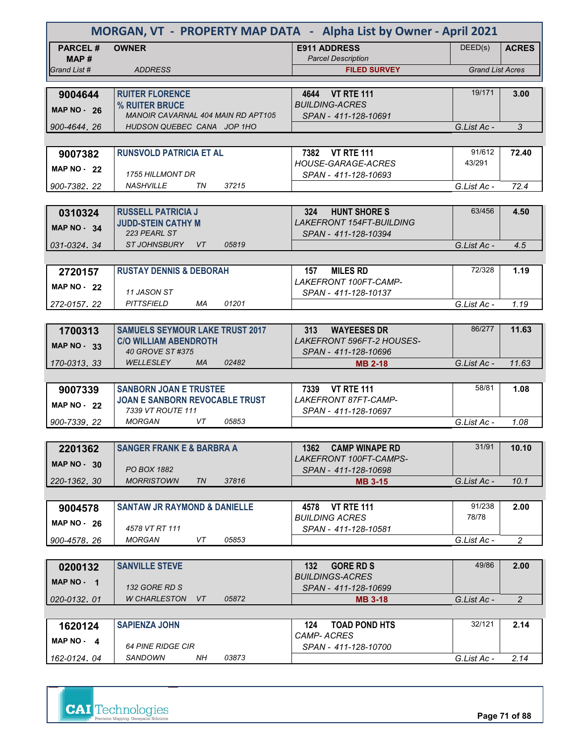| MORGAN, VT - PROPERTY MAP DATA - Alpha List by Owner - April 2021 |                                                                  |                                                               |                         |                |
|-------------------------------------------------------------------|------------------------------------------------------------------|---------------------------------------------------------------|-------------------------|----------------|
| <b>PARCEL#</b><br>MAP #                                           | <b>OWNER</b>                                                     | <b>E911 ADDRESS</b><br><b>Parcel Description</b>              | DEED(s)                 | <b>ACRES</b>   |
| Grand List #                                                      | <b>ADDRESS</b>                                                   | <b>FILED SURVEY</b>                                           | <b>Grand List Acres</b> |                |
|                                                                   |                                                                  |                                                               |                         |                |
| 9004644                                                           | <b>RUITER FLORENCE</b>                                           | 4644 VT RTE 111                                               | 19/171                  | 3.00           |
| <b>MAP NO - 26</b>                                                | % RUITER BRUCE                                                   | <b>BUILDING-ACRES</b>                                         |                         |                |
| 900-4644.26                                                       | MANOIR CAVARNAL 404 MAIN RD APT105<br>HUDSON QUEBEC CANA JOP 1HO | SPAN - 411-128-10691                                          | G.List Ac -             | 3              |
|                                                                   |                                                                  |                                                               |                         |                |
| 9007382                                                           | <b>RUNSVOLD PATRICIA ET AL</b>                                   | 7382 VT RTE 111                                               | 91/612                  | 72.40          |
|                                                                   |                                                                  | HOUSE-GARAGE-ACRES                                            | 43/291                  |                |
| <b>MAP NO - 22</b>                                                | <b>1755 HILLMONT DR</b>                                          | SPAN - 411-128-10693                                          |                         |                |
| 900-7382, 22                                                      | 37215<br><i>NASHVILLE</i><br>TN                                  |                                                               | G.List Ac -             | 72.4           |
|                                                                   |                                                                  |                                                               |                         |                |
| 0310324                                                           | <b>RUSSELL PATRICIA J</b>                                        | 324<br><b>HUNT SHORE S</b>                                    | 63/456                  | 4.50           |
| <b>MAP NO - 34</b>                                                | <b>JUDD-STEIN CATHY M</b><br>223 PEARL ST                        | <b>LAKEFRONT 154FT-BUILDING</b><br>SPAN - 411-128-10394       |                         |                |
| 031-0324.34                                                       | STJOHNSBURY VT<br>05819                                          |                                                               | G.List Ac -             | 4.5            |
|                                                                   |                                                                  |                                                               |                         |                |
| 2720157                                                           | <b>RUSTAY DENNIS &amp; DEBORAH</b>                               | <b>MILES RD</b><br>157                                        | 72/328                  | 1.19           |
| <b>MAP NO - 22</b>                                                |                                                                  | LAKEFRONT 100FT-CAMP-                                         |                         |                |
|                                                                   | 11 JASON ST                                                      | SPAN - 411-128-10137                                          |                         |                |
| 272-0157.22                                                       | <b>PITTSFIELD</b><br>MA<br>01201                                 |                                                               | G.List Ac -             | 1.19           |
|                                                                   |                                                                  |                                                               |                         |                |
| 1700313                                                           | <b>SAMUELS SEYMOUR LAKE TRUST 2017</b>                           | 313<br><b>WAYEESES DR</b><br><b>LAKEFRONT 596FT-2 HOUSES-</b> | 86/277                  | 11.63          |
| <b>MAP NO - 33</b>                                                | <b>C/O WILLIAM ABENDROTH</b><br>40 GROVE ST #375                 | SPAN - 411-128-10696                                          |                         |                |
| 170-0313, 33                                                      | <b>WELLESLEY</b><br><b>MA</b><br>02482                           | <b>MB 2-18</b>                                                | G.List Ac -             | 11.63          |
|                                                                   |                                                                  |                                                               |                         |                |
| 9007339                                                           | <b>SANBORN JOAN E TRUSTEE</b>                                    | 7339 VT RTE 111                                               | 58/81                   | 1.08           |
| <b>MAP NO - 22</b>                                                | <b>JOAN E SANBORN REVOCABLE TRUST</b>                            | LAKEFRONT 87FT-CAMP-                                          |                         |                |
|                                                                   | 7339 VT ROUTE 111<br><b>MORGAN</b><br>05853<br>VT.               | SPAN - 411-128-10697                                          | G.List Ac -             | 1.08           |
| 900-7339, 22                                                      |                                                                  |                                                               |                         |                |
| 2201362                                                           | <b>SANGER FRANK E &amp; BARBRA A</b>                             | 1362 CAMP WINAPE RD                                           | 31/91                   | 10.10          |
|                                                                   |                                                                  | LAKEFRONT 100FT-CAMPS-                                        |                         |                |
| <b>MAP NO - 30</b>                                                | PO BOX 1882                                                      | SPAN - 411-128-10698                                          |                         |                |
| 220-1362.30                                                       | <b>MORRISTOWN</b><br>TN<br>37816                                 | <b>MB 3-15</b>                                                | G.List Ac -             | 10.1           |
|                                                                   |                                                                  |                                                               |                         |                |
| 9004578                                                           | <b>SANTAW JR RAYMOND &amp; DANIELLE</b>                          | 4578 VT RTE 111                                               | 91/238                  | 2.00           |
| <b>MAP NO - 26</b>                                                | 4578 VT RT 111                                                   | <b>BUILDING ACRES</b><br>SPAN - 411-128-10581                 | 78/78                   |                |
| 900-4578.26                                                       | MORGAN<br>VT<br>05853                                            |                                                               | G.List Ac -             | $\overline{2}$ |
|                                                                   |                                                                  |                                                               |                         |                |
| 0200132                                                           | <b>SANVILLE STEVE</b>                                            | <b>GORE RD S</b><br>132                                       | 49/86                   | 2.00           |
| MAP $NO - 1$                                                      |                                                                  | <b>BUILDINGS-ACRES</b>                                        |                         |                |
|                                                                   | 132 GORE RD S                                                    | SPAN - 411-128-10699                                          |                         |                |
| 020-0132.01                                                       | <b>W CHARLESTON</b><br>05872<br>VT                               | <b>MB 3-18</b>                                                | G.List Ac -             | $\overline{a}$ |
| 1620124                                                           | <b>SAPIENZA JOHN</b>                                             | 124<br><b>TOAD POND HTS</b>                                   | 32/121                  | 2.14           |
|                                                                   |                                                                  | <b>CAMP-ACRES</b>                                             |                         |                |
| MAP $NO - 4$                                                      | <b>64 PINE RIDGE CIR</b>                                         | SPAN - 411-128-10700                                          |                         |                |
| 162-0124.04                                                       | <b>SANDOWN</b><br>03873<br>NH                                    |                                                               | G.List Ac -             | 2.14           |

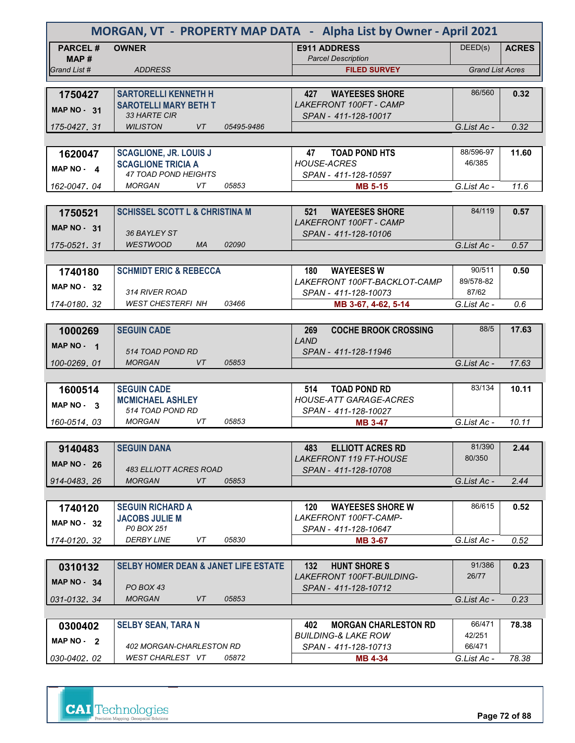| MORGAN, VT - PROPERTY MAP DATA - Alpha List by Owner - April 2021 |                                                       |                                                         |                         |              |
|-------------------------------------------------------------------|-------------------------------------------------------|---------------------------------------------------------|-------------------------|--------------|
| <b>PARCEL#</b><br>MAP #                                           | <b>OWNER</b>                                          | <b>E911 ADDRESS</b><br><b>Parcel Description</b>        | DEED(s)                 | <b>ACRES</b> |
| Grand List #                                                      | <b>ADDRESS</b>                                        | <b>FILED SURVEY</b>                                     | <b>Grand List Acres</b> |              |
|                                                                   |                                                       |                                                         |                         |              |
| 1750427                                                           | <b>SARTORELLI KENNETH H</b>                           | <b>WAYEESES SHORE</b><br>427                            | 86/560                  | 0.32         |
| <b>MAP NO - 31</b>                                                | <b>SAROTELLI MARY BETH T</b><br>33 HARTE CIR          | <b>LAKEFRONT 100FT - CAMP</b><br>SPAN - 411-128-10017   |                         |              |
| 175-0427.31                                                       | <b>WILISTON</b><br>VT<br>05495-9486                   |                                                         | G.List Ac -             | 0.32         |
|                                                                   |                                                       |                                                         |                         |              |
| 1620047                                                           | <b>SCAGLIONE, JR. LOUIS J</b>                         | <b>TOAD POND HTS</b><br>47                              | 88/596-97               | 11.60        |
|                                                                   | <b>SCAGLIONE TRICIA A</b>                             | <b>HOUSE-ACRES</b>                                      | 46/385                  |              |
| MAP $NO - 4$                                                      | <b>47 TOAD POND HEIGHTS</b>                           | SPAN - 411-128-10597                                    |                         |              |
| 162-0047, 04                                                      | VT<br>05853<br>MORGAN                                 | <b>MB 5-15</b>                                          | G.List Ac -             | 11.6         |
|                                                                   |                                                       |                                                         |                         |              |
| 1750521                                                           | <b>SCHISSEL SCOTT L &amp; CHRISTINA M</b>             | <b>WAYEESES SHORE</b><br>521                            | 84/119                  | 0.57         |
| MAP $NO - 31$                                                     |                                                       | LAKEFRONT 100FT - CAMP                                  |                         |              |
|                                                                   | 36 BAYLEY ST                                          | SPAN - 411-128-10106                                    |                         |              |
| 175-0521.31                                                       | 02090<br><b>WESTWOOD</b><br><b>MA</b>                 |                                                         | G.List Ac -             | 0.57         |
|                                                                   |                                                       |                                                         |                         |              |
| 1740180                                                           | <b>SCHMIDT ERIC &amp; REBECCA</b>                     | <b>WAYEESES W</b><br>180                                | 90/511                  | 0.50         |
| <b>MAP NO - 32</b>                                                |                                                       | LAKEFRONT 100FT-BACKLOT-CAMP                            | 89/578-82               |              |
|                                                                   | 314 RIVER ROAD                                        | SPAN - 411-128-10073                                    | 87/62                   |              |
| 174-0180.32                                                       | <b>WEST CHESTERFI NH</b><br>03466                     | MB 3-67, 4-62, 5-14                                     | G.List Ac -             | 0.6          |
|                                                                   |                                                       |                                                         | 88/5                    | 17.63        |
| 1000269                                                           | <b>SEGUIN CADE</b>                                    | <b>COCHE BROOK CROSSING</b><br>269<br>LAND              |                         |              |
| MAP $NO - 1$                                                      | 514 TOAD POND RD                                      | SPAN - 411-128-11946                                    |                         |              |
| 100-0269, 01                                                      | <b>MORGAN</b><br>VT<br>05853                          |                                                         | G.List Ac -             | 17.63        |
|                                                                   |                                                       |                                                         |                         |              |
| 1600514                                                           | <b>SEGUIN CADE</b>                                    | <b>TOAD POND RD</b><br>514                              | 83/134                  | 10.11        |
| MAP $NO - 3$                                                      | <b>MCMICHAEL ASHLEY</b>                               | <b>HOUSE-ATT GARAGE-ACRES</b>                           |                         |              |
|                                                                   | 514 TOAD POND RD                                      | SPAN - 411-128-10027                                    |                         |              |
| 160-0514.03                                                       | <b>MORGAN</b><br>VT<br>05853                          | <b>MB 3-47</b>                                          | G.List Ac -             | 10.11        |
|                                                                   |                                                       |                                                         |                         |              |
| 9140483                                                           | <b>SEGUIN DANA</b>                                    | <b>ELLIOTT ACRES RD</b><br>483                          | 81/390                  | 2.44         |
| <b>MAP NO - 26</b>                                                |                                                       | LAKEFRONT 119 FT-HOUSE                                  | 80/350                  |              |
|                                                                   | 483 ELLIOTT ACRES ROAD                                | SPAN - 411-128-10708                                    |                         |              |
| 914-0483.26                                                       | <b>MORGAN</b><br>VT<br>05853                          |                                                         | G.List Ac -             | 2.44         |
|                                                                   |                                                       |                                                         |                         |              |
| 1740120                                                           | <b>SEGUIN RICHARD A</b><br><b>JACOBS JULIE M</b>      | <b>WAYEESES SHORE W</b><br>120<br>LAKEFRONT 100FT-CAMP- | 86/615                  | 0.52         |
| <b>MAP NO - 32</b>                                                | P0 BOX 251                                            | SPAN - 411-128-10647                                    |                         |              |
| 174-0120.32                                                       | <b>DERBY LINE</b><br>VT<br>05830                      | <b>MB 3-67</b>                                          | G.List Ac -             | 0.52         |
|                                                                   |                                                       |                                                         |                         |              |
| 0310132                                                           | <b>SELBY HOMER DEAN &amp; JANET LIFE ESTATE</b>       | <b>HUNT SHORE S</b><br>132                              | 91/386                  | 0.23         |
|                                                                   |                                                       | <b>LAKEFRONT 100FT-BUILDING-</b>                        | 26/77                   |              |
| MAP NO 34                                                         | PO BOX 43                                             | SPAN - 411-128-10712                                    |                         |              |
| 031-0132, 34                                                      | <b>MORGAN</b><br>VT<br>05853                          |                                                         | G.List Ac -             | 0.23         |
|                                                                   |                                                       |                                                         |                         |              |
| 0300402                                                           | <b>SELBY SEAN, TARA N</b>                             | 402<br><b>MORGAN CHARLESTON RD</b>                      | 66/471                  | 78.38        |
| MAP NO - 2                                                        |                                                       | BUILDING-& LAKE ROW                                     | 42/251                  |              |
|                                                                   | 402 MORGAN-CHARLESTON RD<br>WEST CHARLEST VT<br>05872 | SPAN - 411-128-10713                                    | 66/471                  |              |
| 030-0402.02                                                       |                                                       | <b>MB 4-34</b>                                          | G.List Ac -             | 78.38        |



**Page 72 of 88**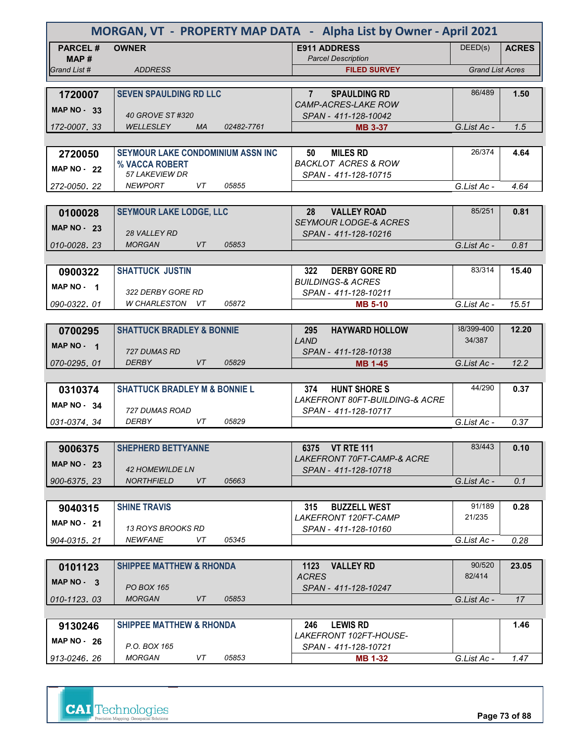| MORGAN, VT - PROPERTY MAP DATA - Alpha List by Owner - April 2021 |                                                |            |                                                  |                         |              |
|-------------------------------------------------------------------|------------------------------------------------|------------|--------------------------------------------------|-------------------------|--------------|
| <b>PARCEL#</b>                                                    | <b>OWNER</b>                                   |            | <b>E911 ADDRESS</b>                              | DEED(s)                 | <b>ACRES</b> |
| MAP #<br>Grand List #                                             | <b>ADDRESS</b>                                 |            | <b>Parcel Description</b><br><b>FILED SURVEY</b> | <b>Grand List Acres</b> |              |
|                                                                   |                                                |            |                                                  |                         |              |
| 1720007                                                           | <b>SEVEN SPAULDING RD LLC</b>                  |            | <b>SPAULDING RD</b><br>$7^{\circ}$               | 86/489                  | 1.50         |
|                                                                   |                                                |            | <b>CAMP-ACRES-LAKE ROW</b>                       |                         |              |
| <b>MAP NO - 33</b>                                                | 40 GROVE ST #320                               |            | SPAN - 411-128-10042                             |                         |              |
| 172-0007.33                                                       | <b>WELLESLEY</b><br><b>MA</b>                  | 02482-7761 | <b>MB 3-37</b>                                   | G.List Ac -             | 1.5          |
|                                                                   |                                                |            |                                                  |                         |              |
| 2720050                                                           | <b>SEYMOUR LAKE CONDOMINIUM ASSN INC</b>       |            | 50<br><b>MILES RD</b>                            | 26/374                  | 4.64         |
| <b>MAP NO - 22</b>                                                | % VACCA ROBERT<br><i><b>57 LAKEVIEW DR</b></i> |            | <b>BACKLOT ACRES &amp; ROW</b>                   |                         |              |
| 272-0050, 22                                                      | <b>NEWPORT</b><br>VT                           | 05855      | SPAN - 411-128-10715                             | G.List Ac -             | 4.64         |
|                                                                   |                                                |            |                                                  |                         |              |
| 0100028                                                           | <b>SEYMOUR LAKE LODGE, LLC</b>                 |            | 28<br><b>VALLEY ROAD</b>                         | 85/251                  | 0.81         |
|                                                                   |                                                |            | <b>SEYMOUR LODGE-&amp; ACRES</b>                 |                         |              |
| MAP $NO - 23$                                                     | <b>28 VALLEY RD</b>                            |            | SPAN - 411-128-10216                             |                         |              |
| 010-0028.23                                                       | <b>MORGAN</b><br>VT                            | 05853      |                                                  | G.List Ac -             | 0.81         |
|                                                                   |                                                |            |                                                  |                         |              |
| 0900322                                                           | <b>SHATTUCK JUSTIN</b>                         |            | 322<br><b>DERBY GORE RD</b>                      | 83/314                  | 15.40        |
| MAP NO - 1                                                        |                                                |            | <b>BUILDINGS-&amp; ACRES</b>                     |                         |              |
| 090-0322.01                                                       | 322 DERBY GORE RD<br>W CHARLESTON VT           | 05872      | SPAN - 411-128-10211<br><b>MB 5-10</b>           | G.List Ac -             | 15.51        |
|                                                                   |                                                |            |                                                  |                         |              |
| 0700295                                                           | <b>SHATTUCK BRADLEY &amp; BONNIE</b>           |            | <b>HAYWARD HOLLOW</b><br>295                     | 38/399-400              | 12.20        |
|                                                                   |                                                |            | LAND                                             | 34/387                  |              |
| MAP NO - 1                                                        | 727 DUMAS RD                                   |            | SPAN - 411-128-10138                             |                         |              |
| 070-0295, 01                                                      | <b>DERBY</b><br>VT                             | 05829      | <b>MB 1-45</b>                                   | G.List Ac -             | 12.2         |
|                                                                   |                                                |            |                                                  |                         |              |
| 0310374                                                           | <b>SHATTUCK BRADLEY M &amp; BONNIE L</b>       |            | <b>HUNT SHORE S</b><br>374                       | 44/290                  | 0.37         |
| MAP $NO - 34$                                                     | 727 DUMAS ROAD                                 |            | <i>LAKEFRONT 80FT-BUILDING-&amp; ACRE</i>        |                         |              |
| 031-0374.34                                                       | VT<br>DERBY                                    | 05829      | SPAN - 411-128-10717                             | G.List Ac -             | 0.37         |
|                                                                   |                                                |            |                                                  |                         |              |
| 9006375                                                           | <b>SHEPHERD BETTYANNE</b>                      |            | 6375 VT RTE 111                                  | 83/443                  | 0.10         |
|                                                                   |                                                |            | LAKEFRONT 70FT-CAMP-& ACRE                       |                         |              |
| <b>MAP NO - 23</b>                                                | <b>42 HOMEWILDE LN</b>                         |            | SPAN - 411-128-10718                             |                         |              |
| 900-6375.23                                                       | <b>NORTHFIELD</b><br>VT                        | 05663      |                                                  | G.List Ac -             | 0.1          |
|                                                                   |                                                |            |                                                  |                         |              |
| 9040315                                                           | <b>SHINE TRAVIS</b>                            |            | 315<br><b>BUZZELL WEST</b>                       | 91/189                  | 0.28         |
| <b>MAP NO - 21</b>                                                | 13 ROYS BROOKS RD                              |            | LAKEFRONT 120FT-CAMP                             | 21/235                  |              |
| 904-0315.21                                                       | <i>NEWFANE</i><br>VT                           | 05345      | SPAN - 411-128-10160                             | G.List Ac -             | 0.28         |
|                                                                   |                                                |            |                                                  |                         |              |
| 0101123                                                           | <b>SHIPPEE MATTHEW &amp; RHONDA</b>            |            | 1123 VALLEY RD                                   | 90/520                  | 23.05        |
|                                                                   |                                                |            | <b>ACRES</b>                                     | 82/414                  |              |
| MAP $NO - 3$                                                      | <b>PO BOX 165</b>                              |            | SPAN - 411-128-10247                             |                         |              |
| 010-1123.03                                                       | <b>MORGAN</b><br>VT                            | 05853      |                                                  | G.List Ac -             | 17           |
|                                                                   |                                                |            |                                                  |                         |              |
| 9130246                                                           | <b>SHIPPEE MATTHEW &amp; RHONDA</b>            |            | <b>LEWIS RD</b><br>246                           |                         | 1.46         |
| <b>MAP NO - 26</b>                                                | P.O. BOX 165                                   |            | LAKEFRONT 102FT-HOUSE-<br>SPAN - 411-128-10721   |                         |              |
| 913-0246, 26                                                      | <b>MORGAN</b><br>VT                            | 05853      | <b>MB 1-32</b>                                   | G.List Ac -             | 1.47         |
|                                                                   |                                                |            |                                                  |                         |              |



**Page 73 of 88**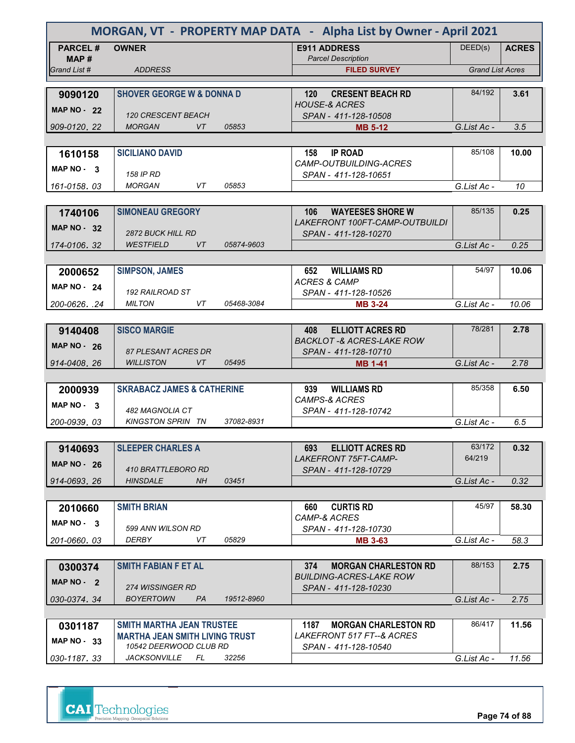|                    | MORGAN, VT - PROPERTY MAP DATA - Alpha List by Owner - April 2021 |            |                                                        |                         |              |  |
|--------------------|-------------------------------------------------------------------|------------|--------------------------------------------------------|-------------------------|--------------|--|
| <b>PARCEL#</b>     | <b>OWNER</b>                                                      |            | <b>E911 ADDRESS</b>                                    | DEED(s)                 | <b>ACRES</b> |  |
| MAP #              |                                                                   |            | <b>Parcel Description</b>                              |                         |              |  |
| Grand List #       | <b>ADDRESS</b>                                                    |            | <b>FILED SURVEY</b>                                    | <b>Grand List Acres</b> |              |  |
| 9090120            | <b>SHOVER GEORGE W &amp; DONNA D</b>                              |            | <b>CRESENT BEACH RD</b><br>120                         | 84/192                  | 3.61         |  |
|                    |                                                                   |            | <b>HOUSE-&amp; ACRES</b>                               |                         |              |  |
| MAP $NO - 22$      | <b>120 CRESCENT BEACH</b>                                         |            | SPAN - 411-128-10508                                   |                         |              |  |
| 909-0120, 22       | <b>MORGAN</b><br>VT                                               | 05853      | <b>MB 5-12</b>                                         | G.List Ac -             | 3.5          |  |
|                    |                                                                   |            |                                                        |                         |              |  |
| 1610158            | <b>SICILIANO DAVID</b>                                            |            | <b>IP ROAD</b><br>158                                  | 85/108                  | 10.00        |  |
| MAP $NO - 3$       | 158 IP RD                                                         |            | CAMP-OUTBUILDING-ACRES                                 |                         |              |  |
| 161-0158.03        | <b>MORGAN</b><br>VT                                               | 05853      | SPAN - 411-128-10651                                   | G.List Ac -             | 10           |  |
|                    |                                                                   |            |                                                        |                         |              |  |
| 1740106            | <b>SIMONEAU GREGORY</b>                                           |            | <b>WAYEESES SHORE W</b><br>106                         | 85/135                  | 0.25         |  |
| <b>MAP NO - 32</b> |                                                                   |            | LAKEFRONT 100FT-CAMP-OUTBUILDI                         |                         |              |  |
|                    | <b>2872 BUCK HILL RD</b>                                          |            | SPAN - 411-128-10270                                   |                         |              |  |
| 174-0106.32        | <b>WESTFIELD</b><br>VT                                            | 05874-9603 |                                                        | G.List Ac -             | 0.25         |  |
|                    |                                                                   |            |                                                        |                         |              |  |
| 2000652            | <b>SIMPSON, JAMES</b>                                             |            | 652<br><b>WILLIAMS RD</b>                              | 54/97                   | 10.06        |  |
| <b>MAP NO - 24</b> | 192 RAILROAD ST                                                   |            | <b>ACRES &amp; CAMP</b><br>SPAN - 411-128-10526        |                         |              |  |
| 200-0626. .24      | <b>MILTON</b><br>VT                                               | 05468-3084 | <b>MB 3-24</b>                                         | G.List Ac -             | 10.06        |  |
|                    |                                                                   |            |                                                        |                         |              |  |
| 9140408            | <b>SISCO MARGIE</b>                                               |            | <b>ELLIOTT ACRES RD</b><br>408                         | 78/281                  | 2.78         |  |
| <b>MAP NO - 26</b> |                                                                   |            | <b>BACKLOT -&amp; ACRES-LAKE ROW</b>                   |                         |              |  |
|                    | 87 PLESANT ACRES DR                                               |            | SPAN - 411-128-10710                                   |                         |              |  |
| 914-0408, 26       | <b>WILLISTON</b><br>VT                                            | 05495      | <b>MB 1-41</b>                                         | G.List Ac -             | 2.78         |  |
|                    | <b>SKRABACZ JAMES &amp; CATHERINE</b>                             |            | <b>WILLIAMS RD</b><br>939                              | 85/358                  | 6.50         |  |
| 2000939            |                                                                   |            | <b>CAMPS-&amp; ACRES</b>                               |                         |              |  |
| MAP $NO - 3$       | 482 MAGNOLIA CT                                                   |            | SPAN - 411-128-10742                                   |                         |              |  |
| 200-0939, 03       | <b>KINGSTON SPRIN TN</b>                                          | 37082-8931 |                                                        | G.List Ac -             | 6.5          |  |
|                    |                                                                   |            |                                                        |                         |              |  |
| 9140693            | <b>SLEEPER CHARLES A</b>                                          |            | <b>ELLIOTT ACRES RD</b><br>693                         | 63/172                  | 0.32         |  |
| <b>MAP NO - 26</b> |                                                                   |            | <b>LAKEFRONT 75FT-CAMP-</b>                            | 64/219                  |              |  |
| 914-0693.26        | 410 BRATTLEBORO RD<br><b>HINSDALE</b><br>NH.                      | 03451      | SPAN - 411-128-10729                                   | G.List Ac -             | 0.32         |  |
|                    |                                                                   |            |                                                        |                         |              |  |
| 2010660            | <b>SMITH BRIAN</b>                                                |            | <b>CURTIS RD</b><br>660                                | 45/97                   | 58.30        |  |
|                    |                                                                   |            | CAMP-& ACRES                                           |                         |              |  |
| MAP NO. 3          | 599 ANN WILSON RD                                                 |            | SPAN - 411-128-10730                                   |                         |              |  |
| 201-0660.03        | DERBY<br>VT                                                       | 05829      | <b>MB 3-63</b>                                         | G.List Ac -             | 58.3         |  |
|                    |                                                                   |            |                                                        |                         |              |  |
| 0300374            | <b>SMITH FABIAN F ET AL</b>                                       |            | 374<br><b>MORGAN CHARLESTON RD</b>                     | 88/153                  | 2.75         |  |
| MAP NO - 2         | 274 WISSINGER RD                                                  |            | <i>BUILDING-ACRES-LAKE ROW</i><br>SPAN - 411-128-10230 |                         |              |  |
| 030-0374, 34       | <b>BOYERTOWN</b><br>PA                                            | 19512-8960 |                                                        | G.List Ac -             | 2.75         |  |
|                    |                                                                   |            |                                                        |                         |              |  |
| 0301187            | <b>SMITH MARTHA JEAN TRUSTEE</b>                                  |            | <b>MORGAN CHARLESTON RD</b><br>1187                    | 86/417                  | 11.56        |  |
| <b>MAP NO - 33</b> | <b>MARTHA JEAN SMITH LIVING TRUST</b>                             |            | LAKEFRONT 517 FT--& ACRES                              |                         |              |  |
|                    | 10542 DEERWOOD CLUB RD                                            |            | SPAN - 411-128-10540                                   |                         |              |  |
| 030-1187.33        | <b>JACKSONVILLE</b><br>FL                                         | 32256      |                                                        | G.List Ac -             | 11.56        |  |

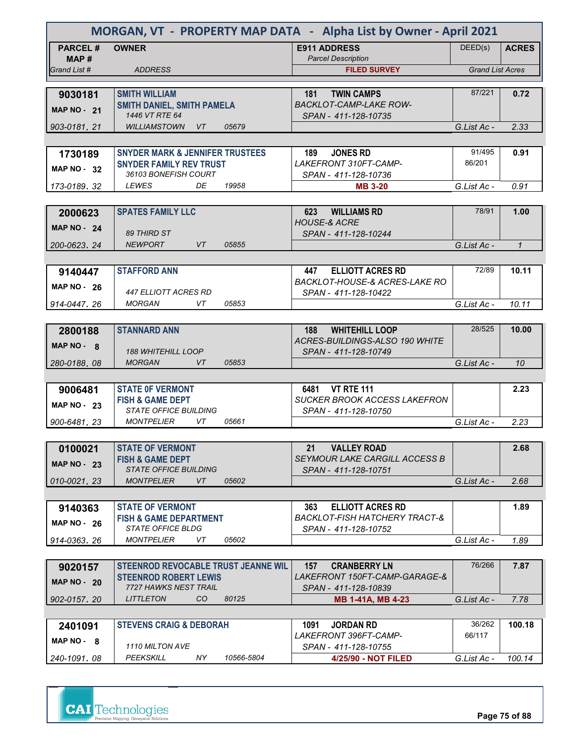| MORGAN, VT - PROPERTY MAP DATA - Alpha List by Owner - April 2021 |                                                     |            |                                                                |                         |              |
|-------------------------------------------------------------------|-----------------------------------------------------|------------|----------------------------------------------------------------|-------------------------|--------------|
| <b>PARCEL#</b><br>MAP#                                            | <b>OWNER</b>                                        |            | <b>E911 ADDRESS</b><br><b>Parcel Description</b>               | DEED(s)                 | <b>ACRES</b> |
| Grand List #                                                      | <b>ADDRESS</b>                                      |            | <b>FILED SURVEY</b>                                            | <b>Grand List Acres</b> |              |
|                                                                   |                                                     |            |                                                                |                         |              |
| 9030181                                                           | <b>SMITH WILLIAM</b>                                |            | <b>TWIN CAMPS</b><br>181                                       | 87/221                  | 0.72         |
| <b>MAP NO - 21</b>                                                | <b>SMITH DANIEL, SMITH PAMELA</b><br>1446 VT RTE 64 |            | <b>BACKLOT-CAMP-LAKE ROW-</b>                                  |                         |              |
| 903-0181, 21                                                      | <b>WILLIAMSTOWN</b><br>VT                           | 05679      | SPAN - 411-128-10735                                           | G.List Ac -             | 2.33         |
|                                                                   |                                                     |            |                                                                |                         |              |
| 1730189                                                           | <b>SNYDER MARK &amp; JENNIFER TRUSTEES</b>          |            | 189<br><b>JONES RD</b>                                         | 91/495                  | 0.91         |
|                                                                   | <b>SNYDER FAMILY REV TRUST</b>                      |            | LAKEFRONT 310FT-CAMP-                                          | 86/201                  |              |
| MAP NO - 32                                                       | 36103 BONEFISH COURT                                |            | SPAN - 411-128-10736                                           |                         |              |
| 173-0189, 32                                                      | <b>LEWES</b><br>DE                                  | 19958      | <b>MB 3-20</b>                                                 | G.List Ac -             | 0.91         |
|                                                                   |                                                     |            |                                                                |                         |              |
| 2000623                                                           | <b>SPATES FAMILY LLC</b>                            |            | 623<br><b>WILLIAMS RD</b>                                      | 78/91                   | 1.00         |
| <b>MAP NO - 24</b>                                                | 89 THIRD ST                                         |            | <b>HOUSE-&amp; ACRE</b><br>SPAN - 411-128-10244                |                         |              |
| 200-0623.24                                                       | <b>NEWPORT</b><br>VT                                | 05855      |                                                                | G.List Ac -             | $\mathbf{1}$ |
|                                                                   |                                                     |            |                                                                |                         |              |
| 9140447                                                           | <b>STAFFORD ANN</b>                                 |            | <b>ELLIOTT ACRES RD</b><br>447                                 | 72/89                   | 10.11        |
| <b>MAP NO - 26</b>                                                |                                                     |            | <b>BACKLOT-HOUSE-&amp; ACRES-LAKE RO</b>                       |                         |              |
|                                                                   | 447 ELLIOTT ACRES RD                                |            | SPAN - 411-128-10422                                           |                         |              |
| 914-0447.26                                                       | <b>MORGAN</b><br>VT                                 | 05853      |                                                                | G.List Ac -             | 10.11        |
|                                                                   |                                                     |            |                                                                |                         |              |
| 2800188                                                           | <b>STANNARD ANN</b>                                 |            | <b>WHITEHILL LOOP</b><br>188<br>ACRES-BUILDINGS-ALSO 190 WHITE | 28/525                  | 10.00        |
| MAP NO - 8                                                        | <b>188 WHITEHILL LOOP</b>                           |            | SPAN - 411-128-10749                                           |                         |              |
| 280-0188, 08                                                      | <b>MORGAN</b><br>VT                                 | 05853      |                                                                | G.List Ac -             | 10           |
|                                                                   |                                                     |            |                                                                |                         |              |
| 9006481                                                           | <b>STATE OF VERMONT</b>                             |            | <b>VT RTE 111</b><br>6481                                      |                         | 2.23         |
| <b>MAP NO - 23</b>                                                | <b>FISH &amp; GAME DEPT</b>                         |            | <b>SUCKER BROOK ACCESS LAKEFRON</b>                            |                         |              |
|                                                                   | <b>STATE OFFICE BUILDING</b>                        | 05661      | SPAN - 411-128-10750                                           |                         |              |
| 900-6481, 23                                                      | <b>MONTPELIER</b><br>VT                             |            |                                                                | G.List Ac -             | 2.23         |
|                                                                   | <b>STATE OF VERMONT</b>                             |            | <b>VALLEY ROAD</b><br>21                                       |                         | 2.68         |
| 0100021                                                           | <b>FISH &amp; GAME DEPT</b>                         |            | <b>SEYMOUR LAKE CARGILL ACCESS B</b>                           |                         |              |
| <b>MAP NO - 23</b>                                                | <i>STATE OFFICE BUILDING</i>                        |            | SPAN - 411-128-10751                                           |                         |              |
| 010-0021.23                                                       | <b>MONTPELIER</b><br>VT                             | 05602      |                                                                | G.List Ac -             | 2.68         |
|                                                                   |                                                     |            |                                                                |                         |              |
| 9140363                                                           | <b>STATE OF VERMONT</b>                             |            | 363<br><b>ELLIOTT ACRES RD</b>                                 |                         | 1.89         |
| <b>MAP NO - 26</b>                                                | <b>FISH &amp; GAME DEPARTMENT</b>                   |            | BACKLOT-FISH HATCHERY TRACT-&                                  |                         |              |
|                                                                   | STATE OFFICE BLDG<br><b>MONTPELIER</b><br>VT        | 05602      | SPAN - 411-128-10752                                           | G.List Ac -             | 1.89         |
| 914-0363.26                                                       |                                                     |            |                                                                |                         |              |
| 9020157                                                           | STEENROD REVOCABLE TRUST JEANNE WIL                 |            | 157<br><b>CRANBERRY LN</b>                                     | 76/266                  | 7.87         |
|                                                                   | <b>STEENROD ROBERT LEWIS</b>                        |            | <i>LAKEFRONT 150FT-CAMP-GARAGE-&amp;</i>                       |                         |              |
| <b>MAP NO - 20</b>                                                | 7727 HAWKS NEST TRAIL                               |            | SPAN - 411-128-10839                                           |                         |              |
| 902-0157, 20                                                      | CO<br><b>LITTLETON</b>                              | 80125      | <b>MB 1-41A, MB 4-23</b>                                       | G.List Ac -             | 7.78         |
|                                                                   |                                                     |            |                                                                |                         |              |
| 2401091                                                           | <b>STEVENS CRAIG &amp; DEBORAH</b>                  |            | <b>JORDAN RD</b><br>1091                                       | 36/262                  | 100.18       |
| $MAP NO - 8$                                                      | 1110 MILTON AVE                                     |            | LAKEFRONT 396FT-CAMP-<br>SPAN - 411-128-10755                  | 66/117                  |              |
| 240-1091.08                                                       | PEEKSKILL<br>NY.                                    | 10566-5804 | 4/25/90 - NOT FILED                                            | G.List Ac -             | 100.14       |

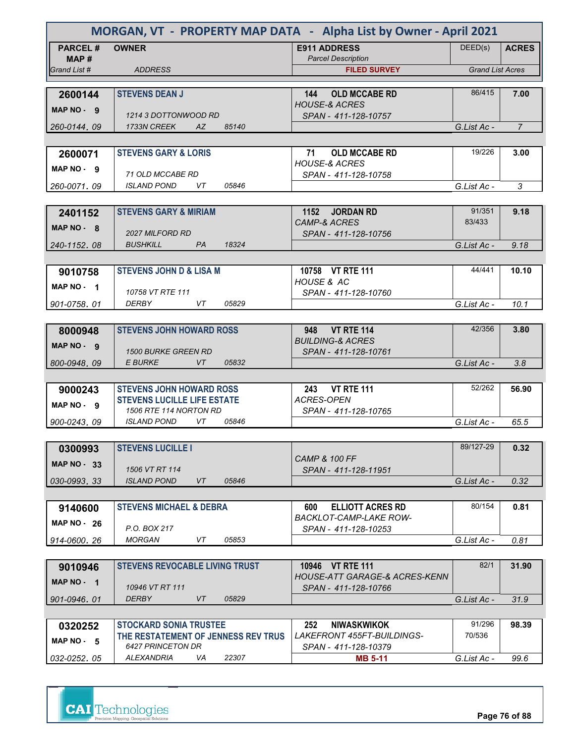| MORGAN, VT - PROPERTY MAP DATA - Alpha List by Owner - April 2021 |                                                    |       |                                                  |                         |                |  |
|-------------------------------------------------------------------|----------------------------------------------------|-------|--------------------------------------------------|-------------------------|----------------|--|
| <b>PARCEL#</b>                                                    | <b>OWNER</b>                                       |       | <b>E911 ADDRESS</b>                              | DEED(s)                 | <b>ACRES</b>   |  |
| MAP #<br>Grand List #                                             | <b>ADDRESS</b>                                     |       | <b>Parcel Description</b><br><b>FILED SURVEY</b> | <b>Grand List Acres</b> |                |  |
|                                                                   |                                                    |       |                                                  |                         |                |  |
| 2600144                                                           | <b>STEVENS DEAN J</b>                              |       | <b>OLD MCCABE RD</b><br>144                      | 86/415                  | 7.00           |  |
| MAP NO - 9                                                        | 1214 3 DOTTONWOOD RD                               |       | <b>HOUSE-&amp; ACRES</b><br>SPAN - 411-128-10757 |                         |                |  |
| 260-0144, 09                                                      | 1733N CREEK<br>AZ                                  | 85140 |                                                  | G.List Ac -             | $\overline{7}$ |  |
|                                                                   |                                                    |       |                                                  |                         |                |  |
| 2600071                                                           | <b>STEVENS GARY &amp; LORIS</b>                    |       | <b>OLD MCCABE RD</b><br>71                       | 19/226                  | 3.00           |  |
| MAP NO - 9                                                        | 71 OLD MCCABE RD                                   |       | <b>HOUSE-&amp; ACRES</b><br>SPAN - 411-128-10758 |                         |                |  |
| 260-0071,09                                                       | <b>ISLAND POND</b><br>VT.                          | 05846 |                                                  | G.List Ac -             | 3              |  |
|                                                                   |                                                    |       |                                                  |                         |                |  |
| 2401152                                                           | <b>STEVENS GARY &amp; MIRIAM</b>                   |       | 1152 JORDAN RD                                   | 91/351                  | 9.18           |  |
| $MAP NO - R$                                                      | 2027 MILFORD RD                                    |       | <b>CAMP-&amp; ACRES</b><br>SPAN - 411-128-10756  | 83/433                  |                |  |
| 240-1152.08                                                       | <b>BUSHKILL</b><br><b>PA</b>                       | 18324 |                                                  | G.List Ac -             | 9.18           |  |
|                                                                   |                                                    |       |                                                  |                         |                |  |
| 9010758                                                           | <b>STEVENS JOHN D &amp; LISA M</b>                 |       | 10758 VT RTE 111                                 | 44/441                  | 10.10          |  |
| MAP NO - 1                                                        |                                                    |       | HOUSE & AC                                       |                         |                |  |
| 901-0758.01                                                       | 10758 VT RTE 111<br>DERBY<br>VT                    | 05829 | SPAN - 411-128-10760                             | G.List Ac -             | 10.1           |  |
|                                                                   |                                                    |       |                                                  |                         |                |  |
| 8000948                                                           | <b>STEVENS JOHN HOWARD ROSS</b>                    |       | <b>VT RTE 114</b><br>948                         | 42/356                  | 3.80           |  |
| MAP NO - 9                                                        |                                                    |       | <b>BUILDING-&amp; ACRES</b>                      |                         |                |  |
| 800-0948, 09                                                      | <b>1500 BURKE GREEN RD</b><br><b>E BURKE</b><br>VT | 05832 | SPAN - 411-128-10761                             | G.List Ac -             | 3.8            |  |
|                                                                   |                                                    |       |                                                  |                         |                |  |
| 9000243                                                           | <b>STEVENS JOHN HOWARD ROSS</b>                    |       | 243 VT RTE 111                                   | 52/262                  | 56.90          |  |
| MAP NO - 9                                                        | <b>STEVENS LUCILLE LIFE ESTATE</b>                 |       | <b>ACRES-OPEN</b>                                |                         |                |  |
| 900-0243.09                                                       | 1506 RTE 114 NORTON RD<br><b>ISLAND POND</b><br>VT | 05846 | SPAN - 411-128-10765                             | G.List Ac -             | 65.5           |  |
|                                                                   |                                                    |       |                                                  |                         |                |  |
| 0300993                                                           | <b>STEVENS LUCILLE I</b>                           |       |                                                  | 89/127-29               | 0.32           |  |
| <b>MAP NO - 33</b>                                                |                                                    |       | <b>CAMP &amp; 100 FF</b>                         |                         |                |  |
| 030-0993, 33                                                      | 1506 VT RT 114<br><b>ISLAND POND</b><br>VT         | 05846 | SPAN - 411-128-11951                             | G.List Ac -             | 0.32           |  |
|                                                                   |                                                    |       |                                                  |                         |                |  |
| 9140600                                                           | <b>STEVENS MICHAEL &amp; DEBRA</b>                 |       | <b>ELLIOTT ACRES RD</b><br>600                   | 80/154                  | 0.81           |  |
| <b>MAP NO - 26</b>                                                |                                                    |       | <b>BACKLOT-CAMP-LAKE ROW-</b>                    |                         |                |  |
|                                                                   | P.O. BOX 217<br>VT<br><b>MORGAN</b>                | 05853 | SPAN - 411-128-10253                             |                         |                |  |
| 914-0600.26                                                       |                                                    |       |                                                  | G.List Ac -             | 0.81           |  |
| 9010946                                                           | <b>STEVENS REVOCABLE LIVING TRUST</b>              |       | 10946 VT RTE 111                                 | 82/1                    | 31.90          |  |
| MAP $NO - 1$                                                      |                                                    |       | HOUSE-ATT GARAGE-& ACRES-KENN                    |                         |                |  |
|                                                                   | 10946 VT RT 111                                    |       | SPAN - 411-128-10766                             |                         |                |  |
| 901-0946, 01                                                      | <b>DERBY</b><br>VT                                 | 05829 |                                                  | G.List Ac -             | 31.9           |  |
| 0320252                                                           | <b>STOCKARD SONIA TRUSTEE</b>                      |       | <b>NIWASKWIKOK</b><br>252                        | 91/296                  | 98.39          |  |
| MAP NO - 5                                                        | THE RESTATEMENT OF JENNESS REV TRUS                |       | LAKEFRONT 455FT-BUILDINGS-                       | 70/536                  |                |  |
|                                                                   | <b>6427 PRINCETON DR</b>                           |       | SPAN - 411-128-10379                             |                         |                |  |
| 032-0252.05                                                       | ALEXANDRIA<br>VA                                   | 22307 | <b>MB 5-11</b>                                   | G.List Ac -             | 99.6           |  |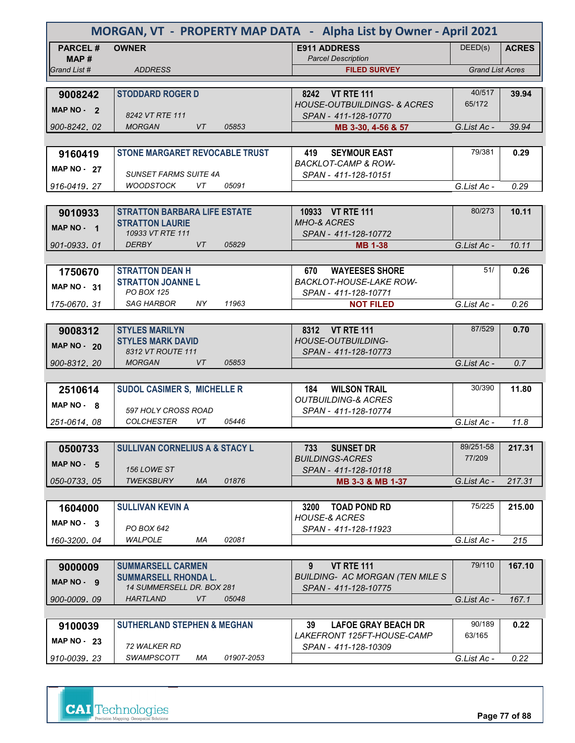|                        | MORGAN, VT - PROPERTY MAP DATA - Alpha List by Owner - April 2021 |                                                                |                         |              |  |  |
|------------------------|-------------------------------------------------------------------|----------------------------------------------------------------|-------------------------|--------------|--|--|
| <b>PARCEL#</b><br>MAP# | <b>OWNER</b>                                                      | <b>E911 ADDRESS</b><br><b>Parcel Description</b>               | DEED(s)                 | <b>ACRES</b> |  |  |
| Grand List #           | <b>ADDRESS</b>                                                    | <b>FILED SURVEY</b>                                            | <b>Grand List Acres</b> |              |  |  |
|                        |                                                                   |                                                                |                         |              |  |  |
| 9008242                | <b>STODDARD ROGER D</b>                                           | 8242 VT RTE 111                                                | 40/517                  | 39.94        |  |  |
| MAP NO - 2             | 8242 VT RTE 111                                                   | <b>HOUSE-OUTBUILDINGS- &amp; ACRES</b>                         | 65/172                  |              |  |  |
| 900-8242, 02           | <b>MORGAN</b><br><b>VT</b><br>05853                               | SPAN - 411-128-10770<br>MB 3-30, 4-56 & 57                     | G.List Ac -             | 39.94        |  |  |
|                        |                                                                   |                                                                |                         |              |  |  |
| 9160419                | <b>STONE MARGARET REVOCABLE TRUST</b>                             | <b>SEYMOUR EAST</b><br>419                                     | 79/381                  | 0.29         |  |  |
|                        |                                                                   | <b>BACKLOT-CAMP &amp; ROW-</b>                                 |                         |              |  |  |
| <b>MAP NO - 27</b>     | <b>SUNSET FARMS SUITE 4A</b>                                      | SPAN - 411-128-10151                                           |                         |              |  |  |
| 916-0419, 27           | 05091<br>WOODSTOCK<br>VT                                          |                                                                | G.List Ac -             | 0.29         |  |  |
|                        |                                                                   |                                                                |                         |              |  |  |
| 9010933                | <b>STRATTON BARBARA LIFE ESTATE</b>                               | 10933 VT RTE 111                                               | 80/273                  | 10.11        |  |  |
| MAP NO - 1             | <b>STRATTON LAURIE</b><br>10933 VT RTE 111                        | <b>MHO-&amp; ACRES</b><br>SPAN - 411-128-10772                 |                         |              |  |  |
| 901-0933.01            | <b>DERBY</b><br>05829<br>VT                                       | <b>MB 1-38</b>                                                 | G.List Ac -             | 10.11        |  |  |
|                        |                                                                   |                                                                |                         |              |  |  |
| 1750670                | <b>STRATTON DEAN H</b>                                            | <b>WAYEESES SHORE</b><br>670                                   | 51/                     | 0.26         |  |  |
|                        | <b>STRATTON JOANNEL</b>                                           | <b>BACKLOT-HOUSE-LAKE ROW-</b>                                 |                         |              |  |  |
| MAP NO - 31            | <b>PO BOX 125</b>                                                 | SPAN - 411-128-10771                                           |                         |              |  |  |
| 175-0670.31            | <b>SAG HARBOR</b><br>11963<br>NY.                                 | <b>NOT FILED</b>                                               | G.List Ac -             | 0.26         |  |  |
|                        |                                                                   |                                                                |                         |              |  |  |
| 9008312                | <b>STYLES MARILYN</b>                                             | 8312 VT RTE 111                                                | 87/529                  | 0.70         |  |  |
| <b>MAP NO - 20</b>     | <b>STYLES MARK DAVID</b>                                          | <b>HOUSE-OUTBUILDING-</b>                                      |                         |              |  |  |
| 900-8312, 20           | 8312 VT ROUTE 111<br><b>MORGAN</b><br>VT<br>05853                 | SPAN - 411-128-10773                                           | G.List Ac -             | 0.7          |  |  |
|                        |                                                                   |                                                                |                         |              |  |  |
| 2510614                | <b>SUDOL CASIMER S, MICHELLE R</b>                                | <b>WILSON TRAIL</b><br>184                                     | 30/390                  | 11.80        |  |  |
| $MAP NO - 8$           |                                                                   | <b>OUTBUILDING-&amp; ACRES</b>                                 |                         |              |  |  |
|                        | 597 HOLY CROSS ROAD                                               | SPAN - 411-128-10774                                           |                         |              |  |  |
| 251-0614.08            | <b>COLCHESTER</b><br>VT<br>05446                                  |                                                                | G.List Ac -             | 11.8         |  |  |
|                        |                                                                   |                                                                |                         |              |  |  |
| 0500733                | <b>SULLIVAN CORNELIUS A &amp; STACY L</b>                         | 733<br><b>SUNSET DR</b>                                        | 89/251-58               | 217.31       |  |  |
| MAP NO - 5             | <b>156 LOWE ST</b>                                                | <b>BUILDINGS-ACRES</b><br>SPAN - 411-128-10118                 | 77/209                  |              |  |  |
| 050-0733.05            | <b>TWEKSBURY</b><br><b>MA</b><br>01876                            | MB 3-3 & MB 1-37                                               | G.List Ac -             | 217.31       |  |  |
|                        |                                                                   |                                                                |                         |              |  |  |
| 1604000                | <b>SULLIVAN KEVIN A</b>                                           | <b>TOAD POND RD</b><br>3200                                    | 75/225                  | 215.00       |  |  |
| $MAP NO - 3$           |                                                                   | <b>HOUSE-&amp; ACRES</b>                                       |                         |              |  |  |
|                        | PO BOX 642                                                        | SPAN - 411-128-11923                                           |                         |              |  |  |
| 160-3200.04            | WALPOLE<br>ΜA<br>02081                                            |                                                                | G.List Ac -             | 215          |  |  |
|                        |                                                                   |                                                                |                         |              |  |  |
| 9000009                | <b>SUMMARSELL CARMEN</b>                                          | <b>VT RTE 111</b><br>$9^{\circ}$                               | 79/110                  | 167.10       |  |  |
| MAP NO - 9             | <b>SUMMARSELL RHONDA L.</b><br>14 SUMMERSELL DR. BOX 281          | <b>BUILDING- AC MORGAN (TEN MILE S</b><br>SPAN - 411-128-10775 |                         |              |  |  |
| 900-0009, 09           | <b>HARTLAND</b><br>VT<br>05048                                    |                                                                | G.List Ac -             | 167.1        |  |  |
|                        |                                                                   |                                                                |                         |              |  |  |
| 9100039                | <b>SUTHERLAND STEPHEN &amp; MEGHAN</b>                            | 39<br><b>LAFOE GRAY BEACH DR</b>                               | 90/189                  | 0.22         |  |  |
| MAP $NO - 23$          |                                                                   | LAKEFRONT 125FT-HOUSE-CAMP                                     | 63/165                  |              |  |  |
|                        | <i>72 WALKER RD</i>                                               | SPAN - 411-128-10309                                           |                         |              |  |  |
| 910-0039, 23           | <b>SWAMPSCOTT</b><br>01907-2053<br>МA                             |                                                                | G.List Ac -             | 0.22         |  |  |



**Page 77 of 88**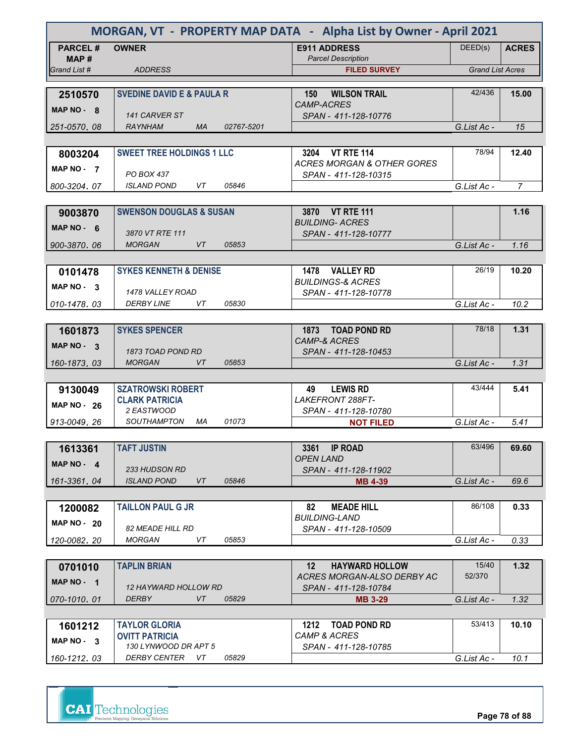|                    | MORGAN, VT - PROPERTY MAP DATA - Alpha List by Owner - April 2021 |            |                                                      |                         |                |  |
|--------------------|-------------------------------------------------------------------|------------|------------------------------------------------------|-------------------------|----------------|--|
| <b>PARCEL#</b>     | <b>OWNER</b>                                                      |            | <b>E911 ADDRESS</b>                                  | DEED(s)                 | <b>ACRES</b>   |  |
| MAP#               |                                                                   |            | <b>Parcel Description</b>                            |                         |                |  |
| Grand List #       | <b>ADDRESS</b>                                                    |            | <b>FILED SURVEY</b>                                  | <b>Grand List Acres</b> |                |  |
|                    | <b>SVEDINE DAVID E &amp; PAULA R</b>                              |            | <b>WILSON TRAIL</b><br>150                           | 42/436                  | 15.00          |  |
| 2510570            |                                                                   |            | <b>CAMP-ACRES</b>                                    |                         |                |  |
| MAP $NO - 8$       | 141 CARVER ST                                                     |            | SPAN - 411-128-10776                                 |                         |                |  |
| 251-0570, 08       | <b>RAYNHAM</b><br><b>MA</b>                                       | 02767-5201 |                                                      | G.List Ac -             | 15             |  |
|                    |                                                                   |            |                                                      |                         |                |  |
| 8003204            | <b>SWEET TREE HOLDINGS 1 LLC</b>                                  |            | 3204<br><b>VT RTE 114</b>                            | 78/94                   | 12.40          |  |
| MAP NO - 7         |                                                                   |            | <b>ACRES MORGAN &amp; OTHER GORES</b>                |                         |                |  |
| 800-3204, 07       | PO BOX 437<br><b>ISLAND POND</b><br>VT                            | 05846      | SPAN - 411-128-10315                                 | G.List Ac -             | $\overline{7}$ |  |
|                    |                                                                   |            |                                                      |                         |                |  |
| 9003870            | <b>SWENSON DOUGLAS &amp; SUSAN</b>                                |            | 3870 VT RTE 111                                      |                         | 1.16           |  |
|                    |                                                                   |            | <b>BUILDING- ACRES</b>                               |                         |                |  |
| MAP $NO - 6$       | 3870 VT RTE 111                                                   |            | SPAN - 411-128-10777                                 |                         |                |  |
| 900-3870.06        | <b>MORGAN</b><br>VT                                               | 05853      |                                                      | G.List Ac -             | 1.16           |  |
|                    |                                                                   |            |                                                      |                         |                |  |
| 0101478            | <b>SYKES KENNETH &amp; DENISE</b>                                 |            | 1478 VALLEY RD                                       | 26/19                   | 10.20          |  |
| MAP NO - 3         | 1478 VALLEY ROAD                                                  |            | <b>BUILDINGS-&amp; ACRES</b><br>SPAN - 411-128-10778 |                         |                |  |
| 010-1478.03        | <i>DERBY LINE</i><br>VT                                           | 05830      |                                                      | G.List Ac -             | 10.2           |  |
|                    |                                                                   |            |                                                      |                         |                |  |
| 1601873            | <b>SYKES SPENCER</b>                                              |            | 1873 TOAD POND RD                                    | 78/18                   | 1.31           |  |
| MAP NO - 3         |                                                                   |            | <b>CAMP-&amp; ACRES</b>                              |                         |                |  |
|                    | 1873 TOAD POND RD                                                 |            | SPAN - 411-128-10453                                 |                         |                |  |
| 160-1873, 03       | <b>MORGAN</b><br><b>VT</b>                                        | 05853      |                                                      | G.List Ac -             | 1.31           |  |
|                    |                                                                   |            |                                                      |                         |                |  |
| 9130049            | <b>SZATROWSKI ROBERT</b>                                          |            | <b>LEWIS RD</b><br>49<br>LAKEFRONT 288FT-            | 43/444                  | 5.41           |  |
| <b>MAP NO - 26</b> | <b>CLARK PATRICIA</b><br>2 EASTWOOD                               |            | SPAN - 411-128-10780                                 |                         |                |  |
| 913-0049, 26       | <b>SOUTHAMPTON</b><br>МA                                          | 01073      | <b>NOT FILED</b>                                     | G.List Ac -             | 5.41           |  |
|                    |                                                                   |            |                                                      |                         |                |  |
| 1613361            | <b>TAFT JUSTIN</b>                                                |            | 3361 IP ROAD                                         | 63/496                  | 69.60          |  |
| MAP $NO - 4$       |                                                                   |            | OPEN LAND                                            |                         |                |  |
|                    | <b>233 HUDSON RD</b>                                              |            | SPAN - 411-128-11902                                 |                         |                |  |
| 161-3361.04        | <b>ISLAND POND</b><br>VT                                          | 05846      | <b>MB 4-39</b>                                       | G.List Ac -             | 69.6           |  |
|                    |                                                                   |            |                                                      |                         |                |  |
| 1200082            | <b>TAILLON PAUL G JR</b>                                          |            | <b>MEADE HILL</b><br>82<br><b>BUILDING-LAND</b>      | 86/108                  | 0.33           |  |
| $MAP NO - 20$      | <b>82 MEADE HILL RD</b>                                           |            | SPAN - 411-128-10509                                 |                         |                |  |
| 120-0082.20        | <b>MORGAN</b><br>VT                                               | 05853      |                                                      | G.List Ac -             | 0.33           |  |
|                    |                                                                   |            |                                                      |                         |                |  |
| 0701010            | <b>TAPLIN BRIAN</b>                                               |            | 12 <sup>2</sup><br><b>HAYWARD HOLLOW</b>             | 15/40                   | 1.32           |  |
| MAP $NO - 1$       |                                                                   |            | ACRES MORGAN-ALSO DERBY AC                           | 52/370                  |                |  |
|                    | <i>12 HAYWARD HOLLOW RD</i><br>VT                                 |            | SPAN - 411-128-10784                                 |                         |                |  |
| 070-1010, 01       | <b>DERBY</b>                                                      | 05829      | <b>MB 3-29</b>                                       | G.List Ac -             | 1.32           |  |
|                    | <b>TAYLOR GLORIA</b>                                              |            | 1212 TOAD POND RD                                    | 53/413                  | 10.10          |  |
| 1601212            | <b>OVITT PATRICIA</b>                                             |            | <b>CAMP &amp; ACRES</b>                              |                         |                |  |
| MAP NO - 3         | 130 LYNWOOD DR APT 5                                              |            | SPAN - 411-128-10785                                 |                         |                |  |
| 160-1212.03        | DERBY CENTER<br>VT                                                | 05829      |                                                      | G.List Ac -             | 10.1           |  |



**Page 78 of 88**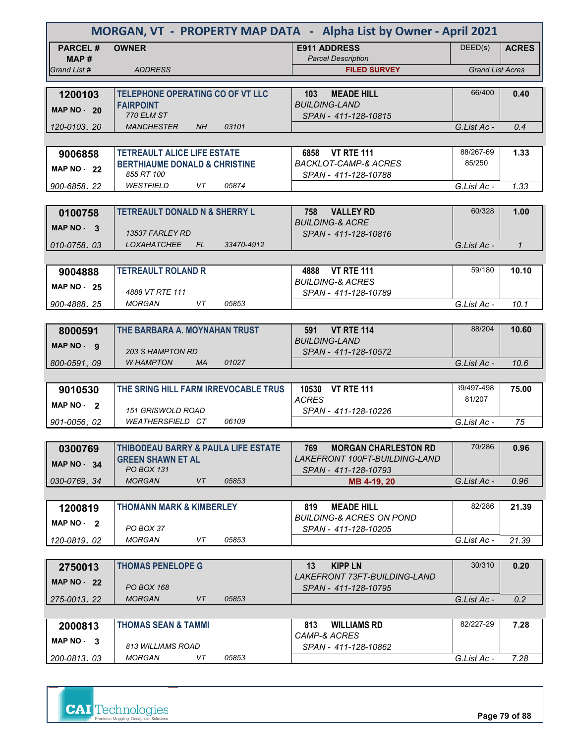| MORGAN, VT - PROPERTY MAP DATA - Alpha List by Owner - April 2021 |                                                       |                                                          |                         |              |  |
|-------------------------------------------------------------------|-------------------------------------------------------|----------------------------------------------------------|-------------------------|--------------|--|
| <b>PARCEL#</b>                                                    | <b>OWNER</b>                                          | <b>E911 ADDRESS</b><br><b>Parcel Description</b>         | DEED(s)                 | <b>ACRES</b> |  |
| MAP#<br>Grand List #                                              | <b>ADDRESS</b>                                        | <b>FILED SURVEY</b>                                      | <b>Grand List Acres</b> |              |  |
|                                                                   |                                                       |                                                          |                         |              |  |
| 1200103                                                           | <b>TELEPHONE OPERATING CO OF VT LLC</b>               | <b>MEADE HILL</b><br>103                                 | 66/400                  | 0.40         |  |
| <b>MAP NO - 20</b>                                                | <b>FAIRPOINT</b>                                      | <b>BUILDING-LAND</b>                                     |                         |              |  |
| 120-0103, 20                                                      | <b>770 ELM ST</b><br><b>MANCHESTER</b><br>NH<br>03101 | SPAN - 411-128-10815                                     | G.List Ac -             | 0.4          |  |
|                                                                   |                                                       |                                                          |                         |              |  |
| 9006858                                                           | <b>TETREAULT ALICE LIFE ESTATE</b>                    | 6858 VT RTE 111                                          | 88/267-69               | 1.33         |  |
| <b>MAP NO - 22</b>                                                | <b>BERTHIAUME DONALD &amp; CHRISTINE</b>              | <b>BACKLOT-CAMP-&amp; ACRES</b>                          | 85/250                  |              |  |
|                                                                   | 855 RT 100                                            | SPAN - 411-128-10788                                     |                         |              |  |
| 900-6858.22                                                       | <b>WESTFIELD</b><br>05874<br>VT                       |                                                          | G.List Ac -             | 1.33         |  |
|                                                                   | <b>TETREAULT DONALD N &amp; SHERRY L</b>              | 758<br><b>VALLEY RD</b>                                  | 60/328                  | 1.00         |  |
| 0100758                                                           |                                                       | <b>BUILDING-&amp; ACRE</b>                               |                         |              |  |
| MAP NO - 3                                                        | 13537 FARLEY RD                                       | SPAN - 411-128-10816                                     |                         |              |  |
| 010-0758.03                                                       | <i>LOXAHATCHEE</i><br>FL.<br>33470-4912               |                                                          | G.List Ac -             | $\mathcal I$ |  |
|                                                                   |                                                       |                                                          |                         |              |  |
| 9004888                                                           | <b>TETREAULT ROLAND R</b>                             | <b>VT RTE 111</b><br>4888<br><b>BUILDING-&amp; ACRES</b> | 59/180                  | 10.10        |  |
| <b>MAP NO - 25</b>                                                | 4888 VT RTE 111                                       | SPAN - 411-128-10789                                     |                         |              |  |
| 900-4888.25                                                       | <b>MORGAN</b><br>VT<br>05853                          |                                                          | G.List Ac -             | 10.1         |  |
|                                                                   |                                                       |                                                          |                         |              |  |
| 8000591                                                           | THE BARBARA A. MOYNAHAN TRUST                         | <b>VT RTE 114</b><br>591<br><b>BUILDING-LAND</b>         | 88/204                  | 10.60        |  |
| MAP NO - 9                                                        | <b>203 S HAMPTON RD</b>                               | SPAN - 411-128-10572                                     |                         |              |  |
| 800-0591, 09                                                      | <b>W HAMPTON</b><br>01027<br><b>MA</b>                |                                                          | G.List Ac -             | 10.6         |  |
|                                                                   |                                                       |                                                          |                         |              |  |
| 9010530                                                           | THE SRING HILL FARM IRREVOCABLE TRUS                  | 10530 VT RTE 111                                         | 39/497-498              | 75.00        |  |
| <b>MAP NO</b><br>- 2                                              | 151 GRISWOLD ROAD                                     | <b>ACRES</b><br>SPAN - 411-128-10226                     | 81/207                  |              |  |
| 901-0056, 02                                                      | <b>WEATHERSFIELD CT</b><br>06109                      |                                                          | G.List Ac -             | 75           |  |
|                                                                   |                                                       |                                                          |                         |              |  |
| 0300769                                                           | THIBODEAU BARRY & PAULA LIFE ESTATE                   | <b>MORGAN CHARLESTON RD</b><br>769                       | 70/286                  | 0.96         |  |
| <b>MAP NO - 34</b>                                                | <b>GREEN SHAWN ET AL</b><br><b>PO BOX 131</b>         | LAKEFRONT 100FT-BUILDING-LAND                            |                         |              |  |
| 030-0769.34                                                       | <b>MORGAN</b><br>VT<br>05853                          | SPAN - 411-128-10793<br>MB 4-19, 20                      | G.List Ac -             | 0.96         |  |
|                                                                   |                                                       |                                                          |                         |              |  |
| 1200819                                                           | <b>THOMANN MARK &amp; KIMBERLEY</b>                   | <b>MEADE HILL</b><br>819                                 | 82/286                  | 21.39        |  |
| MAP $NO - 2$                                                      |                                                       | <b>BUILDING-&amp; ACRES ON POND</b>                      |                         |              |  |
| 120-0819.02                                                       | PO BOX 37<br><b>MORGAN</b><br>VT<br>05853             | SPAN - 411-128-10205                                     | G.List Ac -             | 21.39        |  |
|                                                                   |                                                       |                                                          |                         |              |  |
| 2750013                                                           | <b>THOMAS PENELOPE G</b>                              | 13<br><b>KIPP LN</b>                                     | 30/310                  | 0.20         |  |
| MAP $NO - 22$                                                     |                                                       | LAKEFRONT 73FT-BUILDING-LAND                             |                         |              |  |
|                                                                   | PO BOX 168<br><b>MORGAN</b><br>VT<br>05853            | SPAN - 411-128-10795                                     | G.List Ac -             | 0.2          |  |
| 275-0013, 22                                                      |                                                       |                                                          |                         |              |  |
| 2000813                                                           | <b>THOMAS SEAN &amp; TAMMI</b>                        | <b>WILLIAMS RD</b><br>813                                | 82/227-29               | 7.28         |  |
| MAP NO - 3                                                        |                                                       | CAMP-& ACRES                                             |                         |              |  |
|                                                                   | 813 WILLIAMS ROAD                                     | SPAN - 411-128-10862                                     |                         |              |  |
| 200-0813, 03                                                      | <b>MORGAN</b><br>VT<br>05853                          |                                                          | G.List Ac -             | 7.28         |  |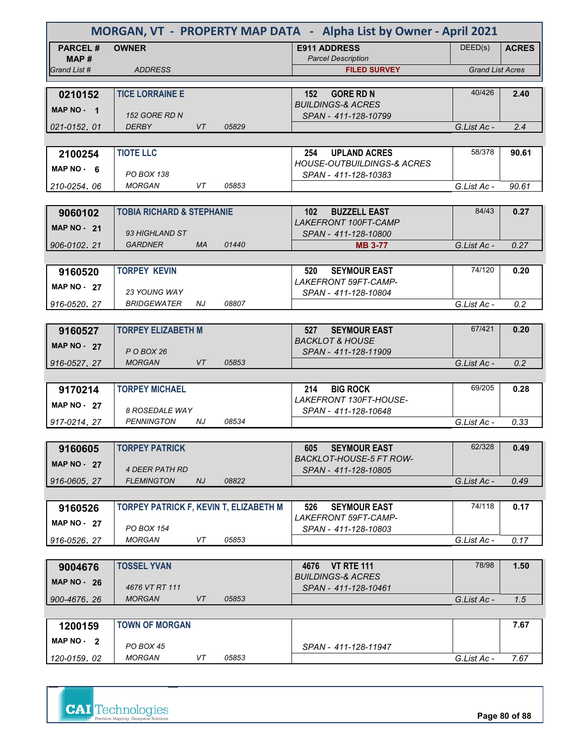| MORGAN, VT - PROPERTY MAP DATA - Alpha List by Owner - April 2021 |                                        |           |       |                                                           |                         |              |
|-------------------------------------------------------------------|----------------------------------------|-----------|-------|-----------------------------------------------------------|-------------------------|--------------|
| <b>PARCEL#</b><br>MAP #                                           | <b>OWNER</b>                           |           |       | <b>E911 ADDRESS</b><br><b>Parcel Description</b>          | DEED(s)                 | <b>ACRES</b> |
| Grand List #                                                      | <b>ADDRESS</b>                         |           |       | <b>FILED SURVEY</b>                                       | <b>Grand List Acres</b> |              |
|                                                                   |                                        |           |       |                                                           |                         |              |
| 0210152                                                           | <b>TICE LORRAINE E</b>                 |           |       | <b>GORE RD N</b><br>152<br><b>BUILDINGS-&amp; ACRES</b>   | 40/426                  | 2.40         |
| MAP NO - 1                                                        | <b>152 GORE RD N</b>                   |           |       | SPAN - 411-128-10799                                      |                         |              |
| 021-0152.01                                                       | <b>DERBY</b>                           | VT        | 05829 |                                                           | G.List Ac -             | 2.4          |
|                                                                   |                                        |           |       |                                                           |                         |              |
| 2100254                                                           | <b>TIOTE LLC</b>                       |           |       | <b>UPLAND ACRES</b><br>254                                | 58/378                  | 90.61        |
| MAP $NO - 6$                                                      |                                        |           |       | <b>HOUSE-OUTBUILDINGS-&amp; ACRES</b>                     |                         |              |
| 210-0254, 06                                                      | <b>PO BOX 138</b><br><b>MORGAN</b>     | VT.       | 05853 | SPAN - 411-128-10383                                      | G.List Ac -             | 90.61        |
|                                                                   |                                        |           |       |                                                           |                         |              |
| 9060102                                                           | <b>TOBIA RICHARD &amp; STEPHANIE</b>   |           |       | <b>BUZZELL EAST</b><br>102                                | 84/43                   | 0.27         |
|                                                                   |                                        |           |       | <b>LAKEFRONT 100FT-CAMP</b>                               |                         |              |
| <b>MAP NO - 21</b>                                                | 93 HIGHLAND ST                         |           |       | SPAN - 411-128-10800                                      |                         |              |
| 906-0102, 21                                                      | <b>GARDNER</b>                         | <b>MA</b> | 01440 | <b>MB 3-77</b>                                            | G.List Ac -             | 0.27         |
|                                                                   |                                        |           |       |                                                           |                         |              |
| 9160520                                                           | <b>TORPEY KEVIN</b>                    |           |       | 520<br><b>SEYMOUR EAST</b>                                | 74/120                  | 0.20         |
| <b>MAP NO - 27</b>                                                | 23 YOUNG WAY                           |           |       | LAKEFRONT 59FT-CAMP-<br>SPAN - 411-128-10804              |                         |              |
| 916-0520.27                                                       | <b>BRIDGEWATER</b>                     | NJ.       | 08807 |                                                           | G.List Ac -             | 0.2          |
|                                                                   |                                        |           |       |                                                           |                         |              |
| 9160527                                                           | <b>TORPEY ELIZABETH M</b>              |           |       | 527<br><b>SEYMOUR EAST</b>                                | 67/421                  | 0.20         |
| <b>MAP NO - 27</b>                                                |                                        |           |       | <b>BACKLOT &amp; HOUSE</b>                                |                         |              |
|                                                                   | POBOX 26                               |           |       | SPAN - 411-128-11909                                      |                         |              |
| 916-0527.27                                                       | <b>MORGAN</b>                          | VT        | 05853 |                                                           | G.List Ac -             | 0.2          |
|                                                                   | <b>TORPEY MICHAEL</b>                  |           |       | <b>BIG ROCK</b><br>214                                    | 69/205                  | 0.28         |
| 9170214                                                           |                                        |           |       | LAKEFRONT 130FT-HOUSE-                                    |                         |              |
| <b>MAP NO - 27</b>                                                | <b>8 ROSEDALE WAY</b>                  |           |       | SPAN - 411-128-10648                                      |                         |              |
| 917-0214.27                                                       | <b>PENNINGTON</b>                      | NJ.       | 08534 |                                                           | G.List Ac -             | 0.33         |
|                                                                   |                                        |           |       |                                                           |                         |              |
| 9160605                                                           | <b>TORPEY PATRICK</b>                  |           |       | <b>SEYMOUR EAST</b><br>605                                | 62/328                  | 0.49         |
| <b>MAP NO - 27</b>                                                | <b>4 DEER PATH RD</b>                  |           |       | <b>BACKLOT-HOUSE-5 FT ROW-</b><br>SPAN - 411-128-10805    |                         |              |
| 916-0605.27                                                       | <b>FLEMINGTON</b>                      | NJ        | 08822 |                                                           | G.List Ac -             | 0.49         |
|                                                                   |                                        |           |       |                                                           |                         |              |
| 9160526                                                           | TORPEY PATRICK F, KEVIN T, ELIZABETH M |           |       | <b>SEYMOUR EAST</b><br>526                                | 74/118                  | 0.17         |
| <b>MAP NO - 27</b>                                                |                                        |           |       | LAKEFRONT 59FT-CAMP-                                      |                         |              |
|                                                                   | <b>PO BOX 154</b>                      |           |       | SPAN - 411-128-10803                                      |                         |              |
| 916-0526.27                                                       | <b>MORGAN</b>                          | VT        | 05853 |                                                           | G.List Ac -             | 0.17         |
|                                                                   |                                        |           |       |                                                           | 78/98                   |              |
| 9004676                                                           | <b>TOSSEL YVAN</b>                     |           |       | <b>VT RTE 111</b><br>4676<br><b>BUILDINGS-&amp; ACRES</b> |                         | 1.50         |
| MAP $NO - 26$                                                     | 4676 VT RT 111                         |           |       | SPAN - 411-128-10461                                      |                         |              |
| 900-4676.26                                                       | <b>MORGAN</b>                          | VT        | 05853 |                                                           | G.List Ac -             | 1.5          |
|                                                                   |                                        |           |       |                                                           |                         |              |
| 1200159                                                           | <b>TOWN OF MORGAN</b>                  |           |       |                                                           |                         | 7.67         |
| MAP NO - 2                                                        | PO BOX 45                              |           |       |                                                           |                         |              |
| 120-0159.02                                                       | MORGAN                                 | VT        | 05853 | SPAN - 411-128-11947                                      | G.List Ac -             | 7.67         |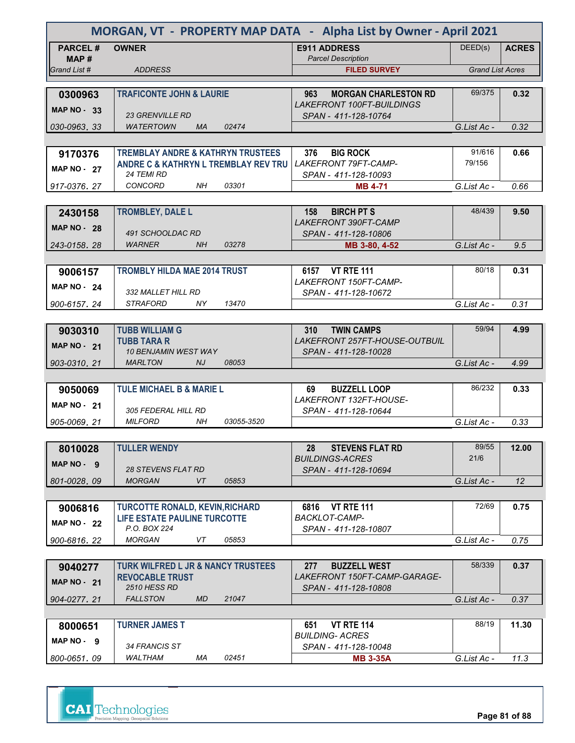|                       | MORGAN, VT - PROPERTY MAP DATA - Alpha List by Owner - April 2021       |                                                            |                         |              |
|-----------------------|-------------------------------------------------------------------------|------------------------------------------------------------|-------------------------|--------------|
| <b>PARCEL#</b>        | <b>OWNER</b>                                                            | <b>E911 ADDRESS</b>                                        | DEED(s)                 | <b>ACRES</b> |
| MAP #<br>Grand List # | <b>ADDRESS</b>                                                          | <b>Parcel Description</b><br><b>FILED SURVEY</b>           | <b>Grand List Acres</b> |              |
|                       |                                                                         |                                                            |                         |              |
| 0300963               | <b>TRAFICONTE JOHN &amp; LAURIE</b>                                     | 963<br><b>MORGAN CHARLESTON RD</b>                         | 69/375                  | 0.32         |
| <b>MAP NO - 33</b>    | <b>23 GRENVILLE RD</b>                                                  | <b>LAKEFRONT 100FT-BUILDINGS</b><br>SPAN - 411-128-10764   |                         |              |
| 030-0963, 33          | <b>WATERTOWN</b><br><b>MA</b><br>02474                                  |                                                            | G.List Ac -             | 0.32         |
|                       |                                                                         |                                                            |                         |              |
| 9170376               | <b>TREMBLAY ANDRE &amp; KATHRYN TRUSTEES</b>                            | <b>BIG ROCK</b><br>376                                     | 91/616                  | 0.66         |
| <b>MAP NO - 27</b>    | ANDRE C & KATHRYN L TREMBLAY REV TRU<br><b>24 TEMI RD</b>               | <b>LAKEFRONT 79FT-CAMP-</b>                                | 79/156                  |              |
| 917-0376.27           | <b>CONCORD</b><br>03301<br>NH.                                          | SPAN - 411-128-10093<br><b>MB 4-71</b>                     | G.List Ac -             | 0.66         |
|                       |                                                                         |                                                            |                         |              |
| 2430158               | <b>TROMBLEY, DALE L</b>                                                 | <b>BIRCH PT S</b><br>158                                   | 48/439                  | 9.50         |
| <b>MAP NO - 28</b>    |                                                                         | <b>LAKEFRONT 390FT-CAMP</b>                                |                         |              |
| 243-0158, 28          | 491 SCHOOLDAC RD<br><b>WARNER</b><br>NH<br>03278                        | SPAN - 411-128-10806<br>MB 3-80, 4-52                      | G.List Ac -             | 9.5          |
|                       |                                                                         |                                                            |                         |              |
| 9006157               | <b>TROMBLY HILDA MAE 2014 TRUST</b>                                     | 6157 VT RTE 111                                            | 80/18                   | 0.31         |
| <b>MAP NO - 24</b>    |                                                                         | LAKEFRONT 150FT-CAMP-                                      |                         |              |
| 900-6157.24           | 332 MALLET HILL RD<br><b>STRAFORD</b><br>13470<br>NY.                   | SPAN - 411-128-10672                                       | G.List Ac -             | 0.31         |
|                       |                                                                         |                                                            |                         |              |
| 9030310               | <b>TUBB WILLIAM G</b>                                                   | <b>TWIN CAMPS</b><br><b>310</b>                            | 59/94                   | 4.99         |
| <b>MAP NO - 21</b>    | <b>TUBB TARA R</b>                                                      | <b>LAKEFRONT 257FT-HOUSE-OUTBUIL</b>                       |                         |              |
|                       | <b>10 BENJAMIN WEST WAY</b>                                             | SPAN - 411-128-10028                                       |                         |              |
| 903-0310.21           | <b>MARLTON</b><br>NJ.<br>08053                                          |                                                            | G.List Ac -             | 4.99         |
| 9050069               | <b>TULE MICHAEL B &amp; MARIE L</b>                                     | 69<br><b>BUZZELL LOOP</b>                                  | 86/232                  | 0.33         |
| <b>MAP NO - 21</b>    |                                                                         | LAKEFRONT 132FT-HOUSE-                                     |                         |              |
|                       | 305 FEDERAL HILL RD                                                     | SPAN - 411-128-10644                                       |                         |              |
| 905-0069, 21          | <b>MILFORD</b><br>NH<br>03055-3520                                      |                                                            | G.List Ac -             | 0.33         |
| 8010028               | <b>TULLER WENDY</b>                                                     | <b>STEVENS FLAT RD</b><br>28                               | 89/55                   | 12.00        |
|                       |                                                                         | <b>BUILDINGS-ACRES</b>                                     | 21/6                    |              |
| MAP NO - 9            | <b>28 STEVENS FLAT RD</b>                                               | SPAN - 411-128-10694                                       |                         |              |
| 801-0028.09           | <b>MORGAN</b><br>VT<br>05853                                            |                                                            | G.List Ac -             | 12           |
|                       |                                                                         |                                                            | 72/69                   |              |
| 9006816               | <b>TURCOTTE RONALD, KEVIN, RICHARD</b><br>LIFE ESTATE PAULINE TURCOTTE  | 6816 VT RTE 111<br><b>BACKLOT-CAMP-</b>                    |                         | 0.75         |
| MAP $NO - 22$         | P.O. BOX 224                                                            | SPAN - 411-128-10807                                       |                         |              |
| 900-6816.22           | <b>MORGAN</b><br>VT<br>05853                                            |                                                            | G.List Ac -             | 0.75         |
|                       |                                                                         |                                                            |                         |              |
| 9040277               | <b>TURK WILFRED L JR &amp; NANCY TRUSTEES</b><br><b>REVOCABLE TRUST</b> | <b>BUZZELL WEST</b><br>277<br>LAKEFRONT 150FT-CAMP-GARAGE- | 58/339                  | 0.37         |
| <b>MAP NO - 21</b>    | <b>2510 HESS RD</b>                                                     | SPAN - 411-128-10808                                       |                         |              |
| 904-0277.21           | <b>FALLSTON</b><br>MD<br>21047                                          |                                                            | G.List Ac -             | 0.37         |
|                       |                                                                         |                                                            |                         |              |
| 8000651               | <b>TURNER JAMES T</b>                                                   | <b>VT RTE 114</b><br>651<br><b>BUILDING- ACRES</b>         | 88/19                   | 11.30        |
| MAP NO - 9            | 34 FRANCIS ST                                                           | SPAN - 411-128-10048                                       |                         |              |
| 800-0651, 09          | <b>WALTHAM</b><br>02451<br>МA                                           | <b>MB 3-35A</b>                                            | G.List Ac -             | 11.3         |

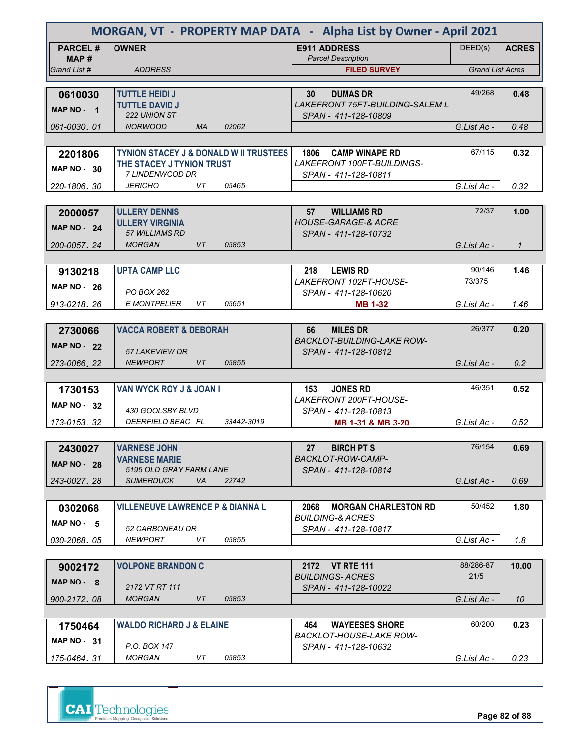|                         | MORGAN, VT - PROPERTY MAP DATA - Alpha List by Owner - April 2021 |                                                  |                         |              |  |  |
|-------------------------|-------------------------------------------------------------------|--------------------------------------------------|-------------------------|--------------|--|--|
| <b>PARCEL#</b><br>MAP # | <b>OWNER</b>                                                      | <b>E911 ADDRESS</b><br><b>Parcel Description</b> | DEED(s)                 | <b>ACRES</b> |  |  |
| Grand List #            | <b>ADDRESS</b>                                                    | <b>FILED SURVEY</b>                              | <b>Grand List Acres</b> |              |  |  |
|                         |                                                                   |                                                  |                         |              |  |  |
| 0610030                 | <b>TUTTLE HEIDI J</b>                                             | <b>DUMAS DR</b><br>30                            | 49/268                  | 0.48         |  |  |
| MAP NO - 1              | <b>TUTTLE DAVID J</b>                                             | <b>LAKEFRONT 75FT-BUILDING-SALEM L</b>           |                         |              |  |  |
|                         | 222 UNION ST                                                      | SPAN - 411-128-10809                             |                         |              |  |  |
| 061-0030.01             | <b>NORWOOD</b><br><b>MA</b><br>02062                              |                                                  | G.List Ac -             | 0.48         |  |  |
|                         |                                                                   |                                                  |                         |              |  |  |
| 2201806                 | <b>TYNION STACEY J &amp; DONALD W II TRUSTEES</b>                 | 1806 CAMP WINAPE RD                              | 67/115                  | 0.32         |  |  |
| <b>MAP NO - 30</b>      | THE STACEY J TYNION TRUST                                         | LAKEFRONT 100FT-BUILDINGS-                       |                         |              |  |  |
|                         | 7 LINDENWOOD DR<br><b>JERICHO</b><br>05465<br>VT.                 | SPAN - 411-128-10811                             | G.List Ac -             | 0.32         |  |  |
| 220-1806, 30            |                                                                   |                                                  |                         |              |  |  |
|                         | <b>ULLERY DENNIS</b>                                              | 57<br><b>WILLIAMS RD</b>                         | 72/37                   | 1.00         |  |  |
| 2000057                 | <b>ULLERY VIRGINIA</b>                                            | <b>HOUSE-GARAGE-&amp; ACRE</b>                   |                         |              |  |  |
| <b>MAP NO - 24</b>      | 57 WILLIAMS RD                                                    | SPAN - 411-128-10732                             |                         |              |  |  |
| 200-0057.24             | <b>MORGAN</b><br>VT<br>05853                                      |                                                  | G.List Ac -             | $\mathbf{1}$ |  |  |
|                         |                                                                   |                                                  |                         |              |  |  |
| 9130218                 | <b>UPTA CAMP LLC</b>                                              | <b>LEWIS RD</b><br>218                           | 90/146                  | 1.46         |  |  |
|                         |                                                                   | LAKEFRONT 102FT-HOUSE-                           | 73/375                  |              |  |  |
| <b>MAP NO - 26</b>      | PO BOX 262                                                        | SPAN - 411-128-10620                             |                         |              |  |  |
| 913-0218.26             | <b>E MONTPELIER</b><br>05651<br>VT                                | <b>MB 1-32</b>                                   | G.List Ac -             | 1.46         |  |  |
|                         |                                                                   |                                                  |                         |              |  |  |
| 2730066                 | <b>VACCA ROBERT &amp; DEBORAH</b>                                 | <b>MILES DR</b><br>66                            | 26/377                  | 0.20         |  |  |
| <b>MAP NO - 22</b>      |                                                                   | <b>BACKLOT-BUILDING-LAKE ROW-</b>                |                         |              |  |  |
|                         | <b>57 LAKEVIEW DR</b>                                             | SPAN - 411-128-10812                             |                         |              |  |  |
| 273-0066, 22            | <b>NEWPORT</b><br><b>VT</b><br>05855                              |                                                  | G.List Ac -             | 0.2          |  |  |
|                         |                                                                   |                                                  |                         |              |  |  |
| 1730153                 | <b>VAN WYCK ROY J &amp; JOAN I</b>                                | 153<br><b>JONES RD</b>                           | 46/351                  | 0.52         |  |  |
| MAP $NO - 32$           | 430 GOOLSBY BLVD                                                  | LAKEFRONT 200FT-HOUSE-<br>SPAN - 411-128-10813   |                         |              |  |  |
| 173-0153, 32            | DEERFIELD BEAC FL<br>33442-3019                                   | MB 1-31 & MB 3-20                                | G.List Ac -             | 0.52         |  |  |
|                         |                                                                   |                                                  |                         |              |  |  |
| 2430027                 | <b>VARNESE JOHN</b>                                               | 27<br><b>BIRCH PT S</b>                          | 76/154                  | 0.69         |  |  |
|                         | <b>VARNESE MARIE</b>                                              | <b>BACKLOT-ROW-CAMP-</b>                         |                         |              |  |  |
| <b>MAP NO - 28</b>      | 5195 OLD GRAY FARM LANE                                           | SPAN - 411-128-10814                             |                         |              |  |  |
| 243-0027.28             | <b>SUMERDUCK</b><br>VA<br>22742                                   |                                                  | G.List Ac -             | 0.69         |  |  |
|                         |                                                                   |                                                  |                         |              |  |  |
| 0302068                 | <b>VILLENEUVE LAWRENCE P &amp; DIANNA L</b>                       | 2068<br><b>MORGAN CHARLESTON RD</b>              | 50/452                  | 1.80         |  |  |
| MAP $NO - 5$            |                                                                   | BUILDING-& ACRES                                 |                         |              |  |  |
|                         | 52 CARBONEAU DR                                                   | SPAN - 411-128-10817                             |                         |              |  |  |
| 030-2068.05             | <b>NEWPORT</b><br>VT<br>05855                                     |                                                  | G.List Ac -             | 1.8          |  |  |
|                         |                                                                   |                                                  |                         |              |  |  |
| 9002172                 | <b>VOLPONE BRANDON C</b>                                          | 2172 VT RTE 111                                  | 88/286-87               | 10.00        |  |  |
| MAP NO - 8              | 2172 VT RT 111                                                    | <b>BUILDINGS-ACRES</b><br>SPAN - 411-128-10022   | 21/5                    |              |  |  |
| 900-2172.08             | <b>MORGAN</b><br>VT<br>05853                                      |                                                  | G.List Ac -             | 10           |  |  |
|                         |                                                                   |                                                  |                         |              |  |  |
| 1750464                 | <b>WALDO RICHARD J &amp; ELAINE</b>                               | <b>WAYEESES SHORE</b><br>464                     | 60/200                  | 0.23         |  |  |
|                         |                                                                   | BACKLOT-HOUSE-LAKE ROW-                          |                         |              |  |  |
| <b>MAP NO - 31</b>      | P.O. BOX 147                                                      | SPAN - 411-128-10632                             |                         |              |  |  |
| 175-0464.31             | <b>MORGAN</b><br>05853<br>VT                                      |                                                  | G.List Ac -             | 0.23         |  |  |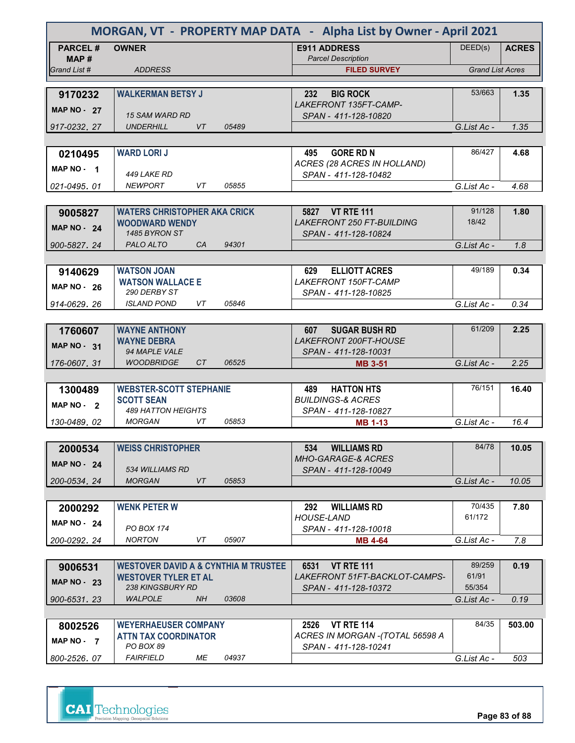| MORGAN, VT - PROPERTY MAP DATA - Alpha List by Owner - April 2021 |                                                 |       |                                                          |                         |              |
|-------------------------------------------------------------------|-------------------------------------------------|-------|----------------------------------------------------------|-------------------------|--------------|
| <b>PARCEL#</b>                                                    | <b>OWNER</b>                                    |       | <b>E911 ADDRESS</b>                                      | DEED(s)                 | <b>ACRES</b> |
| MAP#<br>Grand List #                                              | <b>ADDRESS</b>                                  |       | <b>Parcel Description</b><br><b>FILED SURVEY</b>         | <b>Grand List Acres</b> |              |
|                                                                   |                                                 |       |                                                          |                         |              |
| 9170232                                                           | <b>WALKERMAN BETSY J</b>                        |       | <b>BIG ROCK</b><br>232                                   | 53/663                  | 1.35         |
| <b>MAP NO - 27</b>                                                | <b>15 SAM WARD RD</b>                           |       | LAKEFRONT 135FT-CAMP-<br>SPAN - 411-128-10820            |                         |              |
| 917-0232, 27                                                      | <b>VT</b><br><b>UNDERHILL</b>                   | 05489 |                                                          | G.List Ac -             | 1.35         |
|                                                                   |                                                 |       |                                                          |                         |              |
| 0210495                                                           | <b>WARD LORIJ</b>                               |       | <b>GORE RD N</b><br>495                                  | 86/427                  | 4.68         |
| MAP NO 1                                                          | 449 LAKE RD                                     |       | ACRES (28 ACRES IN HOLLAND)<br>SPAN - 411-128-10482      |                         |              |
| 021-0495.01                                                       | <b>NEWPORT</b><br>VT.                           | 05855 |                                                          | G.List Ac -             | 4.68         |
|                                                                   |                                                 |       |                                                          |                         |              |
| 9005827                                                           | <b>WATERS CHRISTOPHER AKA CRICK</b>             |       | 5827 VT RTE 111                                          | 91/128                  | 1.80         |
| <b>MAP NO - 24</b>                                                | <b>WOODWARD WENDY</b><br>1485 BYRON ST          |       | <b>LAKEFRONT 250 FT-BUILDING</b><br>SPAN - 411-128-10824 | 18/42                   |              |
| 900-5827.24                                                       | PALO ALTO<br>CA                                 | 94301 |                                                          | G.List Ac -             | 1.8          |
|                                                                   |                                                 |       |                                                          |                         |              |
| 9140629                                                           | <b>WATSON JOAN</b>                              |       | <b>ELLIOTT ACRES</b><br>629                              | 49/189                  | 0.34         |
| $MAP NO - 26$                                                     | <b>WATSON WALLACE E</b><br>290 DERBY ST         |       | <b>LAKEFRONT 150FT-CAMP</b><br>SPAN - 411-128-10825      |                         |              |
| 914-0629.26                                                       | <b>ISLAND POND</b><br>VT                        | 05846 |                                                          | G.List Ac -             | 0.34         |
|                                                                   |                                                 |       |                                                          |                         |              |
| 1760607                                                           | <b>WAYNE ANTHONY</b>                            |       | <b>SUGAR BUSH RD</b><br>607                              | 61/209                  | 2.25         |
| <b>MAP NO - 31</b>                                                | <b>WAYNE DEBRA</b><br>94 MAPLE VALE             |       | <b>LAKEFRONT 200FT-HOUSE</b><br>SPAN - 411-128-10031     |                         |              |
| 176-0607, 31                                                      | <b>WOODBRIDGE</b><br>CT                         | 06525 | <b>MB 3-51</b>                                           | G.List Ac -             | 2.25         |
|                                                                   |                                                 |       |                                                          |                         |              |
| 1300489                                                           | <b>WEBSTER-SCOTT STEPHANIE</b>                  |       | <b>HATTON HTS</b><br>489                                 | 76/151                  | 16.40        |
| MAP NO - 2                                                        | <b>SCOTT SEAN</b><br>489 HATTON HEIGHTS         |       | <b>BUILDINGS-&amp; ACRES</b><br>SPAN - 411-128-10827     |                         |              |
| 130-0489, 02                                                      | <b>MORGAN</b><br>VT                             | 05853 | <b>MB 1-13</b>                                           | G.List Ac -             | 16.4         |
|                                                                   |                                                 |       |                                                          |                         |              |
| 2000534                                                           | <b>WEISS CHRISTOPHER</b>                        |       | <b>WILLIAMS RD</b><br>534                                | 84/78                   | 10.05        |
| <b>MAP NO - 24</b>                                                | 534 WILLIAMS RD                                 |       | <b>MHO-GARAGE-&amp; ACRES</b><br>SPAN - 411-128-10049    |                         |              |
| 200-0534.24                                                       | <b>MORGAN</b><br>VT                             | 05853 |                                                          | G.List Ac -             | 10.05        |
|                                                                   |                                                 |       |                                                          |                         |              |
| 2000292                                                           | <b>WENK PETER W</b>                             |       | 292<br><b>WILLIAMS RD</b>                                | 70/435                  | 7.80         |
| MAP $NO - 24$                                                     | PO BOX 174                                      |       | <b>HOUSE-LAND</b><br>SPAN - 411-128-10018                | 61/172                  |              |
| 200-0292.24                                                       | <b>NORTON</b><br>VT                             | 05907 | <b>MB 4-64</b>                                           | G.List Ac -             | 7.8          |
|                                                                   |                                                 |       |                                                          |                         |              |
| 9006531                                                           | <b>WESTOVER DAVID A &amp; CYNTHIA M TRUSTEE</b> |       | 6531<br><b>VT RTE 111</b>                                | 89/259                  | 0.19         |
| <b>MAP NO - 23</b>                                                | <b>WESTOVER TYLER ET AL</b><br>238 KINGSBURY RD |       | LAKEFRONT 51FT-BACKLOT-CAMPS-<br>SPAN - 411-128-10372    | 61/91<br>55/354         |              |
| 900-6531, 23                                                      | <b>WALPOLE</b><br>NH.                           | 03608 |                                                          | G.List Ac -             | 0.19         |
|                                                                   |                                                 |       |                                                          |                         |              |
| 8002526                                                           | <b>WEYERHAEUSER COMPANY</b>                     |       | <b>VT RTE 114</b><br>2526                                | 84/35                   | 503.00       |
| MAP NO $-7$                                                       | <b>ATTN TAX COORDINATOR</b><br>PO BOX 89        |       | ACRES IN MORGAN -(TOTAL 56598 A<br>SPAN - 411-128-10241  |                         |              |
| 800-2526.07                                                       | <b>FAIRFIELD</b><br>МE                          | 04937 |                                                          | G.List Ac -             | 503          |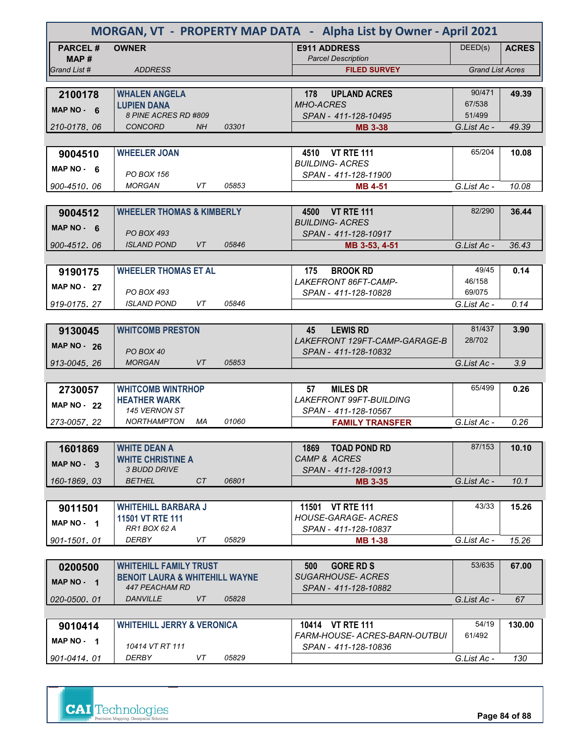| MORGAN, VT - PROPERTY MAP DATA - Alpha List by Owner - April 2021 |                                                 |           |       |                                                          |                         |              |
|-------------------------------------------------------------------|-------------------------------------------------|-----------|-------|----------------------------------------------------------|-------------------------|--------------|
| <b>PARCEL#</b><br>MAP #                                           | <b>OWNER</b>                                    |           |       | <b>E911 ADDRESS</b><br><b>Parcel Description</b>         | DEED(s)                 | <b>ACRES</b> |
| Grand List #                                                      | <b>ADDRESS</b>                                  |           |       | <b>FILED SURVEY</b>                                      | <b>Grand List Acres</b> |              |
|                                                                   |                                                 |           |       |                                                          |                         |              |
| 2100178                                                           | <b>WHALEN ANGELA</b>                            |           |       | <b>UPLAND ACRES</b><br>178                               | 90/471                  | 49.39        |
| MAP NO $-6$                                                       | <b>LUPIEN DANA</b><br>8 PINE ACRES RD #809      |           |       | <b>MHO-ACRES</b>                                         | 67/538<br>51/499        |              |
| 210-0178.06                                                       | <b>CONCORD</b>                                  | <b>NH</b> | 03301 | SPAN - 411-128-10495<br><b>MB 3-38</b>                   | G.List Ac -             | 49.39        |
|                                                                   |                                                 |           |       |                                                          |                         |              |
| 9004510                                                           | <b>WHEELER JOAN</b>                             |           |       | 4510 VT RTE 111                                          | 65/204                  | 10.08        |
|                                                                   |                                                 |           |       | <b>BUILDING- ACRES</b>                                   |                         |              |
| MAP $NO - 6$                                                      | PO BOX 156                                      |           |       | SPAN - 411-128-11900                                     |                         |              |
| 900-4510, 06                                                      | <b>MORGAN</b>                                   | VT        | 05853 | <b>MB 4-51</b>                                           | G.List Ac -             | 10.08        |
|                                                                   |                                                 |           |       |                                                          |                         |              |
| 9004512                                                           | <b>WHEELER THOMAS &amp; KIMBERLY</b>            |           |       | 4500 VT RTE 111                                          | 82/290                  | 36.44        |
| MAP $NO - 6$                                                      |                                                 |           |       | <b>BUILDING- ACRES</b>                                   |                         |              |
|                                                                   | <b>PO BOX 493</b>                               |           |       | SPAN - 411-128-10917                                     |                         |              |
| 900-4512.06                                                       | <b>ISLAND POND</b>                              | VT        | 05846 | MB 3-53, 4-51                                            | G.List Ac -             | 36.43        |
|                                                                   |                                                 |           |       |                                                          |                         |              |
| 9190175                                                           | <b>WHEELER THOMAS ET AL</b>                     |           |       | 175<br><b>BROOK RD</b>                                   | 49/45                   | 0.14         |
| <b>MAP NO - 27</b>                                                | PO BOX 493                                      |           |       | LAKEFRONT 86FT-CAMP-<br>SPAN - 411-128-10828             | 46/158<br>69/075        |              |
| 919-0175.27                                                       | <b>ISLAND POND</b>                              | VT        | 05846 |                                                          | G.List Ac -             | 0.14         |
|                                                                   |                                                 |           |       |                                                          |                         |              |
| 9130045                                                           | <b>WHITCOMB PRESTON</b>                         |           |       | <b>LEWIS RD</b><br>45                                    | 81/437                  | 3.90         |
|                                                                   |                                                 |           |       | LAKEFRONT 129FT-CAMP-GARAGE-B                            | 28/702                  |              |
| <b>MAP NO - 26</b>                                                | PO BOX 40                                       |           |       | SPAN - 411-128-10832                                     |                         |              |
| 913-0045.26                                                       | <b>MORGAN</b>                                   | <b>VT</b> | 05853 |                                                          | G.List Ac -             | 3.9          |
|                                                                   |                                                 |           |       |                                                          |                         |              |
| 2730057                                                           | <b>WHITCOMB WINTRHOP</b>                        |           |       | <b>MILES DR</b><br>57                                    | 65/499                  | 0.26         |
| MAP $NO - 22$                                                     | <b>HEATHER WARK</b>                             |           |       | <b>LAKEFRONT 99FT-BUILDING</b>                           |                         |              |
|                                                                   | 145 VERNON ST                                   |           |       | SPAN - 411-128-10567                                     |                         |              |
| 273-0057, 22                                                      | <b>NORTHAMPTON</b>                              | МA        | 01060 | <b>FAMILY TRANSFER</b>                                   | G.List Ac -             | 0.26         |
|                                                                   |                                                 |           |       |                                                          |                         |              |
| 1601869                                                           | <b>WHITE DEAN A</b>                             |           |       | 1869 TOAD POND RD                                        | 87/153                  | 10.10        |
| MAP $NO - 3$                                                      | <b>WHITE CHRISTINE A</b><br><i>3 BUDD DRIVE</i> |           |       | CAMP & ACRES                                             |                         |              |
| 160-1869.03                                                       | <b>BETHEL</b>                                   | CT        | 06801 | SPAN - 411-128-10913<br><b>MB 3-35</b>                   | G.List Ac -             | 10.1         |
|                                                                   |                                                 |           |       |                                                          |                         |              |
| 9011501                                                           | <b>WHITEHILL BARBARA J</b>                      |           |       | 11501 VT RTE 111                                         | 43/33                   | 15.26        |
|                                                                   | <b>11501 VT RTE 111</b>                         |           |       | <b>HOUSE-GARAGE- ACRES</b>                               |                         |              |
| MAP NO 1                                                          | RR1 BOX 62 A                                    |           |       | SPAN - 411-128-10837                                     |                         |              |
| 901-1501.01                                                       | <b>DERBY</b>                                    | VT        | 05829 | <b>MB 1-38</b>                                           | G.List Ac -             | 15.26        |
|                                                                   |                                                 |           |       |                                                          |                         |              |
| 0200500                                                           | <b>WHITEHILL FAMILY TRUST</b>                   |           |       | 500<br><b>GORE RD S</b>                                  | 53/635                  | 67.00        |
| MAP NO - 1                                                        | <b>BENOIT LAURA &amp; WHITEHILL WAYNE</b>       |           |       | <b>SUGARHOUSE- ACRES</b>                                 |                         |              |
|                                                                   | 447 PEACHAM RD                                  |           |       | SPAN - 411-128-10882                                     |                         |              |
| 020-0500.01                                                       | <b>DANVILLE</b>                                 | VT        | 05828 |                                                          | G.List Ac -             | 67           |
|                                                                   |                                                 |           |       |                                                          |                         |              |
| 9010414                                                           | <b>WHITEHILL JERRY &amp; VERONICA</b>           |           |       | 10414 VT RTE 111<br><b>FARM-HOUSE- ACRES-BARN-OUTBUI</b> | 54/19<br>61/492         | 130.00       |
| MAP NO - 1                                                        | 10414 VT RT 111                                 |           |       | SPAN - 411-128-10836                                     |                         |              |
| 901-0414.01                                                       | DERBY                                           | VT        | 05829 |                                                          | G.List Ac -             | 130          |
|                                                                   |                                                 |           |       |                                                          |                         |              |



**Page 84 of 88**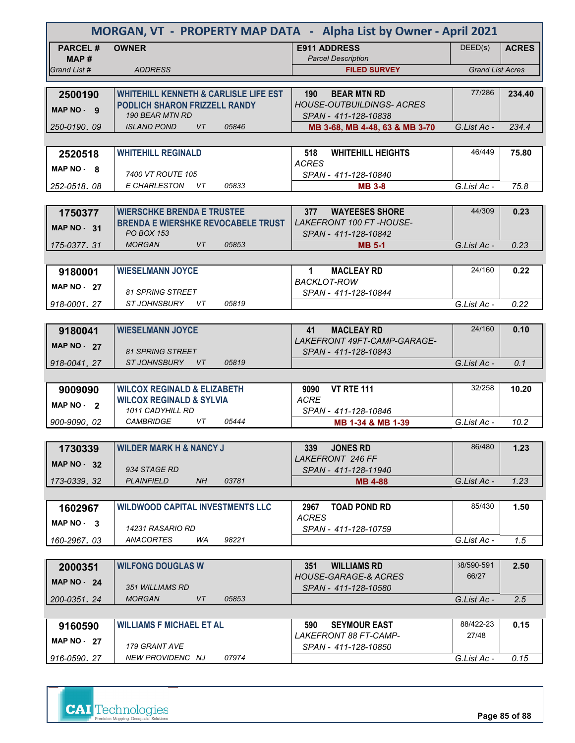| MORGAN, VT - PROPERTY MAP DATA - Alpha List by Owner - April 2021 |                                                                                          |                                                               |                         |              |  |
|-------------------------------------------------------------------|------------------------------------------------------------------------------------------|---------------------------------------------------------------|-------------------------|--------------|--|
| <b>PARCEL#</b><br>MAP#                                            | <b>OWNER</b>                                                                             | <b>E911 ADDRESS</b><br><b>Parcel Description</b>              | DEED(s)                 | <b>ACRES</b> |  |
| Grand List #                                                      | <b>ADDRESS</b>                                                                           | <b>FILED SURVEY</b>                                           | <b>Grand List Acres</b> |              |  |
|                                                                   |                                                                                          |                                                               | 77/286                  |              |  |
| 2500190                                                           | <b>WHITEHILL KENNETH &amp; CARLISLE LIFE EST</b><br><b>PODLICH SHARON FRIZZELL RANDY</b> | <b>BEAR MTN RD</b><br>190<br><b>HOUSE-OUTBUILDINGS- ACRES</b> |                         | 234.40       |  |
| MAP NO - 9                                                        | 190 BEAR MTN RD                                                                          | SPAN - 411-128-10838                                          |                         |              |  |
| 250-0190, 09                                                      | <b>ISLAND POND</b><br>VT<br>05846                                                        | MB 3-68, MB 4-48, 63 & MB 3-70                                | G.List Ac -             | 234.4        |  |
|                                                                   |                                                                                          |                                                               |                         |              |  |
| 2520518                                                           | <b>WHITEHILL REGINALD</b>                                                                | 518<br><b>WHITEHILL HEIGHTS</b>                               | 46/449                  | 75.80        |  |
| MAP $NO - 8$                                                      | 7400 VT ROUTE 105                                                                        | <b>ACRES</b><br>SPAN - 411-128-10840                          |                         |              |  |
| 252-0518.08                                                       | E CHARLESTON<br>VT.<br>05833                                                             | <b>MB 3-8</b>                                                 | G.List Ac -             | 75.8         |  |
|                                                                   |                                                                                          |                                                               |                         |              |  |
| 1750377                                                           | <b>WIERSCHKE BRENDA E TRUSTEE</b>                                                        | 377<br><b>WAYEESES SHORE</b>                                  | 44/309                  | 0.23         |  |
| <b>MAP NO - 31</b>                                                | <b>BRENDA E WIERSHKE REVOCABELE TRUST</b>                                                | <b>LAKEFRONT 100 FT-HOUSE-</b>                                |                         |              |  |
|                                                                   | <b>PO BOX 153</b>                                                                        | SPAN - 411-128-10842                                          |                         |              |  |
| 175-0377.31                                                       | <b>MORGAN</b><br>VT<br>05853                                                             | <b>MB 5-1</b>                                                 | G.List Ac -             | 0.23         |  |
|                                                                   |                                                                                          |                                                               | 24/160                  |              |  |
| 9180001                                                           | <b>WIESELMANN JOYCE</b>                                                                  | $\mathbf 1$<br><b>MACLEAY RD</b><br><b>BACKLOT-ROW</b>        |                         | 0.22         |  |
| <b>MAP NO - 27</b>                                                | <b>81 SPRING STREET</b>                                                                  | SPAN - 411-128-10844                                          |                         |              |  |
| 918-0001.27                                                       | 05819<br>STJOHNSBURY VT                                                                  |                                                               | G.List Ac -             | 0.22         |  |
|                                                                   |                                                                                          |                                                               |                         |              |  |
| 9180041                                                           | <b>WIESELMANN JOYCE</b>                                                                  | <b>MACLEAY RD</b><br>41                                       | 24/160                  | 0.10         |  |
| <b>MAP NO - 27</b>                                                |                                                                                          | LAKEFRONT 49FT-CAMP-GARAGE-                                   |                         |              |  |
| 918-0041.27                                                       | <b>81 SPRING STREET</b><br><i>ST JOHNSBURY</i><br>VT<br>05819                            | SPAN - 411-128-10843                                          | G.List Ac -             | 0.1          |  |
|                                                                   |                                                                                          |                                                               |                         |              |  |
| 9009090                                                           | <b>WILCOX REGINALD &amp; ELIZABETH</b>                                                   | <b>VT RTE 111</b><br>9090                                     | 32/258                  | 10.20        |  |
| MAP $NO - 2$                                                      | <b>WILCOX REGINALD &amp; SYLVIA</b>                                                      | <b>ACRE</b>                                                   |                         |              |  |
|                                                                   | 1011 CADYHILL RD                                                                         | SPAN - 411-128-10846                                          |                         |              |  |
| 900-9090.02                                                       | VT<br><b>CAMBRIDGE</b><br>05444                                                          | MB 1-34 & MB 1-39                                             | G.List Ac -             | 10.2         |  |
|                                                                   | <b>WILDER MARK H &amp; NANCY J</b>                                                       | 339<br><b>JONES RD</b>                                        | 86/480                  | 1.23         |  |
| 1730339                                                           |                                                                                          | LAKEFRONT 246 FF                                              |                         |              |  |
| <b>MAP NO - 32</b>                                                | 934 STAGE RD                                                                             | SPAN - 411-128-11940                                          |                         |              |  |
| 173-0339.32                                                       | 03781<br><b>PLAINFIELD</b><br>NH.                                                        | <b>MB 4-88</b>                                                | G.List Ac -             | 1.23         |  |
|                                                                   |                                                                                          |                                                               |                         |              |  |
| 1602967                                                           | <b>WILDWOOD CAPITAL INVESTMENTS LLC</b>                                                  | 2967<br><b>TOAD POND RD</b>                                   | 85/430                  | 1.50         |  |
| $MAP NO - 3$                                                      | 14231 RASARIO RD                                                                         | <b>ACRES</b><br>SPAN - 411-128-10759                          |                         |              |  |
| 160-2967.03                                                       | ANACORTES<br>98221<br>WA                                                                 |                                                               | G.List Ac -             | 1.5          |  |
|                                                                   |                                                                                          |                                                               |                         |              |  |
| 2000351                                                           | <b>WILFONG DOUGLAS W</b>                                                                 | <b>WILLIAMS RD</b><br>351                                     | 38/590-591              | 2.50         |  |
| <b>MAP NO - 24</b>                                                |                                                                                          | <b>HOUSE-GARAGE-&amp; ACRES</b>                               | 66/27                   |              |  |
| 200-0351, 24                                                      | 351 WILLIAMS RD<br><b>MORGAN</b><br>VT<br>05853                                          | SPAN - 411-128-10580                                          | G.List Ac -             | 2.5          |  |
|                                                                   |                                                                                          |                                                               |                         |              |  |
| 9160590                                                           | <b>WILLIAMS F MICHAEL ET AL</b>                                                          | <b>SEYMOUR EAST</b><br>590                                    | 88/422-23               | 0.15         |  |
|                                                                   |                                                                                          | LAKEFRONT 88 FT-CAMP-                                         | 27/48                   |              |  |
| <b>MAP NO - 27</b>                                                | 179 GRANT AVE                                                                            | SPAN - 411-128-10850                                          |                         |              |  |
| 916-0590, 27                                                      | 07974<br>NEW PROVIDENC NJ                                                                |                                                               | G.List Ac -             | 0.15         |  |

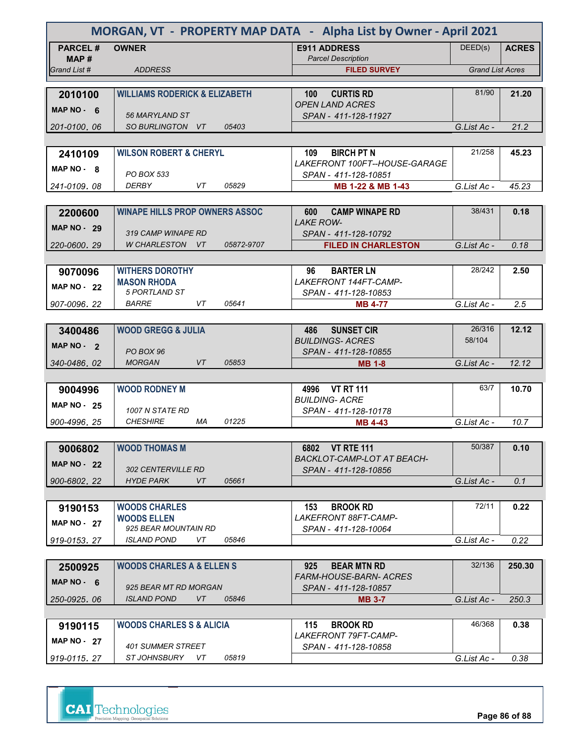| MORGAN, VT - PROPERTY MAP DATA - Alpha List by Owner - April 2021 |                                          |            |                                                            |                         |              |
|-------------------------------------------------------------------|------------------------------------------|------------|------------------------------------------------------------|-------------------------|--------------|
| <b>PARCEL#</b><br>MAP#                                            | <b>OWNER</b>                             |            | <b>E911 ADDRESS</b><br><b>Parcel Description</b>           | DEED(s)                 | <b>ACRES</b> |
| Grand List #                                                      | <b>ADDRESS</b>                           |            | <b>FILED SURVEY</b>                                        | <b>Grand List Acres</b> |              |
|                                                                   |                                          |            |                                                            |                         |              |
| 2010100                                                           | <b>WILLIAMS RODERICK &amp; ELIZABETH</b> |            | <b>CURTIS RD</b><br>100<br><b>OPEN LAND ACRES</b>          | 81/90                   | 21.20        |
| MAP NO $-6$                                                       | 56 MARYLAND ST                           |            | SPAN - 411-128-11927                                       |                         |              |
| 201-0100, 06                                                      | SO BURLINGTON VT                         | 05403      |                                                            | G.List Ac -             | 21.2         |
|                                                                   |                                          |            |                                                            |                         |              |
| 2410109                                                           | <b>WILSON ROBERT &amp; CHERYL</b>        |            | <b>BIRCH PT N</b><br>109                                   | 21/258                  | 45.23        |
| MAP NO - 8                                                        | PO BOX 533                               |            | LAKEFRONT 100FT--HOUSE-GARAGE<br>SPAN - 411-128-10851      |                         |              |
| 241-0109.08                                                       | DERBY<br>VT                              | 05829      | MB 1-22 & MB 1-43                                          | G.List Ac -             | 45.23        |
|                                                                   |                                          |            |                                                            |                         |              |
| 2200600                                                           | <b>WINAPE HILLS PROP OWNERS ASSOC</b>    |            | <b>CAMP WINAPE RD</b><br>600<br><b>LAKE ROW-</b>           | 38/431                  | 0.18         |
| <b>MAP NO - 29</b>                                                | 319 CAMP WINAPE RD                       |            | SPAN - 411-128-10792                                       |                         |              |
| 220-0600.29                                                       | W CHARLESTON VT                          | 05872-9707 | <b>FILED IN CHARLESTON</b>                                 | G.List Ac -             | 0.18         |
|                                                                   |                                          |            |                                                            |                         |              |
| 9070096                                                           | <b>WITHERS DOROTHY</b>                   |            | 96<br><b>BARTER LN</b>                                     | 28/242                  | 2.50         |
| <b>MAP NO - 22</b>                                                | <b>MASON RHODA</b>                       |            | LAKEFRONT 144FT-CAMP-                                      |                         |              |
|                                                                   | 5 PORTLAND ST                            |            | SPAN - 411-128-10853                                       |                         |              |
| 907-0096.22                                                       | <b>BARRE</b><br>VT.                      | 05641      | <b>MB 4-77</b>                                             | G.List Ac -             | 2.5          |
|                                                                   |                                          |            |                                                            |                         |              |
| 3400486                                                           | <b>WOOD GREGG &amp; JULIA</b>            |            | <b>SUNSET CIR</b><br>486<br><b>BUILDINGS- ACRES</b>        | 26/316<br>58/104        | 12.12        |
| MAP NO - 2                                                        | PO BOX 96                                |            | SPAN - 411-128-10855                                       |                         |              |
| 340-0486, 02                                                      | <b>MORGAN</b><br><b>VT</b>               | 05853      | <b>MB 1-8</b>                                              | G.List Ac -             | 12.12        |
|                                                                   |                                          |            |                                                            |                         |              |
| 9004996                                                           | <b>WOOD RODNEY M</b>                     |            | 4996 VT RT 111                                             | 63/7                    | 10.70        |
| <b>MAP NO - 25</b>                                                |                                          |            | <b>BUILDING- ACRE</b>                                      |                         |              |
|                                                                   | 1007 N STATE RD                          |            | SPAN - 411-128-10178                                       |                         |              |
| 900-4996, 25                                                      | <b>CHESHIRE</b><br>МA                    | 01225      | <b>MB 4-43</b>                                             | G.List Ac -             | 10.7         |
|                                                                   |                                          |            |                                                            |                         |              |
| 9006802                                                           | <b>WOOD THOMAS M</b>                     |            | 6802 VT RTE 111<br>BACKLOT-CAMP-LOT AT BEACH-              | 50/387                  | 0.10         |
| <b>MAP NO - 22</b>                                                | 302 CENTERVILLE RD                       |            | SPAN - 411-128-10856                                       |                         |              |
| 900-6802.22                                                       | <b>HYDE PARK</b><br>VT                   | 05661      |                                                            | G.List Ac -             | 0.1          |
|                                                                   |                                          |            |                                                            |                         |              |
| 9190153                                                           | <b>WOODS CHARLES</b>                     |            | <b>BROOK RD</b><br>153                                     | 72/11                   | 0.22         |
| <b>MAP NO - 27</b>                                                | <b>WOODS ELLEN</b>                       |            | LAKEFRONT 88FT-CAMP-                                       |                         |              |
|                                                                   | 925 BEAR MOUNTAIN RD                     |            | SPAN - 411-128-10064                                       |                         |              |
| 919-0153.27                                                       | <b>ISLAND POND</b><br>VT                 | 05846      |                                                            | G.List Ac -             | 0.22         |
|                                                                   |                                          |            |                                                            |                         |              |
| 2500925                                                           | <b>WOODS CHARLES A &amp; ELLEN S</b>     |            | <b>BEAR MTN RD</b><br>925<br><i>FARM-HOUSE-BARN- ACRES</i> | 32/136                  | 250.30       |
| MAP $NO - 6$                                                      | 925 BEAR MT RD MORGAN                    |            | SPAN - 411-128-10857                                       |                         |              |
| 250-0925, 06                                                      | <b>ISLAND POND</b><br>VT                 | 05846      | <b>MB 3-7</b>                                              | G.List Ac -             | 250.3        |
|                                                                   |                                          |            |                                                            |                         |              |
| 9190115                                                           | <b>WOODS CHARLES S &amp; ALICIA</b>      |            | 115<br><b>BROOK RD</b>                                     | 46/368                  | 0.38         |
| <b>MAP NO - 27</b>                                                |                                          |            | LAKEFRONT 79FT-CAMP-                                       |                         |              |
|                                                                   | <b>401 SUMMER STREET</b>                 |            | SPAN - 411-128-10858                                       |                         |              |
| 919-0115.27                                                       | STJOHNSBURY VT                           | 05819      |                                                            | G.List Ac -             | 0.38         |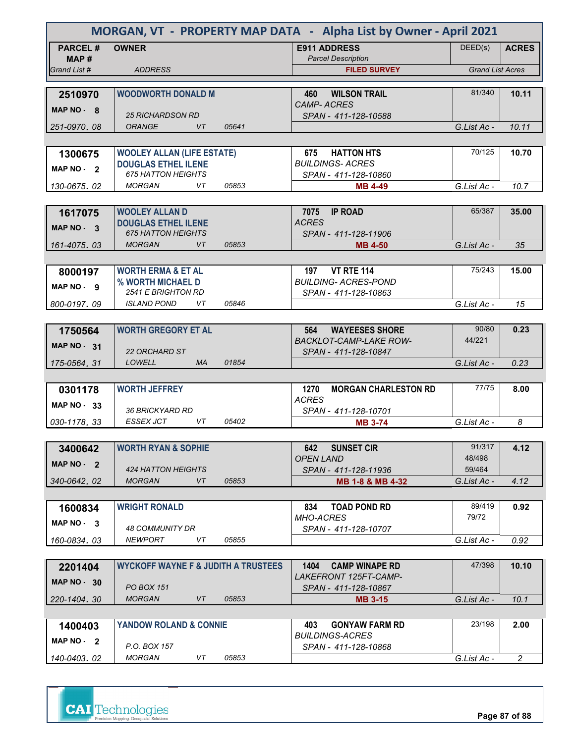| MORGAN, VT - PROPERTY MAP DATA - Alpha List by Owner - April 2021 |                                                             |                                                        |                         |                |  |
|-------------------------------------------------------------------|-------------------------------------------------------------|--------------------------------------------------------|-------------------------|----------------|--|
| <b>PARCEL#</b>                                                    | <b>OWNER</b>                                                | <b>E911 ADDRESS</b>                                    | DEED(s)                 | <b>ACRES</b>   |  |
| MAP#                                                              |                                                             | <b>Parcel Description</b>                              |                         |                |  |
| Grand List #                                                      | <b>ADDRESS</b>                                              | <b>FILED SURVEY</b>                                    | <b>Grand List Acres</b> |                |  |
| 2510970                                                           | <b>WOODWORTH DONALD M</b>                                   | <b>WILSON TRAIL</b><br>460                             | 81/340                  | 10.11          |  |
| MAP $NO - 8$                                                      |                                                             | <b>CAMP-ACRES</b>                                      |                         |                |  |
|                                                                   | <b>25 RICHARDSON RD</b>                                     | SPAN - 411-128-10588                                   |                         |                |  |
| 251-0970, 08                                                      | <b>ORANGE</b><br>VT<br>05641                                |                                                        | G.List Ac -             | 10.11          |  |
|                                                                   |                                                             |                                                        |                         |                |  |
| 1300675                                                           | <b>WOOLEY ALLAN (LIFE ESTATE)</b>                           | 675<br><b>HATTON HTS</b><br><b>BUILDINGS-ACRES</b>     | 70/125                  | 10.70          |  |
| MAP NO - 2                                                        | <b>DOUGLAS ETHEL ILENE</b><br><b>675 HATTON HEIGHTS</b>     | SPAN - 411-128-10860                                   |                         |                |  |
| 130-0675, 02                                                      | VT<br><b>MORGAN</b><br>05853                                | <b>MB 4-49</b>                                         | G.List Ac -             | 10.7           |  |
|                                                                   |                                                             |                                                        |                         |                |  |
| 1617075                                                           | <b>WOOLEY ALLAN D</b>                                       | 7075<br><b>IP ROAD</b>                                 | 65/387                  | 35.00          |  |
| $MAP NO.$ 3                                                       | <b>DOUGLAS ETHEL ILENE</b>                                  | <b>ACRES</b>                                           |                         |                |  |
|                                                                   | <b>675 HATTON HEIGHTS</b><br><b>VT</b>                      | SPAN - 411-128-11906                                   |                         |                |  |
| 161-4075.03                                                       | <b>MORGAN</b><br>05853                                      | <b>MB 4-50</b>                                         | G.List Ac -             | 35             |  |
| 8000197                                                           | <b>WORTH ERMA &amp; ET AL</b>                               | 197<br><b>VT RTE 114</b>                               | 75/243                  | 15.00          |  |
|                                                                   | % WORTH MICHAEL D                                           | <b>BUILDING- ACRES-POND</b>                            |                         |                |  |
| MAP NO - 9                                                        | <b>2541 E BRIGHTON RD</b>                                   | SPAN - 411-128-10863                                   |                         |                |  |
| 800-0197.09                                                       | <i><b>ISLAND POND</b></i><br>VT<br>05846                    |                                                        | G.List Ac -             | 15             |  |
|                                                                   |                                                             |                                                        |                         |                |  |
| 1750564                                                           | <b>WORTH GREGORY ET AL</b>                                  | <b>WAYEESES SHORE</b><br>564                           | 90/80                   | 0.23           |  |
| <b>MAP NO - 31</b>                                                |                                                             | <b>BACKLOT-CAMP-LAKE ROW-</b>                          | 44/221                  |                |  |
| 175-0564, 31                                                      | <b>22 ORCHARD ST</b><br><b>LOWELL</b><br><b>MA</b><br>01854 | SPAN - 411-128-10847                                   | G.List Ac -             | 0.23           |  |
|                                                                   |                                                             |                                                        |                         |                |  |
| 0301178                                                           | <b>WORTH JEFFREY</b>                                        | 1270<br><b>MORGAN CHARLESTON RD</b>                    | 77/75                   | 8.00           |  |
| MAP $NO - 33$                                                     |                                                             | <b>ACRES</b>                                           |                         |                |  |
|                                                                   | <b>36 BRICKYARD RD</b>                                      | SPAN - 411-128-10701                                   |                         |                |  |
| 030-1178.33                                                       | <b>ESSEX JCT</b><br>VT<br>05402                             | <b>MB 3-74</b>                                         | G.List Ac -             | 8              |  |
|                                                                   |                                                             |                                                        |                         |                |  |
| 3400642                                                           | <b>WORTH RYAN &amp; SOPHIE</b>                              | <b>SUNSET CIR</b><br>642<br><b>OPEN LAND</b>           | 91/317<br>48/498        | 4.12           |  |
| MAP $NO - 2$                                                      | 424 HATTON HEIGHTS                                          | SPAN - 411-128-11936                                   | 59/464                  |                |  |
| 340-0642, 02                                                      | <b>MORGAN</b><br>VT<br>05853                                | MB 1-8 & MB 4-32                                       | G.List Ac -             | 4.12           |  |
|                                                                   |                                                             |                                                        |                         |                |  |
| 1600834                                                           | <b>WRIGHT RONALD</b>                                        | <b>TOAD POND RD</b><br>834                             | 89/419                  | 0.92           |  |
| MAP NO. 3                                                         |                                                             | <b>MHO-ACRES</b>                                       | 79/72                   |                |  |
| 160-0834.03                                                       | 48 COMMUNITY DR<br>VT<br><b>NEWPORT</b><br>05855            | SPAN - 411-128-10707                                   | G.List Ac -             | 0.92           |  |
|                                                                   |                                                             |                                                        |                         |                |  |
| 2201404                                                           | <b>WYCKOFF WAYNE F &amp; JUDITH A TRUSTEES</b>              | <b>CAMP WINAPE RD</b><br>1404                          | 47/398                  | 10.10          |  |
| <b>MAP NO - 30</b>                                                |                                                             | <i>LAKEFRONT 125FT-CAMP-</i>                           |                         |                |  |
|                                                                   | <b>PO BOX 151</b>                                           | SPAN - 411-128-10867                                   |                         |                |  |
| 220-1404, 30                                                      | <b>MORGAN</b><br>VT<br>05853                                | <b>MB 3-15</b>                                         | G.List Ac -             | 10.1           |  |
|                                                                   |                                                             |                                                        |                         |                |  |
| 1400403                                                           | YANDOW ROLAND & CONNIE                                      | <b>GONYAW FARM RD</b><br>403<br><i>BUILDINGS-ACRES</i> | 23/198                  | 2.00           |  |
| MAP $NO - 2$                                                      | P.O. BOX 157                                                | SPAN - 411-128-10868                                   |                         |                |  |
| 140-0403, 02                                                      | <b>MORGAN</b><br>VT<br>05853                                |                                                        | G.List Ac -             | $\overline{2}$ |  |